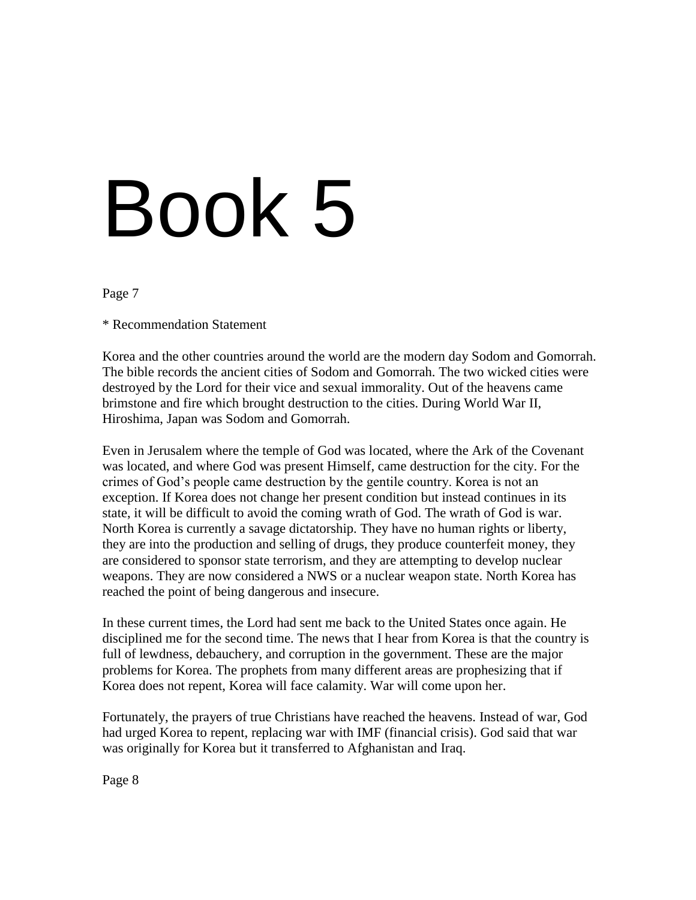# Book 5

# Page 7

\* Recommendation Statement

Korea and the other countries around the world are the modern day Sodom and Gomorrah. The bible records the ancient cities of Sodom and Gomorrah. The two wicked cities were destroyed by the Lord for their vice and sexual immorality. Out of the heavens came brimstone and fire which brought destruction to the cities. During World War II, Hiroshima, Japan was Sodom and Gomorrah.

Even in Jerusalem where the temple of God was located, where the Ark of the Covenant was located, and where God was present Himself, came destruction for the city. For the crimes of God"s people came destruction by the gentile country. Korea is not an exception. If Korea does not change her present condition but instead continues in its state, it will be difficult to avoid the coming wrath of God. The wrath of God is war. North Korea is currently a savage dictatorship. They have no human rights or liberty, they are into the production and selling of drugs, they produce counterfeit money, they are considered to sponsor state terrorism, and they are attempting to develop nuclear weapons. They are now considered a NWS or a nuclear weapon state. North Korea has reached the point of being dangerous and insecure.

In these current times, the Lord had sent me back to the United States once again. He disciplined me for the second time. The news that I hear from Korea is that the country is full of lewdness, debauchery, and corruption in the government. These are the major problems for Korea. The prophets from many different areas are prophesizing that if Korea does not repent, Korea will face calamity. War will come upon her.

Fortunately, the prayers of true Christians have reached the heavens. Instead of war, God had urged Korea to repent, replacing war with IMF (financial crisis). God said that war was originally for Korea but it transferred to Afghanistan and Iraq.

Page 8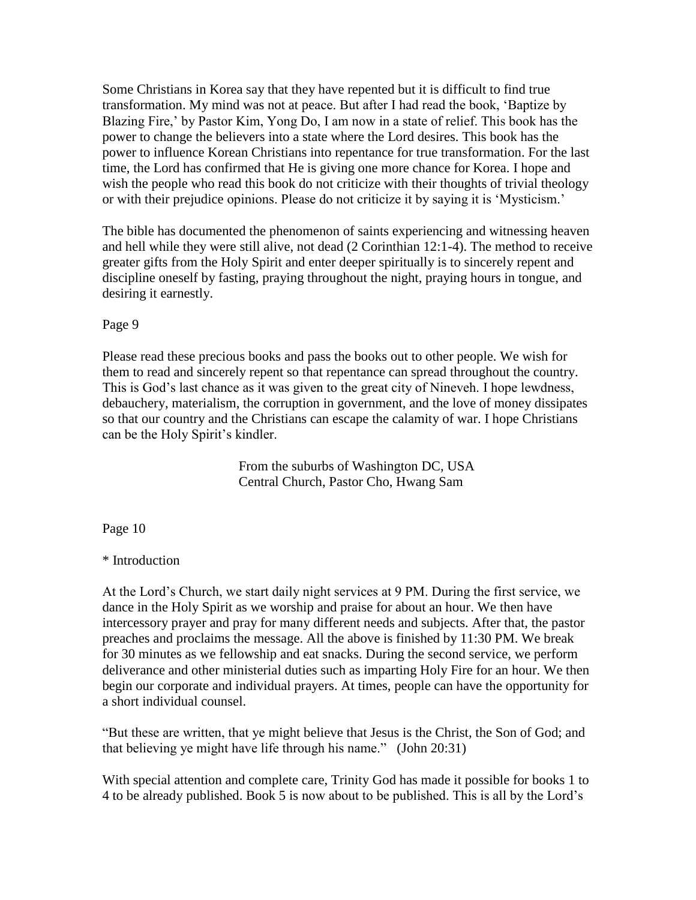Some Christians in Korea say that they have repented but it is difficult to find true transformation. My mind was not at peace. But after I had read the book, "Baptize by Blazing Fire," by Pastor Kim, Yong Do, I am now in a state of relief. This book has the power to change the believers into a state where the Lord desires. This book has the power to influence Korean Christians into repentance for true transformation. For the last time, the Lord has confirmed that He is giving one more chance for Korea. I hope and wish the people who read this book do not criticize with their thoughts of trivial theology or with their prejudice opinions. Please do not criticize it by saying it is "Mysticism."

The bible has documented the phenomenon of saints experiencing and witnessing heaven and hell while they were still alive, not dead (2 Corinthian 12:1-4). The method to receive greater gifts from the Holy Spirit and enter deeper spiritually is to sincerely repent and discipline oneself by fasting, praying throughout the night, praying hours in tongue, and desiring it earnestly.

## Page 9

Please read these precious books and pass the books out to other people. We wish for them to read and sincerely repent so that repentance can spread throughout the country. This is God"s last chance as it was given to the great city of Nineveh. I hope lewdness, debauchery, materialism, the corruption in government, and the love of money dissipates so that our country and the Christians can escape the calamity of war. I hope Christians can be the Holy Spirit's kindler.

> From the suburbs of Washington DC, USA Central Church, Pastor Cho, Hwang Sam

Page 10

\* Introduction

At the Lord"s Church, we start daily night services at 9 PM. During the first service, we dance in the Holy Spirit as we worship and praise for about an hour. We then have intercessory prayer and pray for many different needs and subjects. After that, the pastor preaches and proclaims the message. All the above is finished by 11:30 PM. We break for 30 minutes as we fellowship and eat snacks. During the second service, we perform deliverance and other ministerial duties such as imparting Holy Fire for an hour. We then begin our corporate and individual prayers. At times, people can have the opportunity for a short individual counsel.

"But these are written, that ye might believe that Jesus is the Christ, the Son of God; and that believing ye might have life through his name." (John 20:31)

With special attention and complete care, Trinity God has made it possible for books 1 to 4 to be already published. Book 5 is now about to be published. This is all by the Lord"s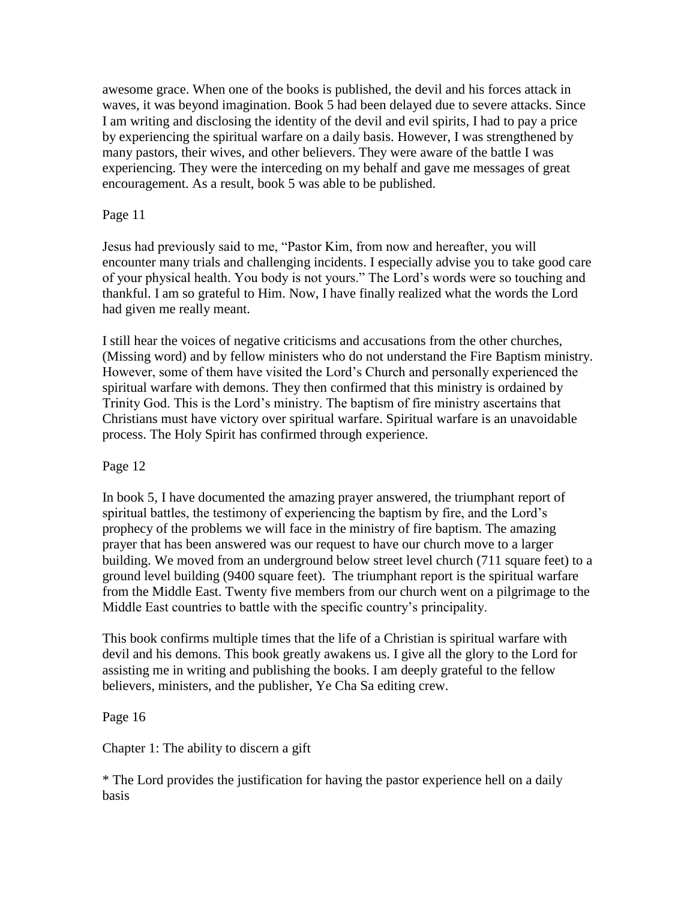awesome grace. When one of the books is published, the devil and his forces attack in waves, it was beyond imagination. Book 5 had been delayed due to severe attacks. Since I am writing and disclosing the identity of the devil and evil spirits, I had to pay a price by experiencing the spiritual warfare on a daily basis. However, I was strengthened by many pastors, their wives, and other believers. They were aware of the battle I was experiencing. They were the interceding on my behalf and gave me messages of great encouragement. As a result, book 5 was able to be published.

# Page 11

Jesus had previously said to me, "Pastor Kim, from now and hereafter, you will encounter many trials and challenging incidents. I especially advise you to take good care of your physical health. You body is not yours." The Lord"s words were so touching and thankful. I am so grateful to Him. Now, I have finally realized what the words the Lord had given me really meant.

I still hear the voices of negative criticisms and accusations from the other churches, (Missing word) and by fellow ministers who do not understand the Fire Baptism ministry. However, some of them have visited the Lord"s Church and personally experienced the spiritual warfare with demons. They then confirmed that this ministry is ordained by Trinity God. This is the Lord"s ministry. The baptism of fire ministry ascertains that Christians must have victory over spiritual warfare. Spiritual warfare is an unavoidable process. The Holy Spirit has confirmed through experience.

# Page 12

In book 5, I have documented the amazing prayer answered, the triumphant report of spiritual battles, the testimony of experiencing the baptism by fire, and the Lord"s prophecy of the problems we will face in the ministry of fire baptism. The amazing prayer that has been answered was our request to have our church move to a larger building. We moved from an underground below street level church (711 square feet) to a ground level building (9400 square feet). The triumphant report is the spiritual warfare from the Middle East. Twenty five members from our church went on a pilgrimage to the Middle East countries to battle with the specific country"s principality.

This book confirms multiple times that the life of a Christian is spiritual warfare with devil and his demons. This book greatly awakens us. I give all the glory to the Lord for assisting me in writing and publishing the books. I am deeply grateful to the fellow believers, ministers, and the publisher, Ye Cha Sa editing crew.

# Page 16

Chapter 1: The ability to discern a gift

\* The Lord provides the justification for having the pastor experience hell on a daily basis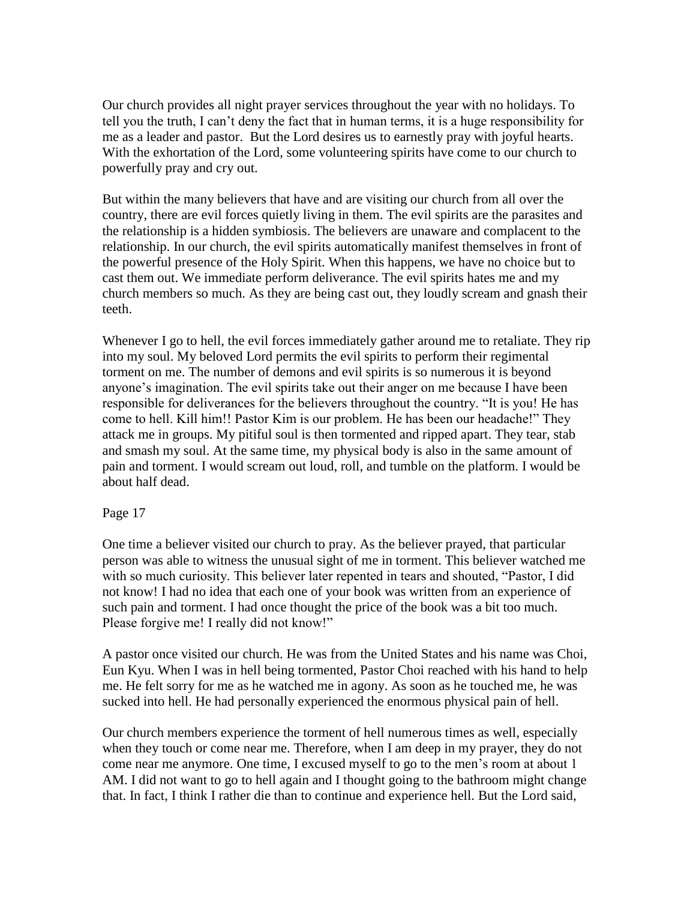Our church provides all night prayer services throughout the year with no holidays. To tell you the truth, I can"t deny the fact that in human terms, it is a huge responsibility for me as a leader and pastor. But the Lord desires us to earnestly pray with joyful hearts. With the exhortation of the Lord, some volunteering spirits have come to our church to powerfully pray and cry out.

But within the many believers that have and are visiting our church from all over the country, there are evil forces quietly living in them. The evil spirits are the parasites and the relationship is a hidden symbiosis. The believers are unaware and complacent to the relationship. In our church, the evil spirits automatically manifest themselves in front of the powerful presence of the Holy Spirit. When this happens, we have no choice but to cast them out. We immediate perform deliverance. The evil spirits hates me and my church members so much. As they are being cast out, they loudly scream and gnash their teeth.

Whenever I go to hell, the evil forces immediately gather around me to retaliate. They rip into my soul. My beloved Lord permits the evil spirits to perform their regimental torment on me. The number of demons and evil spirits is so numerous it is beyond anyone's imagination. The evil spirits take out their anger on me because I have been responsible for deliverances for the believers throughout the country. "It is you! He has come to hell. Kill him!! Pastor Kim is our problem. He has been our headache!" They attack me in groups. My pitiful soul is then tormented and ripped apart. They tear, stab and smash my soul. At the same time, my physical body is also in the same amount of pain and torment. I would scream out loud, roll, and tumble on the platform. I would be about half dead.

## Page 17

One time a believer visited our church to pray. As the believer prayed, that particular person was able to witness the unusual sight of me in torment. This believer watched me with so much curiosity. This believer later repented in tears and shouted, "Pastor, I did not know! I had no idea that each one of your book was written from an experience of such pain and torment. I had once thought the price of the book was a bit too much. Please forgive me! I really did not know!"

A pastor once visited our church. He was from the United States and his name was Choi, Eun Kyu. When I was in hell being tormented, Pastor Choi reached with his hand to help me. He felt sorry for me as he watched me in agony. As soon as he touched me, he was sucked into hell. He had personally experienced the enormous physical pain of hell.

Our church members experience the torment of hell numerous times as well, especially when they touch or come near me. Therefore, when I am deep in my prayer, they do not come near me anymore. One time, I excused myself to go to the men"s room at about 1 AM. I did not want to go to hell again and I thought going to the bathroom might change that. In fact, I think I rather die than to continue and experience hell. But the Lord said,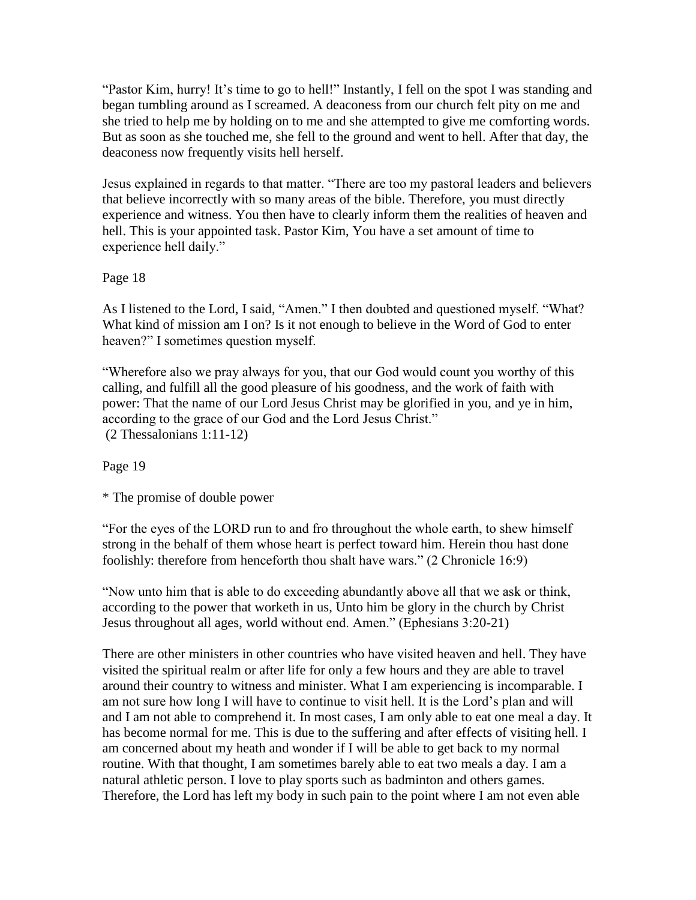"Pastor Kim, hurry! It's time to go to hell!" Instantly, I fell on the spot I was standing and began tumbling around as I screamed. A deaconess from our church felt pity on me and she tried to help me by holding on to me and she attempted to give me comforting words. But as soon as she touched me, she fell to the ground and went to hell. After that day, the deaconess now frequently visits hell herself.

Jesus explained in regards to that matter. "There are too my pastoral leaders and believers that believe incorrectly with so many areas of the bible. Therefore, you must directly experience and witness. You then have to clearly inform them the realities of heaven and hell. This is your appointed task. Pastor Kim, You have a set amount of time to experience hell daily."

Page 18

As I listened to the Lord, I said, "Amen." I then doubted and questioned myself. "What? What kind of mission am I on? Is it not enough to believe in the Word of God to enter heaven?" I sometimes question myself.

"Wherefore also we pray always for you, that our God would count you worthy of this calling, and fulfill all the good pleasure of his goodness, and the work of faith with power: That the name of our Lord Jesus Christ may be glorified in you, and ye in him, according to the grace of our God and the Lord Jesus Christ." (2 Thessalonians 1:11-12)

Page 19

\* The promise of double power

"For the eyes of the LORD run to and fro throughout the whole earth, to shew himself strong in the behalf of them whose heart is perfect toward him. Herein thou hast done foolishly: therefore from henceforth thou shalt have wars." (2 Chronicle 16:9)

"Now unto him that is able to do exceeding abundantly above all that we ask or think, according to the power that worketh in us, Unto him be glory in the church by Christ Jesus throughout all ages, world without end. Amen." (Ephesians 3:20-21)

There are other ministers in other countries who have visited heaven and hell. They have visited the spiritual realm or after life for only a few hours and they are able to travel around their country to witness and minister. What I am experiencing is incomparable. I am not sure how long I will have to continue to visit hell. It is the Lord"s plan and will and I am not able to comprehend it. In most cases, I am only able to eat one meal a day. It has become normal for me. This is due to the suffering and after effects of visiting hell. I am concerned about my heath and wonder if I will be able to get back to my normal routine. With that thought, I am sometimes barely able to eat two meals a day. I am a natural athletic person. I love to play sports such as badminton and others games. Therefore, the Lord has left my body in such pain to the point where I am not even able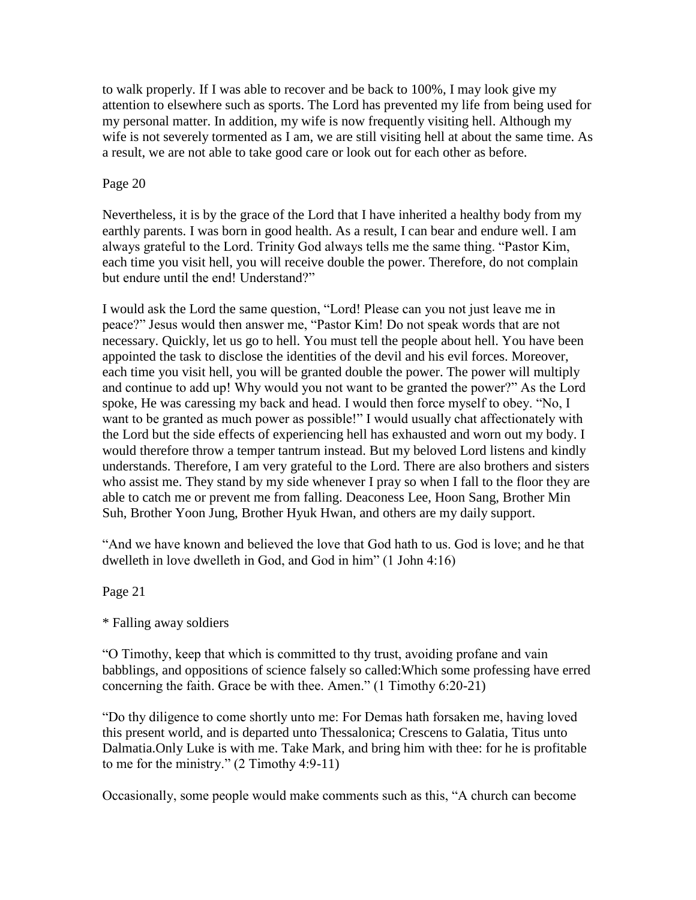to walk properly. If I was able to recover and be back to 100%, I may look give my attention to elsewhere such as sports. The Lord has prevented my life from being used for my personal matter. In addition, my wife is now frequently visiting hell. Although my wife is not severely tormented as I am, we are still visiting hell at about the same time. As a result, we are not able to take good care or look out for each other as before.

# Page 20

Nevertheless, it is by the grace of the Lord that I have inherited a healthy body from my earthly parents. I was born in good health. As a result, I can bear and endure well. I am always grateful to the Lord. Trinity God always tells me the same thing. "Pastor Kim, each time you visit hell, you will receive double the power. Therefore, do not complain but endure until the end! Understand?"

I would ask the Lord the same question, "Lord! Please can you not just leave me in peace?" Jesus would then answer me, "Pastor Kim! Do not speak words that are not necessary. Quickly, let us go to hell. You must tell the people about hell. You have been appointed the task to disclose the identities of the devil and his evil forces. Moreover, each time you visit hell, you will be granted double the power. The power will multiply and continue to add up! Why would you not want to be granted the power?" As the Lord spoke, He was caressing my back and head. I would then force myself to obey. "No, I want to be granted as much power as possible!" I would usually chat affectionately with the Lord but the side effects of experiencing hell has exhausted and worn out my body. I would therefore throw a temper tantrum instead. But my beloved Lord listens and kindly understands. Therefore, I am very grateful to the Lord. There are also brothers and sisters who assist me. They stand by my side whenever I pray so when I fall to the floor they are able to catch me or prevent me from falling. Deaconess Lee, Hoon Sang, Brother Min Suh, Brother Yoon Jung, Brother Hyuk Hwan, and others are my daily support.

"And we have known and believed the love that God hath to us. God is love; and he that dwelleth in love dwelleth in God, and God in him" (1 John 4:16)

Page 21

\* Falling away soldiers

"O Timothy, keep that which is committed to thy trust, avoiding profane and vain babblings, and oppositions of science falsely so called:Which some professing have erred concerning the faith. Grace be with thee. Amen." (1 Timothy 6:20-21)

"Do thy diligence to come shortly unto me: For Demas hath forsaken me, having loved this present world, and is departed unto Thessalonica; Crescens to Galatia, Titus unto Dalmatia.Only Luke is with me. Take Mark, and bring him with thee: for he is profitable to me for the ministry." (2 Timothy 4:9-11)

Occasionally, some people would make comments such as this, "A church can become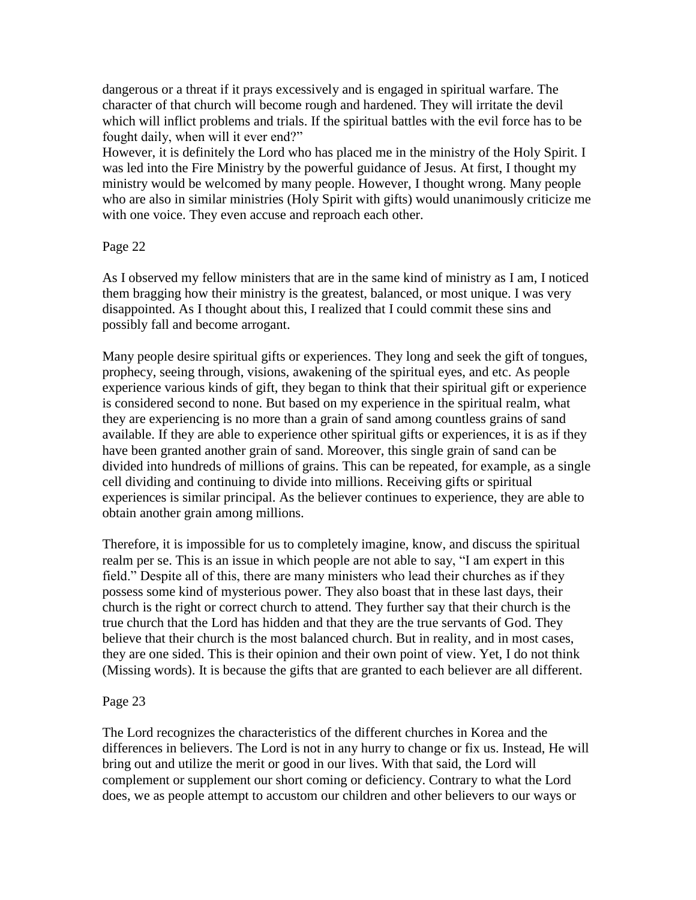dangerous or a threat if it prays excessively and is engaged in spiritual warfare. The character of that church will become rough and hardened. They will irritate the devil which will inflict problems and trials. If the spiritual battles with the evil force has to be fought daily, when will it ever end?"

However, it is definitely the Lord who has placed me in the ministry of the Holy Spirit. I was led into the Fire Ministry by the powerful guidance of Jesus. At first, I thought my ministry would be welcomed by many people. However, I thought wrong. Many people who are also in similar ministries (Holy Spirit with gifts) would unanimously criticize me with one voice. They even accuse and reproach each other.

# Page 22

As I observed my fellow ministers that are in the same kind of ministry as I am, I noticed them bragging how their ministry is the greatest, balanced, or most unique. I was very disappointed. As I thought about this, I realized that I could commit these sins and possibly fall and become arrogant.

Many people desire spiritual gifts or experiences. They long and seek the gift of tongues, prophecy, seeing through, visions, awakening of the spiritual eyes, and etc. As people experience various kinds of gift, they began to think that their spiritual gift or experience is considered second to none. But based on my experience in the spiritual realm, what they are experiencing is no more than a grain of sand among countless grains of sand available. If they are able to experience other spiritual gifts or experiences, it is as if they have been granted another grain of sand. Moreover, this single grain of sand can be divided into hundreds of millions of grains. This can be repeated, for example, as a single cell dividing and continuing to divide into millions. Receiving gifts or spiritual experiences is similar principal. As the believer continues to experience, they are able to obtain another grain among millions.

Therefore, it is impossible for us to completely imagine, know, and discuss the spiritual realm per se. This is an issue in which people are not able to say, "I am expert in this field." Despite all of this, there are many ministers who lead their churches as if they possess some kind of mysterious power. They also boast that in these last days, their church is the right or correct church to attend. They further say that their church is the true church that the Lord has hidden and that they are the true servants of God. They believe that their church is the most balanced church. But in reality, and in most cases, they are one sided. This is their opinion and their own point of view. Yet, I do not think (Missing words). It is because the gifts that are granted to each believer are all different.

## Page 23

The Lord recognizes the characteristics of the different churches in Korea and the differences in believers. The Lord is not in any hurry to change or fix us. Instead, He will bring out and utilize the merit or good in our lives. With that said, the Lord will complement or supplement our short coming or deficiency. Contrary to what the Lord does, we as people attempt to accustom our children and other believers to our ways or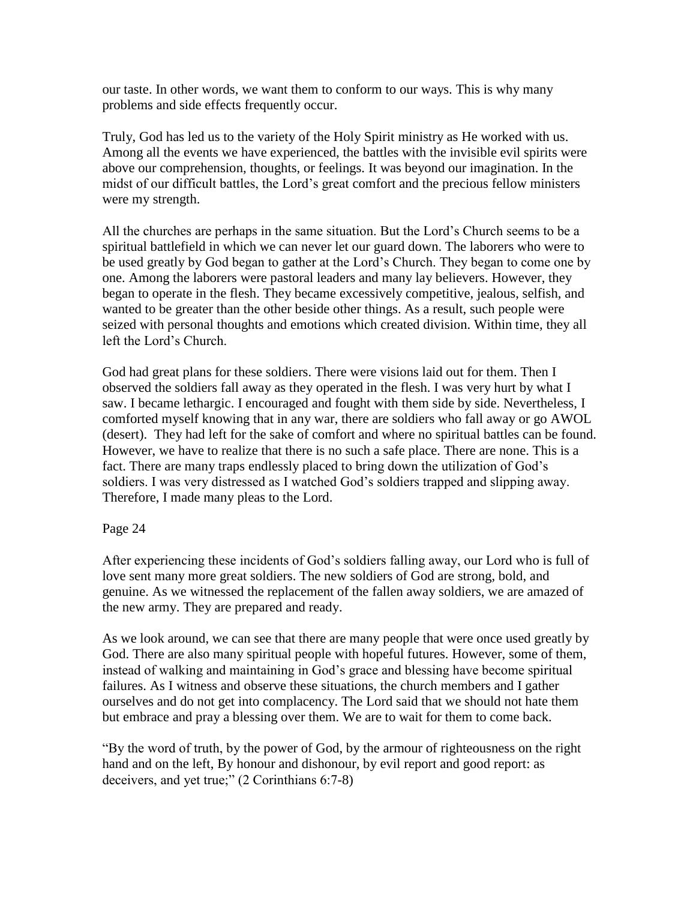our taste. In other words, we want them to conform to our ways. This is why many problems and side effects frequently occur.

Truly, God has led us to the variety of the Holy Spirit ministry as He worked with us. Among all the events we have experienced, the battles with the invisible evil spirits were above our comprehension, thoughts, or feelings. It was beyond our imagination. In the midst of our difficult battles, the Lord"s great comfort and the precious fellow ministers were my strength.

All the churches are perhaps in the same situation. But the Lord"s Church seems to be a spiritual battlefield in which we can never let our guard down. The laborers who were to be used greatly by God began to gather at the Lord"s Church. They began to come one by one. Among the laborers were pastoral leaders and many lay believers. However, they began to operate in the flesh. They became excessively competitive, jealous, selfish, and wanted to be greater than the other beside other things. As a result, such people were seized with personal thoughts and emotions which created division. Within time, they all left the Lord"s Church.

God had great plans for these soldiers. There were visions laid out for them. Then I observed the soldiers fall away as they operated in the flesh. I was very hurt by what I saw. I became lethargic. I encouraged and fought with them side by side. Nevertheless, I comforted myself knowing that in any war, there are soldiers who fall away or go AWOL (desert). They had left for the sake of comfort and where no spiritual battles can be found. However, we have to realize that there is no such a safe place. There are none. This is a fact. There are many traps endlessly placed to bring down the utilization of God"s soldiers. I was very distressed as I watched God's soldiers trapped and slipping away. Therefore, I made many pleas to the Lord.

## Page 24

After experiencing these incidents of God"s soldiers falling away, our Lord who is full of love sent many more great soldiers. The new soldiers of God are strong, bold, and genuine. As we witnessed the replacement of the fallen away soldiers, we are amazed of the new army. They are prepared and ready.

As we look around, we can see that there are many people that were once used greatly by God. There are also many spiritual people with hopeful futures. However, some of them, instead of walking and maintaining in God"s grace and blessing have become spiritual failures. As I witness and observe these situations, the church members and I gather ourselves and do not get into complacency. The Lord said that we should not hate them but embrace and pray a blessing over them. We are to wait for them to come back.

"By the word of truth, by the power of God, by the armour of righteousness on the right hand and on the left, By honour and dishonour, by evil report and good report: as deceivers, and yet true;" (2 Corinthians 6:7-8)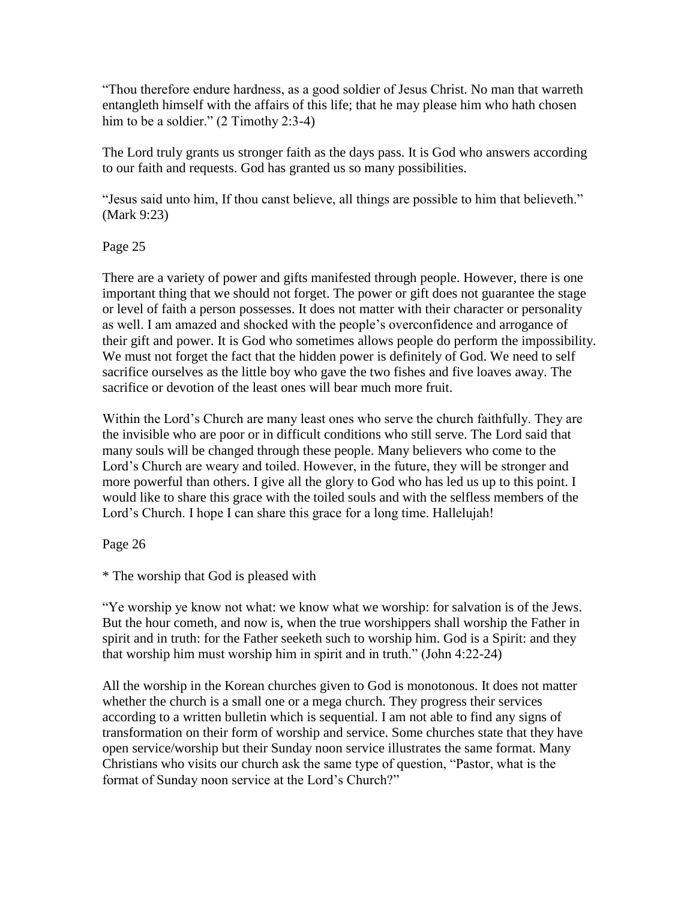"Thou therefore endure hardness, as a good soldier of Jesus Christ. No man that warreth entangleth himself with the affairs of this life; that he may please him who hath chosen him to be a soldier." (2 Timothy 2:3-4)

The Lord truly grants us stronger faith as the days pass. It is God who answers according to our faith and requests. God has granted us so many possibilities.

"Jesus said unto him, If thou canst believe, all things are possible to him that believeth." (Mark 9:23)

Page 25

There are a variety of power and gifts manifested through people. However, there is one important thing that we should not forget. The power or gift does not guarantee the stage or level of faith a person possesses. It does not matter with their character or personality as well. I am amazed and shocked with the people"s overconfidence and arrogance of their gift and power. It is God who sometimes allows people do perform the impossibility. We must not forget the fact that the hidden power is definitely of God. We need to self sacrifice ourselves as the little boy who gave the two fishes and five loaves away. The sacrifice or devotion of the least ones will bear much more fruit.

Within the Lord"s Church are many least ones who serve the church faithfully. They are the invisible who are poor or in difficult conditions who still serve. The Lord said that many souls will be changed through these people. Many believers who come to the Lord's Church are weary and toiled. However, in the future, they will be stronger and more powerful than others. I give all the glory to God who has led us up to this point. I would like to share this grace with the toiled souls and with the selfless members of the Lord's Church. I hope I can share this grace for a long time. Hallelujah!

Page 26

\* The worship that God is pleased with

"Ye worship ye know not what: we know what we worship: for salvation is of the Jews. But the hour cometh, and now is, when the true worshippers shall worship the Father in spirit and in truth: for the Father seeketh such to worship him. God is a Spirit: and they that worship him must worship him in spirit and in truth." (John 4:22-24)

All the worship in the Korean churches given to God is monotonous. It does not matter whether the church is a small one or a mega church. They progress their services according to a written bulletin which is sequential. I am not able to find any signs of transformation on their form of worship and service. Some churches state that they have open service/worship but their Sunday noon service illustrates the same format. Many Christians who visits our church ask the same type of question, "Pastor, what is the format of Sunday noon service at the Lord's Church?"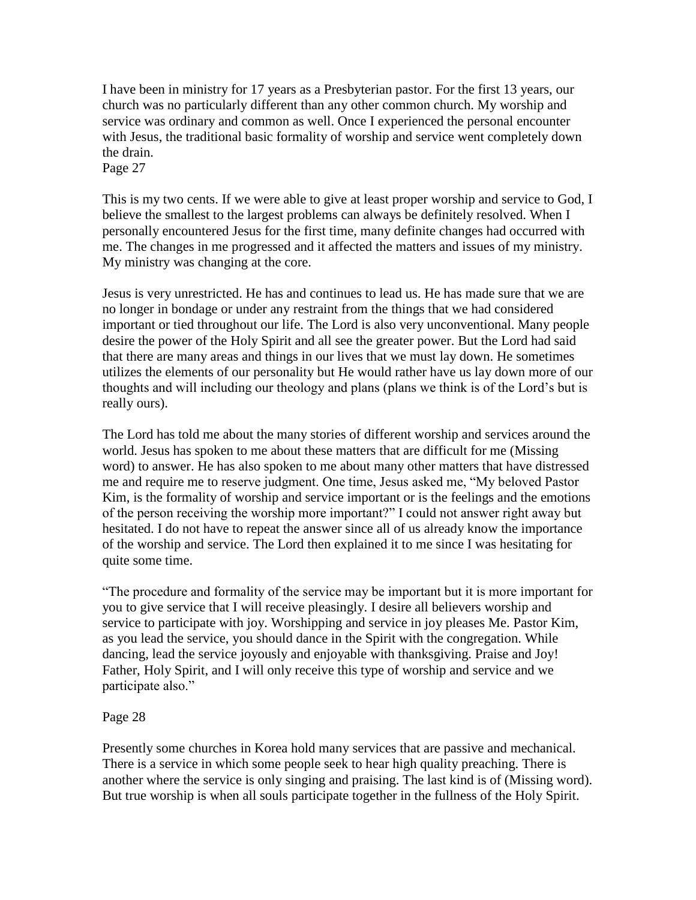I have been in ministry for 17 years as a Presbyterian pastor. For the first 13 years, our church was no particularly different than any other common church. My worship and service was ordinary and common as well. Once I experienced the personal encounter with Jesus, the traditional basic formality of worship and service went completely down the drain.

Page 27

This is my two cents. If we were able to give at least proper worship and service to God, I believe the smallest to the largest problems can always be definitely resolved. When I personally encountered Jesus for the first time, many definite changes had occurred with me. The changes in me progressed and it affected the matters and issues of my ministry. My ministry was changing at the core.

Jesus is very unrestricted. He has and continues to lead us. He has made sure that we are no longer in bondage or under any restraint from the things that we had considered important or tied throughout our life. The Lord is also very unconventional. Many people desire the power of the Holy Spirit and all see the greater power. But the Lord had said that there are many areas and things in our lives that we must lay down. He sometimes utilizes the elements of our personality but He would rather have us lay down more of our thoughts and will including our theology and plans (plans we think is of the Lord"s but is really ours).

The Lord has told me about the many stories of different worship and services around the world. Jesus has spoken to me about these matters that are difficult for me (Missing word) to answer. He has also spoken to me about many other matters that have distressed me and require me to reserve judgment. One time, Jesus asked me, "My beloved Pastor Kim, is the formality of worship and service important or is the feelings and the emotions of the person receiving the worship more important?" I could not answer right away but hesitated. I do not have to repeat the answer since all of us already know the importance of the worship and service. The Lord then explained it to me since I was hesitating for quite some time.

"The procedure and formality of the service may be important but it is more important for you to give service that I will receive pleasingly. I desire all believers worship and service to participate with joy. Worshipping and service in joy pleases Me. Pastor Kim, as you lead the service, you should dance in the Spirit with the congregation. While dancing, lead the service joyously and enjoyable with thanksgiving. Praise and Joy! Father, Holy Spirit, and I will only receive this type of worship and service and we participate also."

## Page 28

Presently some churches in Korea hold many services that are passive and mechanical. There is a service in which some people seek to hear high quality preaching. There is another where the service is only singing and praising. The last kind is of (Missing word). But true worship is when all souls participate together in the fullness of the Holy Spirit.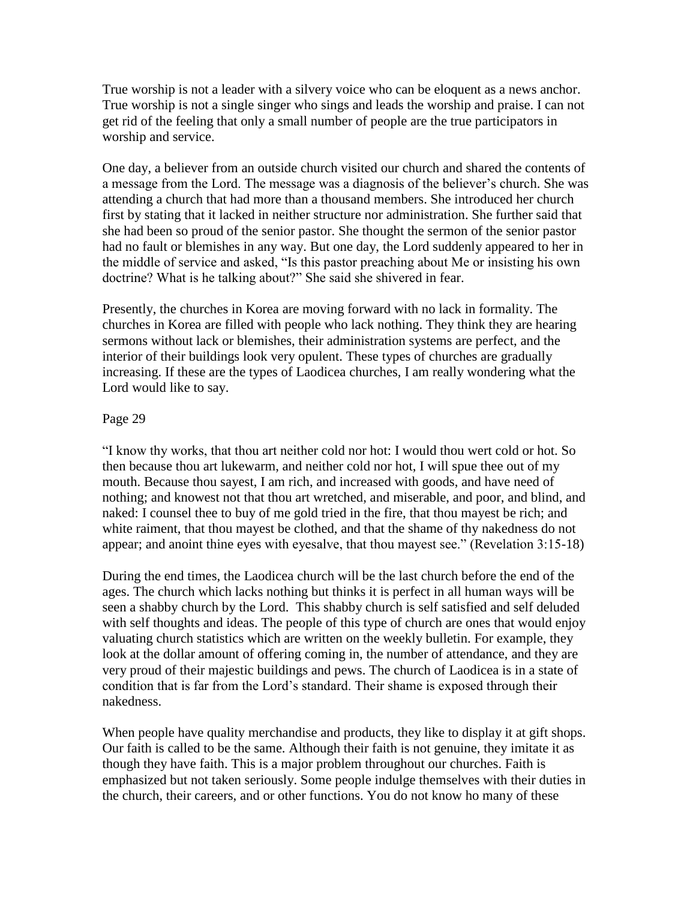True worship is not a leader with a silvery voice who can be eloquent as a news anchor. True worship is not a single singer who sings and leads the worship and praise. I can not get rid of the feeling that only a small number of people are the true participators in worship and service.

One day, a believer from an outside church visited our church and shared the contents of a message from the Lord. The message was a diagnosis of the believer"s church. She was attending a church that had more than a thousand members. She introduced her church first by stating that it lacked in neither structure nor administration. She further said that she had been so proud of the senior pastor. She thought the sermon of the senior pastor had no fault or blemishes in any way. But one day, the Lord suddenly appeared to her in the middle of service and asked, "Is this pastor preaching about Me or insisting his own doctrine? What is he talking about?" She said she shivered in fear.

Presently, the churches in Korea are moving forward with no lack in formality. The churches in Korea are filled with people who lack nothing. They think they are hearing sermons without lack or blemishes, their administration systems are perfect, and the interior of their buildings look very opulent. These types of churches are gradually increasing. If these are the types of Laodicea churches, I am really wondering what the Lord would like to say.

## Page 29

"I know thy works, that thou art neither cold nor hot: I would thou wert cold or hot. So then because thou art lukewarm, and neither cold nor hot, I will spue thee out of my mouth. Because thou sayest, I am rich, and increased with goods, and have need of nothing; and knowest not that thou art wretched, and miserable, and poor, and blind, and naked: I counsel thee to buy of me gold tried in the fire, that thou mayest be rich; and white raiment, that thou mayest be clothed, and that the shame of thy nakedness do not appear; and anoint thine eyes with eyesalve, that thou mayest see." (Revelation 3:15-18)

During the end times, the Laodicea church will be the last church before the end of the ages. The church which lacks nothing but thinks it is perfect in all human ways will be seen a shabby church by the Lord. This shabby church is self satisfied and self deluded with self thoughts and ideas. The people of this type of church are ones that would enjoy valuating church statistics which are written on the weekly bulletin. For example, they look at the dollar amount of offering coming in, the number of attendance, and they are very proud of their majestic buildings and pews. The church of Laodicea is in a state of condition that is far from the Lord"s standard. Their shame is exposed through their nakedness.

When people have quality merchandise and products, they like to display it at gift shops. Our faith is called to be the same. Although their faith is not genuine, they imitate it as though they have faith. This is a major problem throughout our churches. Faith is emphasized but not taken seriously. Some people indulge themselves with their duties in the church, their careers, and or other functions. You do not know ho many of these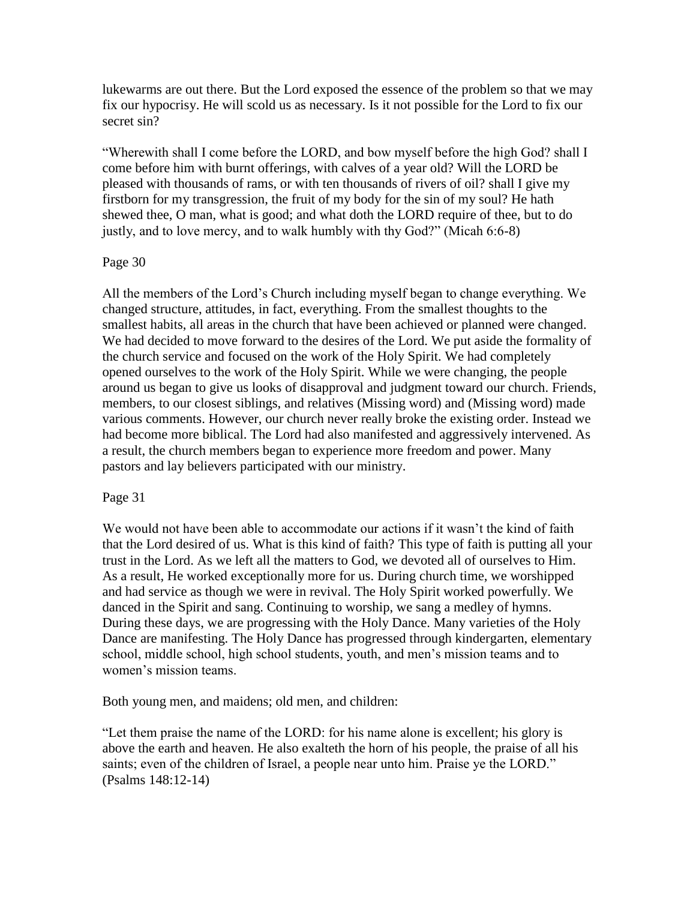lukewarms are out there. But the Lord exposed the essence of the problem so that we may fix our hypocrisy. He will scold us as necessary. Is it not possible for the Lord to fix our secret sin?

"Wherewith shall I come before the LORD, and bow myself before the high God? shall I come before him with burnt offerings, with calves of a year old? Will the LORD be pleased with thousands of rams, or with ten thousands of rivers of oil? shall I give my firstborn for my transgression, the fruit of my body for the sin of my soul? He hath shewed thee, O man, what is good; and what doth the LORD require of thee, but to do justly, and to love mercy, and to walk humbly with thy God?" (Micah 6:6-8)

# Page 30

All the members of the Lord"s Church including myself began to change everything. We changed structure, attitudes, in fact, everything. From the smallest thoughts to the smallest habits, all areas in the church that have been achieved or planned were changed. We had decided to move forward to the desires of the Lord. We put aside the formality of the church service and focused on the work of the Holy Spirit. We had completely opened ourselves to the work of the Holy Spirit. While we were changing, the people around us began to give us looks of disapproval and judgment toward our church. Friends, members, to our closest siblings, and relatives (Missing word) and (Missing word) made various comments. However, our church never really broke the existing order. Instead we had become more biblical. The Lord had also manifested and aggressively intervened. As a result, the church members began to experience more freedom and power. Many pastors and lay believers participated with our ministry.

## Page 31

We would not have been able to accommodate our actions if it wasn't the kind of faith that the Lord desired of us. What is this kind of faith? This type of faith is putting all your trust in the Lord. As we left all the matters to God, we devoted all of ourselves to Him. As a result, He worked exceptionally more for us. During church time, we worshipped and had service as though we were in revival. The Holy Spirit worked powerfully. We danced in the Spirit and sang. Continuing to worship, we sang a medley of hymns. During these days, we are progressing with the Holy Dance. Many varieties of the Holy Dance are manifesting. The Holy Dance has progressed through kindergarten, elementary school, middle school, high school students, youth, and men"s mission teams and to women's mission teams.

Both young men, and maidens; old men, and children:

"Let them praise the name of the LORD: for his name alone is excellent; his glory is above the earth and heaven. He also exalteth the horn of his people, the praise of all his saints; even of the children of Israel, a people near unto him. Praise ye the LORD." (Psalms 148:12-14)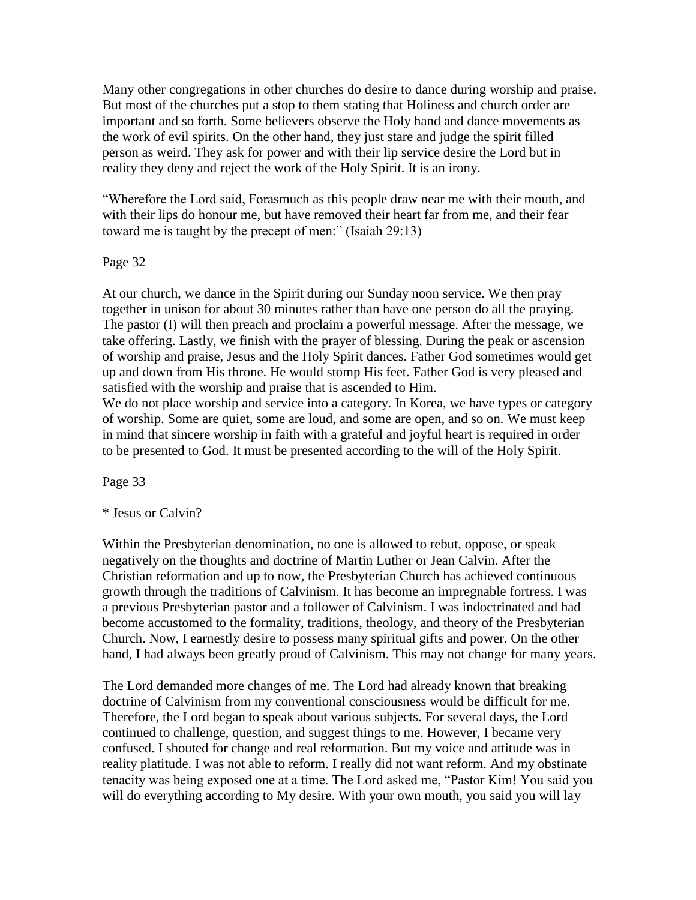Many other congregations in other churches do desire to dance during worship and praise. But most of the churches put a stop to them stating that Holiness and church order are important and so forth. Some believers observe the Holy hand and dance movements as the work of evil spirits. On the other hand, they just stare and judge the spirit filled person as weird. They ask for power and with their lip service desire the Lord but in reality they deny and reject the work of the Holy Spirit. It is an irony.

"Wherefore the Lord said, Forasmuch as this people draw near me with their mouth, and with their lips do honour me, but have removed their heart far from me, and their fear toward me is taught by the precept of men:" (Isaiah 29:13)

# Page 32

At our church, we dance in the Spirit during our Sunday noon service. We then pray together in unison for about 30 minutes rather than have one person do all the praying. The pastor (I) will then preach and proclaim a powerful message. After the message, we take offering. Lastly, we finish with the prayer of blessing. During the peak or ascension of worship and praise, Jesus and the Holy Spirit dances. Father God sometimes would get up and down from His throne. He would stomp His feet. Father God is very pleased and satisfied with the worship and praise that is ascended to Him.

We do not place worship and service into a category. In Korea, we have types or category of worship. Some are quiet, some are loud, and some are open, and so on. We must keep in mind that sincere worship in faith with a grateful and joyful heart is required in order to be presented to God. It must be presented according to the will of the Holy Spirit.

Page 33

\* Jesus or Calvin?

Within the Presbyterian denomination, no one is allowed to rebut, oppose, or speak negatively on the thoughts and doctrine of Martin Luther or Jean Calvin. After the Christian reformation and up to now, the Presbyterian Church has achieved continuous growth through the traditions of Calvinism. It has become an impregnable fortress. I was a previous Presbyterian pastor and a follower of Calvinism. I was indoctrinated and had become accustomed to the formality, traditions, theology, and theory of the Presbyterian Church. Now, I earnestly desire to possess many spiritual gifts and power. On the other hand, I had always been greatly proud of Calvinism. This may not change for many years.

The Lord demanded more changes of me. The Lord had already known that breaking doctrine of Calvinism from my conventional consciousness would be difficult for me. Therefore, the Lord began to speak about various subjects. For several days, the Lord continued to challenge, question, and suggest things to me. However, I became very confused. I shouted for change and real reformation. But my voice and attitude was in reality platitude. I was not able to reform. I really did not want reform. And my obstinate tenacity was being exposed one at a time. The Lord asked me, "Pastor Kim! You said you will do everything according to My desire. With your own mouth, you said you will lay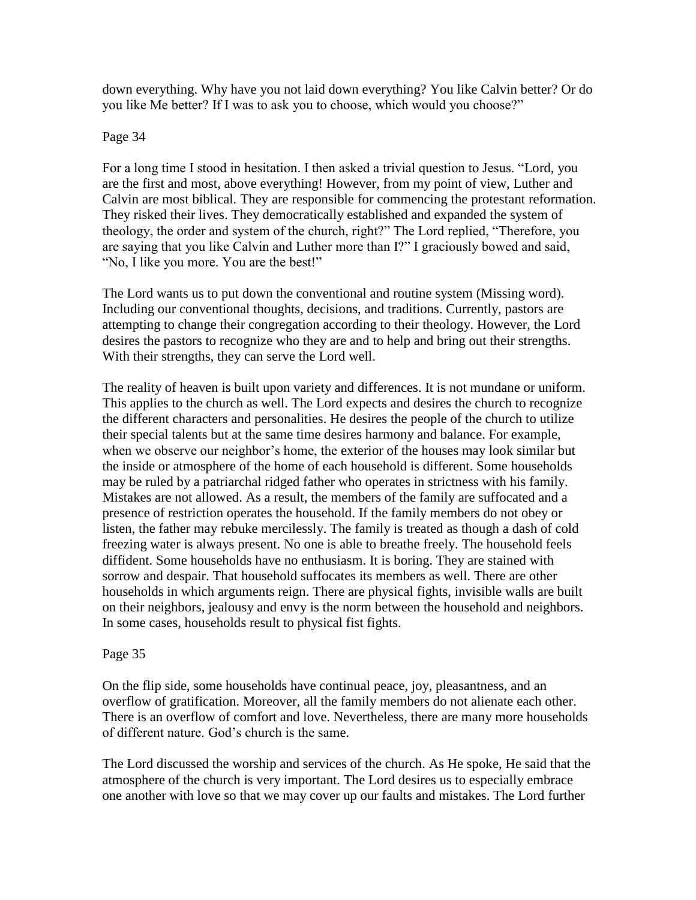down everything. Why have you not laid down everything? You like Calvin better? Or do you like Me better? If I was to ask you to choose, which would you choose?"

## Page 34

For a long time I stood in hesitation. I then asked a trivial question to Jesus. "Lord, you are the first and most, above everything! However, from my point of view, Luther and Calvin are most biblical. They are responsible for commencing the protestant reformation. They risked their lives. They democratically established and expanded the system of theology, the order and system of the church, right?" The Lord replied, "Therefore, you are saying that you like Calvin and Luther more than I?" I graciously bowed and said, "No, I like you more. You are the best!"

The Lord wants us to put down the conventional and routine system (Missing word). Including our conventional thoughts, decisions, and traditions. Currently, pastors are attempting to change their congregation according to their theology. However, the Lord desires the pastors to recognize who they are and to help and bring out their strengths. With their strengths, they can serve the Lord well.

The reality of heaven is built upon variety and differences. It is not mundane or uniform. This applies to the church as well. The Lord expects and desires the church to recognize the different characters and personalities. He desires the people of the church to utilize their special talents but at the same time desires harmony and balance. For example, when we observe our neighbor's home, the exterior of the houses may look similar but the inside or atmosphere of the home of each household is different. Some households may be ruled by a patriarchal ridged father who operates in strictness with his family. Mistakes are not allowed. As a result, the members of the family are suffocated and a presence of restriction operates the household. If the family members do not obey or listen, the father may rebuke mercilessly. The family is treated as though a dash of cold freezing water is always present. No one is able to breathe freely. The household feels diffident. Some households have no enthusiasm. It is boring. They are stained with sorrow and despair. That household suffocates its members as well. There are other households in which arguments reign. There are physical fights, invisible walls are built on their neighbors, jealousy and envy is the norm between the household and neighbors. In some cases, households result to physical fist fights.

## Page 35

On the flip side, some households have continual peace, joy, pleasantness, and an overflow of gratification. Moreover, all the family members do not alienate each other. There is an overflow of comfort and love. Nevertheless, there are many more households of different nature. God"s church is the same.

The Lord discussed the worship and services of the church. As He spoke, He said that the atmosphere of the church is very important. The Lord desires us to especially embrace one another with love so that we may cover up our faults and mistakes. The Lord further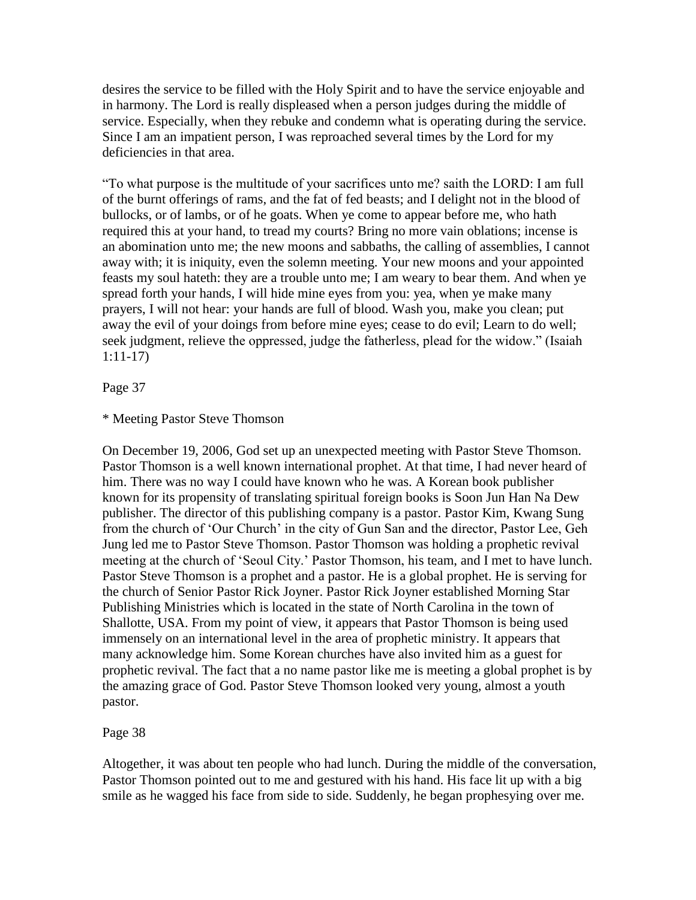desires the service to be filled with the Holy Spirit and to have the service enjoyable and in harmony. The Lord is really displeased when a person judges during the middle of service. Especially, when they rebuke and condemn what is operating during the service. Since I am an impatient person, I was reproached several times by the Lord for my deficiencies in that area.

"To what purpose is the multitude of your sacrifices unto me? saith the LORD: I am full of the burnt offerings of rams, and the fat of fed beasts; and I delight not in the blood of bullocks, or of lambs, or of he goats. When ye come to appear before me, who hath required this at your hand, to tread my courts? Bring no more vain oblations; incense is an abomination unto me; the new moons and sabbaths, the calling of assemblies, I cannot away with; it is iniquity, even the solemn meeting. Your new moons and your appointed feasts my soul hateth: they are a trouble unto me; I am weary to bear them. And when ye spread forth your hands, I will hide mine eyes from you: yea, when ye make many prayers, I will not hear: your hands are full of blood. Wash you, make you clean; put away the evil of your doings from before mine eyes; cease to do evil; Learn to do well; seek judgment, relieve the oppressed, judge the fatherless, plead for the widow." (Isaiah 1:11-17)

Page 37

## \* Meeting Pastor Steve Thomson

On December 19, 2006, God set up an unexpected meeting with Pastor Steve Thomson. Pastor Thomson is a well known international prophet. At that time, I had never heard of him. There was no way I could have known who he was. A Korean book publisher known for its propensity of translating spiritual foreign books is Soon Jun Han Na Dew publisher. The director of this publishing company is a pastor. Pastor Kim, Kwang Sung from the church of "Our Church" in the city of Gun San and the director, Pastor Lee, Geh Jung led me to Pastor Steve Thomson. Pastor Thomson was holding a prophetic revival meeting at the church of "Seoul City." Pastor Thomson, his team, and I met to have lunch. Pastor Steve Thomson is a prophet and a pastor. He is a global prophet. He is serving for the church of Senior Pastor Rick Joyner. Pastor Rick Joyner established Morning Star Publishing Ministries which is located in the state of North Carolina in the town of Shallotte, USA. From my point of view, it appears that Pastor Thomson is being used immensely on an international level in the area of prophetic ministry. It appears that many acknowledge him. Some Korean churches have also invited him as a guest for prophetic revival. The fact that a no name pastor like me is meeting a global prophet is by the amazing grace of God. Pastor Steve Thomson looked very young, almost a youth pastor.

Page 38

Altogether, it was about ten people who had lunch. During the middle of the conversation, Pastor Thomson pointed out to me and gestured with his hand. His face lit up with a big smile as he wagged his face from side to side. Suddenly, he began prophesying over me.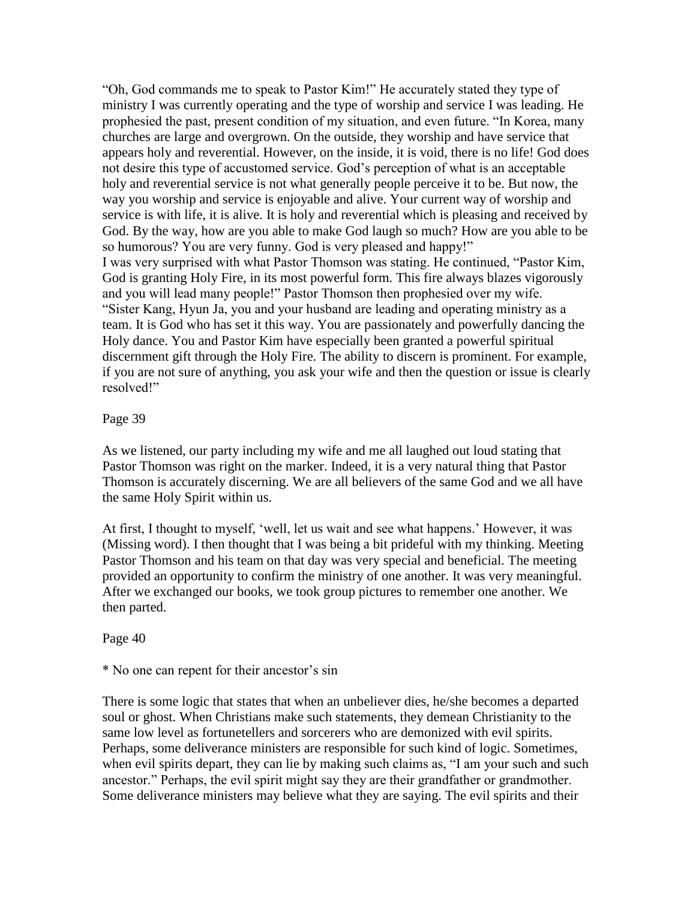"Oh, God commands me to speak to Pastor Kim!" He accurately stated they type of ministry I was currently operating and the type of worship and service I was leading. He prophesied the past, present condition of my situation, and even future. "In Korea, many churches are large and overgrown. On the outside, they worship and have service that appears holy and reverential. However, on the inside, it is void, there is no life! God does not desire this type of accustomed service. God"s perception of what is an acceptable holy and reverential service is not what generally people perceive it to be. But now, the way you worship and service is enjoyable and alive. Your current way of worship and service is with life, it is alive. It is holy and reverential which is pleasing and received by God. By the way, how are you able to make God laugh so much? How are you able to be so humorous? You are very funny. God is very pleased and happy!" I was very surprised with what Pastor Thomson was stating. He continued, "Pastor Kim, God is granting Holy Fire, in its most powerful form. This fire always blazes vigorously and you will lead many people!" Pastor Thomson then prophesied over my wife. "Sister Kang, Hyun Ja, you and your husband are leading and operating ministry as a team. It is God who has set it this way. You are passionately and powerfully dancing the Holy dance. You and Pastor Kim have especially been granted a powerful spiritual discernment gift through the Holy Fire. The ability to discern is prominent. For example, if you are not sure of anything, you ask your wife and then the question or issue is clearly resolved!"

## Page 39

As we listened, our party including my wife and me all laughed out loud stating that Pastor Thomson was right on the marker. Indeed, it is a very natural thing that Pastor Thomson is accurately discerning. We are all believers of the same God and we all have the same Holy Spirit within us.

At first, I thought to myself, "well, let us wait and see what happens." However, it was (Missing word). I then thought that I was being a bit prideful with my thinking. Meeting Pastor Thomson and his team on that day was very special and beneficial. The meeting provided an opportunity to confirm the ministry of one another. It was very meaningful. After we exchanged our books, we took group pictures to remember one another. We then parted.

#### Page 40

#### \* No one can repent for their ancestor"s sin

There is some logic that states that when an unbeliever dies, he/she becomes a departed soul or ghost. When Christians make such statements, they demean Christianity to the same low level as fortunetellers and sorcerers who are demonized with evil spirits. Perhaps, some deliverance ministers are responsible for such kind of logic. Sometimes, when evil spirits depart, they can lie by making such claims as, "I am your such and such ancestor." Perhaps, the evil spirit might say they are their grandfather or grandmother. Some deliverance ministers may believe what they are saying. The evil spirits and their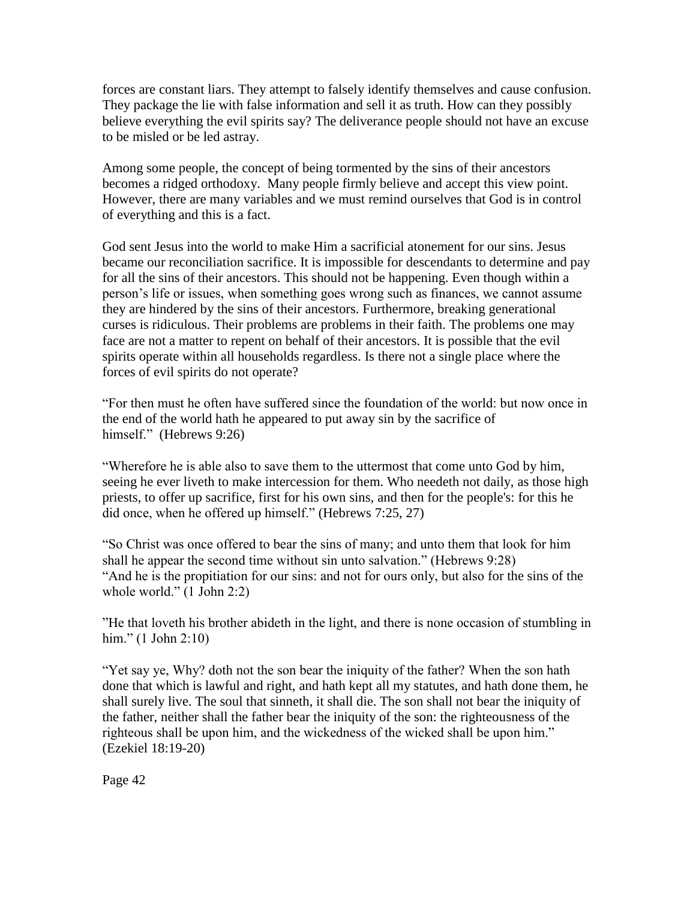forces are constant liars. They attempt to falsely identify themselves and cause confusion. They package the lie with false information and sell it as truth. How can they possibly believe everything the evil spirits say? The deliverance people should not have an excuse to be misled or be led astray.

Among some people, the concept of being tormented by the sins of their ancestors becomes a ridged orthodoxy. Many people firmly believe and accept this view point. However, there are many variables and we must remind ourselves that God is in control of everything and this is a fact.

God sent Jesus into the world to make Him a sacrificial atonement for our sins. Jesus became our reconciliation sacrifice. It is impossible for descendants to determine and pay for all the sins of their ancestors. This should not be happening. Even though within a person"s life or issues, when something goes wrong such as finances, we cannot assume they are hindered by the sins of their ancestors. Furthermore, breaking generational curses is ridiculous. Their problems are problems in their faith. The problems one may face are not a matter to repent on behalf of their ancestors. It is possible that the evil spirits operate within all households regardless. Is there not a single place where the forces of evil spirits do not operate?

"For then must he often have suffered since the foundation of the world: but now once in the end of the world hath he appeared to put away sin by the sacrifice of himself." (Hebrews 9:26)

"Wherefore he is able also to save them to the uttermost that come unto God by him, seeing he ever liveth to make intercession for them. Who needeth not daily, as those high priests, to offer up sacrifice, first for his own sins, and then for the people's: for this he did once, when he offered up himself." (Hebrews 7:25, 27)

"So Christ was once offered to bear the sins of many; and unto them that look for him shall he appear the second time without sin unto salvation." (Hebrews 9:28) "And he is the propitiation for our sins: and not for ours only, but also for the sins of the whole world." (1 John 2:2)

"He that loveth his brother abideth in the light, and there is none occasion of stumbling in him." (1 John 2:10)

"Yet say ye, Why? doth not the son bear the iniquity of the father? When the son hath done that which is lawful and right, and hath kept all my statutes, and hath done them, he shall surely live. The soul that sinneth, it shall die. The son shall not bear the iniquity of the father, neither shall the father bear the iniquity of the son: the righteousness of the righteous shall be upon him, and the wickedness of the wicked shall be upon him." (Ezekiel 18:19-20)

Page 42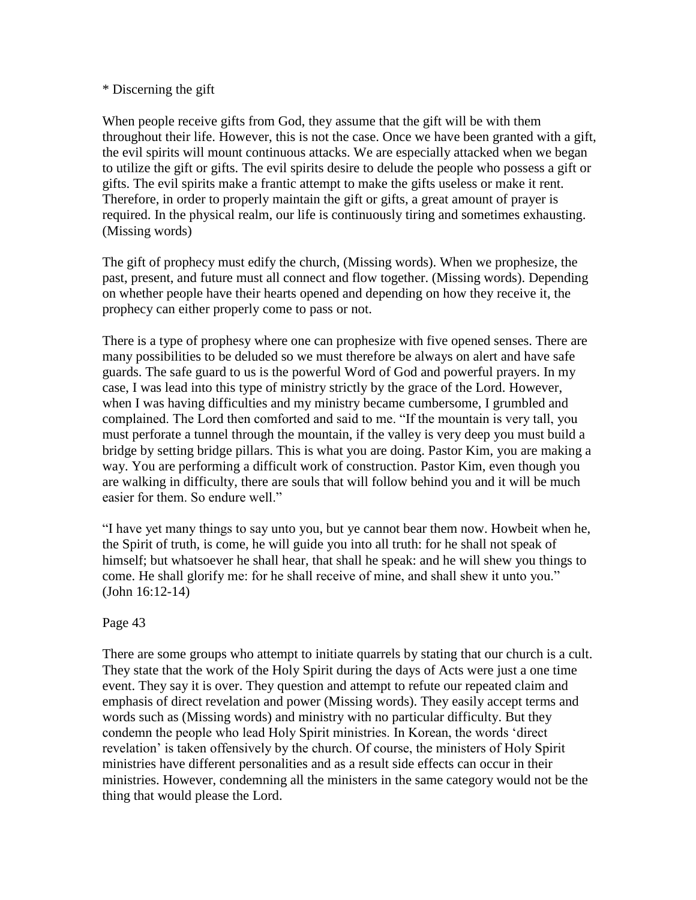## \* Discerning the gift

When people receive gifts from God, they assume that the gift will be with them throughout their life. However, this is not the case. Once we have been granted with a gift, the evil spirits will mount continuous attacks. We are especially attacked when we began to utilize the gift or gifts. The evil spirits desire to delude the people who possess a gift or gifts. The evil spirits make a frantic attempt to make the gifts useless or make it rent. Therefore, in order to properly maintain the gift or gifts, a great amount of prayer is required. In the physical realm, our life is continuously tiring and sometimes exhausting. (Missing words)

The gift of prophecy must edify the church, (Missing words). When we prophesize, the past, present, and future must all connect and flow together. (Missing words). Depending on whether people have their hearts opened and depending on how they receive it, the prophecy can either properly come to pass or not.

There is a type of prophesy where one can prophesize with five opened senses. There are many possibilities to be deluded so we must therefore be always on alert and have safe guards. The safe guard to us is the powerful Word of God and powerful prayers. In my case, I was lead into this type of ministry strictly by the grace of the Lord. However, when I was having difficulties and my ministry became cumbersome, I grumbled and complained. The Lord then comforted and said to me. "If the mountain is very tall, you must perforate a tunnel through the mountain, if the valley is very deep you must build a bridge by setting bridge pillars. This is what you are doing. Pastor Kim, you are making a way. You are performing a difficult work of construction. Pastor Kim, even though you are walking in difficulty, there are souls that will follow behind you and it will be much easier for them. So endure well."

"I have yet many things to say unto you, but ye cannot bear them now. Howbeit when he, the Spirit of truth, is come, he will guide you into all truth: for he shall not speak of himself; but whatsoever he shall hear, that shall he speak: and he will shew you things to come. He shall glorify me: for he shall receive of mine, and shall shew it unto you." (John 16:12-14)

## Page 43

There are some groups who attempt to initiate quarrels by stating that our church is a cult. They state that the work of the Holy Spirit during the days of Acts were just a one time event. They say it is over. They question and attempt to refute our repeated claim and emphasis of direct revelation and power (Missing words). They easily accept terms and words such as (Missing words) and ministry with no particular difficulty. But they condemn the people who lead Holy Spirit ministries. In Korean, the words "direct revelation' is taken offensively by the church. Of course, the ministers of Holy Spirit ministries have different personalities and as a result side effects can occur in their ministries. However, condemning all the ministers in the same category would not be the thing that would please the Lord.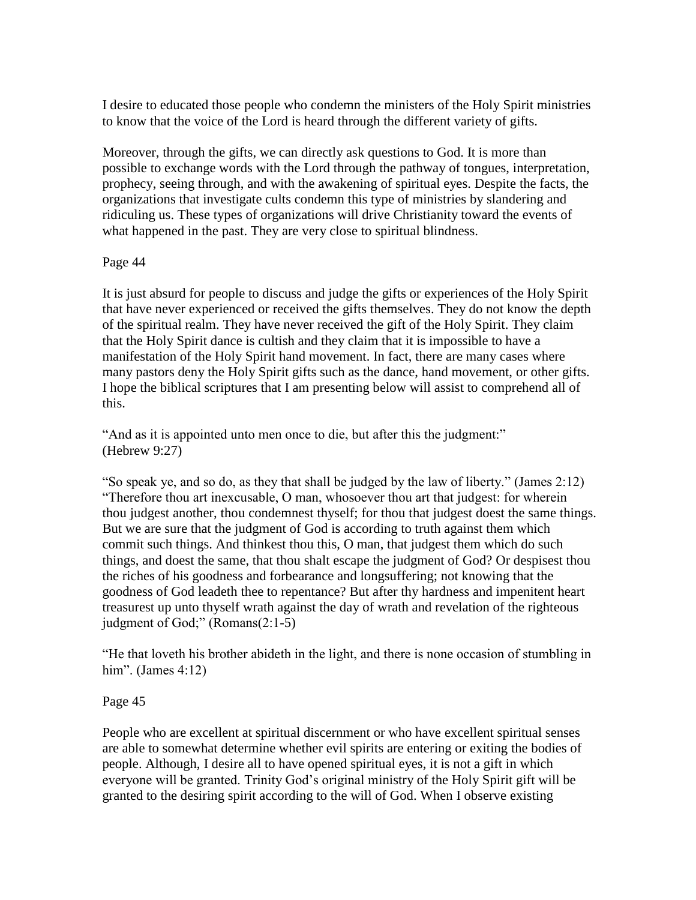I desire to educated those people who condemn the ministers of the Holy Spirit ministries to know that the voice of the Lord is heard through the different variety of gifts.

Moreover, through the gifts, we can directly ask questions to God. It is more than possible to exchange words with the Lord through the pathway of tongues, interpretation, prophecy, seeing through, and with the awakening of spiritual eyes. Despite the facts, the organizations that investigate cults condemn this type of ministries by slandering and ridiculing us. These types of organizations will drive Christianity toward the events of what happened in the past. They are very close to spiritual blindness.

# Page 44

It is just absurd for people to discuss and judge the gifts or experiences of the Holy Spirit that have never experienced or received the gifts themselves. They do not know the depth of the spiritual realm. They have never received the gift of the Holy Spirit. They claim that the Holy Spirit dance is cultish and they claim that it is impossible to have a manifestation of the Holy Spirit hand movement. In fact, there are many cases where many pastors deny the Holy Spirit gifts such as the dance, hand movement, or other gifts. I hope the biblical scriptures that I am presenting below will assist to comprehend all of this.

"And as it is appointed unto men once to die, but after this the judgment:" (Hebrew 9:27)

"So speak ye, and so do, as they that shall be judged by the law of liberty." (James 2:12) "Therefore thou art inexcusable, O man, whosoever thou art that judgest: for wherein thou judgest another, thou condemnest thyself; for thou that judgest doest the same things. But we are sure that the judgment of God is according to truth against them which commit such things. And thinkest thou this, O man, that judgest them which do such things, and doest the same, that thou shalt escape the judgment of God? Or despisest thou the riches of his goodness and forbearance and longsuffering; not knowing that the goodness of God leadeth thee to repentance? But after thy hardness and impenitent heart treasurest up unto thyself wrath against the day of wrath and revelation of the righteous judgment of God;" (Romans(2:1-5)

"He that loveth his brother abideth in the light, and there is none occasion of stumbling in him". (James 4:12)

# Page 45

People who are excellent at spiritual discernment or who have excellent spiritual senses are able to somewhat determine whether evil spirits are entering or exiting the bodies of people. Although, I desire all to have opened spiritual eyes, it is not a gift in which everyone will be granted. Trinity God's original ministry of the Holy Spirit gift will be granted to the desiring spirit according to the will of God. When I observe existing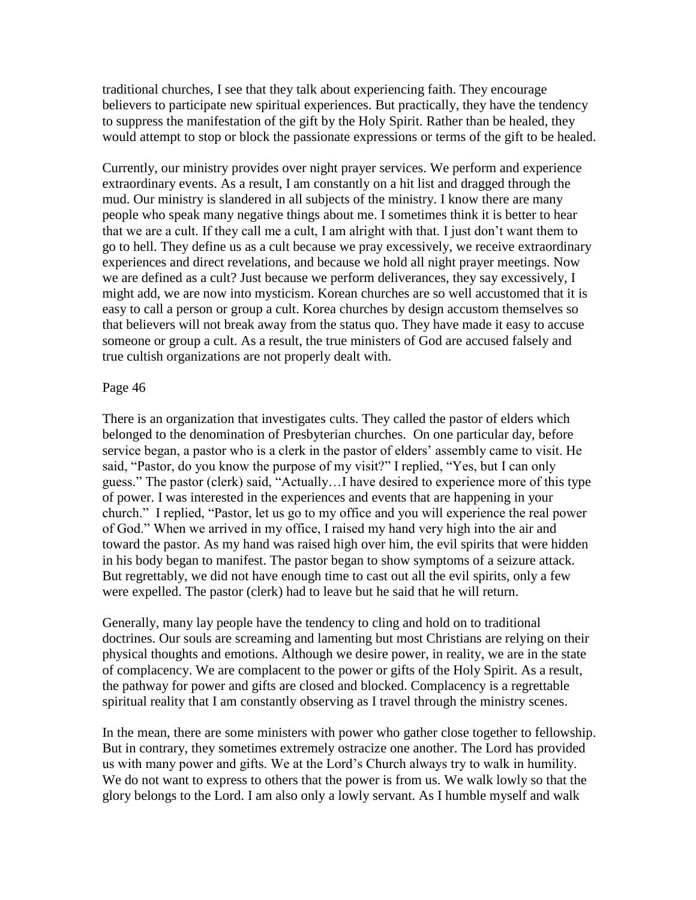traditional churches, I see that they talk about experiencing faith. They encourage believers to participate new spiritual experiences. But practically, they have the tendency to suppress the manifestation of the gift by the Holy Spirit. Rather than be healed, they would attempt to stop or block the passionate expressions or terms of the gift to be healed.

Currently, our ministry provides over night prayer services. We perform and experience extraordinary events. As a result, I am constantly on a hit list and dragged through the mud. Our ministry is slandered in all subjects of the ministry. I know there are many people who speak many negative things about me. I sometimes think it is better to hear that we are a cult. If they call me a cult, I am alright with that. I just don"t want them to go to hell. They define us as a cult because we pray excessively, we receive extraordinary experiences and direct revelations, and because we hold all night prayer meetings. Now we are defined as a cult? Just because we perform deliverances, they say excessively, I might add, we are now into mysticism. Korean churches are so well accustomed that it is easy to call a person or group a cult. Korea churches by design accustom themselves so that believers will not break away from the status quo. They have made it easy to accuse someone or group a cult. As a result, the true ministers of God are accused falsely and true cultish organizations are not properly dealt with.

#### Page 46

There is an organization that investigates cults. They called the pastor of elders which belonged to the denomination of Presbyterian churches. On one particular day, before service began, a pastor who is a clerk in the pastor of elders' assembly came to visit. He said, "Pastor, do you know the purpose of my visit?" I replied, "Yes, but I can only guess." The pastor (clerk) said, "Actually…I have desired to experience more of this type of power. I was interested in the experiences and events that are happening in your church." I replied, "Pastor, let us go to my office and you will experience the real power of God." When we arrived in my office, I raised my hand very high into the air and toward the pastor. As my hand was raised high over him, the evil spirits that were hidden in his body began to manifest. The pastor began to show symptoms of a seizure attack. But regrettably, we did not have enough time to cast out all the evil spirits, only a few were expelled. The pastor (clerk) had to leave but he said that he will return.

Generally, many lay people have the tendency to cling and hold on to traditional doctrines. Our souls are screaming and lamenting but most Christians are relying on their physical thoughts and emotions. Although we desire power, in reality, we are in the state of complacency. We are complacent to the power or gifts of the Holy Spirit. As a result, the pathway for power and gifts are closed and blocked. Complacency is a regrettable spiritual reality that I am constantly observing as I travel through the ministry scenes.

In the mean, there are some ministers with power who gather close together to fellowship. But in contrary, they sometimes extremely ostracize one another. The Lord has provided us with many power and gifts. We at the Lord"s Church always try to walk in humility. We do not want to express to others that the power is from us. We walk lowly so that the glory belongs to the Lord. I am also only a lowly servant. As I humble myself and walk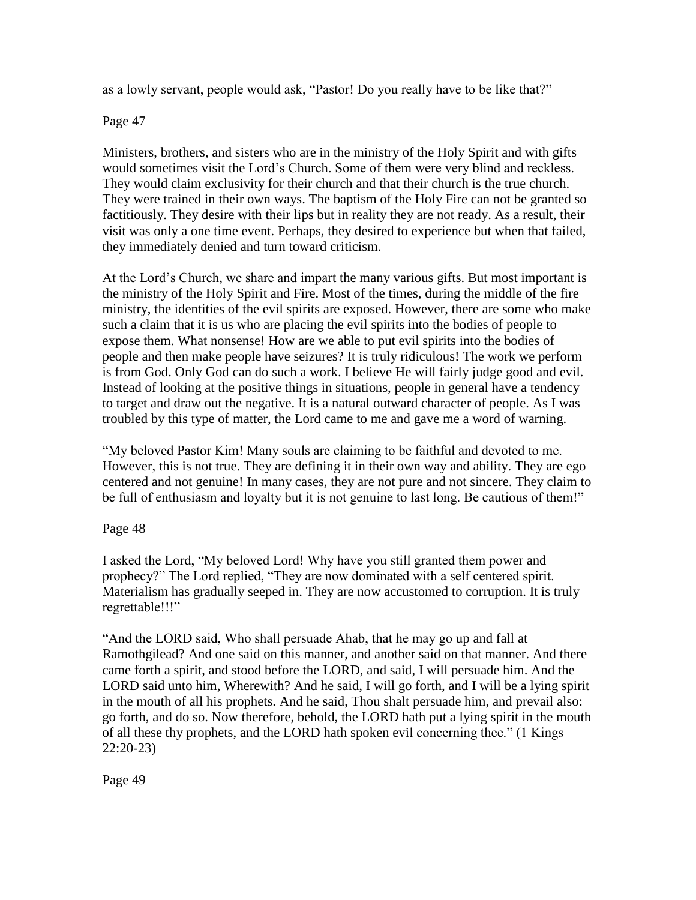as a lowly servant, people would ask, "Pastor! Do you really have to be like that?"

Page 47

Ministers, brothers, and sisters who are in the ministry of the Holy Spirit and with gifts would sometimes visit the Lord"s Church. Some of them were very blind and reckless. They would claim exclusivity for their church and that their church is the true church. They were trained in their own ways. The baptism of the Holy Fire can not be granted so factitiously. They desire with their lips but in reality they are not ready. As a result, their visit was only a one time event. Perhaps, they desired to experience but when that failed, they immediately denied and turn toward criticism.

At the Lord"s Church, we share and impart the many various gifts. But most important is the ministry of the Holy Spirit and Fire. Most of the times, during the middle of the fire ministry, the identities of the evil spirits are exposed. However, there are some who make such a claim that it is us who are placing the evil spirits into the bodies of people to expose them. What nonsense! How are we able to put evil spirits into the bodies of people and then make people have seizures? It is truly ridiculous! The work we perform is from God. Only God can do such a work. I believe He will fairly judge good and evil. Instead of looking at the positive things in situations, people in general have a tendency to target and draw out the negative. It is a natural outward character of people. As I was troubled by this type of matter, the Lord came to me and gave me a word of warning.

"My beloved Pastor Kim! Many souls are claiming to be faithful and devoted to me. However, this is not true. They are defining it in their own way and ability. They are ego centered and not genuine! In many cases, they are not pure and not sincere. They claim to be full of enthusiasm and loyalty but it is not genuine to last long. Be cautious of them!"

Page 48

I asked the Lord, "My beloved Lord! Why have you still granted them power and prophecy?" The Lord replied, "They are now dominated with a self centered spirit. Materialism has gradually seeped in. They are now accustomed to corruption. It is truly regrettable!!!"

"And the LORD said, Who shall persuade Ahab, that he may go up and fall at Ramothgilead? And one said on this manner, and another said on that manner. And there came forth a spirit, and stood before the LORD, and said, I will persuade him. And the LORD said unto him, Wherewith? And he said, I will go forth, and I will be a lying spirit in the mouth of all his prophets. And he said, Thou shalt persuade him, and prevail also: go forth, and do so. Now therefore, behold, the LORD hath put a lying spirit in the mouth of all these thy prophets, and the LORD hath spoken evil concerning thee." (1 Kings 22:20-23)

Page 49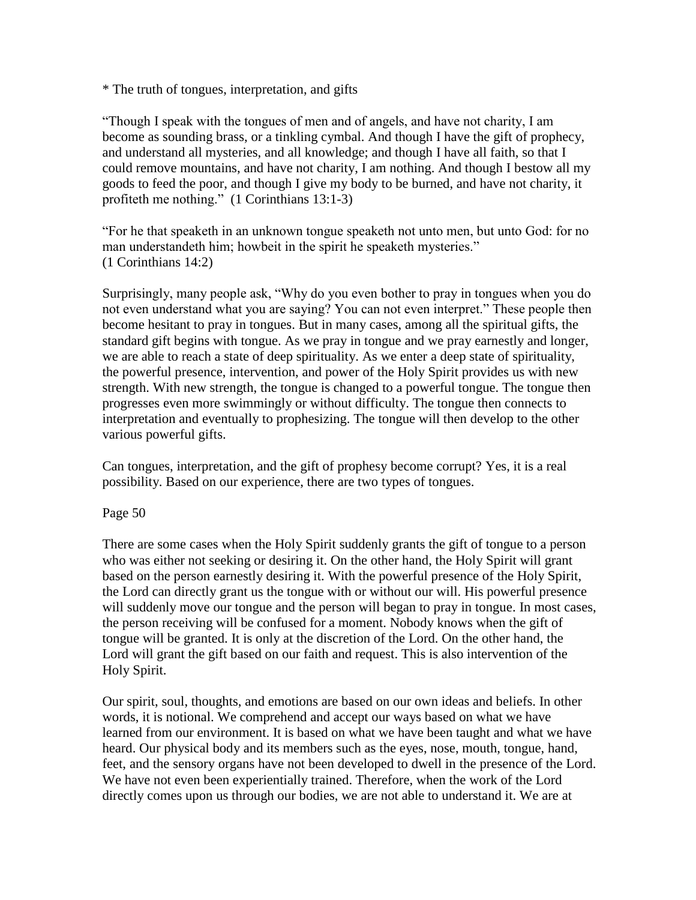\* The truth of tongues, interpretation, and gifts

"Though I speak with the tongues of men and of angels, and have not charity, I am become as sounding brass, or a tinkling cymbal. And though I have the gift of prophecy, and understand all mysteries, and all knowledge; and though I have all faith, so that I could remove mountains, and have not charity, I am nothing. And though I bestow all my goods to feed the poor, and though I give my body to be burned, and have not charity, it profiteth me nothing." (1 Corinthians 13:1-3)

"For he that speaketh in an unknown tongue speaketh not unto men, but unto God: for no man understandeth him; howbeit in the spirit he speaketh mysteries." (1 Corinthians 14:2)

Surprisingly, many people ask, "Why do you even bother to pray in tongues when you do not even understand what you are saying? You can not even interpret." These people then become hesitant to pray in tongues. But in many cases, among all the spiritual gifts, the standard gift begins with tongue. As we pray in tongue and we pray earnestly and longer, we are able to reach a state of deep spirituality. As we enter a deep state of spirituality, the powerful presence, intervention, and power of the Holy Spirit provides us with new strength. With new strength, the tongue is changed to a powerful tongue. The tongue then progresses even more swimmingly or without difficulty. The tongue then connects to interpretation and eventually to prophesizing. The tongue will then develop to the other various powerful gifts.

Can tongues, interpretation, and the gift of prophesy become corrupt? Yes, it is a real possibility. Based on our experience, there are two types of tongues.

Page 50

There are some cases when the Holy Spirit suddenly grants the gift of tongue to a person who was either not seeking or desiring it. On the other hand, the Holy Spirit will grant based on the person earnestly desiring it. With the powerful presence of the Holy Spirit, the Lord can directly grant us the tongue with or without our will. His powerful presence will suddenly move our tongue and the person will began to pray in tongue. In most cases, the person receiving will be confused for a moment. Nobody knows when the gift of tongue will be granted. It is only at the discretion of the Lord. On the other hand, the Lord will grant the gift based on our faith and request. This is also intervention of the Holy Spirit.

Our spirit, soul, thoughts, and emotions are based on our own ideas and beliefs. In other words, it is notional. We comprehend and accept our ways based on what we have learned from our environment. It is based on what we have been taught and what we have heard. Our physical body and its members such as the eyes, nose, mouth, tongue, hand, feet, and the sensory organs have not been developed to dwell in the presence of the Lord. We have not even been experientially trained. Therefore, when the work of the Lord directly comes upon us through our bodies, we are not able to understand it. We are at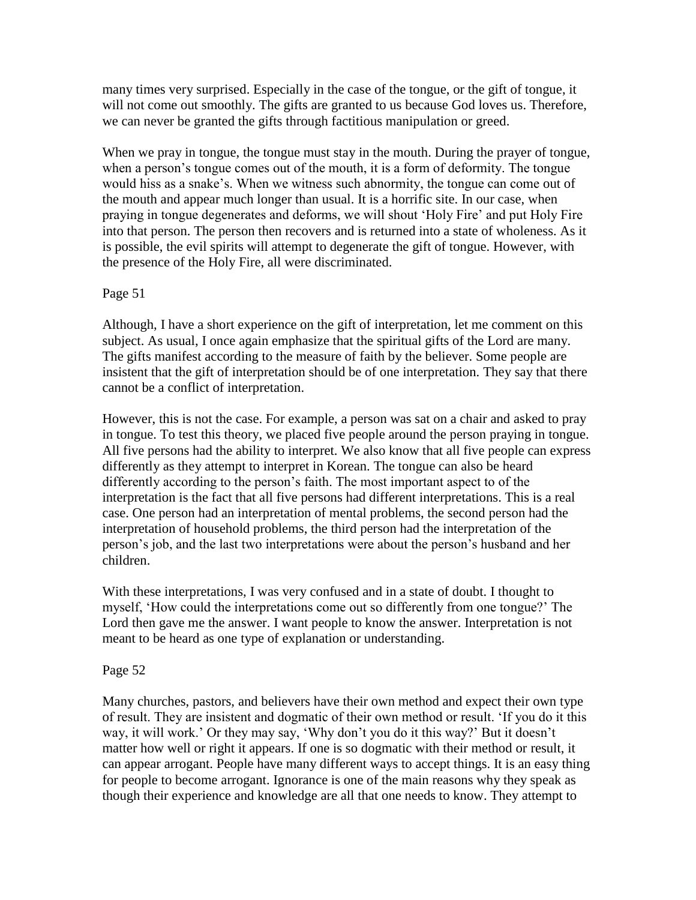many times very surprised. Especially in the case of the tongue, or the gift of tongue, it will not come out smoothly. The gifts are granted to us because God loves us. Therefore, we can never be granted the gifts through factitious manipulation or greed.

When we pray in tongue, the tongue must stay in the mouth. During the prayer of tongue, when a person's tongue comes out of the mouth, it is a form of deformity. The tongue would hiss as a snake"s. When we witness such abnormity, the tongue can come out of the mouth and appear much longer than usual. It is a horrific site. In our case, when praying in tongue degenerates and deforms, we will shout "Holy Fire" and put Holy Fire into that person. The person then recovers and is returned into a state of wholeness. As it is possible, the evil spirits will attempt to degenerate the gift of tongue. However, with the presence of the Holy Fire, all were discriminated.

# Page 51

Although, I have a short experience on the gift of interpretation, let me comment on this subject. As usual, I once again emphasize that the spiritual gifts of the Lord are many. The gifts manifest according to the measure of faith by the believer. Some people are insistent that the gift of interpretation should be of one interpretation. They say that there cannot be a conflict of interpretation.

However, this is not the case. For example, a person was sat on a chair and asked to pray in tongue. To test this theory, we placed five people around the person praying in tongue. All five persons had the ability to interpret. We also know that all five people can express differently as they attempt to interpret in Korean. The tongue can also be heard differently according to the person's faith. The most important aspect to of the interpretation is the fact that all five persons had different interpretations. This is a real case. One person had an interpretation of mental problems, the second person had the interpretation of household problems, the third person had the interpretation of the person"s job, and the last two interpretations were about the person"s husband and her children.

With these interpretations, I was very confused and in a state of doubt. I thought to myself, "How could the interpretations come out so differently from one tongue?" The Lord then gave me the answer. I want people to know the answer. Interpretation is not meant to be heard as one type of explanation or understanding.

# Page 52

Many churches, pastors, and believers have their own method and expect their own type of result. They are insistent and dogmatic of their own method or result. "If you do it this way, it will work." Or they may say, "Why don"t you do it this way?" But it doesn"t matter how well or right it appears. If one is so dogmatic with their method or result, it can appear arrogant. People have many different ways to accept things. It is an easy thing for people to become arrogant. Ignorance is one of the main reasons why they speak as though their experience and knowledge are all that one needs to know. They attempt to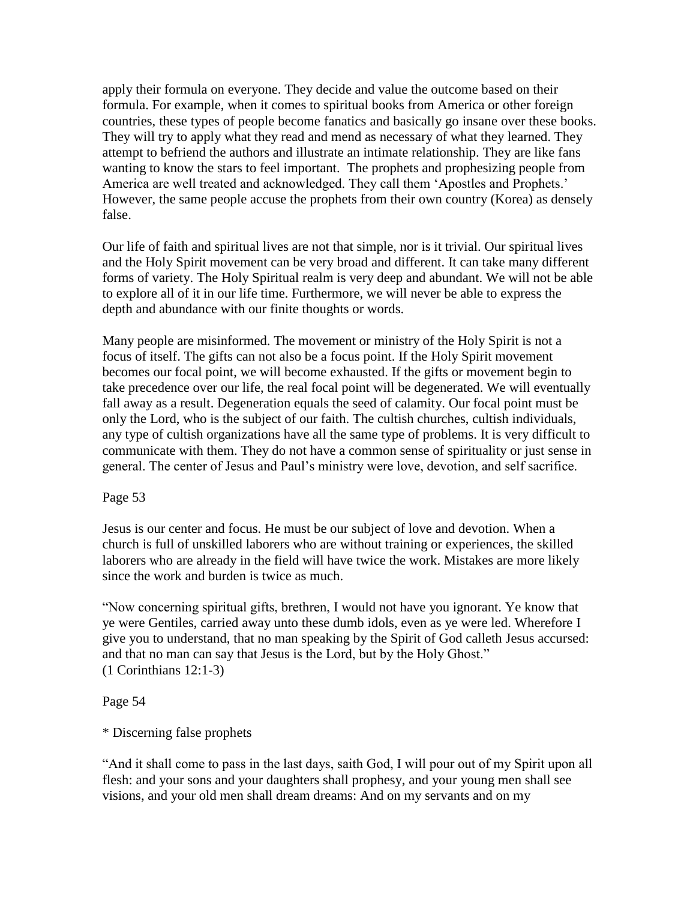apply their formula on everyone. They decide and value the outcome based on their formula. For example, when it comes to spiritual books from America or other foreign countries, these types of people become fanatics and basically go insane over these books. They will try to apply what they read and mend as necessary of what they learned. They attempt to befriend the authors and illustrate an intimate relationship. They are like fans wanting to know the stars to feel important. The prophets and prophesizing people from America are well treated and acknowledged. They call them "Apostles and Prophets." However, the same people accuse the prophets from their own country (Korea) as densely false.

Our life of faith and spiritual lives are not that simple, nor is it trivial. Our spiritual lives and the Holy Spirit movement can be very broad and different. It can take many different forms of variety. The Holy Spiritual realm is very deep and abundant. We will not be able to explore all of it in our life time. Furthermore, we will never be able to express the depth and abundance with our finite thoughts or words.

Many people are misinformed. The movement or ministry of the Holy Spirit is not a focus of itself. The gifts can not also be a focus point. If the Holy Spirit movement becomes our focal point, we will become exhausted. If the gifts or movement begin to take precedence over our life, the real focal point will be degenerated. We will eventually fall away as a result. Degeneration equals the seed of calamity. Our focal point must be only the Lord, who is the subject of our faith. The cultish churches, cultish individuals, any type of cultish organizations have all the same type of problems. It is very difficult to communicate with them. They do not have a common sense of spirituality or just sense in general. The center of Jesus and Paul"s ministry were love, devotion, and self sacrifice.

# Page 53

Jesus is our center and focus. He must be our subject of love and devotion. When a church is full of unskilled laborers who are without training or experiences, the skilled laborers who are already in the field will have twice the work. Mistakes are more likely since the work and burden is twice as much.

"Now concerning spiritual gifts, brethren, I would not have you ignorant. Ye know that ye were Gentiles, carried away unto these dumb idols, even as ye were led. Wherefore I give you to understand, that no man speaking by the Spirit of God calleth Jesus accursed: and that no man can say that Jesus is the Lord, but by the Holy Ghost." (1 Corinthians 12:1-3)

# Page 54

\* Discerning false prophets

"And it shall come to pass in the last days, saith God, I will pour out of my Spirit upon all flesh: and your sons and your daughters shall prophesy, and your young men shall see visions, and your old men shall dream dreams: And on my servants and on my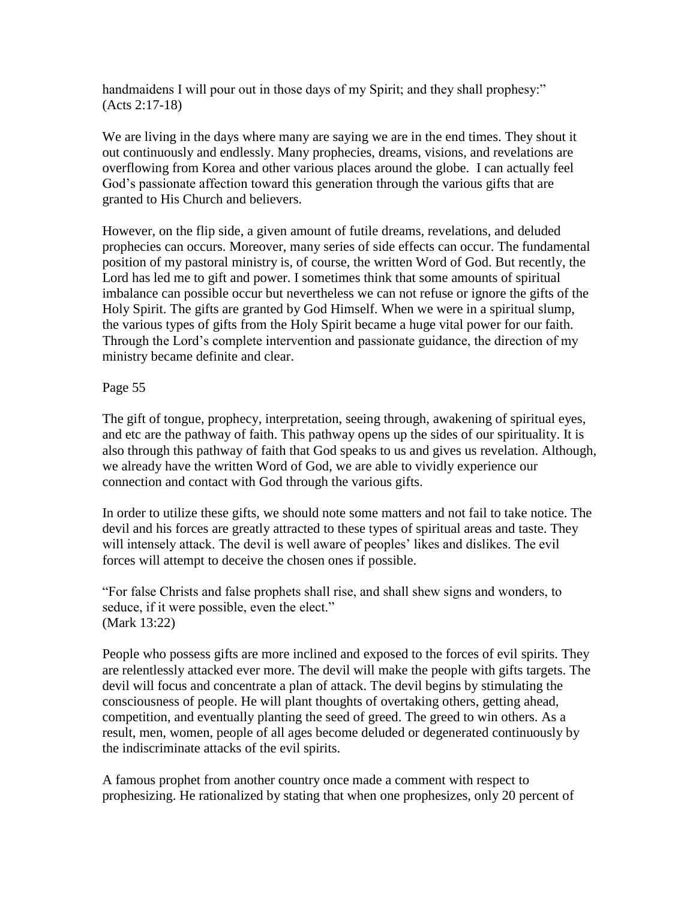handmaidens I will pour out in those days of my Spirit; and they shall prophesy:" (Acts 2:17-18)

We are living in the days where many are saying we are in the end times. They shout it out continuously and endlessly. Many prophecies, dreams, visions, and revelations are overflowing from Korea and other various places around the globe. I can actually feel God"s passionate affection toward this generation through the various gifts that are granted to His Church and believers.

However, on the flip side, a given amount of futile dreams, revelations, and deluded prophecies can occurs. Moreover, many series of side effects can occur. The fundamental position of my pastoral ministry is, of course, the written Word of God. But recently, the Lord has led me to gift and power. I sometimes think that some amounts of spiritual imbalance can possible occur but nevertheless we can not refuse or ignore the gifts of the Holy Spirit. The gifts are granted by God Himself. When we were in a spiritual slump, the various types of gifts from the Holy Spirit became a huge vital power for our faith. Through the Lord"s complete intervention and passionate guidance, the direction of my ministry became definite and clear.

# Page 55

The gift of tongue, prophecy, interpretation, seeing through, awakening of spiritual eyes, and etc are the pathway of faith. This pathway opens up the sides of our spirituality. It is also through this pathway of faith that God speaks to us and gives us revelation. Although, we already have the written Word of God, we are able to vividly experience our connection and contact with God through the various gifts.

In order to utilize these gifts, we should note some matters and not fail to take notice. The devil and his forces are greatly attracted to these types of spiritual areas and taste. They will intensely attack. The devil is well aware of peoples' likes and dislikes. The evil forces will attempt to deceive the chosen ones if possible.

"For false Christs and false prophets shall rise, and shall shew signs and wonders, to seduce, if it were possible, even the elect." (Mark 13:22)

People who possess gifts are more inclined and exposed to the forces of evil spirits. They are relentlessly attacked ever more. The devil will make the people with gifts targets. The devil will focus and concentrate a plan of attack. The devil begins by stimulating the consciousness of people. He will plant thoughts of overtaking others, getting ahead, competition, and eventually planting the seed of greed. The greed to win others. As a result, men, women, people of all ages become deluded or degenerated continuously by the indiscriminate attacks of the evil spirits.

A famous prophet from another country once made a comment with respect to prophesizing. He rationalized by stating that when one prophesizes, only 20 percent of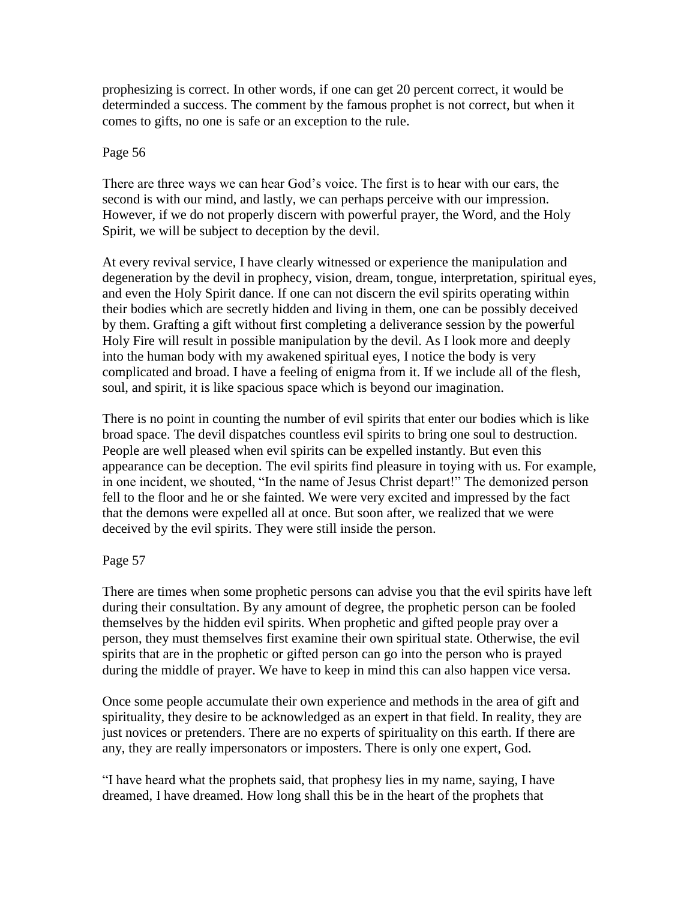prophesizing is correct. In other words, if one can get 20 percent correct, it would be determinded a success. The comment by the famous prophet is not correct, but when it comes to gifts, no one is safe or an exception to the rule.

# Page 56

There are three ways we can hear God"s voice. The first is to hear with our ears, the second is with our mind, and lastly, we can perhaps perceive with our impression. However, if we do not properly discern with powerful prayer, the Word, and the Holy Spirit, we will be subject to deception by the devil.

At every revival service, I have clearly witnessed or experience the manipulation and degeneration by the devil in prophecy, vision, dream, tongue, interpretation, spiritual eyes, and even the Holy Spirit dance. If one can not discern the evil spirits operating within their bodies which are secretly hidden and living in them, one can be possibly deceived by them. Grafting a gift without first completing a deliverance session by the powerful Holy Fire will result in possible manipulation by the devil. As I look more and deeply into the human body with my awakened spiritual eyes, I notice the body is very complicated and broad. I have a feeling of enigma from it. If we include all of the flesh, soul, and spirit, it is like spacious space which is beyond our imagination.

There is no point in counting the number of evil spirits that enter our bodies which is like broad space. The devil dispatches countless evil spirits to bring one soul to destruction. People are well pleased when evil spirits can be expelled instantly. But even this appearance can be deception. The evil spirits find pleasure in toying with us. For example, in one incident, we shouted, "In the name of Jesus Christ depart!" The demonized person fell to the floor and he or she fainted. We were very excited and impressed by the fact that the demons were expelled all at once. But soon after, we realized that we were deceived by the evil spirits. They were still inside the person.

# Page 57

There are times when some prophetic persons can advise you that the evil spirits have left during their consultation. By any amount of degree, the prophetic person can be fooled themselves by the hidden evil spirits. When prophetic and gifted people pray over a person, they must themselves first examine their own spiritual state. Otherwise, the evil spirits that are in the prophetic or gifted person can go into the person who is prayed during the middle of prayer. We have to keep in mind this can also happen vice versa.

Once some people accumulate their own experience and methods in the area of gift and spirituality, they desire to be acknowledged as an expert in that field. In reality, they are just novices or pretenders. There are no experts of spirituality on this earth. If there are any, they are really impersonators or imposters. There is only one expert, God.

"I have heard what the prophets said, that prophesy lies in my name, saying, I have dreamed, I have dreamed. How long shall this be in the heart of the prophets that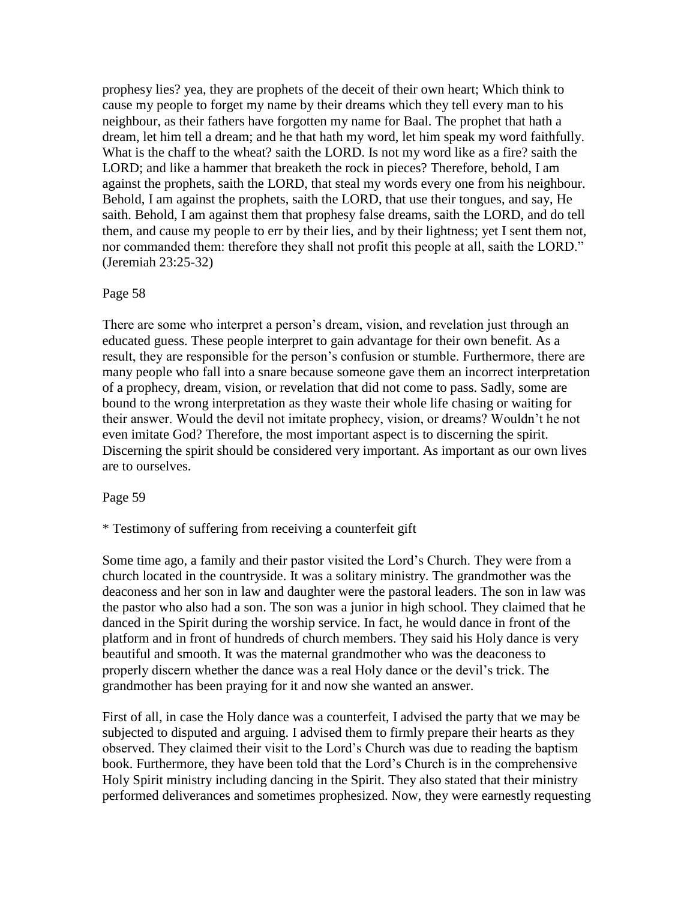prophesy lies? yea, they are prophets of the deceit of their own heart; Which think to cause my people to forget my name by their dreams which they tell every man to his neighbour, as their fathers have forgotten my name for Baal. The prophet that hath a dream, let him tell a dream; and he that hath my word, let him speak my word faithfully. What is the chaff to the wheat? saith the LORD. Is not my word like as a fire? saith the LORD; and like a hammer that breaketh the rock in pieces? Therefore, behold, I am against the prophets, saith the LORD, that steal my words every one from his neighbour. Behold, I am against the prophets, saith the LORD, that use their tongues, and say, He saith. Behold, I am against them that prophesy false dreams, saith the LORD, and do tell them, and cause my people to err by their lies, and by their lightness; yet I sent them not, nor commanded them: therefore they shall not profit this people at all, saith the LORD." (Jeremiah 23:25-32)

## Page 58

There are some who interpret a person's dream, vision, and revelation just through an educated guess. These people interpret to gain advantage for their own benefit. As a result, they are responsible for the person"s confusion or stumble. Furthermore, there are many people who fall into a snare because someone gave them an incorrect interpretation of a prophecy, dream, vision, or revelation that did not come to pass. Sadly, some are bound to the wrong interpretation as they waste their whole life chasing or waiting for their answer. Would the devil not imitate prophecy, vision, or dreams? Wouldn"t he not even imitate God? Therefore, the most important aspect is to discerning the spirit. Discerning the spirit should be considered very important. As important as our own lives are to ourselves.

#### Page 59

## \* Testimony of suffering from receiving a counterfeit gift

Some time ago, a family and their pastor visited the Lord"s Church. They were from a church located in the countryside. It was a solitary ministry. The grandmother was the deaconess and her son in law and daughter were the pastoral leaders. The son in law was the pastor who also had a son. The son was a junior in high school. They claimed that he danced in the Spirit during the worship service. In fact, he would dance in front of the platform and in front of hundreds of church members. They said his Holy dance is very beautiful and smooth. It was the maternal grandmother who was the deaconess to properly discern whether the dance was a real Holy dance or the devil"s trick. The grandmother has been praying for it and now she wanted an answer.

First of all, in case the Holy dance was a counterfeit, I advised the party that we may be subjected to disputed and arguing. I advised them to firmly prepare their hearts as they observed. They claimed their visit to the Lord"s Church was due to reading the baptism book. Furthermore, they have been told that the Lord"s Church is in the comprehensive Holy Spirit ministry including dancing in the Spirit. They also stated that their ministry performed deliverances and sometimes prophesized. Now, they were earnestly requesting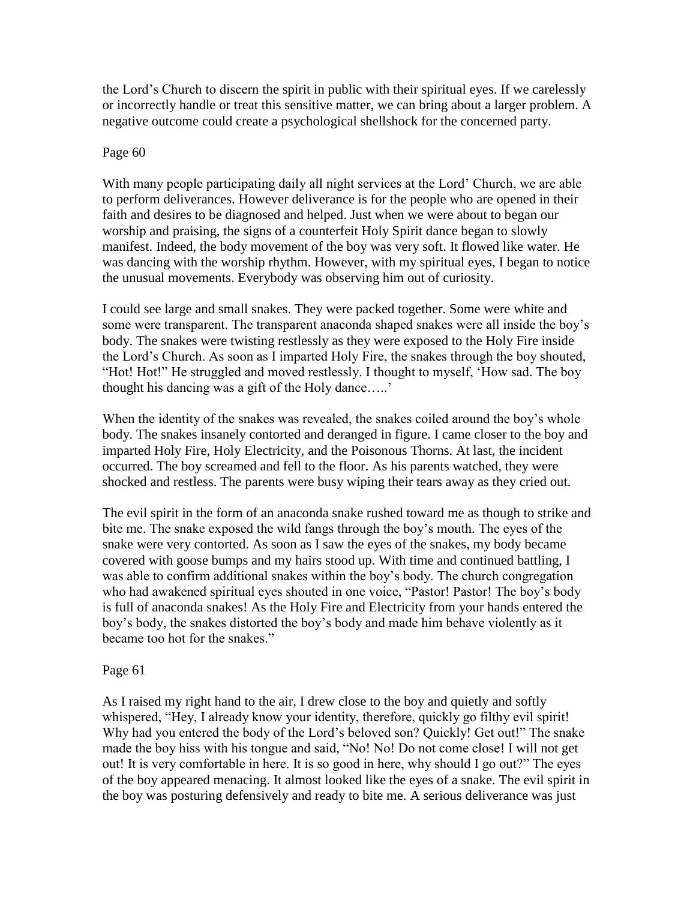the Lord"s Church to discern the spirit in public with their spiritual eyes. If we carelessly or incorrectly handle or treat this sensitive matter, we can bring about a larger problem. A negative outcome could create a psychological shellshock for the concerned party.

## Page 60

With many people participating daily all night services at the Lord' Church, we are able to perform deliverances. However deliverance is for the people who are opened in their faith and desires to be diagnosed and helped. Just when we were about to began our worship and praising, the signs of a counterfeit Holy Spirit dance began to slowly manifest. Indeed, the body movement of the boy was very soft. It flowed like water. He was dancing with the worship rhythm. However, with my spiritual eyes, I began to notice the unusual movements. Everybody was observing him out of curiosity.

I could see large and small snakes. They were packed together. Some were white and some were transparent. The transparent anaconda shaped snakes were all inside the boy's body. The snakes were twisting restlessly as they were exposed to the Holy Fire inside the Lord"s Church. As soon as I imparted Holy Fire, the snakes through the boy shouted, "Hot! Hot!" He struggled and moved restlessly. I thought to myself, "How sad. The boy thought his dancing was a gift of the Holy dance....."

When the identity of the snakes was revealed, the snakes coiled around the boy's whole body. The snakes insanely contorted and deranged in figure. I came closer to the boy and imparted Holy Fire, Holy Electricity, and the Poisonous Thorns. At last, the incident occurred. The boy screamed and fell to the floor. As his parents watched, they were shocked and restless. The parents were busy wiping their tears away as they cried out.

The evil spirit in the form of an anaconda snake rushed toward me as though to strike and bite me. The snake exposed the wild fangs through the boy"s mouth. The eyes of the snake were very contorted. As soon as I saw the eyes of the snakes, my body became covered with goose bumps and my hairs stood up. With time and continued battling, I was able to confirm additional snakes within the boy"s body. The church congregation who had awakened spiritual eyes shouted in one voice, "Pastor! Pastor! The boy"s body is full of anaconda snakes! As the Holy Fire and Electricity from your hands entered the boy"s body, the snakes distorted the boy"s body and made him behave violently as it became too hot for the snakes."

# Page 61

As I raised my right hand to the air, I drew close to the boy and quietly and softly whispered, "Hey, I already know your identity, therefore, quickly go filthy evil spirit! Why had you entered the body of the Lord"s beloved son? Quickly! Get out!" The snake made the boy hiss with his tongue and said, "No! No! Do not come close! I will not get out! It is very comfortable in here. It is so good in here, why should I go out?" The eyes of the boy appeared menacing. It almost looked like the eyes of a snake. The evil spirit in the boy was posturing defensively and ready to bite me. A serious deliverance was just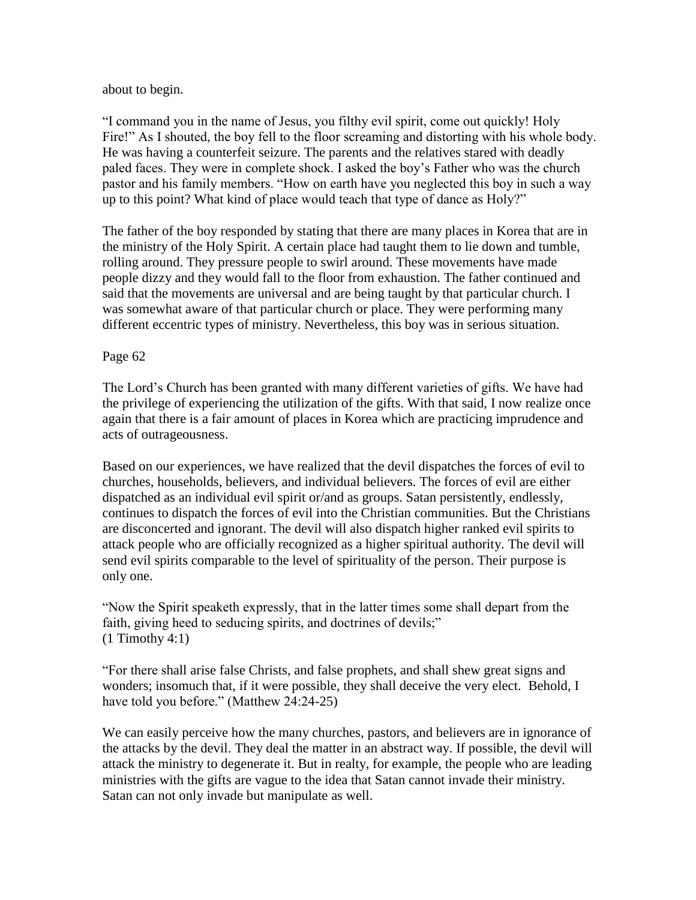about to begin.

"I command you in the name of Jesus, you filthy evil spirit, come out quickly! Holy Fire!" As I shouted, the boy fell to the floor screaming and distorting with his whole body. He was having a counterfeit seizure. The parents and the relatives stared with deadly paled faces. They were in complete shock. I asked the boy"s Father who was the church pastor and his family members. "How on earth have you neglected this boy in such a way up to this point? What kind of place would teach that type of dance as Holy?"

The father of the boy responded by stating that there are many places in Korea that are in the ministry of the Holy Spirit. A certain place had taught them to lie down and tumble, rolling around. They pressure people to swirl around. These movements have made people dizzy and they would fall to the floor from exhaustion. The father continued and said that the movements are universal and are being taught by that particular church. I was somewhat aware of that particular church or place. They were performing many different eccentric types of ministry. Nevertheless, this boy was in serious situation.

# Page 62

The Lord"s Church has been granted with many different varieties of gifts. We have had the privilege of experiencing the utilization of the gifts. With that said, I now realize once again that there is a fair amount of places in Korea which are practicing imprudence and acts of outrageousness.

Based on our experiences, we have realized that the devil dispatches the forces of evil to churches, households, believers, and individual believers. The forces of evil are either dispatched as an individual evil spirit or/and as groups. Satan persistently, endlessly, continues to dispatch the forces of evil into the Christian communities. But the Christians are disconcerted and ignorant. The devil will also dispatch higher ranked evil spirits to attack people who are officially recognized as a higher spiritual authority. The devil will send evil spirits comparable to the level of spirituality of the person. Their purpose is only one.

"Now the Spirit speaketh expressly, that in the latter times some shall depart from the faith, giving heed to seducing spirits, and doctrines of devils;"  $(1$  Timothy 4:1)

"For there shall arise false Christs, and false prophets, and shall shew great signs and wonders; insomuch that, if it were possible, they shall deceive the very elect. Behold, I have told you before." (Matthew 24:24-25)

We can easily perceive how the many churches, pastors, and believers are in ignorance of the attacks by the devil. They deal the matter in an abstract way. If possible, the devil will attack the ministry to degenerate it. But in realty, for example, the people who are leading ministries with the gifts are vague to the idea that Satan cannot invade their ministry. Satan can not only invade but manipulate as well.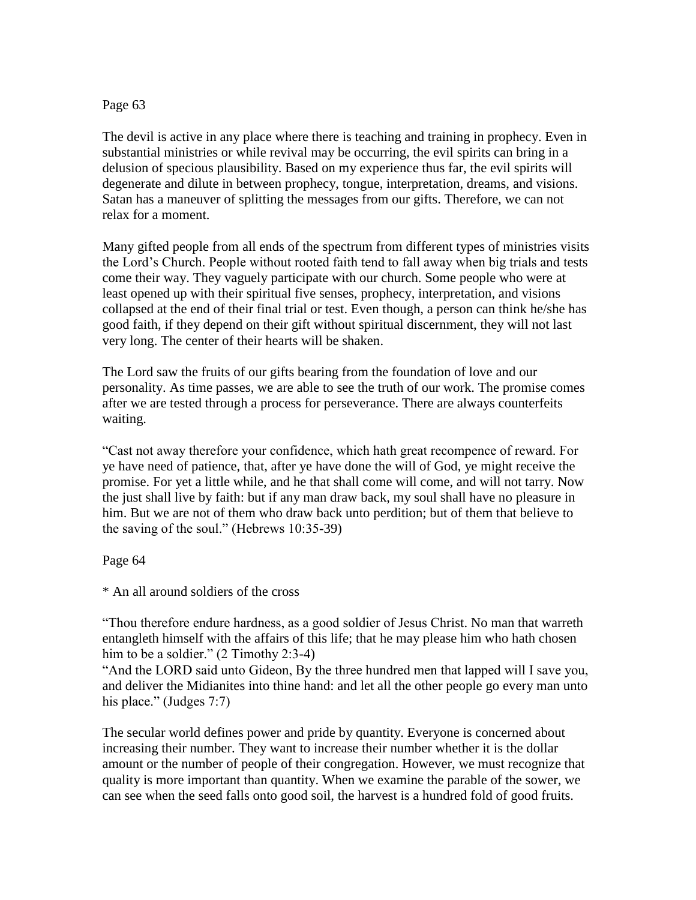## Page 63

The devil is active in any place where there is teaching and training in prophecy. Even in substantial ministries or while revival may be occurring, the evil spirits can bring in a delusion of specious plausibility. Based on my experience thus far, the evil spirits will degenerate and dilute in between prophecy, tongue, interpretation, dreams, and visions. Satan has a maneuver of splitting the messages from our gifts. Therefore, we can not relax for a moment.

Many gifted people from all ends of the spectrum from different types of ministries visits the Lord"s Church. People without rooted faith tend to fall away when big trials and tests come their way. They vaguely participate with our church. Some people who were at least opened up with their spiritual five senses, prophecy, interpretation, and visions collapsed at the end of their final trial or test. Even though, a person can think he/she has good faith, if they depend on their gift without spiritual discernment, they will not last very long. The center of their hearts will be shaken.

The Lord saw the fruits of our gifts bearing from the foundation of love and our personality. As time passes, we are able to see the truth of our work. The promise comes after we are tested through a process for perseverance. There are always counterfeits waiting.

"Cast not away therefore your confidence, which hath great recompence of reward. For ye have need of patience, that, after ye have done the will of God, ye might receive the promise. For yet a little while, and he that shall come will come, and will not tarry. Now the just shall live by faith: but if any man draw back, my soul shall have no pleasure in him. But we are not of them who draw back unto perdition; but of them that believe to the saving of the soul." (Hebrews 10:35-39)

Page 64

\* An all around soldiers of the cross

"Thou therefore endure hardness, as a good soldier of Jesus Christ. No man that warreth entangleth himself with the affairs of this life; that he may please him who hath chosen him to be a soldier." (2 Timothy 2:3-4)

"And the LORD said unto Gideon, By the three hundred men that lapped will I save you, and deliver the Midianites into thine hand: and let all the other people go every man unto his place." (Judges 7:7)

The secular world defines power and pride by quantity. Everyone is concerned about increasing their number. They want to increase their number whether it is the dollar amount or the number of people of their congregation. However, we must recognize that quality is more important than quantity. When we examine the parable of the sower, we can see when the seed falls onto good soil, the harvest is a hundred fold of good fruits.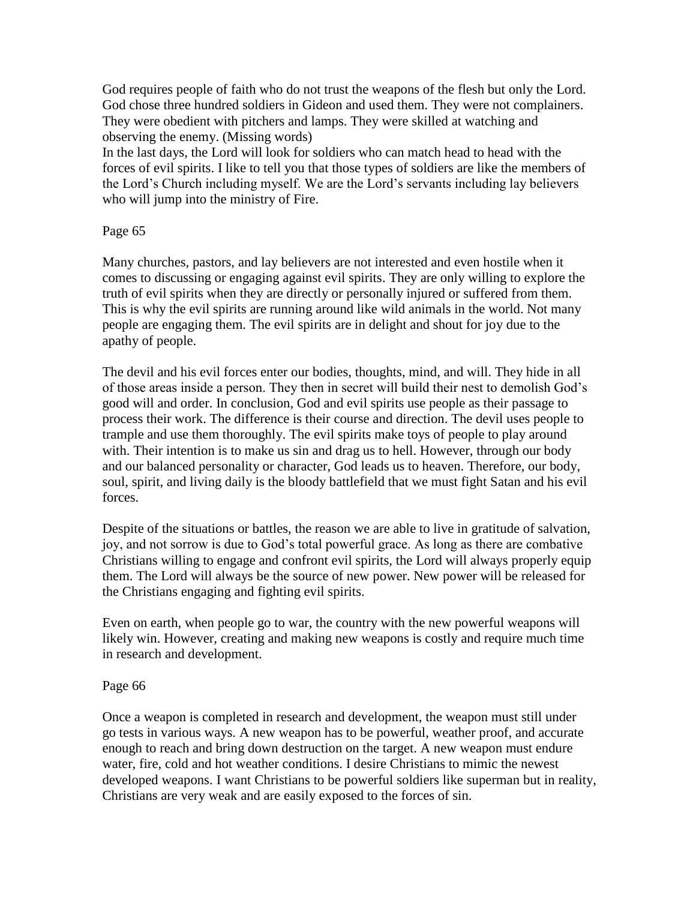God requires people of faith who do not trust the weapons of the flesh but only the Lord. God chose three hundred soldiers in Gideon and used them. They were not complainers. They were obedient with pitchers and lamps. They were skilled at watching and observing the enemy. (Missing words)

In the last days, the Lord will look for soldiers who can match head to head with the forces of evil spirits. I like to tell you that those types of soldiers are like the members of the Lord"s Church including myself. We are the Lord"s servants including lay believers who will jump into the ministry of Fire.

# Page 65

Many churches, pastors, and lay believers are not interested and even hostile when it comes to discussing or engaging against evil spirits. They are only willing to explore the truth of evil spirits when they are directly or personally injured or suffered from them. This is why the evil spirits are running around like wild animals in the world. Not many people are engaging them. The evil spirits are in delight and shout for joy due to the apathy of people.

The devil and his evil forces enter our bodies, thoughts, mind, and will. They hide in all of those areas inside a person. They then in secret will build their nest to demolish God"s good will and order. In conclusion, God and evil spirits use people as their passage to process their work. The difference is their course and direction. The devil uses people to trample and use them thoroughly. The evil spirits make toys of people to play around with. Their intention is to make us sin and drag us to hell. However, through our body and our balanced personality or character, God leads us to heaven. Therefore, our body, soul, spirit, and living daily is the bloody battlefield that we must fight Satan and his evil forces.

Despite of the situations or battles, the reason we are able to live in gratitude of salvation, joy, and not sorrow is due to God"s total powerful grace. As long as there are combative Christians willing to engage and confront evil spirits, the Lord will always properly equip them. The Lord will always be the source of new power. New power will be released for the Christians engaging and fighting evil spirits.

Even on earth, when people go to war, the country with the new powerful weapons will likely win. However, creating and making new weapons is costly and require much time in research and development.

## Page 66

Once a weapon is completed in research and development, the weapon must still under go tests in various ways. A new weapon has to be powerful, weather proof, and accurate enough to reach and bring down destruction on the target. A new weapon must endure water, fire, cold and hot weather conditions. I desire Christians to mimic the newest developed weapons. I want Christians to be powerful soldiers like superman but in reality, Christians are very weak and are easily exposed to the forces of sin.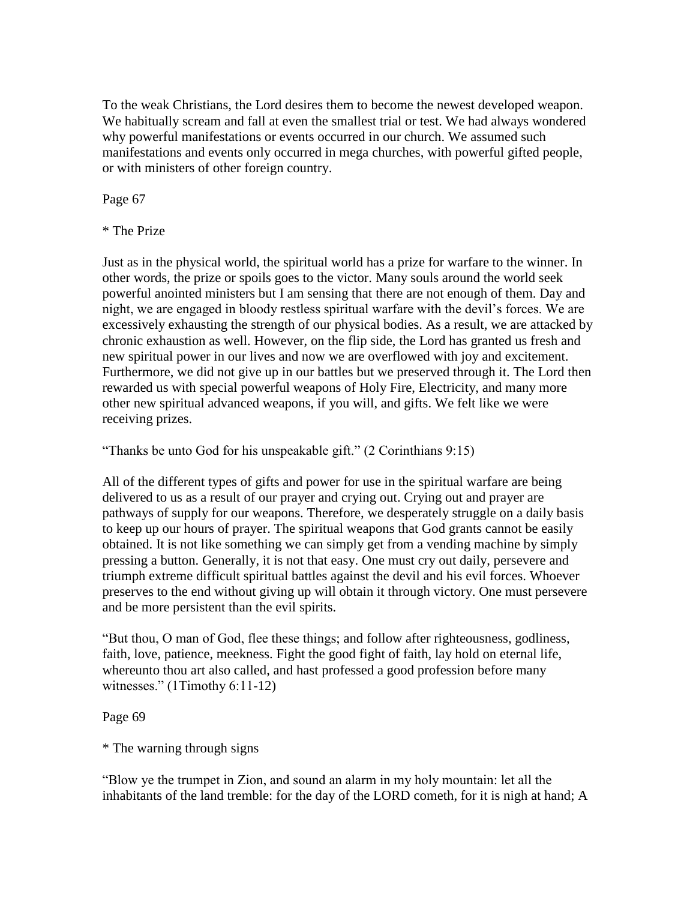To the weak Christians, the Lord desires them to become the newest developed weapon. We habitually scream and fall at even the smallest trial or test. We had always wondered why powerful manifestations or events occurred in our church. We assumed such manifestations and events only occurred in mega churches, with powerful gifted people, or with ministers of other foreign country.

Page 67

\* The Prize

Just as in the physical world, the spiritual world has a prize for warfare to the winner. In other words, the prize or spoils goes to the victor. Many souls around the world seek powerful anointed ministers but I am sensing that there are not enough of them. Day and night, we are engaged in bloody restless spiritual warfare with the devil"s forces. We are excessively exhausting the strength of our physical bodies. As a result, we are attacked by chronic exhaustion as well. However, on the flip side, the Lord has granted us fresh and new spiritual power in our lives and now we are overflowed with joy and excitement. Furthermore, we did not give up in our battles but we preserved through it. The Lord then rewarded us with special powerful weapons of Holy Fire, Electricity, and many more other new spiritual advanced weapons, if you will, and gifts. We felt like we were receiving prizes.

"Thanks be unto God for his unspeakable gift." (2 Corinthians 9:15)

All of the different types of gifts and power for use in the spiritual warfare are being delivered to us as a result of our prayer and crying out. Crying out and prayer are pathways of supply for our weapons. Therefore, we desperately struggle on a daily basis to keep up our hours of prayer. The spiritual weapons that God grants cannot be easily obtained. It is not like something we can simply get from a vending machine by simply pressing a button. Generally, it is not that easy. One must cry out daily, persevere and triumph extreme difficult spiritual battles against the devil and his evil forces. Whoever preserves to the end without giving up will obtain it through victory. One must persevere and be more persistent than the evil spirits.

"But thou, O man of God, flee these things; and follow after righteousness, godliness, faith, love, patience, meekness. Fight the good fight of faith, lay hold on eternal life, whereunto thou art also called, and hast professed a good profession before many witnesses." (1Timothy 6:11-12)

## Page 69

\* The warning through signs

"Blow ye the trumpet in Zion, and sound an alarm in my holy mountain: let all the inhabitants of the land tremble: for the day of the LORD cometh, for it is nigh at hand; A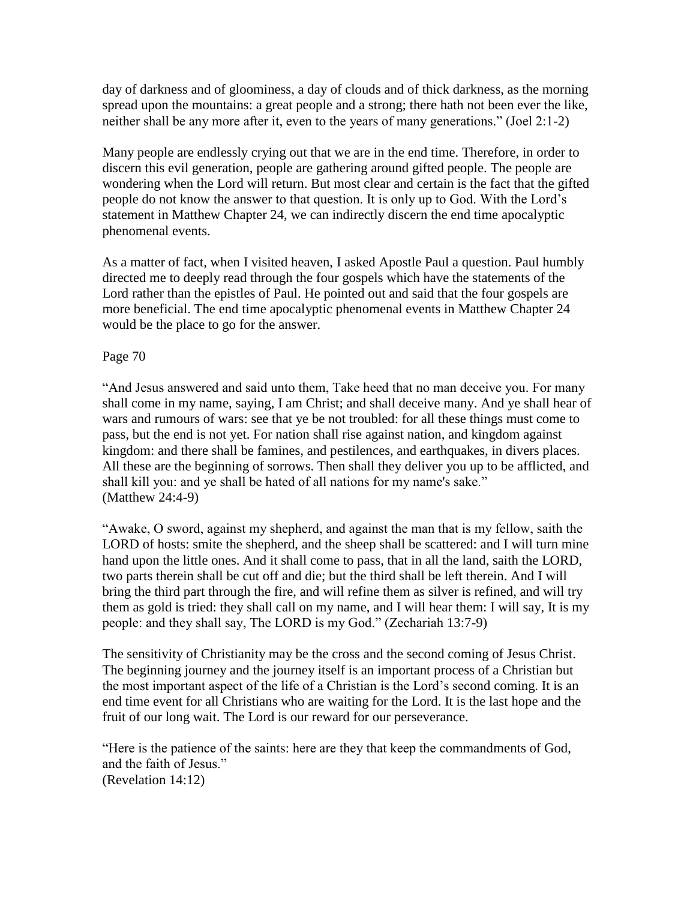day of darkness and of gloominess, a day of clouds and of thick darkness, as the morning spread upon the mountains: a great people and a strong; there hath not been ever the like, neither shall be any more after it, even to the years of many generations." (Joel 2:1-2)

Many people are endlessly crying out that we are in the end time. Therefore, in order to discern this evil generation, people are gathering around gifted people. The people are wondering when the Lord will return. But most clear and certain is the fact that the gifted people do not know the answer to that question. It is only up to God. With the Lord"s statement in Matthew Chapter 24, we can indirectly discern the end time apocalyptic phenomenal events.

As a matter of fact, when I visited heaven, I asked Apostle Paul a question. Paul humbly directed me to deeply read through the four gospels which have the statements of the Lord rather than the epistles of Paul. He pointed out and said that the four gospels are more beneficial. The end time apocalyptic phenomenal events in Matthew Chapter 24 would be the place to go for the answer.

# Page 70

"And Jesus answered and said unto them, Take heed that no man deceive you. For many shall come in my name, saying, I am Christ; and shall deceive many. And ye shall hear of wars and rumours of wars: see that ye be not troubled: for all these things must come to pass, but the end is not yet. For nation shall rise against nation, and kingdom against kingdom: and there shall be famines, and pestilences, and earthquakes, in divers places. All these are the beginning of sorrows. Then shall they deliver you up to be afflicted, and shall kill you: and ye shall be hated of all nations for my name's sake." (Matthew 24:4-9)

"Awake, O sword, against my shepherd, and against the man that is my fellow, saith the LORD of hosts: smite the shepherd, and the sheep shall be scattered: and I will turn mine hand upon the little ones. And it shall come to pass, that in all the land, saith the LORD, two parts therein shall be cut off and die; but the third shall be left therein. And I will bring the third part through the fire, and will refine them as silver is refined, and will try them as gold is tried: they shall call on my name, and I will hear them: I will say, It is my people: and they shall say, The LORD is my God." (Zechariah 13:7-9)

The sensitivity of Christianity may be the cross and the second coming of Jesus Christ. The beginning journey and the journey itself is an important process of a Christian but the most important aspect of the life of a Christian is the Lord"s second coming. It is an end time event for all Christians who are waiting for the Lord. It is the last hope and the fruit of our long wait. The Lord is our reward for our perseverance.

"Here is the patience of the saints: here are they that keep the commandments of God, and the faith of Jesus." (Revelation 14:12)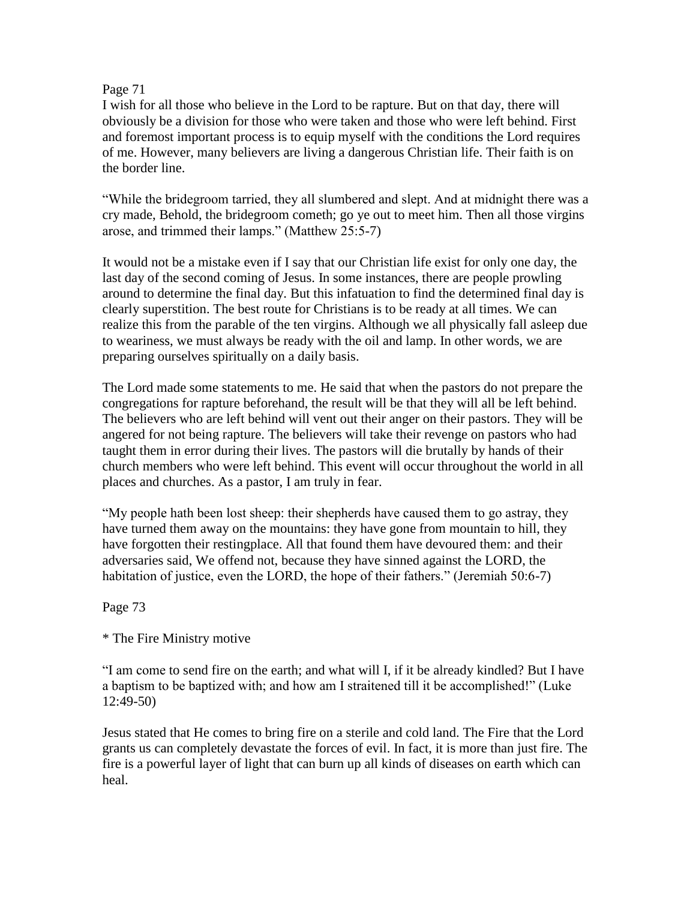## Page 71

I wish for all those who believe in the Lord to be rapture. But on that day, there will obviously be a division for those who were taken and those who were left behind. First and foremost important process is to equip myself with the conditions the Lord requires of me. However, many believers are living a dangerous Christian life. Their faith is on the border line.

"While the bridegroom tarried, they all slumbered and slept. And at midnight there was a cry made, Behold, the bridegroom cometh; go ye out to meet him. Then all those virgins arose, and trimmed their lamps." (Matthew 25:5-7)

It would not be a mistake even if I say that our Christian life exist for only one day, the last day of the second coming of Jesus. In some instances, there are people prowling around to determine the final day. But this infatuation to find the determined final day is clearly superstition. The best route for Christians is to be ready at all times. We can realize this from the parable of the ten virgins. Although we all physically fall asleep due to weariness, we must always be ready with the oil and lamp. In other words, we are preparing ourselves spiritually on a daily basis.

The Lord made some statements to me. He said that when the pastors do not prepare the congregations for rapture beforehand, the result will be that they will all be left behind. The believers who are left behind will vent out their anger on their pastors. They will be angered for not being rapture. The believers will take their revenge on pastors who had taught them in error during their lives. The pastors will die brutally by hands of their church members who were left behind. This event will occur throughout the world in all places and churches. As a pastor, I am truly in fear.

"My people hath been lost sheep: their shepherds have caused them to go astray, they have turned them away on the mountains: they have gone from mountain to hill, they have forgotten their restingplace. All that found them have devoured them: and their adversaries said, We offend not, because they have sinned against the LORD, the habitation of justice, even the LORD, the hope of their fathers." (Jeremiah 50:6-7)

Page 73

\* The Fire Ministry motive

"I am come to send fire on the earth; and what will I, if it be already kindled? But I have a baptism to be baptized with; and how am I straitened till it be accomplished!" (Luke 12:49-50)

Jesus stated that He comes to bring fire on a sterile and cold land. The Fire that the Lord grants us can completely devastate the forces of evil. In fact, it is more than just fire. The fire is a powerful layer of light that can burn up all kinds of diseases on earth which can heal.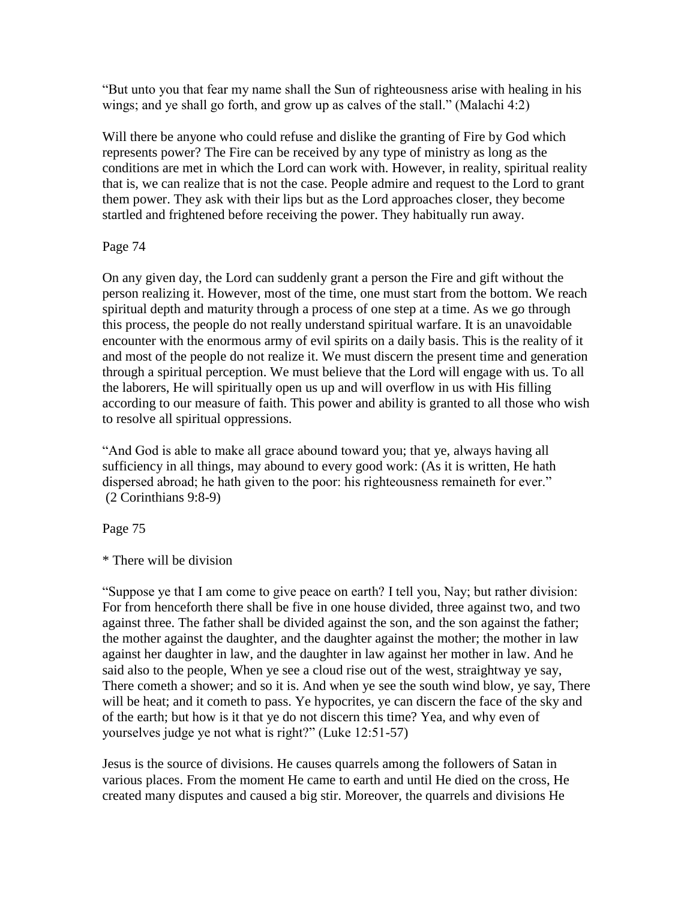"But unto you that fear my name shall the Sun of righteousness arise with healing in his wings; and ye shall go forth, and grow up as calves of the stall." (Malachi 4:2)

Will there be anyone who could refuse and dislike the granting of Fire by God which represents power? The Fire can be received by any type of ministry as long as the conditions are met in which the Lord can work with. However, in reality, spiritual reality that is, we can realize that is not the case. People admire and request to the Lord to grant them power. They ask with their lips but as the Lord approaches closer, they become startled and frightened before receiving the power. They habitually run away.

# Page 74

On any given day, the Lord can suddenly grant a person the Fire and gift without the person realizing it. However, most of the time, one must start from the bottom. We reach spiritual depth and maturity through a process of one step at a time. As we go through this process, the people do not really understand spiritual warfare. It is an unavoidable encounter with the enormous army of evil spirits on a daily basis. This is the reality of it and most of the people do not realize it. We must discern the present time and generation through a spiritual perception. We must believe that the Lord will engage with us. To all the laborers, He will spiritually open us up and will overflow in us with His filling according to our measure of faith. This power and ability is granted to all those who wish to resolve all spiritual oppressions.

"And God is able to make all grace abound toward you; that ye, always having all sufficiency in all things, may abound to every good work: (As it is written, He hath dispersed abroad; he hath given to the poor: his righteousness remaineth for ever." (2 Corinthians 9:8-9)

Page 75

\* There will be division

"Suppose ye that I am come to give peace on earth? I tell you, Nay; but rather division: For from henceforth there shall be five in one house divided, three against two, and two against three. The father shall be divided against the son, and the son against the father; the mother against the daughter, and the daughter against the mother; the mother in law against her daughter in law, and the daughter in law against her mother in law. And he said also to the people, When ye see a cloud rise out of the west, straightway ye say, There cometh a shower; and so it is. And when ye see the south wind blow, ye say, There will be heat; and it cometh to pass. Ye hypocrites, ye can discern the face of the sky and of the earth; but how is it that ye do not discern this time? Yea, and why even of yourselves judge ye not what is right?" (Luke 12:51-57)

Jesus is the source of divisions. He causes quarrels among the followers of Satan in various places. From the moment He came to earth and until He died on the cross, He created many disputes and caused a big stir. Moreover, the quarrels and divisions He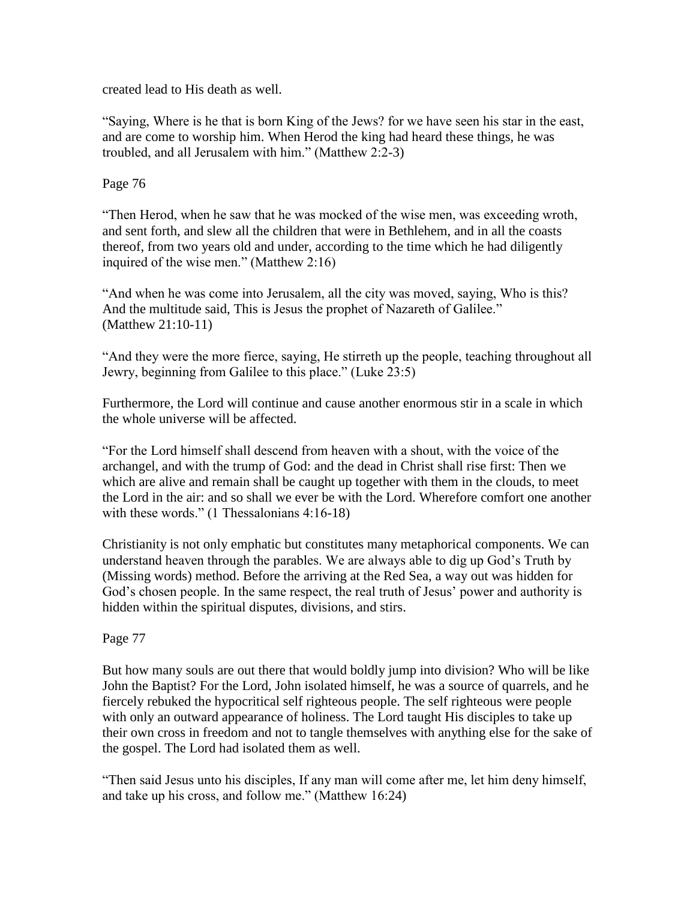created lead to His death as well.

"Saying, Where is he that is born King of the Jews? for we have seen his star in the east, and are come to worship him. When Herod the king had heard these things, he was troubled, and all Jerusalem with him." (Matthew 2:2-3)

Page 76

"Then Herod, when he saw that he was mocked of the wise men, was exceeding wroth, and sent forth, and slew all the children that were in Bethlehem, and in all the coasts thereof, from two years old and under, according to the time which he had diligently inquired of the wise men." (Matthew 2:16)

"And when he was come into Jerusalem, all the city was moved, saying, Who is this? And the multitude said, This is Jesus the prophet of Nazareth of Galilee." (Matthew 21:10-11)

"And they were the more fierce, saying, He stirreth up the people, teaching throughout all Jewry, beginning from Galilee to this place." (Luke 23:5)

Furthermore, the Lord will continue and cause another enormous stir in a scale in which the whole universe will be affected.

"For the Lord himself shall descend from heaven with a shout, with the voice of the archangel, and with the trump of God: and the dead in Christ shall rise first: Then we which are alive and remain shall be caught up together with them in the clouds, to meet the Lord in the air: and so shall we ever be with the Lord. Wherefore comfort one another with these words." (1 Thessalonians 4:16-18)

Christianity is not only emphatic but constitutes many metaphorical components. We can understand heaven through the parables. We are always able to dig up God"s Truth by (Missing words) method. Before the arriving at the Red Sea, a way out was hidden for God's chosen people. In the same respect, the real truth of Jesus' power and authority is hidden within the spiritual disputes, divisions, and stirs.

# Page 77

But how many souls are out there that would boldly jump into division? Who will be like John the Baptist? For the Lord, John isolated himself, he was a source of quarrels, and he fiercely rebuked the hypocritical self righteous people. The self righteous were people with only an outward appearance of holiness. The Lord taught His disciples to take up their own cross in freedom and not to tangle themselves with anything else for the sake of the gospel. The Lord had isolated them as well.

"Then said Jesus unto his disciples, If any man will come after me, let him deny himself, and take up his cross, and follow me." (Matthew 16:24)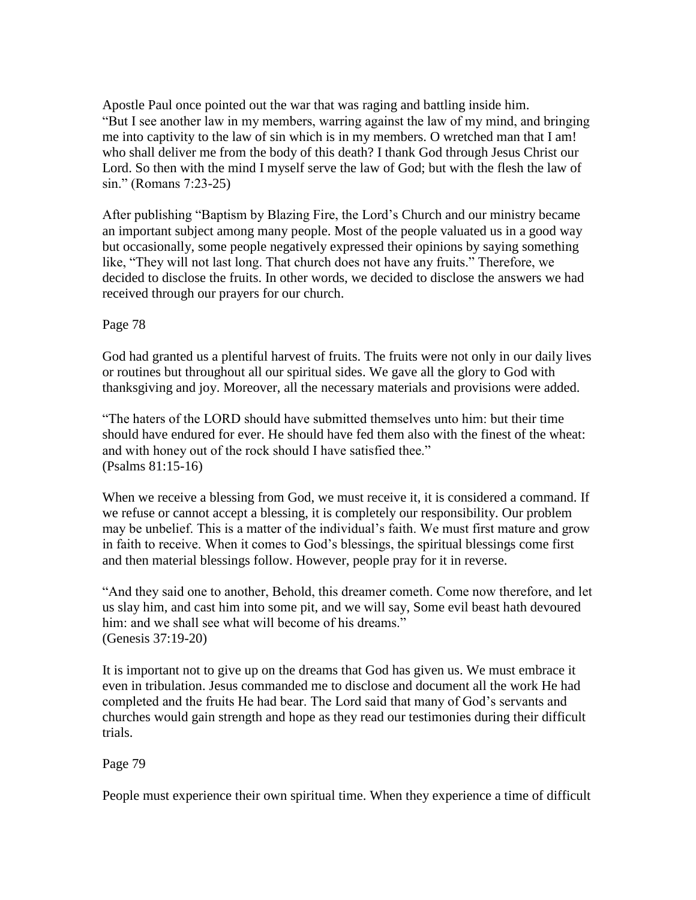Apostle Paul once pointed out the war that was raging and battling inside him. "But I see another law in my members, warring against the law of my mind, and bringing me into captivity to the law of sin which is in my members. O wretched man that I am! who shall deliver me from the body of this death? I thank God through Jesus Christ our Lord. So then with the mind I myself serve the law of God; but with the flesh the law of sin." (Romans 7:23-25)

After publishing "Baptism by Blazing Fire, the Lord"s Church and our ministry became an important subject among many people. Most of the people valuated us in a good way but occasionally, some people negatively expressed their opinions by saying something like, "They will not last long. That church does not have any fruits." Therefore, we decided to disclose the fruits. In other words, we decided to disclose the answers we had received through our prayers for our church.

## Page 78

God had granted us a plentiful harvest of fruits. The fruits were not only in our daily lives or routines but throughout all our spiritual sides. We gave all the glory to God with thanksgiving and joy. Moreover, all the necessary materials and provisions were added.

"The haters of the LORD should have submitted themselves unto him: but their time should have endured for ever. He should have fed them also with the finest of the wheat: and with honey out of the rock should I have satisfied thee." (Psalms 81:15-16)

When we receive a blessing from God, we must receive it, it is considered a command. If we refuse or cannot accept a blessing, it is completely our responsibility. Our problem may be unbelief. This is a matter of the individual's faith. We must first mature and grow in faith to receive. When it comes to God"s blessings, the spiritual blessings come first and then material blessings follow. However, people pray for it in reverse.

"And they said one to another, Behold, this dreamer cometh. Come now therefore, and let us slay him, and cast him into some pit, and we will say, Some evil beast hath devoured him: and we shall see what will become of his dreams." (Genesis 37:19-20)

It is important not to give up on the dreams that God has given us. We must embrace it even in tribulation. Jesus commanded me to disclose and document all the work He had completed and the fruits He had bear. The Lord said that many of God"s servants and churches would gain strength and hope as they read our testimonies during their difficult trials.

# Page 79

People must experience their own spiritual time. When they experience a time of difficult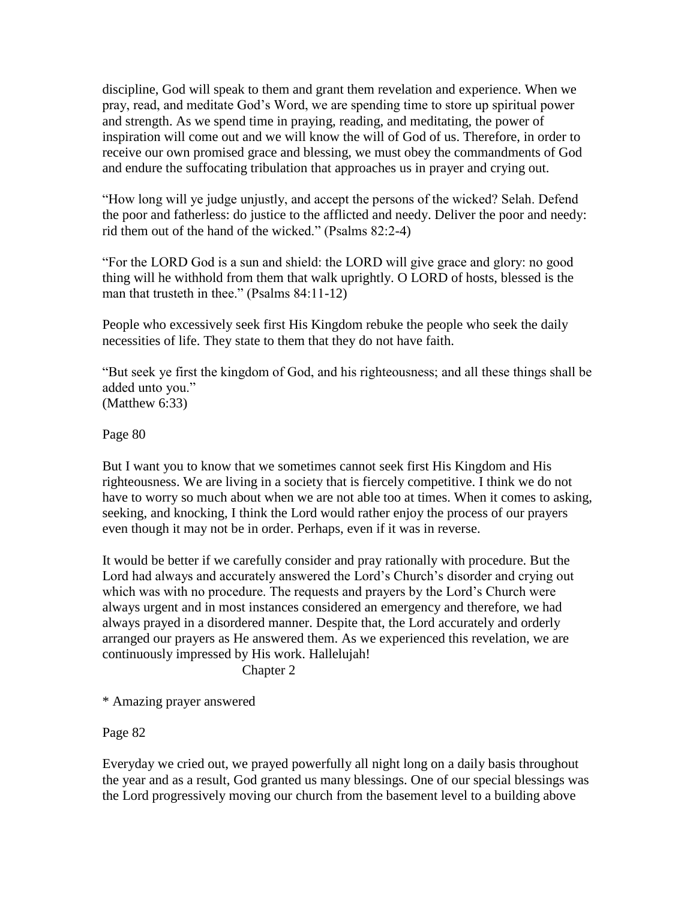discipline, God will speak to them and grant them revelation and experience. When we pray, read, and meditate God"s Word, we are spending time to store up spiritual power and strength. As we spend time in praying, reading, and meditating, the power of inspiration will come out and we will know the will of God of us. Therefore, in order to receive our own promised grace and blessing, we must obey the commandments of God and endure the suffocating tribulation that approaches us in prayer and crying out.

"How long will ye judge unjustly, and accept the persons of the wicked? Selah. Defend the poor and fatherless: do justice to the afflicted and needy. Deliver the poor and needy: rid them out of the hand of the wicked." (Psalms 82:2-4)

"For the LORD God is a sun and shield: the LORD will give grace and glory: no good thing will he withhold from them that walk uprightly. O LORD of hosts, blessed is the man that trusteth in thee." (Psalms 84:11-12)

People who excessively seek first His Kingdom rebuke the people who seek the daily necessities of life. They state to them that they do not have faith.

"But seek ye first the kingdom of God, and his righteousness; and all these things shall be added unto you." (Matthew 6:33)

Page 80

But I want you to know that we sometimes cannot seek first His Kingdom and His righteousness. We are living in a society that is fiercely competitive. I think we do not have to worry so much about when we are not able too at times. When it comes to asking, seeking, and knocking, I think the Lord would rather enjoy the process of our prayers even though it may not be in order. Perhaps, even if it was in reverse.

It would be better if we carefully consider and pray rationally with procedure. But the Lord had always and accurately answered the Lord"s Church"s disorder and crying out which was with no procedure. The requests and prayers by the Lord"s Church were always urgent and in most instances considered an emergency and therefore, we had always prayed in a disordered manner. Despite that, the Lord accurately and orderly arranged our prayers as He answered them. As we experienced this revelation, we are continuously impressed by His work. Hallelujah!

Chapter 2

\* Amazing prayer answered

Page 82

Everyday we cried out, we prayed powerfully all night long on a daily basis throughout the year and as a result, God granted us many blessings. One of our special blessings was the Lord progressively moving our church from the basement level to a building above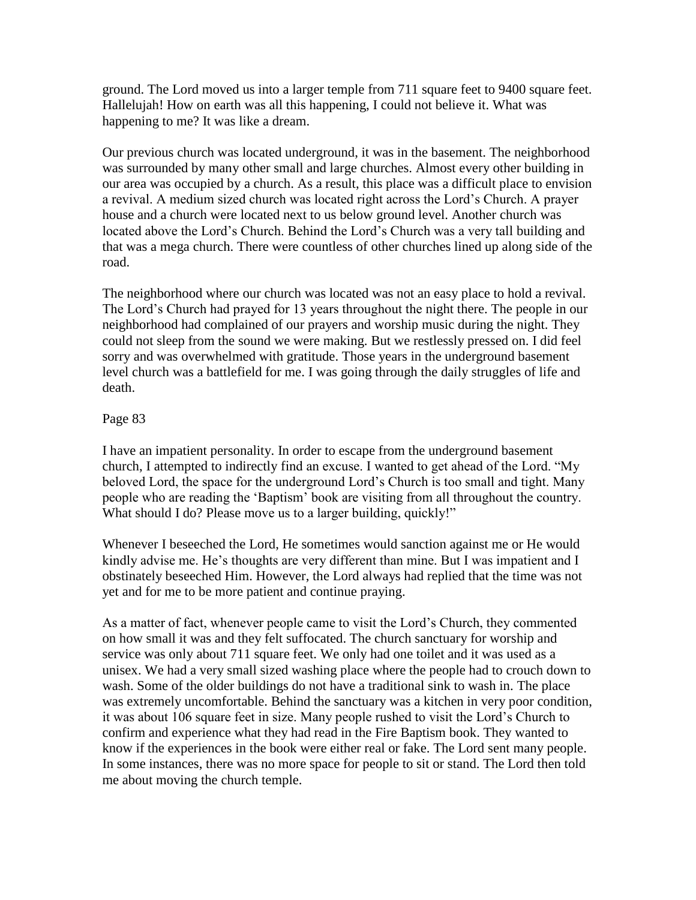ground. The Lord moved us into a larger temple from 711 square feet to 9400 square feet. Hallelujah! How on earth was all this happening, I could not believe it. What was happening to me? It was like a dream.

Our previous church was located underground, it was in the basement. The neighborhood was surrounded by many other small and large churches. Almost every other building in our area was occupied by a church. As a result, this place was a difficult place to envision a revival. A medium sized church was located right across the Lord"s Church. A prayer house and a church were located next to us below ground level. Another church was located above the Lord"s Church. Behind the Lord"s Church was a very tall building and that was a mega church. There were countless of other churches lined up along side of the road.

The neighborhood where our church was located was not an easy place to hold a revival. The Lord"s Church had prayed for 13 years throughout the night there. The people in our neighborhood had complained of our prayers and worship music during the night. They could not sleep from the sound we were making. But we restlessly pressed on. I did feel sorry and was overwhelmed with gratitude. Those years in the underground basement level church was a battlefield for me. I was going through the daily struggles of life and death.

## Page 83

I have an impatient personality. In order to escape from the underground basement church, I attempted to indirectly find an excuse. I wanted to get ahead of the Lord. "My beloved Lord, the space for the underground Lord"s Church is too small and tight. Many people who are reading the "Baptism" book are visiting from all throughout the country. What should I do? Please move us to a larger building, quickly!"

Whenever I beseeched the Lord, He sometimes would sanction against me or He would kindly advise me. He's thoughts are very different than mine. But I was impatient and I obstinately beseeched Him. However, the Lord always had replied that the time was not yet and for me to be more patient and continue praying.

As a matter of fact, whenever people came to visit the Lord"s Church, they commented on how small it was and they felt suffocated. The church sanctuary for worship and service was only about 711 square feet. We only had one toilet and it was used as a unisex. We had a very small sized washing place where the people had to crouch down to wash. Some of the older buildings do not have a traditional sink to wash in. The place was extremely uncomfortable. Behind the sanctuary was a kitchen in very poor condition, it was about 106 square feet in size. Many people rushed to visit the Lord"s Church to confirm and experience what they had read in the Fire Baptism book. They wanted to know if the experiences in the book were either real or fake. The Lord sent many people. In some instances, there was no more space for people to sit or stand. The Lord then told me about moving the church temple.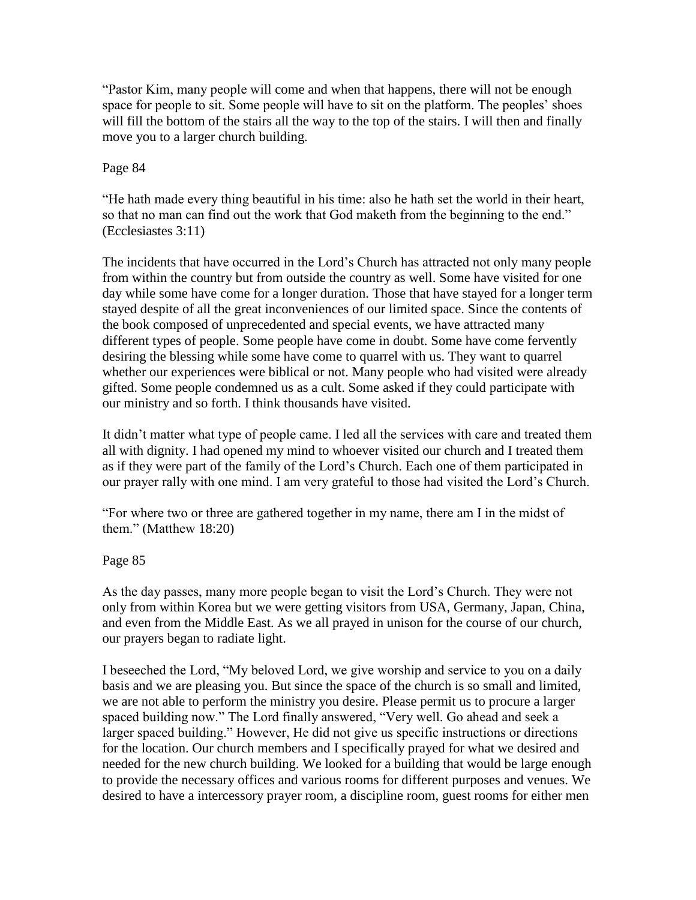"Pastor Kim, many people will come and when that happens, there will not be enough space for people to sit. Some people will have to sit on the platform. The peoples' shoes will fill the bottom of the stairs all the way to the top of the stairs. I will then and finally move you to a larger church building.

## Page 84

"He hath made every thing beautiful in his time: also he hath set the world in their heart, so that no man can find out the work that God maketh from the beginning to the end." (Ecclesiastes 3:11)

The incidents that have occurred in the Lord"s Church has attracted not only many people from within the country but from outside the country as well. Some have visited for one day while some have come for a longer duration. Those that have stayed for a longer term stayed despite of all the great inconveniences of our limited space. Since the contents of the book composed of unprecedented and special events, we have attracted many different types of people. Some people have come in doubt. Some have come fervently desiring the blessing while some have come to quarrel with us. They want to quarrel whether our experiences were biblical or not. Many people who had visited were already gifted. Some people condemned us as a cult. Some asked if they could participate with our ministry and so forth. I think thousands have visited.

It didn"t matter what type of people came. I led all the services with care and treated them all with dignity. I had opened my mind to whoever visited our church and I treated them as if they were part of the family of the Lord"s Church. Each one of them participated in our prayer rally with one mind. I am very grateful to those had visited the Lord"s Church.

"For where two or three are gathered together in my name, there am I in the midst of them." (Matthew 18:20)

# Page 85

As the day passes, many more people began to visit the Lord"s Church. They were not only from within Korea but we were getting visitors from USA, Germany, Japan, China, and even from the Middle East. As we all prayed in unison for the course of our church, our prayers began to radiate light.

I beseeched the Lord, "My beloved Lord, we give worship and service to you on a daily basis and we are pleasing you. But since the space of the church is so small and limited, we are not able to perform the ministry you desire. Please permit us to procure a larger spaced building now." The Lord finally answered, "Very well. Go ahead and seek a larger spaced building." However, He did not give us specific instructions or directions for the location. Our church members and I specifically prayed for what we desired and needed for the new church building. We looked for a building that would be large enough to provide the necessary offices and various rooms for different purposes and venues. We desired to have a intercessory prayer room, a discipline room, guest rooms for either men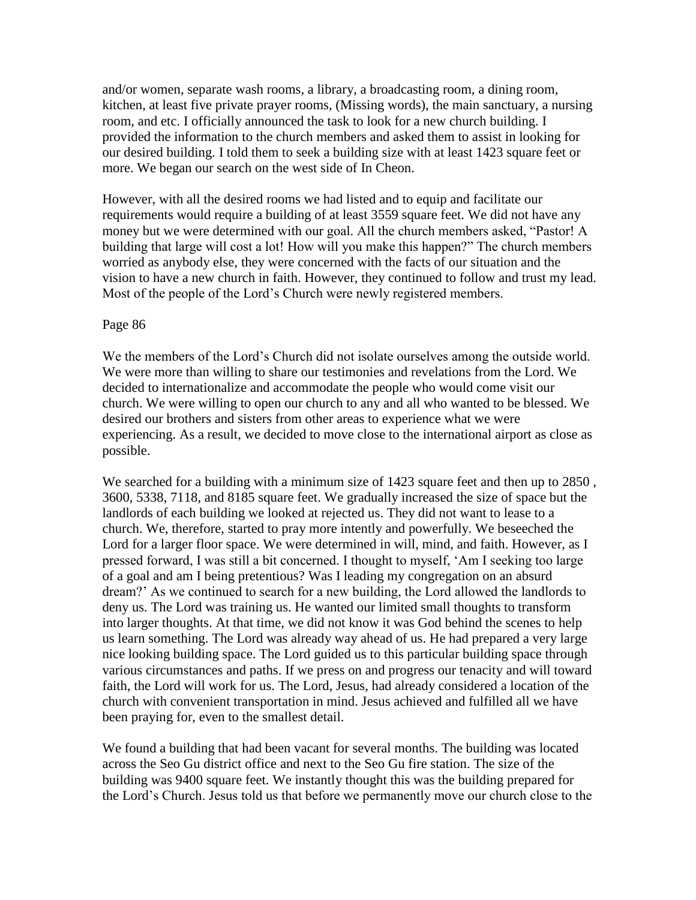and/or women, separate wash rooms, a library, a broadcasting room, a dining room, kitchen, at least five private prayer rooms, (Missing words), the main sanctuary, a nursing room, and etc. I officially announced the task to look for a new church building. I provided the information to the church members and asked them to assist in looking for our desired building. I told them to seek a building size with at least 1423 square feet or more. We began our search on the west side of In Cheon.

However, with all the desired rooms we had listed and to equip and facilitate our requirements would require a building of at least 3559 square feet. We did not have any money but we were determined with our goal. All the church members asked, "Pastor! A building that large will cost a lot! How will you make this happen?" The church members worried as anybody else, they were concerned with the facts of our situation and the vision to have a new church in faith. However, they continued to follow and trust my lead. Most of the people of the Lord"s Church were newly registered members.

### Page 86

We the members of the Lord"s Church did not isolate ourselves among the outside world. We were more than willing to share our testimonies and revelations from the Lord. We decided to internationalize and accommodate the people who would come visit our church. We were willing to open our church to any and all who wanted to be blessed. We desired our brothers and sisters from other areas to experience what we were experiencing. As a result, we decided to move close to the international airport as close as possible.

We searched for a building with a minimum size of 1423 square feet and then up to 2850, 3600, 5338, 7118, and 8185 square feet. We gradually increased the size of space but the landlords of each building we looked at rejected us. They did not want to lease to a church. We, therefore, started to pray more intently and powerfully. We beseeched the Lord for a larger floor space. We were determined in will, mind, and faith. However, as I pressed forward, I was still a bit concerned. I thought to myself, "Am I seeking too large of a goal and am I being pretentious? Was I leading my congregation on an absurd dream?" As we continued to search for a new building, the Lord allowed the landlords to deny us. The Lord was training us. He wanted our limited small thoughts to transform into larger thoughts. At that time, we did not know it was God behind the scenes to help us learn something. The Lord was already way ahead of us. He had prepared a very large nice looking building space. The Lord guided us to this particular building space through various circumstances and paths. If we press on and progress our tenacity and will toward faith, the Lord will work for us. The Lord, Jesus, had already considered a location of the church with convenient transportation in mind. Jesus achieved and fulfilled all we have been praying for, even to the smallest detail.

We found a building that had been vacant for several months. The building was located across the Seo Gu district office and next to the Seo Gu fire station. The size of the building was 9400 square feet. We instantly thought this was the building prepared for the Lord"s Church. Jesus told us that before we permanently move our church close to the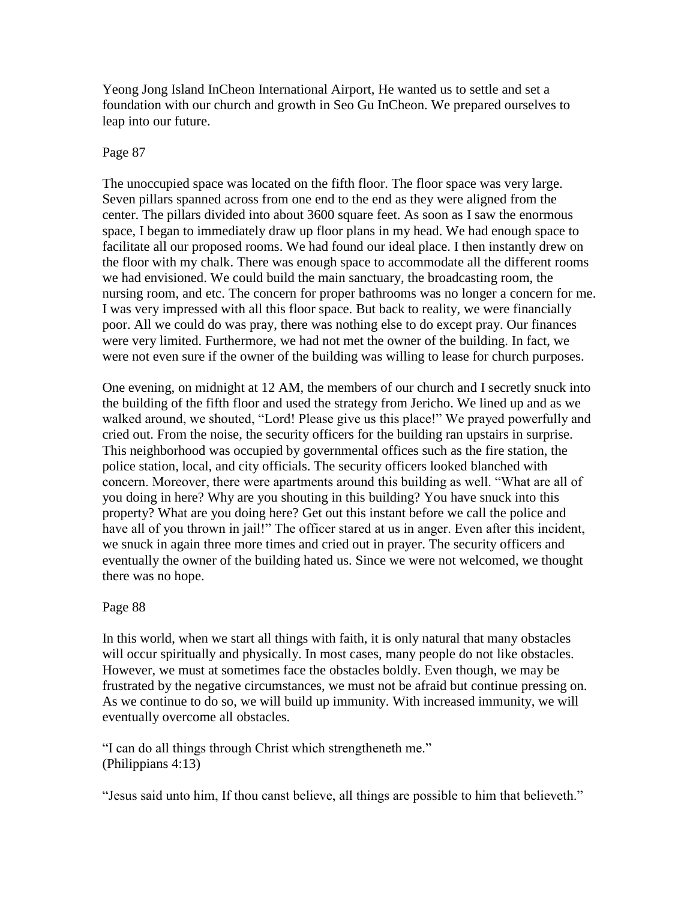Yeong Jong Island InCheon International Airport, He wanted us to settle and set a foundation with our church and growth in Seo Gu InCheon. We prepared ourselves to leap into our future.

## Page 87

The unoccupied space was located on the fifth floor. The floor space was very large. Seven pillars spanned across from one end to the end as they were aligned from the center. The pillars divided into about 3600 square feet. As soon as I saw the enormous space, I began to immediately draw up floor plans in my head. We had enough space to facilitate all our proposed rooms. We had found our ideal place. I then instantly drew on the floor with my chalk. There was enough space to accommodate all the different rooms we had envisioned. We could build the main sanctuary, the broadcasting room, the nursing room, and etc. The concern for proper bathrooms was no longer a concern for me. I was very impressed with all this floor space. But back to reality, we were financially poor. All we could do was pray, there was nothing else to do except pray. Our finances were very limited. Furthermore, we had not met the owner of the building. In fact, we were not even sure if the owner of the building was willing to lease for church purposes.

One evening, on midnight at 12 AM, the members of our church and I secretly snuck into the building of the fifth floor and used the strategy from Jericho. We lined up and as we walked around, we shouted, "Lord! Please give us this place!" We prayed powerfully and cried out. From the noise, the security officers for the building ran upstairs in surprise. This neighborhood was occupied by governmental offices such as the fire station, the police station, local, and city officials. The security officers looked blanched with concern. Moreover, there were apartments around this building as well. "What are all of you doing in here? Why are you shouting in this building? You have snuck into this property? What are you doing here? Get out this instant before we call the police and have all of you thrown in jail!" The officer stared at us in anger. Even after this incident, we snuck in again three more times and cried out in prayer. The security officers and eventually the owner of the building hated us. Since we were not welcomed, we thought there was no hope.

## Page 88

In this world, when we start all things with faith, it is only natural that many obstacles will occur spiritually and physically. In most cases, many people do not like obstacles. However, we must at sometimes face the obstacles boldly. Even though, we may be frustrated by the negative circumstances, we must not be afraid but continue pressing on. As we continue to do so, we will build up immunity. With increased immunity, we will eventually overcome all obstacles.

"I can do all things through Christ which strengtheneth me." (Philippians 4:13)

"Jesus said unto him, If thou canst believe, all things are possible to him that believeth."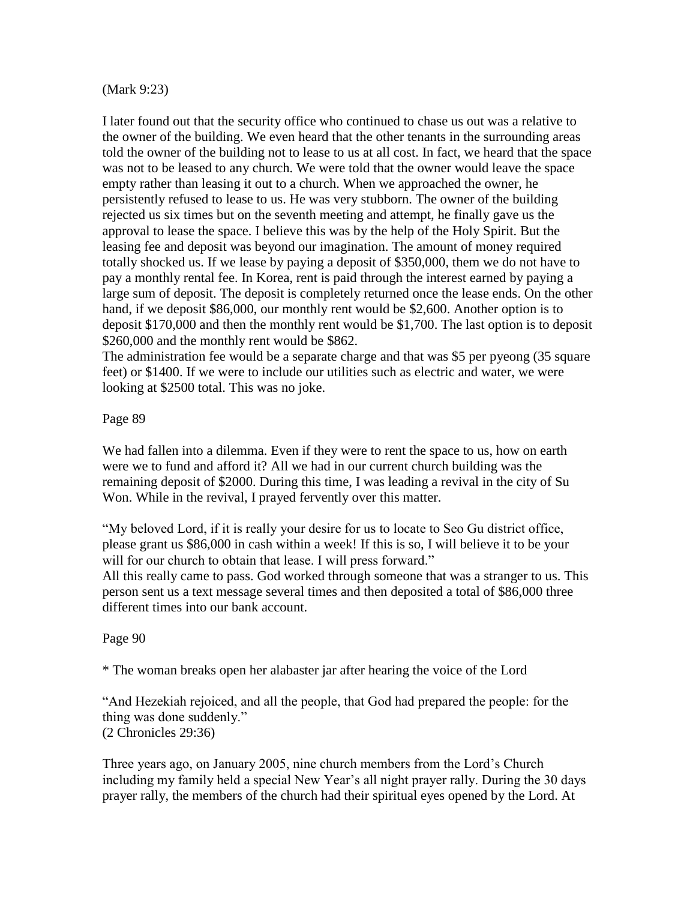### (Mark 9:23)

I later found out that the security office who continued to chase us out was a relative to the owner of the building. We even heard that the other tenants in the surrounding areas told the owner of the building not to lease to us at all cost. In fact, we heard that the space was not to be leased to any church. We were told that the owner would leave the space empty rather than leasing it out to a church. When we approached the owner, he persistently refused to lease to us. He was very stubborn. The owner of the building rejected us six times but on the seventh meeting and attempt, he finally gave us the approval to lease the space. I believe this was by the help of the Holy Spirit. But the leasing fee and deposit was beyond our imagination. The amount of money required totally shocked us. If we lease by paying a deposit of \$350,000, them we do not have to pay a monthly rental fee. In Korea, rent is paid through the interest earned by paying a large sum of deposit. The deposit is completely returned once the lease ends. On the other hand, if we deposit \$86,000, our monthly rent would be \$2,600. Another option is to deposit \$170,000 and then the monthly rent would be \$1,700. The last option is to deposit \$260,000 and the monthly rent would be \$862.

The administration fee would be a separate charge and that was \$5 per pyeong (35 square feet) or \$1400. If we were to include our utilities such as electric and water, we were looking at \$2500 total. This was no joke.

Page 89

We had fallen into a dilemma. Even if they were to rent the space to us, how on earth were we to fund and afford it? All we had in our current church building was the remaining deposit of \$2000. During this time, I was leading a revival in the city of Su Won. While in the revival, I prayed fervently over this matter.

"My beloved Lord, if it is really your desire for us to locate to Seo Gu district office, please grant us \$86,000 in cash within a week! If this is so, I will believe it to be your will for our church to obtain that lease. I will press forward."

All this really came to pass. God worked through someone that was a stranger to us. This person sent us a text message several times and then deposited a total of \$86,000 three different times into our bank account.

Page 90

\* The woman breaks open her alabaster jar after hearing the voice of the Lord

"And Hezekiah rejoiced, and all the people, that God had prepared the people: for the thing was done suddenly." (2 Chronicles 29:36)

Three years ago, on January 2005, nine church members from the Lord"s Church including my family held a special New Year's all night prayer rally. During the 30 days prayer rally, the members of the church had their spiritual eyes opened by the Lord. At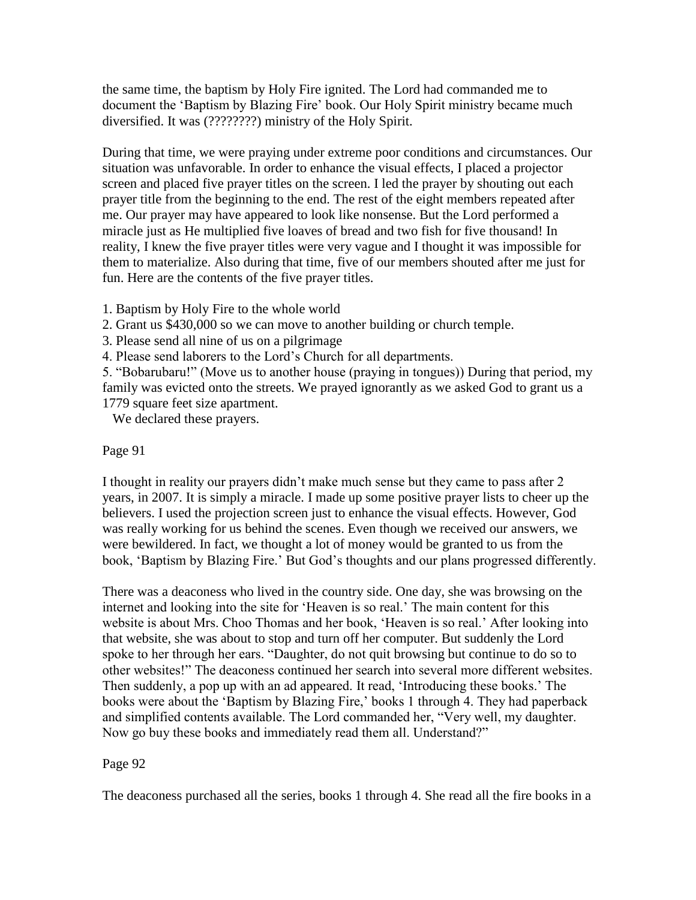the same time, the baptism by Holy Fire ignited. The Lord had commanded me to document the "Baptism by Blazing Fire" book. Our Holy Spirit ministry became much diversified. It was (????????) ministry of the Holy Spirit.

During that time, we were praying under extreme poor conditions and circumstances. Our situation was unfavorable. In order to enhance the visual effects, I placed a projector screen and placed five prayer titles on the screen. I led the prayer by shouting out each prayer title from the beginning to the end. The rest of the eight members repeated after me. Our prayer may have appeared to look like nonsense. But the Lord performed a miracle just as He multiplied five loaves of bread and two fish for five thousand! In reality, I knew the five prayer titles were very vague and I thought it was impossible for them to materialize. Also during that time, five of our members shouted after me just for fun. Here are the contents of the five prayer titles.

1. Baptism by Holy Fire to the whole world

2. Grant us \$430,000 so we can move to another building or church temple.

3. Please send all nine of us on a pilgrimage

4. Please send laborers to the Lord"s Church for all departments.

5. "Bobarubaru!" (Move us to another house (praying in tongues)) During that period, my family was evicted onto the streets. We prayed ignorantly as we asked God to grant us a 1779 square feet size apartment.

We declared these prayers.

## Page 91

I thought in reality our prayers didn"t make much sense but they came to pass after 2 years, in 2007. It is simply a miracle. I made up some positive prayer lists to cheer up the believers. I used the projection screen just to enhance the visual effects. However, God was really working for us behind the scenes. Even though we received our answers, we were bewildered. In fact, we thought a lot of money would be granted to us from the book, 'Baptism by Blazing Fire.' But God's thoughts and our plans progressed differently.

There was a deaconess who lived in the country side. One day, she was browsing on the internet and looking into the site for "Heaven is so real." The main content for this website is about Mrs. Choo Thomas and her book, 'Heaven is so real.' After looking into that website, she was about to stop and turn off her computer. But suddenly the Lord spoke to her through her ears. "Daughter, do not quit browsing but continue to do so to other websites!" The deaconess continued her search into several more different websites. Then suddenly, a pop up with an ad appeared. It read, "Introducing these books." The books were about the 'Baptism by Blazing Fire,' books 1 through 4. They had paperback and simplified contents available. The Lord commanded her, "Very well, my daughter. Now go buy these books and immediately read them all. Understand?"

# Page 92

The deaconess purchased all the series, books 1 through 4. She read all the fire books in a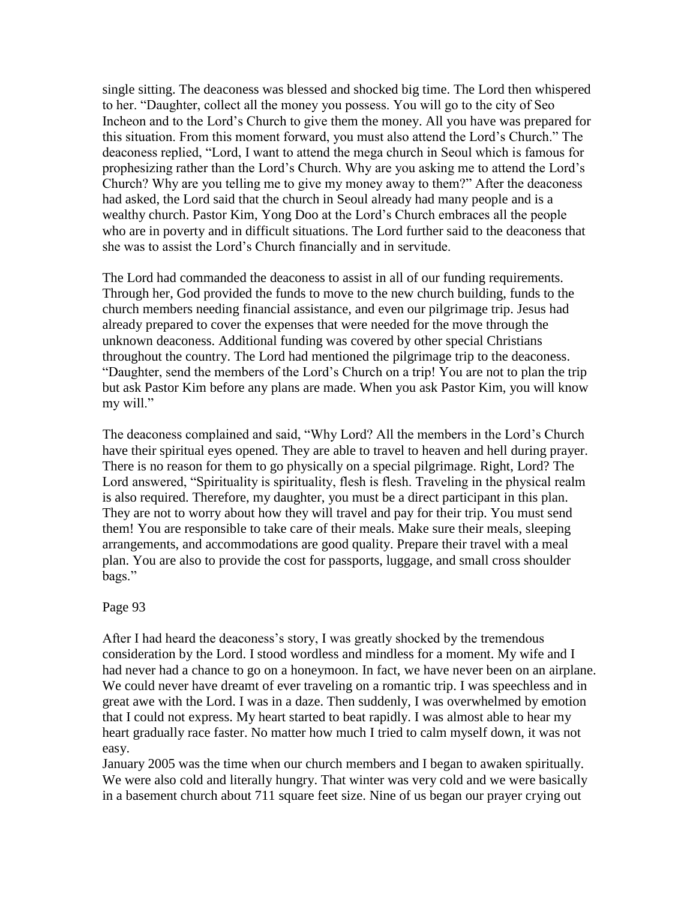single sitting. The deaconess was blessed and shocked big time. The Lord then whispered to her. "Daughter, collect all the money you possess. You will go to the city of Seo Incheon and to the Lord"s Church to give them the money. All you have was prepared for this situation. From this moment forward, you must also attend the Lord"s Church." The deaconess replied, "Lord, I want to attend the mega church in Seoul which is famous for prophesizing rather than the Lord"s Church. Why are you asking me to attend the Lord"s Church? Why are you telling me to give my money away to them?" After the deaconess had asked, the Lord said that the church in Seoul already had many people and is a wealthy church. Pastor Kim, Yong Doo at the Lord"s Church embraces all the people who are in poverty and in difficult situations. The Lord further said to the deaconess that she was to assist the Lord"s Church financially and in servitude.

The Lord had commanded the deaconess to assist in all of our funding requirements. Through her, God provided the funds to move to the new church building, funds to the church members needing financial assistance, and even our pilgrimage trip. Jesus had already prepared to cover the expenses that were needed for the move through the unknown deaconess. Additional funding was covered by other special Christians throughout the country. The Lord had mentioned the pilgrimage trip to the deaconess. "Daughter, send the members of the Lord"s Church on a trip! You are not to plan the trip but ask Pastor Kim before any plans are made. When you ask Pastor Kim, you will know my will."

The deaconess complained and said, "Why Lord? All the members in the Lord"s Church have their spiritual eyes opened. They are able to travel to heaven and hell during prayer. There is no reason for them to go physically on a special pilgrimage. Right, Lord? The Lord answered, "Spirituality is spirituality, flesh is flesh. Traveling in the physical realm is also required. Therefore, my daughter, you must be a direct participant in this plan. They are not to worry about how they will travel and pay for their trip. You must send them! You are responsible to take care of their meals. Make sure their meals, sleeping arrangements, and accommodations are good quality. Prepare their travel with a meal plan. You are also to provide the cost for passports, luggage, and small cross shoulder bags."

Page 93

After I had heard the deaconess's story, I was greatly shocked by the tremendous consideration by the Lord. I stood wordless and mindless for a moment. My wife and I had never had a chance to go on a honeymoon. In fact, we have never been on an airplane. We could never have dreamt of ever traveling on a romantic trip. I was speechless and in great awe with the Lord. I was in a daze. Then suddenly, I was overwhelmed by emotion that I could not express. My heart started to beat rapidly. I was almost able to hear my heart gradually race faster. No matter how much I tried to calm myself down, it was not easy.

January 2005 was the time when our church members and I began to awaken spiritually. We were also cold and literally hungry. That winter was very cold and we were basically in a basement church about 711 square feet size. Nine of us began our prayer crying out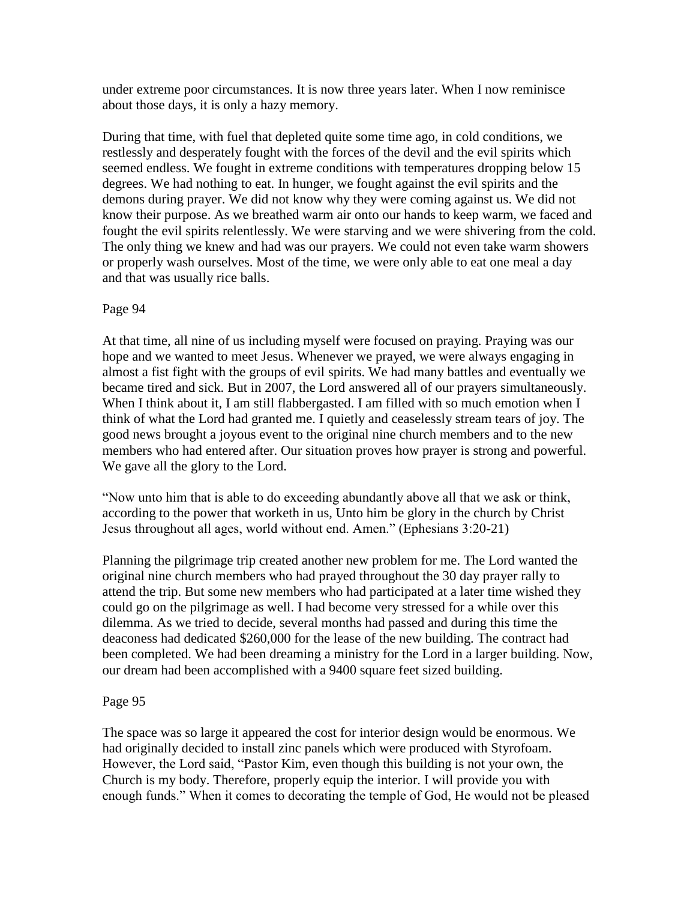under extreme poor circumstances. It is now three years later. When I now reminisce about those days, it is only a hazy memory.

During that time, with fuel that depleted quite some time ago, in cold conditions, we restlessly and desperately fought with the forces of the devil and the evil spirits which seemed endless. We fought in extreme conditions with temperatures dropping below 15 degrees. We had nothing to eat. In hunger, we fought against the evil spirits and the demons during prayer. We did not know why they were coming against us. We did not know their purpose. As we breathed warm air onto our hands to keep warm, we faced and fought the evil spirits relentlessly. We were starving and we were shivering from the cold. The only thing we knew and had was our prayers. We could not even take warm showers or properly wash ourselves. Most of the time, we were only able to eat one meal a day and that was usually rice balls.

# Page 94

At that time, all nine of us including myself were focused on praying. Praying was our hope and we wanted to meet Jesus. Whenever we prayed, we were always engaging in almost a fist fight with the groups of evil spirits. We had many battles and eventually we became tired and sick. But in 2007, the Lord answered all of our prayers simultaneously. When I think about it, I am still flabbergasted. I am filled with so much emotion when I think of what the Lord had granted me. I quietly and ceaselessly stream tears of joy. The good news brought a joyous event to the original nine church members and to the new members who had entered after. Our situation proves how prayer is strong and powerful. We gave all the glory to the Lord.

"Now unto him that is able to do exceeding abundantly above all that we ask or think, according to the power that worketh in us, Unto him be glory in the church by Christ Jesus throughout all ages, world without end. Amen." (Ephesians 3:20-21)

Planning the pilgrimage trip created another new problem for me. The Lord wanted the original nine church members who had prayed throughout the 30 day prayer rally to attend the trip. But some new members who had participated at a later time wished they could go on the pilgrimage as well. I had become very stressed for a while over this dilemma. As we tried to decide, several months had passed and during this time the deaconess had dedicated \$260,000 for the lease of the new building. The contract had been completed. We had been dreaming a ministry for the Lord in a larger building. Now, our dream had been accomplished with a 9400 square feet sized building.

## Page 95

The space was so large it appeared the cost for interior design would be enormous. We had originally decided to install zinc panels which were produced with Styrofoam. However, the Lord said, "Pastor Kim, even though this building is not your own, the Church is my body. Therefore, properly equip the interior. I will provide you with enough funds." When it comes to decorating the temple of God, He would not be pleased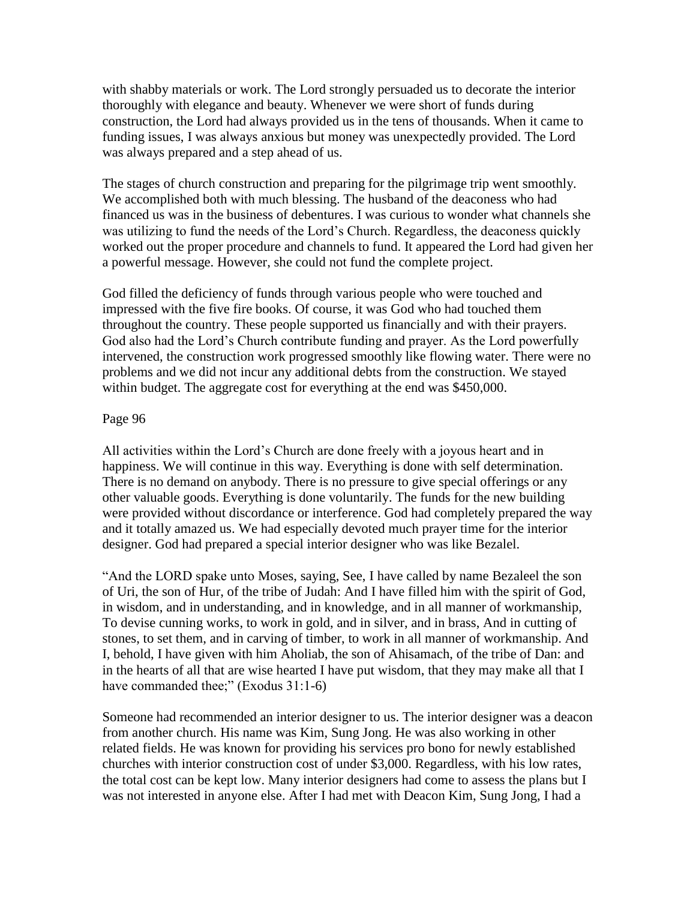with shabby materials or work. The Lord strongly persuaded us to decorate the interior thoroughly with elegance and beauty. Whenever we were short of funds during construction, the Lord had always provided us in the tens of thousands. When it came to funding issues, I was always anxious but money was unexpectedly provided. The Lord was always prepared and a step ahead of us.

The stages of church construction and preparing for the pilgrimage trip went smoothly. We accomplished both with much blessing. The husband of the deaconess who had financed us was in the business of debentures. I was curious to wonder what channels she was utilizing to fund the needs of the Lord"s Church. Regardless, the deaconess quickly worked out the proper procedure and channels to fund. It appeared the Lord had given her a powerful message. However, she could not fund the complete project.

God filled the deficiency of funds through various people who were touched and impressed with the five fire books. Of course, it was God who had touched them throughout the country. These people supported us financially and with their prayers. God also had the Lord"s Church contribute funding and prayer. As the Lord powerfully intervened, the construction work progressed smoothly like flowing water. There were no problems and we did not incur any additional debts from the construction. We stayed within budget. The aggregate cost for everything at the end was \$450,000.

## Page 96

All activities within the Lord"s Church are done freely with a joyous heart and in happiness. We will continue in this way. Everything is done with self determination. There is no demand on anybody. There is no pressure to give special offerings or any other valuable goods. Everything is done voluntarily. The funds for the new building were provided without discordance or interference. God had completely prepared the way and it totally amazed us. We had especially devoted much prayer time for the interior designer. God had prepared a special interior designer who was like Bezalel.

"And the LORD spake unto Moses, saying, See, I have called by name Bezaleel the son of Uri, the son of Hur, of the tribe of Judah: And I have filled him with the spirit of God, in wisdom, and in understanding, and in knowledge, and in all manner of workmanship, To devise cunning works, to work in gold, and in silver, and in brass, And in cutting of stones, to set them, and in carving of timber, to work in all manner of workmanship. And I, behold, I have given with him Aholiab, the son of Ahisamach, of the tribe of Dan: and in the hearts of all that are wise hearted I have put wisdom, that they may make all that I have commanded thee;" (Exodus 31:1-6)

Someone had recommended an interior designer to us. The interior designer was a deacon from another church. His name was Kim, Sung Jong. He was also working in other related fields. He was known for providing his services pro bono for newly established churches with interior construction cost of under \$3,000. Regardless, with his low rates, the total cost can be kept low. Many interior designers had come to assess the plans but I was not interested in anyone else. After I had met with Deacon Kim, Sung Jong, I had a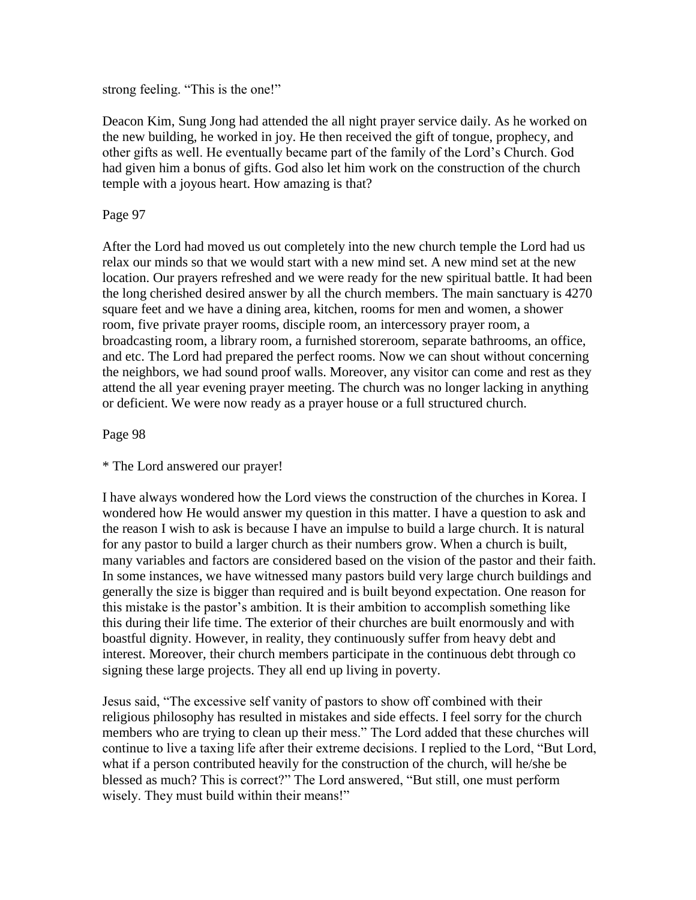strong feeling. "This is the one!"

Deacon Kim, Sung Jong had attended the all night prayer service daily. As he worked on the new building, he worked in joy. He then received the gift of tongue, prophecy, and other gifts as well. He eventually became part of the family of the Lord"s Church. God had given him a bonus of gifts. God also let him work on the construction of the church temple with a joyous heart. How amazing is that?

Page 97

After the Lord had moved us out completely into the new church temple the Lord had us relax our minds so that we would start with a new mind set. A new mind set at the new location. Our prayers refreshed and we were ready for the new spiritual battle. It had been the long cherished desired answer by all the church members. The main sanctuary is 4270 square feet and we have a dining area, kitchen, rooms for men and women, a shower room, five private prayer rooms, disciple room, an intercessory prayer room, a broadcasting room, a library room, a furnished storeroom, separate bathrooms, an office, and etc. The Lord had prepared the perfect rooms. Now we can shout without concerning the neighbors, we had sound proof walls. Moreover, any visitor can come and rest as they attend the all year evening prayer meeting. The church was no longer lacking in anything or deficient. We were now ready as a prayer house or a full structured church.

Page 98

\* The Lord answered our prayer!

I have always wondered how the Lord views the construction of the churches in Korea. I wondered how He would answer my question in this matter. I have a question to ask and the reason I wish to ask is because I have an impulse to build a large church. It is natural for any pastor to build a larger church as their numbers grow. When a church is built, many variables and factors are considered based on the vision of the pastor and their faith. In some instances, we have witnessed many pastors build very large church buildings and generally the size is bigger than required and is built beyond expectation. One reason for this mistake is the pastor"s ambition. It is their ambition to accomplish something like this during their life time. The exterior of their churches are built enormously and with boastful dignity. However, in reality, they continuously suffer from heavy debt and interest. Moreover, their church members participate in the continuous debt through co signing these large projects. They all end up living in poverty.

Jesus said, "The excessive self vanity of pastors to show off combined with their religious philosophy has resulted in mistakes and side effects. I feel sorry for the church members who are trying to clean up their mess." The Lord added that these churches will continue to live a taxing life after their extreme decisions. I replied to the Lord, "But Lord, what if a person contributed heavily for the construction of the church, will he/she be blessed as much? This is correct?" The Lord answered, "But still, one must perform wisely. They must build within their means!"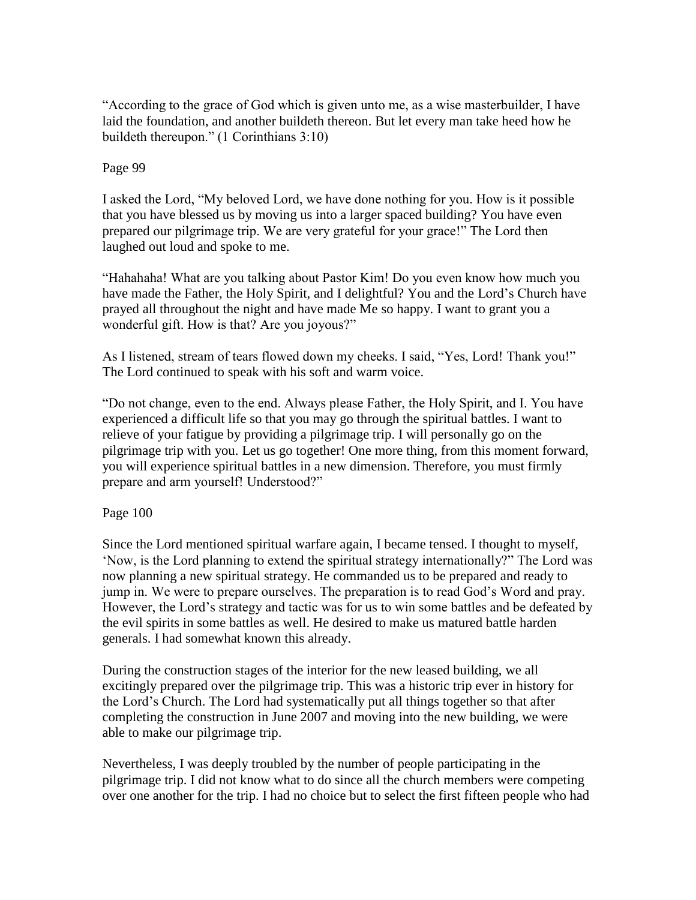"According to the grace of God which is given unto me, as a wise masterbuilder, I have laid the foundation, and another buildeth thereon. But let every man take heed how he buildeth thereupon." (1 Corinthians 3:10)

## Page 99

I asked the Lord, "My beloved Lord, we have done nothing for you. How is it possible that you have blessed us by moving us into a larger spaced building? You have even prepared our pilgrimage trip. We are very grateful for your grace!" The Lord then laughed out loud and spoke to me.

"Hahahaha! What are you talking about Pastor Kim! Do you even know how much you have made the Father, the Holy Spirit, and I delightful? You and the Lord's Church have prayed all throughout the night and have made Me so happy. I want to grant you a wonderful gift. How is that? Are you joyous?"

As I listened, stream of tears flowed down my cheeks. I said, "Yes, Lord! Thank you!" The Lord continued to speak with his soft and warm voice.

"Do not change, even to the end. Always please Father, the Holy Spirit, and I. You have experienced a difficult life so that you may go through the spiritual battles. I want to relieve of your fatigue by providing a pilgrimage trip. I will personally go on the pilgrimage trip with you. Let us go together! One more thing, from this moment forward, you will experience spiritual battles in a new dimension. Therefore, you must firmly prepare and arm yourself! Understood?"

Page 100

Since the Lord mentioned spiritual warfare again, I became tensed. I thought to myself, "Now, is the Lord planning to extend the spiritual strategy internationally?" The Lord was now planning a new spiritual strategy. He commanded us to be prepared and ready to jump in. We were to prepare ourselves. The preparation is to read God"s Word and pray. However, the Lord"s strategy and tactic was for us to win some battles and be defeated by the evil spirits in some battles as well. He desired to make us matured battle harden generals. I had somewhat known this already.

During the construction stages of the interior for the new leased building, we all excitingly prepared over the pilgrimage trip. This was a historic trip ever in history for the Lord"s Church. The Lord had systematically put all things together so that after completing the construction in June 2007 and moving into the new building, we were able to make our pilgrimage trip.

Nevertheless, I was deeply troubled by the number of people participating in the pilgrimage trip. I did not know what to do since all the church members were competing over one another for the trip. I had no choice but to select the first fifteen people who had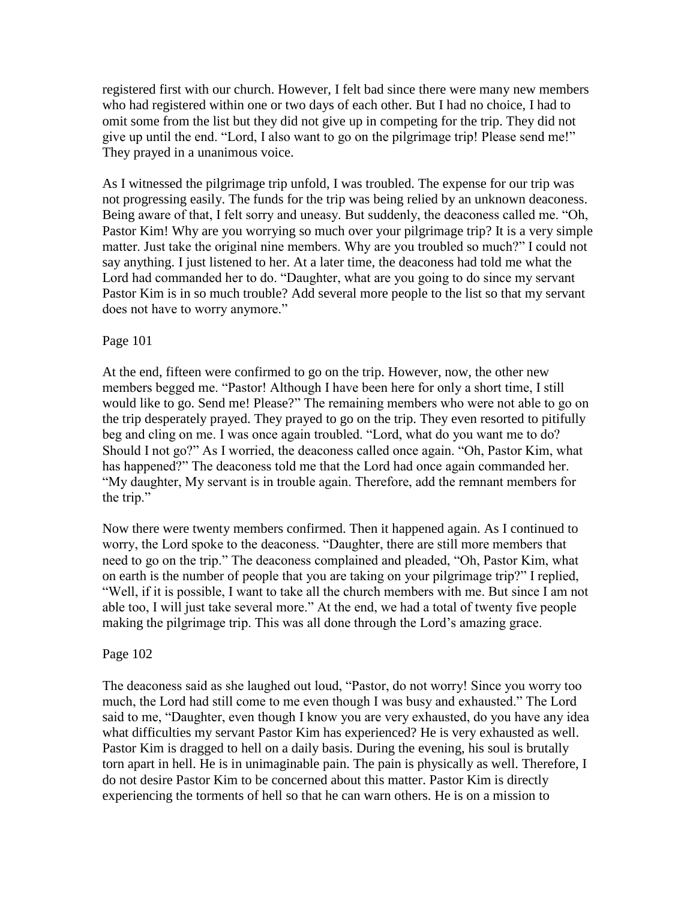registered first with our church. However, I felt bad since there were many new members who had registered within one or two days of each other. But I had no choice, I had to omit some from the list but they did not give up in competing for the trip. They did not give up until the end. "Lord, I also want to go on the pilgrimage trip! Please send me!" They prayed in a unanimous voice.

As I witnessed the pilgrimage trip unfold, I was troubled. The expense for our trip was not progressing easily. The funds for the trip was being relied by an unknown deaconess. Being aware of that, I felt sorry and uneasy. But suddenly, the deaconess called me. "Oh, Pastor Kim! Why are you worrying so much over your pilgrimage trip? It is a very simple matter. Just take the original nine members. Why are you troubled so much?" I could not say anything. I just listened to her. At a later time, the deaconess had told me what the Lord had commanded her to do. "Daughter, what are you going to do since my servant Pastor Kim is in so much trouble? Add several more people to the list so that my servant does not have to worry anymore."

## Page 101

At the end, fifteen were confirmed to go on the trip. However, now, the other new members begged me. "Pastor! Although I have been here for only a short time, I still would like to go. Send me! Please?" The remaining members who were not able to go on the trip desperately prayed. They prayed to go on the trip. They even resorted to pitifully beg and cling on me. I was once again troubled. "Lord, what do you want me to do? Should I not go?" As I worried, the deaconess called once again. "Oh, Pastor Kim, what has happened?" The deaconess told me that the Lord had once again commanded her. "My daughter, My servant is in trouble again. Therefore, add the remnant members for the trip."

Now there were twenty members confirmed. Then it happened again. As I continued to worry, the Lord spoke to the deaconess. "Daughter, there are still more members that need to go on the trip." The deaconess complained and pleaded, "Oh, Pastor Kim, what on earth is the number of people that you are taking on your pilgrimage trip?" I replied, "Well, if it is possible, I want to take all the church members with me. But since I am not able too, I will just take several more." At the end, we had a total of twenty five people making the pilgrimage trip. This was all done through the Lord"s amazing grace.

#### Page 102

The deaconess said as she laughed out loud, "Pastor, do not worry! Since you worry too much, the Lord had still come to me even though I was busy and exhausted." The Lord said to me, "Daughter, even though I know you are very exhausted, do you have any idea what difficulties my servant Pastor Kim has experienced? He is very exhausted as well. Pastor Kim is dragged to hell on a daily basis. During the evening, his soul is brutally torn apart in hell. He is in unimaginable pain. The pain is physically as well. Therefore, I do not desire Pastor Kim to be concerned about this matter. Pastor Kim is directly experiencing the torments of hell so that he can warn others. He is on a mission to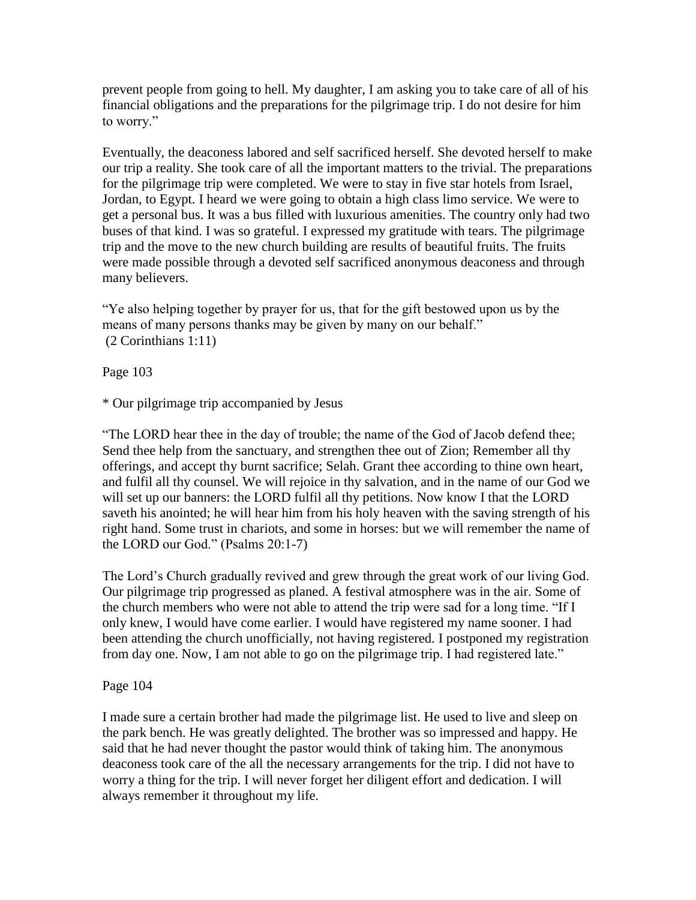prevent people from going to hell. My daughter, I am asking you to take care of all of his financial obligations and the preparations for the pilgrimage trip. I do not desire for him to worry."

Eventually, the deaconess labored and self sacrificed herself. She devoted herself to make our trip a reality. She took care of all the important matters to the trivial. The preparations for the pilgrimage trip were completed. We were to stay in five star hotels from Israel, Jordan, to Egypt. I heard we were going to obtain a high class limo service. We were to get a personal bus. It was a bus filled with luxurious amenities. The country only had two buses of that kind. I was so grateful. I expressed my gratitude with tears. The pilgrimage trip and the move to the new church building are results of beautiful fruits. The fruits were made possible through a devoted self sacrificed anonymous deaconess and through many believers.

"Ye also helping together by prayer for us, that for the gift bestowed upon us by the means of many persons thanks may be given by many on our behalf." (2 Corinthians 1:11)

Page 103

\* Our pilgrimage trip accompanied by Jesus

"The LORD hear thee in the day of trouble; the name of the God of Jacob defend thee; Send thee help from the sanctuary, and strengthen thee out of Zion; Remember all thy offerings, and accept thy burnt sacrifice; Selah. Grant thee according to thine own heart, and fulfil all thy counsel. We will rejoice in thy salvation, and in the name of our God we will set up our banners: the LORD fulfil all thy petitions. Now know I that the LORD saveth his anointed; he will hear him from his holy heaven with the saving strength of his right hand. Some trust in chariots, and some in horses: but we will remember the name of the LORD our God." (Psalms 20:1-7)

The Lord"s Church gradually revived and grew through the great work of our living God. Our pilgrimage trip progressed as planed. A festival atmosphere was in the air. Some of the church members who were not able to attend the trip were sad for a long time. "If I only knew, I would have come earlier. I would have registered my name sooner. I had been attending the church unofficially, not having registered. I postponed my registration from day one. Now, I am not able to go on the pilgrimage trip. I had registered late."

Page 104

I made sure a certain brother had made the pilgrimage list. He used to live and sleep on the park bench. He was greatly delighted. The brother was so impressed and happy. He said that he had never thought the pastor would think of taking him. The anonymous deaconess took care of the all the necessary arrangements for the trip. I did not have to worry a thing for the trip. I will never forget her diligent effort and dedication. I will always remember it throughout my life.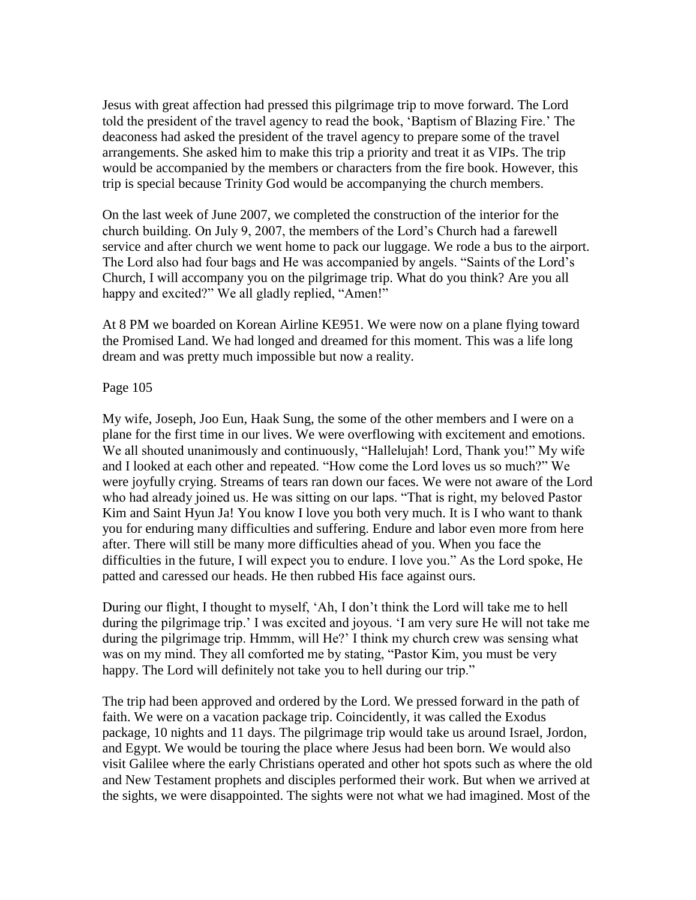Jesus with great affection had pressed this pilgrimage trip to move forward. The Lord told the president of the travel agency to read the book, "Baptism of Blazing Fire." The deaconess had asked the president of the travel agency to prepare some of the travel arrangements. She asked him to make this trip a priority and treat it as VIPs. The trip would be accompanied by the members or characters from the fire book. However, this trip is special because Trinity God would be accompanying the church members.

On the last week of June 2007, we completed the construction of the interior for the church building. On July 9, 2007, the members of the Lord"s Church had a farewell service and after church we went home to pack our luggage. We rode a bus to the airport. The Lord also had four bags and He was accompanied by angels. "Saints of the Lord"s Church, I will accompany you on the pilgrimage trip. What do you think? Are you all happy and excited?" We all gladly replied, "Amen!"

At 8 PM we boarded on Korean Airline KE951. We were now on a plane flying toward the Promised Land. We had longed and dreamed for this moment. This was a life long dream and was pretty much impossible but now a reality.

### Page 105

My wife, Joseph, Joo Eun, Haak Sung, the some of the other members and I were on a plane for the first time in our lives. We were overflowing with excitement and emotions. We all shouted unanimously and continuously, "Hallelujah! Lord, Thank you!" My wife and I looked at each other and repeated. "How come the Lord loves us so much?" We were joyfully crying. Streams of tears ran down our faces. We were not aware of the Lord who had already joined us. He was sitting on our laps. "That is right, my beloved Pastor Kim and Saint Hyun Ja! You know I love you both very much. It is I who want to thank you for enduring many difficulties and suffering. Endure and labor even more from here after. There will still be many more difficulties ahead of you. When you face the difficulties in the future, I will expect you to endure. I love you." As the Lord spoke, He patted and caressed our heads. He then rubbed His face against ours.

During our flight, I thought to myself, "Ah, I don"t think the Lord will take me to hell during the pilgrimage trip." I was excited and joyous. "I am very sure He will not take me during the pilgrimage trip. Hmmm, will He?" I think my church crew was sensing what was on my mind. They all comforted me by stating, "Pastor Kim, you must be very happy. The Lord will definitely not take you to hell during our trip."

The trip had been approved and ordered by the Lord. We pressed forward in the path of faith. We were on a vacation package trip. Coincidently, it was called the Exodus package, 10 nights and 11 days. The pilgrimage trip would take us around Israel, Jordon, and Egypt. We would be touring the place where Jesus had been born. We would also visit Galilee where the early Christians operated and other hot spots such as where the old and New Testament prophets and disciples performed their work. But when we arrived at the sights, we were disappointed. The sights were not what we had imagined. Most of the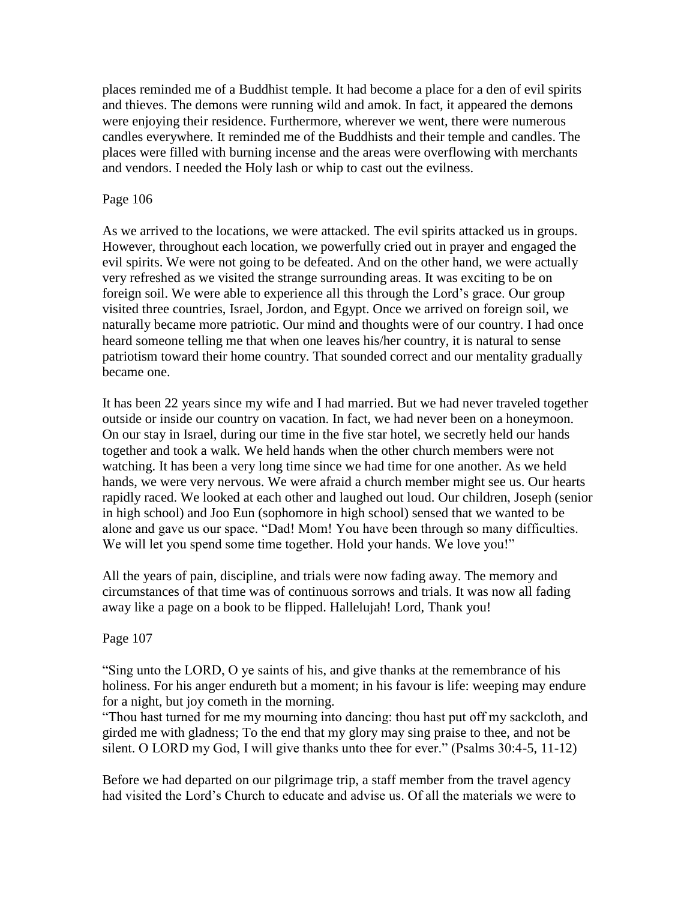places reminded me of a Buddhist temple. It had become a place for a den of evil spirits and thieves. The demons were running wild and amok. In fact, it appeared the demons were enjoying their residence. Furthermore, wherever we went, there were numerous candles everywhere. It reminded me of the Buddhists and their temple and candles. The places were filled with burning incense and the areas were overflowing with merchants and vendors. I needed the Holy lash or whip to cast out the evilness.

### Page 106

As we arrived to the locations, we were attacked. The evil spirits attacked us in groups. However, throughout each location, we powerfully cried out in prayer and engaged the evil spirits. We were not going to be defeated. And on the other hand, we were actually very refreshed as we visited the strange surrounding areas. It was exciting to be on foreign soil. We were able to experience all this through the Lord"s grace. Our group visited three countries, Israel, Jordon, and Egypt. Once we arrived on foreign soil, we naturally became more patriotic. Our mind and thoughts were of our country. I had once heard someone telling me that when one leaves his/her country, it is natural to sense patriotism toward their home country. That sounded correct and our mentality gradually became one.

It has been 22 years since my wife and I had married. But we had never traveled together outside or inside our country on vacation. In fact, we had never been on a honeymoon. On our stay in Israel, during our time in the five star hotel, we secretly held our hands together and took a walk. We held hands when the other church members were not watching. It has been a very long time since we had time for one another. As we held hands, we were very nervous. We were afraid a church member might see us. Our hearts rapidly raced. We looked at each other and laughed out loud. Our children, Joseph (senior in high school) and Joo Eun (sophomore in high school) sensed that we wanted to be alone and gave us our space. "Dad! Mom! You have been through so many difficulties. We will let you spend some time together. Hold your hands. We love you!"

All the years of pain, discipline, and trials were now fading away. The memory and circumstances of that time was of continuous sorrows and trials. It was now all fading away like a page on a book to be flipped. Hallelujah! Lord, Thank you!

#### Page 107

"Sing unto the LORD, O ye saints of his, and give thanks at the remembrance of his holiness. For his anger endureth but a moment; in his favour is life: weeping may endure for a night, but joy cometh in the morning.

"Thou hast turned for me my mourning into dancing: thou hast put off my sackcloth, and girded me with gladness; To the end that my glory may sing praise to thee, and not be silent. O LORD my God, I will give thanks unto thee for ever." (Psalms 30:4-5, 11-12)

Before we had departed on our pilgrimage trip, a staff member from the travel agency had visited the Lord"s Church to educate and advise us. Of all the materials we were to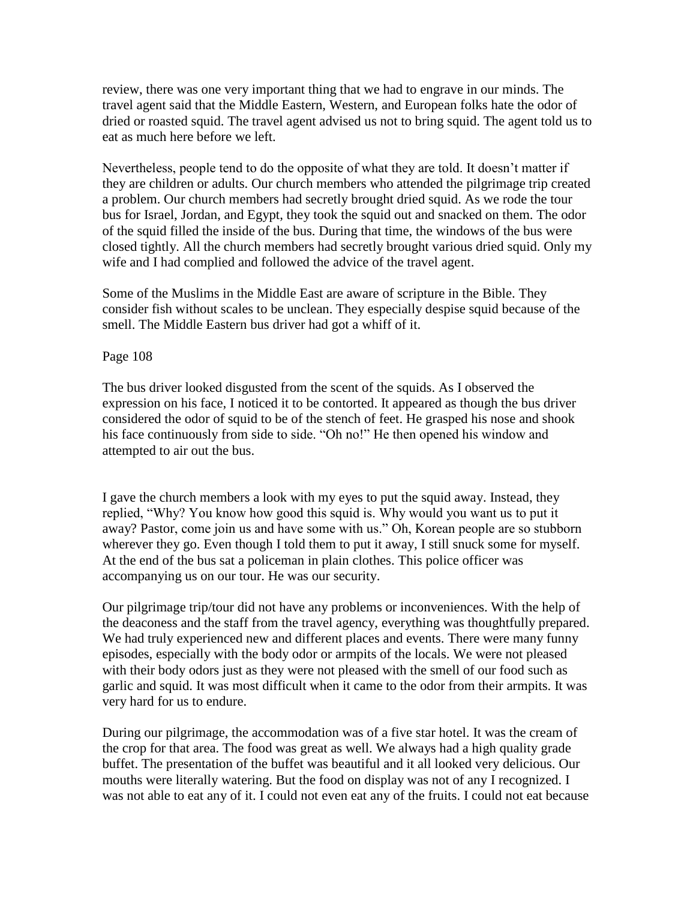review, there was one very important thing that we had to engrave in our minds. The travel agent said that the Middle Eastern, Western, and European folks hate the odor of dried or roasted squid. The travel agent advised us not to bring squid. The agent told us to eat as much here before we left.

Nevertheless, people tend to do the opposite of what they are told. It doesn"t matter if they are children or adults. Our church members who attended the pilgrimage trip created a problem. Our church members had secretly brought dried squid. As we rode the tour bus for Israel, Jordan, and Egypt, they took the squid out and snacked on them. The odor of the squid filled the inside of the bus. During that time, the windows of the bus were closed tightly. All the church members had secretly brought various dried squid. Only my wife and I had complied and followed the advice of the travel agent.

Some of the Muslims in the Middle East are aware of scripture in the Bible. They consider fish without scales to be unclean. They especially despise squid because of the smell. The Middle Eastern bus driver had got a whiff of it.

## Page 108

The bus driver looked disgusted from the scent of the squids. As I observed the expression on his face, I noticed it to be contorted. It appeared as though the bus driver considered the odor of squid to be of the stench of feet. He grasped his nose and shook his face continuously from side to side. "Oh no!" He then opened his window and attempted to air out the bus.

I gave the church members a look with my eyes to put the squid away. Instead, they replied, "Why? You know how good this squid is. Why would you want us to put it away? Pastor, come join us and have some with us." Oh, Korean people are so stubborn wherever they go. Even though I told them to put it away, I still snuck some for myself. At the end of the bus sat a policeman in plain clothes. This police officer was accompanying us on our tour. He was our security.

Our pilgrimage trip/tour did not have any problems or inconveniences. With the help of the deaconess and the staff from the travel agency, everything was thoughtfully prepared. We had truly experienced new and different places and events. There were many funny episodes, especially with the body odor or armpits of the locals. We were not pleased with their body odors just as they were not pleased with the smell of our food such as garlic and squid. It was most difficult when it came to the odor from their armpits. It was very hard for us to endure.

During our pilgrimage, the accommodation was of a five star hotel. It was the cream of the crop for that area. The food was great as well. We always had a high quality grade buffet. The presentation of the buffet was beautiful and it all looked very delicious. Our mouths were literally watering. But the food on display was not of any I recognized. I was not able to eat any of it. I could not even eat any of the fruits. I could not eat because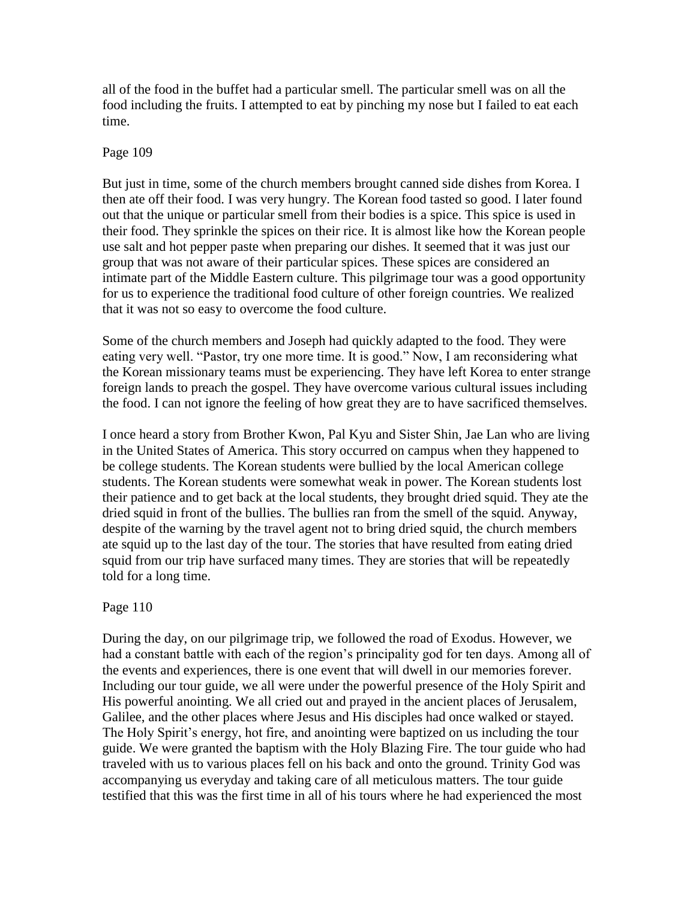all of the food in the buffet had a particular smell. The particular smell was on all the food including the fruits. I attempted to eat by pinching my nose but I failed to eat each time.

### Page 109

But just in time, some of the church members brought canned side dishes from Korea. I then ate off their food. I was very hungry. The Korean food tasted so good. I later found out that the unique or particular smell from their bodies is a spice. This spice is used in their food. They sprinkle the spices on their rice. It is almost like how the Korean people use salt and hot pepper paste when preparing our dishes. It seemed that it was just our group that was not aware of their particular spices. These spices are considered an intimate part of the Middle Eastern culture. This pilgrimage tour was a good opportunity for us to experience the traditional food culture of other foreign countries. We realized that it was not so easy to overcome the food culture.

Some of the church members and Joseph had quickly adapted to the food. They were eating very well. "Pastor, try one more time. It is good." Now, I am reconsidering what the Korean missionary teams must be experiencing. They have left Korea to enter strange foreign lands to preach the gospel. They have overcome various cultural issues including the food. I can not ignore the feeling of how great they are to have sacrificed themselves.

I once heard a story from Brother Kwon, Pal Kyu and Sister Shin, Jae Lan who are living in the United States of America. This story occurred on campus when they happened to be college students. The Korean students were bullied by the local American college students. The Korean students were somewhat weak in power. The Korean students lost their patience and to get back at the local students, they brought dried squid. They ate the dried squid in front of the bullies. The bullies ran from the smell of the squid. Anyway, despite of the warning by the travel agent not to bring dried squid, the church members ate squid up to the last day of the tour. The stories that have resulted from eating dried squid from our trip have surfaced many times. They are stories that will be repeatedly told for a long time.

## Page 110

During the day, on our pilgrimage trip, we followed the road of Exodus. However, we had a constant battle with each of the region"s principality god for ten days. Among all of the events and experiences, there is one event that will dwell in our memories forever. Including our tour guide, we all were under the powerful presence of the Holy Spirit and His powerful anointing. We all cried out and prayed in the ancient places of Jerusalem, Galilee, and the other places where Jesus and His disciples had once walked or stayed. The Holy Spirit's energy, hot fire, and anointing were baptized on us including the tour guide. We were granted the baptism with the Holy Blazing Fire. The tour guide who had traveled with us to various places fell on his back and onto the ground. Trinity God was accompanying us everyday and taking care of all meticulous matters. The tour guide testified that this was the first time in all of his tours where he had experienced the most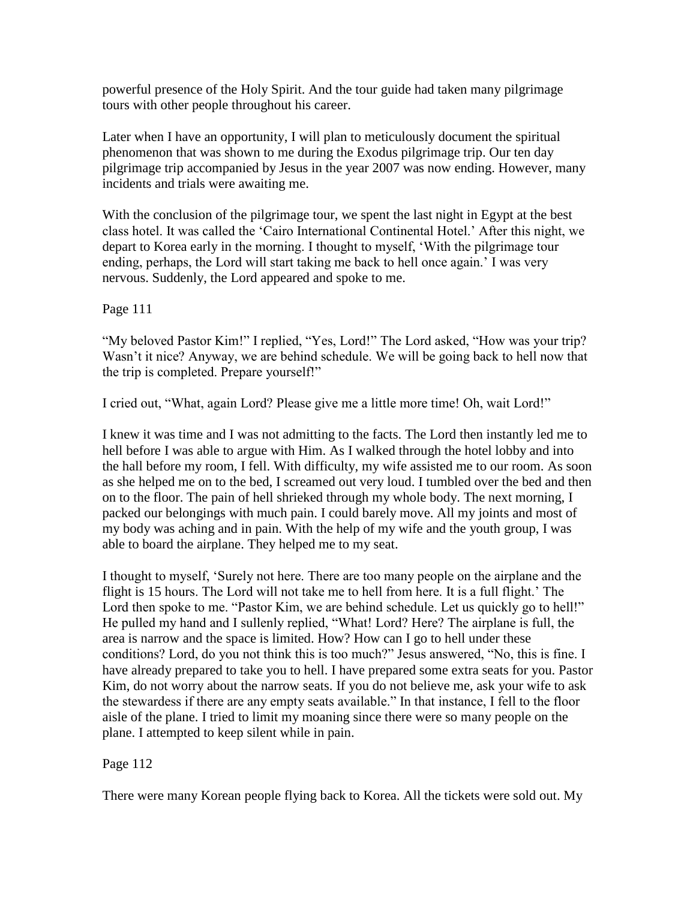powerful presence of the Holy Spirit. And the tour guide had taken many pilgrimage tours with other people throughout his career.

Later when I have an opportunity, I will plan to meticulously document the spiritual phenomenon that was shown to me during the Exodus pilgrimage trip. Our ten day pilgrimage trip accompanied by Jesus in the year 2007 was now ending. However, many incidents and trials were awaiting me.

With the conclusion of the pilgrimage tour, we spent the last night in Egypt at the best class hotel. It was called the "Cairo International Continental Hotel." After this night, we depart to Korea early in the morning. I thought to myself, "With the pilgrimage tour ending, perhaps, the Lord will start taking me back to hell once again." I was very nervous. Suddenly, the Lord appeared and spoke to me.

Page 111

"My beloved Pastor Kim!" I replied, "Yes, Lord!" The Lord asked, "How was your trip? Wasn't it nice? Anyway, we are behind schedule. We will be going back to hell now that the trip is completed. Prepare yourself!"

I cried out, "What, again Lord? Please give me a little more time! Oh, wait Lord!"

I knew it was time and I was not admitting to the facts. The Lord then instantly led me to hell before I was able to argue with Him. As I walked through the hotel lobby and into the hall before my room, I fell. With difficulty, my wife assisted me to our room. As soon as she helped me on to the bed, I screamed out very loud. I tumbled over the bed and then on to the floor. The pain of hell shrieked through my whole body. The next morning, I packed our belongings with much pain. I could barely move. All my joints and most of my body was aching and in pain. With the help of my wife and the youth group, I was able to board the airplane. They helped me to my seat.

I thought to myself, "Surely not here. There are too many people on the airplane and the flight is 15 hours. The Lord will not take me to hell from here. It is a full flight." The Lord then spoke to me. "Pastor Kim, we are behind schedule. Let us quickly go to hell!" He pulled my hand and I sullenly replied, "What! Lord? Here? The airplane is full, the area is narrow and the space is limited. How? How can I go to hell under these conditions? Lord, do you not think this is too much?" Jesus answered, "No, this is fine. I have already prepared to take you to hell. I have prepared some extra seats for you. Pastor Kim, do not worry about the narrow seats. If you do not believe me, ask your wife to ask the stewardess if there are any empty seats available." In that instance, I fell to the floor aisle of the plane. I tried to limit my moaning since there were so many people on the plane. I attempted to keep silent while in pain.

## Page 112

There were many Korean people flying back to Korea. All the tickets were sold out. My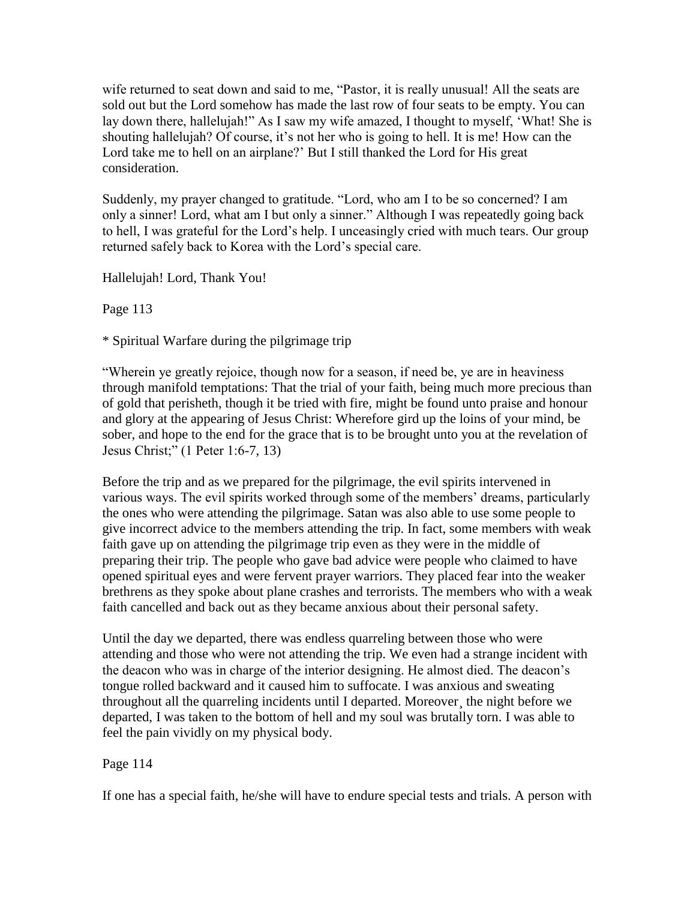wife returned to seat down and said to me, "Pastor, it is really unusual! All the seats are sold out but the Lord somehow has made the last row of four seats to be empty. You can lay down there, hallelujah!" As I saw my wife amazed, I thought to myself, 'What! She is shouting hallelujah? Of course, it's not her who is going to hell. It is me! How can the Lord take me to hell on an airplane?" But I still thanked the Lord for His great consideration.

Suddenly, my prayer changed to gratitude. "Lord, who am I to be so concerned? I am only a sinner! Lord, what am I but only a sinner." Although I was repeatedly going back to hell, I was grateful for the Lord"s help. I unceasingly cried with much tears. Our group returned safely back to Korea with the Lord"s special care.

Hallelujah! Lord, Thank You!

Page 113

\* Spiritual Warfare during the pilgrimage trip

"Wherein ye greatly rejoice, though now for a season, if need be, ye are in heaviness through manifold temptations: That the trial of your faith, being much more precious than of gold that perisheth, though it be tried with fire, might be found unto praise and honour and glory at the appearing of Jesus Christ: Wherefore gird up the loins of your mind, be sober, and hope to the end for the grace that is to be brought unto you at the revelation of Jesus Christ;" (1 Peter 1:6-7, 13)

Before the trip and as we prepared for the pilgrimage, the evil spirits intervened in various ways. The evil spirits worked through some of the members' dreams, particularly the ones who were attending the pilgrimage. Satan was also able to use some people to give incorrect advice to the members attending the trip. In fact, some members with weak faith gave up on attending the pilgrimage trip even as they were in the middle of preparing their trip. The people who gave bad advice were people who claimed to have opened spiritual eyes and were fervent prayer warriors. They placed fear into the weaker brethrens as they spoke about plane crashes and terrorists. The members who with a weak faith cancelled and back out as they became anxious about their personal safety.

Until the day we departed, there was endless quarreling between those who were attending and those who were not attending the trip. We even had a strange incident with the deacon who was in charge of the interior designing. He almost died. The deacon"s tongue rolled backward and it caused him to suffocate. I was anxious and sweating throughout all the quarreling incidents until I departed. Moreover¸ the night before we departed, I was taken to the bottom of hell and my soul was brutally torn. I was able to feel the pain vividly on my physical body.

## Page 114

If one has a special faith, he/she will have to endure special tests and trials. A person with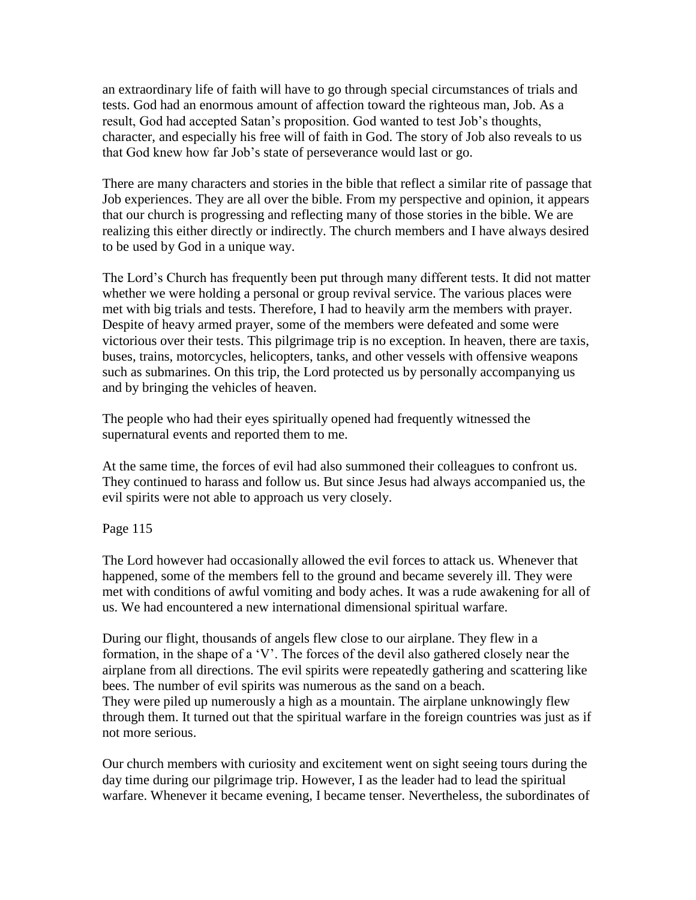an extraordinary life of faith will have to go through special circumstances of trials and tests. God had an enormous amount of affection toward the righteous man, Job. As a result, God had accepted Satan's proposition. God wanted to test Job's thoughts, character, and especially his free will of faith in God. The story of Job also reveals to us that God knew how far Job"s state of perseverance would last or go.

There are many characters and stories in the bible that reflect a similar rite of passage that Job experiences. They are all over the bible. From my perspective and opinion, it appears that our church is progressing and reflecting many of those stories in the bible. We are realizing this either directly or indirectly. The church members and I have always desired to be used by God in a unique way.

The Lord"s Church has frequently been put through many different tests. It did not matter whether we were holding a personal or group revival service. The various places were met with big trials and tests. Therefore, I had to heavily arm the members with prayer. Despite of heavy armed prayer, some of the members were defeated and some were victorious over their tests. This pilgrimage trip is no exception. In heaven, there are taxis, buses, trains, motorcycles, helicopters, tanks, and other vessels with offensive weapons such as submarines. On this trip, the Lord protected us by personally accompanying us and by bringing the vehicles of heaven.

The people who had their eyes spiritually opened had frequently witnessed the supernatural events and reported them to me.

At the same time, the forces of evil had also summoned their colleagues to confront us. They continued to harass and follow us. But since Jesus had always accompanied us, the evil spirits were not able to approach us very closely.

Page 115

The Lord however had occasionally allowed the evil forces to attack us. Whenever that happened, some of the members fell to the ground and became severely ill. They were met with conditions of awful vomiting and body aches. It was a rude awakening for all of us. We had encountered a new international dimensional spiritual warfare.

During our flight, thousands of angels flew close to our airplane. They flew in a formation, in the shape of a "V". The forces of the devil also gathered closely near the airplane from all directions. The evil spirits were repeatedly gathering and scattering like bees. The number of evil spirits was numerous as the sand on a beach. They were piled up numerously a high as a mountain. The airplane unknowingly flew through them. It turned out that the spiritual warfare in the foreign countries was just as if not more serious.

Our church members with curiosity and excitement went on sight seeing tours during the day time during our pilgrimage trip. However, I as the leader had to lead the spiritual warfare. Whenever it became evening, I became tenser. Nevertheless, the subordinates of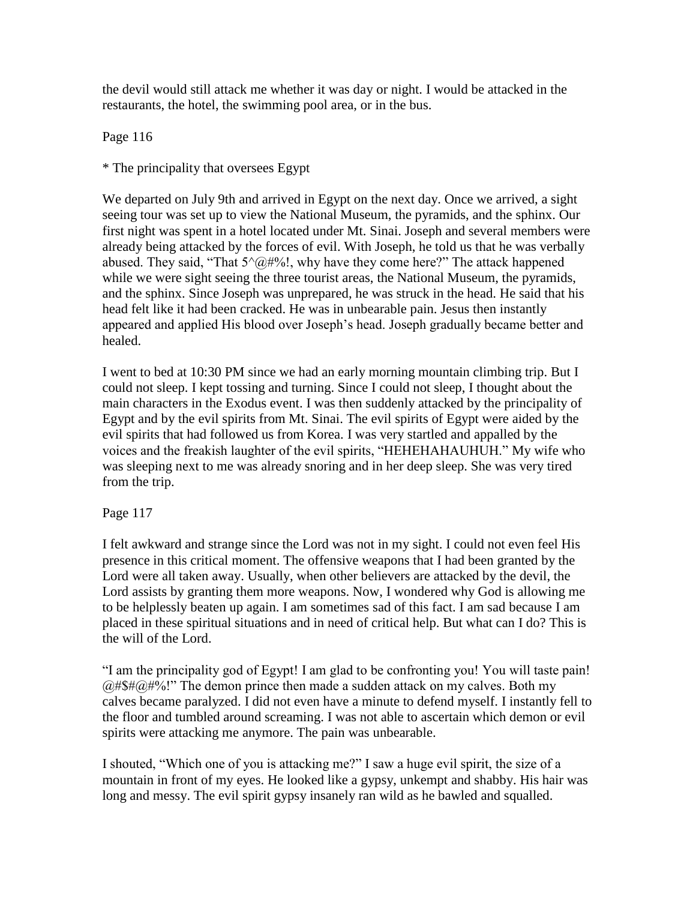the devil would still attack me whether it was day or night. I would be attacked in the restaurants, the hotel, the swimming pool area, or in the bus.

Page 116

\* The principality that oversees Egypt

We departed on July 9th and arrived in Egypt on the next day. Once we arrived, a sight seeing tour was set up to view the National Museum, the pyramids, and the sphinx. Our first night was spent in a hotel located under Mt. Sinai. Joseph and several members were already being attacked by the forces of evil. With Joseph, he told us that he was verbally abused. They said, "That  $5^{\wedge}$  ( $\partial$  #%!, why have they come here?" The attack happened while we were sight seeing the three tourist areas, the National Museum, the pyramids, and the sphinx. Since Joseph was unprepared, he was struck in the head. He said that his head felt like it had been cracked. He was in unbearable pain. Jesus then instantly appeared and applied His blood over Joseph"s head. Joseph gradually became better and healed.

I went to bed at 10:30 PM since we had an early morning mountain climbing trip. But I could not sleep. I kept tossing and turning. Since I could not sleep, I thought about the main characters in the Exodus event. I was then suddenly attacked by the principality of Egypt and by the evil spirits from Mt. Sinai. The evil spirits of Egypt were aided by the evil spirits that had followed us from Korea. I was very startled and appalled by the voices and the freakish laughter of the evil spirits, "HEHEHAHAUHUH." My wife who was sleeping next to me was already snoring and in her deep sleep. She was very tired from the trip.

Page 117

I felt awkward and strange since the Lord was not in my sight. I could not even feel His presence in this critical moment. The offensive weapons that I had been granted by the Lord were all taken away. Usually, when other believers are attacked by the devil, the Lord assists by granting them more weapons. Now, I wondered why God is allowing me to be helplessly beaten up again. I am sometimes sad of this fact. I am sad because I am placed in these spiritual situations and in need of critical help. But what can I do? This is the will of the Lord.

"I am the principality god of Egypt! I am glad to be confronting you! You will taste pain!  $(a# $# \& \# \& \# \& \# \& \# \& \# \& \# \& \# \& \# \& \# \& \# \& \# \& \# \& \# \& \# \& \# \& \# \& \# \& \# \& \# \& \# \& \# \& \# \& \# \& \# \& \# \& \# \& \# \& \# \& \# \& \# \& \# \& \# \& \# \& \# \& \# \& \#$ calves became paralyzed. I did not even have a minute to defend myself. I instantly fell to the floor and tumbled around screaming. I was not able to ascertain which demon or evil spirits were attacking me anymore. The pain was unbearable.

I shouted, "Which one of you is attacking me?" I saw a huge evil spirit, the size of a mountain in front of my eyes. He looked like a gypsy, unkempt and shabby. His hair was long and messy. The evil spirit gypsy insanely ran wild as he bawled and squalled.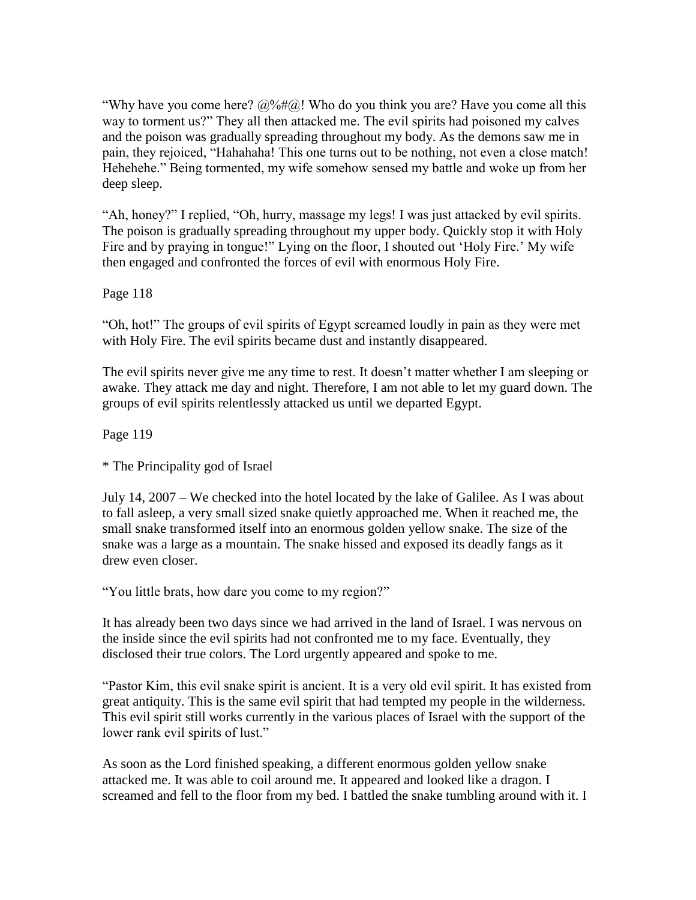"Why have you come here?  $\omega\llap{0.06}$   $\omega$ ! Who do you think you are? Have you come all this way to torment us?" They all then attacked me. The evil spirits had poisoned my calves and the poison was gradually spreading throughout my body. As the demons saw me in pain, they rejoiced, "Hahahaha! This one turns out to be nothing, not even a close match! Hehehehe." Being tormented, my wife somehow sensed my battle and woke up from her deep sleep.

"Ah, honey?" I replied, "Oh, hurry, massage my legs! I was just attacked by evil spirits. The poison is gradually spreading throughout my upper body. Quickly stop it with Holy Fire and by praying in tongue!" Lying on the floor, I shouted out 'Holy Fire.' My wife then engaged and confronted the forces of evil with enormous Holy Fire.

Page 118

"Oh, hot!" The groups of evil spirits of Egypt screamed loudly in pain as they were met with Holy Fire. The evil spirits became dust and instantly disappeared.

The evil spirits never give me any time to rest. It doesn"t matter whether I am sleeping or awake. They attack me day and night. Therefore, I am not able to let my guard down. The groups of evil spirits relentlessly attacked us until we departed Egypt.

Page 119

\* The Principality god of Israel

July 14, 2007 – We checked into the hotel located by the lake of Galilee. As I was about to fall asleep, a very small sized snake quietly approached me. When it reached me, the small snake transformed itself into an enormous golden yellow snake. The size of the snake was a large as a mountain. The snake hissed and exposed its deadly fangs as it drew even closer.

"You little brats, how dare you come to my region?"

It has already been two days since we had arrived in the land of Israel. I was nervous on the inside since the evil spirits had not confronted me to my face. Eventually, they disclosed their true colors. The Lord urgently appeared and spoke to me.

"Pastor Kim, this evil snake spirit is ancient. It is a very old evil spirit. It has existed from great antiquity. This is the same evil spirit that had tempted my people in the wilderness. This evil spirit still works currently in the various places of Israel with the support of the lower rank evil spirits of lust."

As soon as the Lord finished speaking, a different enormous golden yellow snake attacked me. It was able to coil around me. It appeared and looked like a dragon. I screamed and fell to the floor from my bed. I battled the snake tumbling around with it. I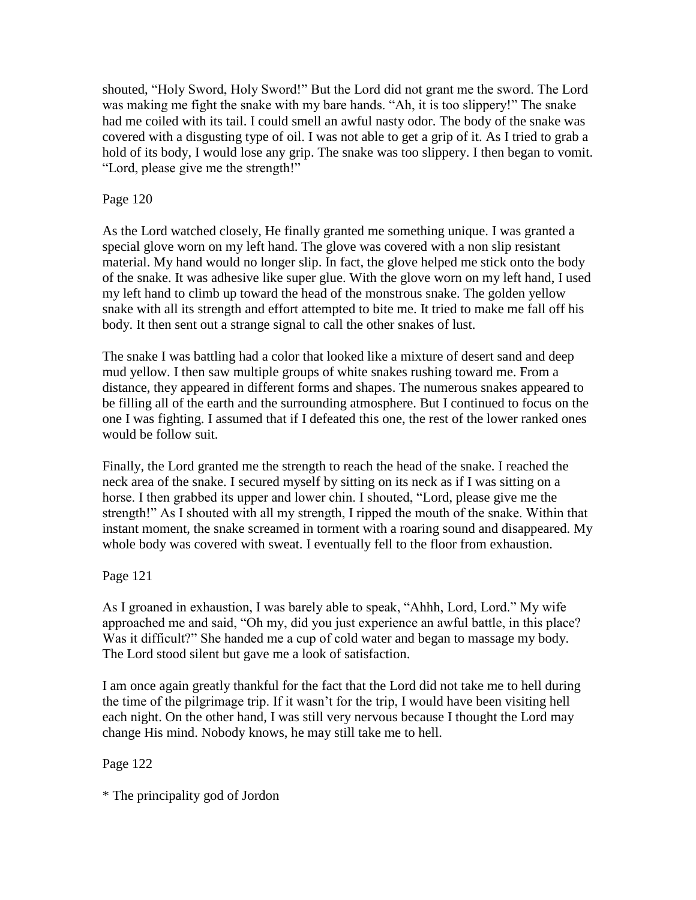shouted, "Holy Sword, Holy Sword!" But the Lord did not grant me the sword. The Lord was making me fight the snake with my bare hands. "Ah, it is too slippery!" The snake had me coiled with its tail. I could smell an awful nasty odor. The body of the snake was covered with a disgusting type of oil. I was not able to get a grip of it. As I tried to grab a hold of its body, I would lose any grip. The snake was too slippery. I then began to vomit. "Lord, please give me the strength!"

## Page 120

As the Lord watched closely, He finally granted me something unique. I was granted a special glove worn on my left hand. The glove was covered with a non slip resistant material. My hand would no longer slip. In fact, the glove helped me stick onto the body of the snake. It was adhesive like super glue. With the glove worn on my left hand, I used my left hand to climb up toward the head of the monstrous snake. The golden yellow snake with all its strength and effort attempted to bite me. It tried to make me fall off his body. It then sent out a strange signal to call the other snakes of lust.

The snake I was battling had a color that looked like a mixture of desert sand and deep mud yellow. I then saw multiple groups of white snakes rushing toward me. From a distance, they appeared in different forms and shapes. The numerous snakes appeared to be filling all of the earth and the surrounding atmosphere. But I continued to focus on the one I was fighting. I assumed that if I defeated this one, the rest of the lower ranked ones would be follow suit.

Finally, the Lord granted me the strength to reach the head of the snake. I reached the neck area of the snake. I secured myself by sitting on its neck as if I was sitting on a horse. I then grabbed its upper and lower chin. I shouted, "Lord, please give me the strength!" As I shouted with all my strength, I ripped the mouth of the snake. Within that instant moment, the snake screamed in torment with a roaring sound and disappeared. My whole body was covered with sweat. I eventually fell to the floor from exhaustion.

Page 121

As I groaned in exhaustion, I was barely able to speak, "Ahhh, Lord, Lord." My wife approached me and said, "Oh my, did you just experience an awful battle, in this place? Was it difficult?" She handed me a cup of cold water and began to massage my body. The Lord stood silent but gave me a look of satisfaction.

I am once again greatly thankful for the fact that the Lord did not take me to hell during the time of the pilgrimage trip. If it wasn"t for the trip, I would have been visiting hell each night. On the other hand, I was still very nervous because I thought the Lord may change His mind. Nobody knows, he may still take me to hell.

Page 122

\* The principality god of Jordon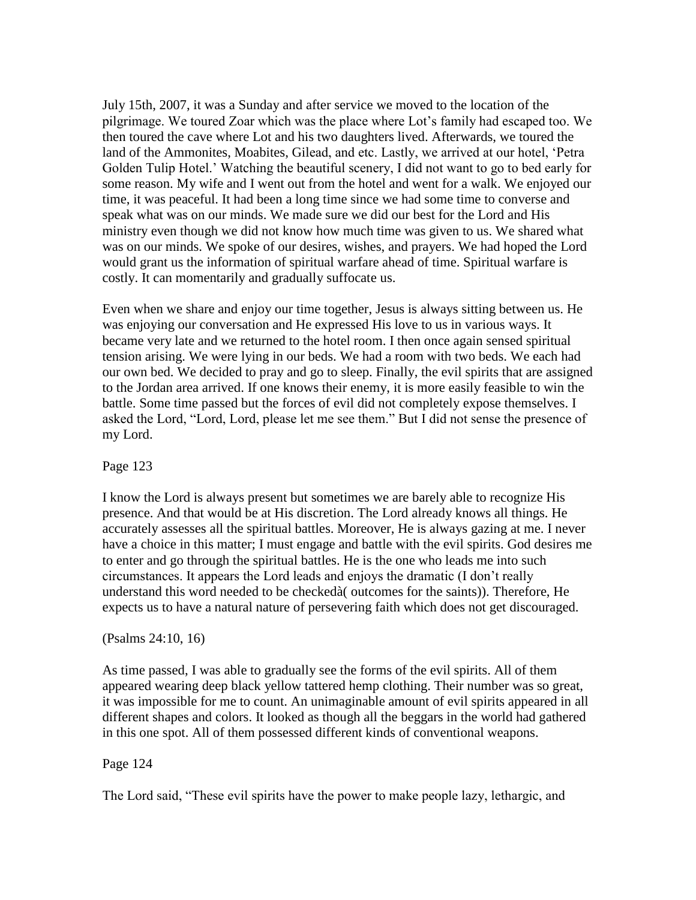July 15th, 2007, it was a Sunday and after service we moved to the location of the pilgrimage. We toured Zoar which was the place where Lot"s family had escaped too. We then toured the cave where Lot and his two daughters lived. Afterwards, we toured the land of the Ammonites, Moabites, Gilead, and etc. Lastly, we arrived at our hotel, "Petra Golden Tulip Hotel." Watching the beautiful scenery, I did not want to go to bed early for some reason. My wife and I went out from the hotel and went for a walk. We enjoyed our time, it was peaceful. It had been a long time since we had some time to converse and speak what was on our minds. We made sure we did our best for the Lord and His ministry even though we did not know how much time was given to us. We shared what was on our minds. We spoke of our desires, wishes, and prayers. We had hoped the Lord would grant us the information of spiritual warfare ahead of time. Spiritual warfare is costly. It can momentarily and gradually suffocate us.

Even when we share and enjoy our time together, Jesus is always sitting between us. He was enjoying our conversation and He expressed His love to us in various ways. It became very late and we returned to the hotel room. I then once again sensed spiritual tension arising. We were lying in our beds. We had a room with two beds. We each had our own bed. We decided to pray and go to sleep. Finally, the evil spirits that are assigned to the Jordan area arrived. If one knows their enemy, it is more easily feasible to win the battle. Some time passed but the forces of evil did not completely expose themselves. I asked the Lord, "Lord, Lord, please let me see them." But I did not sense the presence of my Lord.

#### Page 123

I know the Lord is always present but sometimes we are barely able to recognize His presence. And that would be at His discretion. The Lord already knows all things. He accurately assesses all the spiritual battles. Moreover, He is always gazing at me. I never have a choice in this matter; I must engage and battle with the evil spirits. God desires me to enter and go through the spiritual battles. He is the one who leads me into such circumstances. It appears the Lord leads and enjoys the dramatic (I don"t really understand this word needed to be checkedà( outcomes for the saints)). Therefore, He expects us to have a natural nature of persevering faith which does not get discouraged.

## (Psalms 24:10, 16)

As time passed, I was able to gradually see the forms of the evil spirits. All of them appeared wearing deep black yellow tattered hemp clothing. Their number was so great, it was impossible for me to count. An unimaginable amount of evil spirits appeared in all different shapes and colors. It looked as though all the beggars in the world had gathered in this one spot. All of them possessed different kinds of conventional weapons.

## Page 124

The Lord said, "These evil spirits have the power to make people lazy, lethargic, and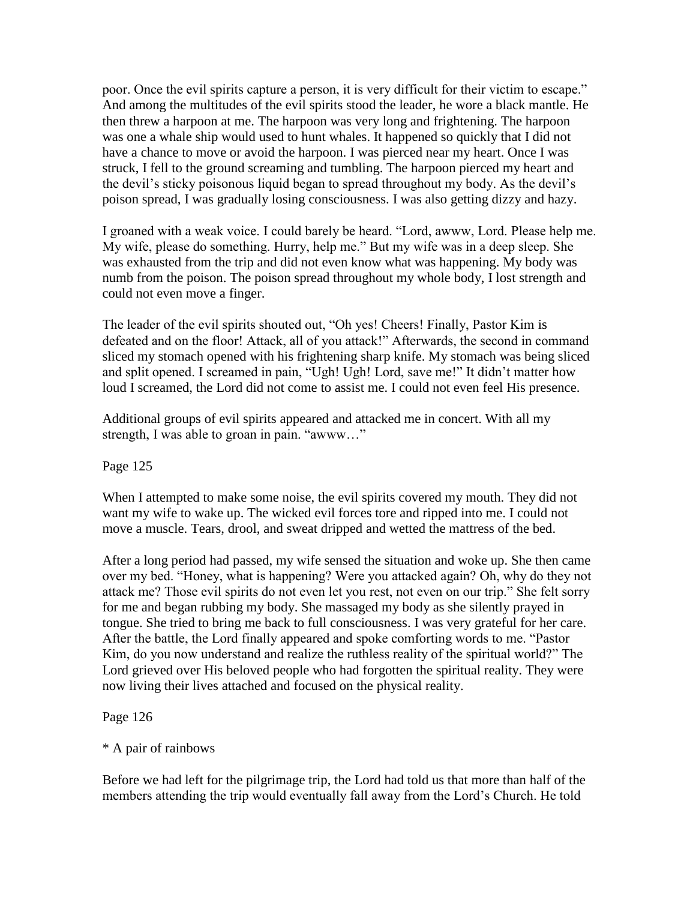poor. Once the evil spirits capture a person, it is very difficult for their victim to escape." And among the multitudes of the evil spirits stood the leader, he wore a black mantle. He then threw a harpoon at me. The harpoon was very long and frightening. The harpoon was one a whale ship would used to hunt whales. It happened so quickly that I did not have a chance to move or avoid the harpoon. I was pierced near my heart. Once I was struck, I fell to the ground screaming and tumbling. The harpoon pierced my heart and the devil"s sticky poisonous liquid began to spread throughout my body. As the devil"s poison spread, I was gradually losing consciousness. I was also getting dizzy and hazy.

I groaned with a weak voice. I could barely be heard. "Lord, awww, Lord. Please help me. My wife, please do something. Hurry, help me." But my wife was in a deep sleep. She was exhausted from the trip and did not even know what was happening. My body was numb from the poison. The poison spread throughout my whole body, I lost strength and could not even move a finger.

The leader of the evil spirits shouted out, "Oh yes! Cheers! Finally, Pastor Kim is defeated and on the floor! Attack, all of you attack!" Afterwards, the second in command sliced my stomach opened with his frightening sharp knife. My stomach was being sliced and split opened. I screamed in pain, "Ugh! Ugh! Lord, save me!" It didn"t matter how loud I screamed, the Lord did not come to assist me. I could not even feel His presence.

Additional groups of evil spirits appeared and attacked me in concert. With all my strength, I was able to groan in pain. "awww…"

Page 125

When I attempted to make some noise, the evil spirits covered my mouth. They did not want my wife to wake up. The wicked evil forces tore and ripped into me. I could not move a muscle. Tears, drool, and sweat dripped and wetted the mattress of the bed.

After a long period had passed, my wife sensed the situation and woke up. She then came over my bed. "Honey, what is happening? Were you attacked again? Oh, why do they not attack me? Those evil spirits do not even let you rest, not even on our trip." She felt sorry for me and began rubbing my body. She massaged my body as she silently prayed in tongue. She tried to bring me back to full consciousness. I was very grateful for her care. After the battle, the Lord finally appeared and spoke comforting words to me. "Pastor Kim, do you now understand and realize the ruthless reality of the spiritual world?" The Lord grieved over His beloved people who had forgotten the spiritual reality. They were now living their lives attached and focused on the physical reality.

Page 126

\* A pair of rainbows

Before we had left for the pilgrimage trip, the Lord had told us that more than half of the members attending the trip would eventually fall away from the Lord"s Church. He told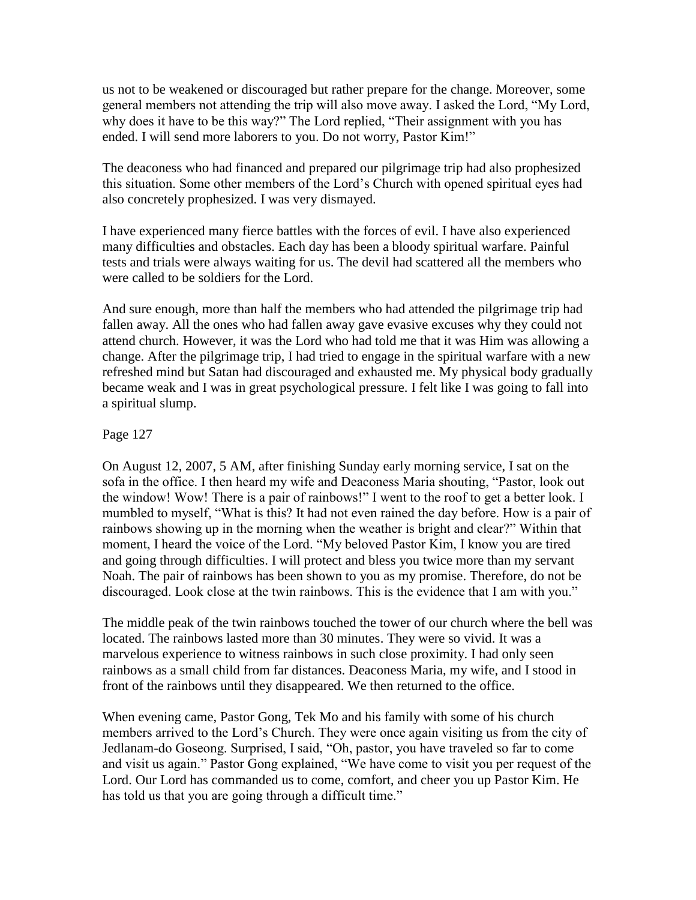us not to be weakened or discouraged but rather prepare for the change. Moreover, some general members not attending the trip will also move away. I asked the Lord, "My Lord, why does it have to be this way?" The Lord replied, "Their assignment with you has ended. I will send more laborers to you. Do not worry, Pastor Kim!"

The deaconess who had financed and prepared our pilgrimage trip had also prophesized this situation. Some other members of the Lord"s Church with opened spiritual eyes had also concretely prophesized. I was very dismayed.

I have experienced many fierce battles with the forces of evil. I have also experienced many difficulties and obstacles. Each day has been a bloody spiritual warfare. Painful tests and trials were always waiting for us. The devil had scattered all the members who were called to be soldiers for the Lord.

And sure enough, more than half the members who had attended the pilgrimage trip had fallen away. All the ones who had fallen away gave evasive excuses why they could not attend church. However, it was the Lord who had told me that it was Him was allowing a change. After the pilgrimage trip, I had tried to engage in the spiritual warfare with a new refreshed mind but Satan had discouraged and exhausted me. My physical body gradually became weak and I was in great psychological pressure. I felt like I was going to fall into a spiritual slump.

Page 127

On August 12, 2007, 5 AM, after finishing Sunday early morning service, I sat on the sofa in the office. I then heard my wife and Deaconess Maria shouting, "Pastor, look out the window! Wow! There is a pair of rainbows!" I went to the roof to get a better look. I mumbled to myself, "What is this? It had not even rained the day before. How is a pair of rainbows showing up in the morning when the weather is bright and clear?" Within that moment, I heard the voice of the Lord. "My beloved Pastor Kim, I know you are tired and going through difficulties. I will protect and bless you twice more than my servant Noah. The pair of rainbows has been shown to you as my promise. Therefore, do not be discouraged. Look close at the twin rainbows. This is the evidence that I am with you."

The middle peak of the twin rainbows touched the tower of our church where the bell was located. The rainbows lasted more than 30 minutes. They were so vivid. It was a marvelous experience to witness rainbows in such close proximity. I had only seen rainbows as a small child from far distances. Deaconess Maria, my wife, and I stood in front of the rainbows until they disappeared. We then returned to the office.

When evening came, Pastor Gong, Tek Mo and his family with some of his church members arrived to the Lord"s Church. They were once again visiting us from the city of Jedlanam-do Goseong. Surprised, I said, "Oh, pastor, you have traveled so far to come and visit us again." Pastor Gong explained, "We have come to visit you per request of the Lord. Our Lord has commanded us to come, comfort, and cheer you up Pastor Kim. He has told us that you are going through a difficult time."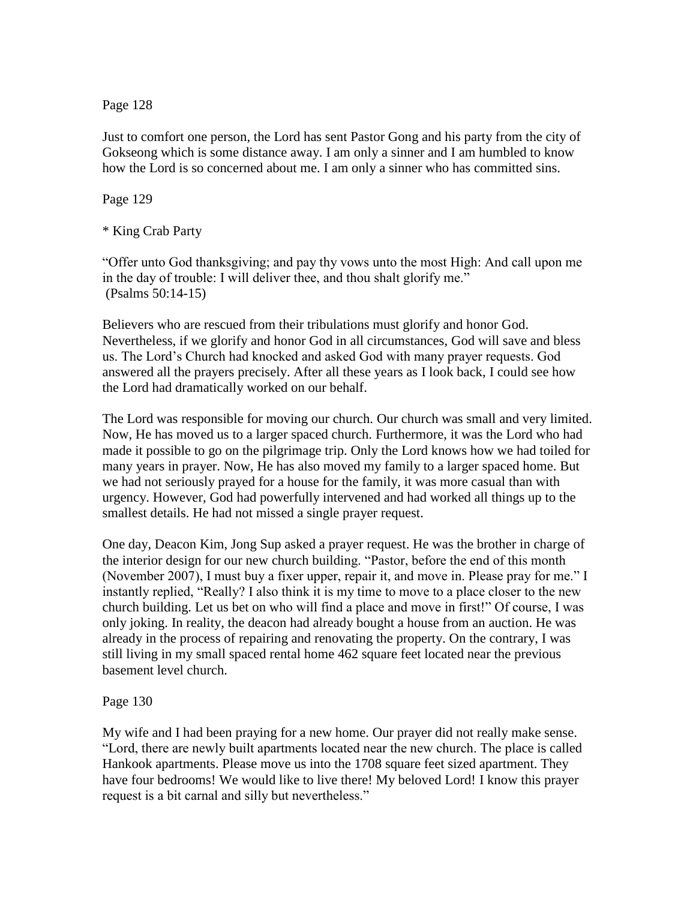Page 128

Just to comfort one person, the Lord has sent Pastor Gong and his party from the city of Gokseong which is some distance away. I am only a sinner and I am humbled to know how the Lord is so concerned about me. I am only a sinner who has committed sins.

Page 129

\* King Crab Party

"Offer unto God thanksgiving; and pay thy vows unto the most High: And call upon me in the day of trouble: I will deliver thee, and thou shalt glorify me." (Psalms 50:14-15)

Believers who are rescued from their tribulations must glorify and honor God. Nevertheless, if we glorify and honor God in all circumstances, God will save and bless us. The Lord"s Church had knocked and asked God with many prayer requests. God answered all the prayers precisely. After all these years as I look back, I could see how the Lord had dramatically worked on our behalf.

The Lord was responsible for moving our church. Our church was small and very limited. Now, He has moved us to a larger spaced church. Furthermore, it was the Lord who had made it possible to go on the pilgrimage trip. Only the Lord knows how we had toiled for many years in prayer. Now, He has also moved my family to a larger spaced home. But we had not seriously prayed for a house for the family, it was more casual than with urgency. However, God had powerfully intervened and had worked all things up to the smallest details. He had not missed a single prayer request.

One day, Deacon Kim, Jong Sup asked a prayer request. He was the brother in charge of the interior design for our new church building. "Pastor, before the end of this month (November 2007), I must buy a fixer upper, repair it, and move in. Please pray for me." I instantly replied, "Really? I also think it is my time to move to a place closer to the new church building. Let us bet on who will find a place and move in first!" Of course, I was only joking. In reality, the deacon had already bought a house from an auction. He was already in the process of repairing and renovating the property. On the contrary, I was still living in my small spaced rental home 462 square feet located near the previous basement level church.

## Page 130

My wife and I had been praying for a new home. Our prayer did not really make sense. "Lord, there are newly built apartments located near the new church. The place is called Hankook apartments. Please move us into the 1708 square feet sized apartment. They have four bedrooms! We would like to live there! My beloved Lord! I know this prayer request is a bit carnal and silly but nevertheless."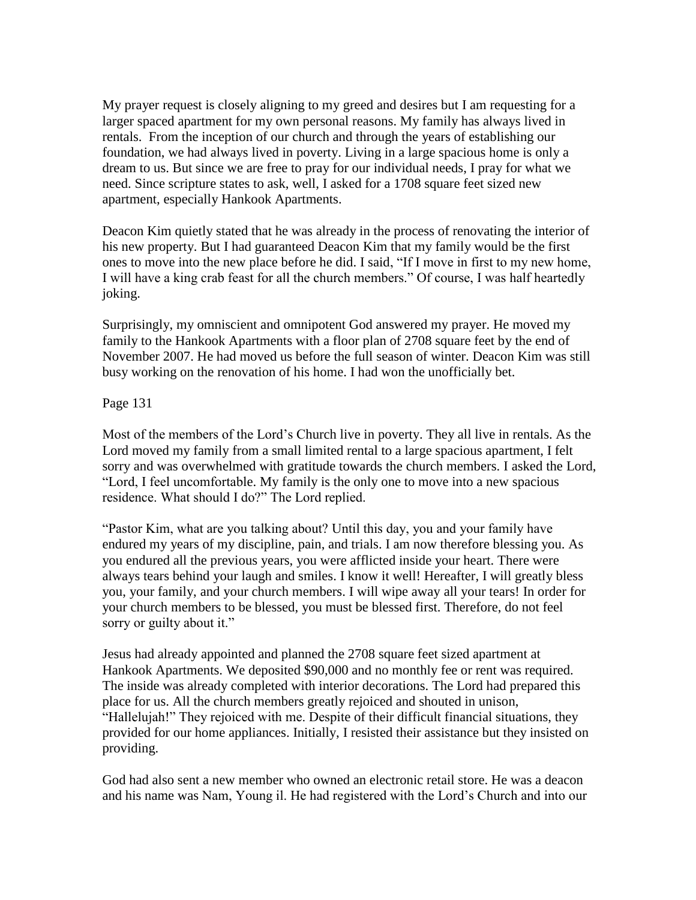My prayer request is closely aligning to my greed and desires but I am requesting for a larger spaced apartment for my own personal reasons. My family has always lived in rentals. From the inception of our church and through the years of establishing our foundation, we had always lived in poverty. Living in a large spacious home is only a dream to us. But since we are free to pray for our individual needs, I pray for what we need. Since scripture states to ask, well, I asked for a 1708 square feet sized new apartment, especially Hankook Apartments.

Deacon Kim quietly stated that he was already in the process of renovating the interior of his new property. But I had guaranteed Deacon Kim that my family would be the first ones to move into the new place before he did. I said, "If I move in first to my new home, I will have a king crab feast for all the church members." Of course, I was half heartedly joking.

Surprisingly, my omniscient and omnipotent God answered my prayer. He moved my family to the Hankook Apartments with a floor plan of 2708 square feet by the end of November 2007. He had moved us before the full season of winter. Deacon Kim was still busy working on the renovation of his home. I had won the unofficially bet.

## Page 131

Most of the members of the Lord"s Church live in poverty. They all live in rentals. As the Lord moved my family from a small limited rental to a large spacious apartment, I felt sorry and was overwhelmed with gratitude towards the church members. I asked the Lord, "Lord, I feel uncomfortable. My family is the only one to move into a new spacious residence. What should I do?" The Lord replied.

"Pastor Kim, what are you talking about? Until this day, you and your family have endured my years of my discipline, pain, and trials. I am now therefore blessing you. As you endured all the previous years, you were afflicted inside your heart. There were always tears behind your laugh and smiles. I know it well! Hereafter, I will greatly bless you, your family, and your church members. I will wipe away all your tears! In order for your church members to be blessed, you must be blessed first. Therefore, do not feel sorry or guilty about it."

Jesus had already appointed and planned the 2708 square feet sized apartment at Hankook Apartments. We deposited \$90,000 and no monthly fee or rent was required. The inside was already completed with interior decorations. The Lord had prepared this place for us. All the church members greatly rejoiced and shouted in unison, "Hallelujah!" They rejoiced with me. Despite of their difficult financial situations, they provided for our home appliances. Initially, I resisted their assistance but they insisted on providing.

God had also sent a new member who owned an electronic retail store. He was a deacon and his name was Nam, Young il. He had registered with the Lord"s Church and into our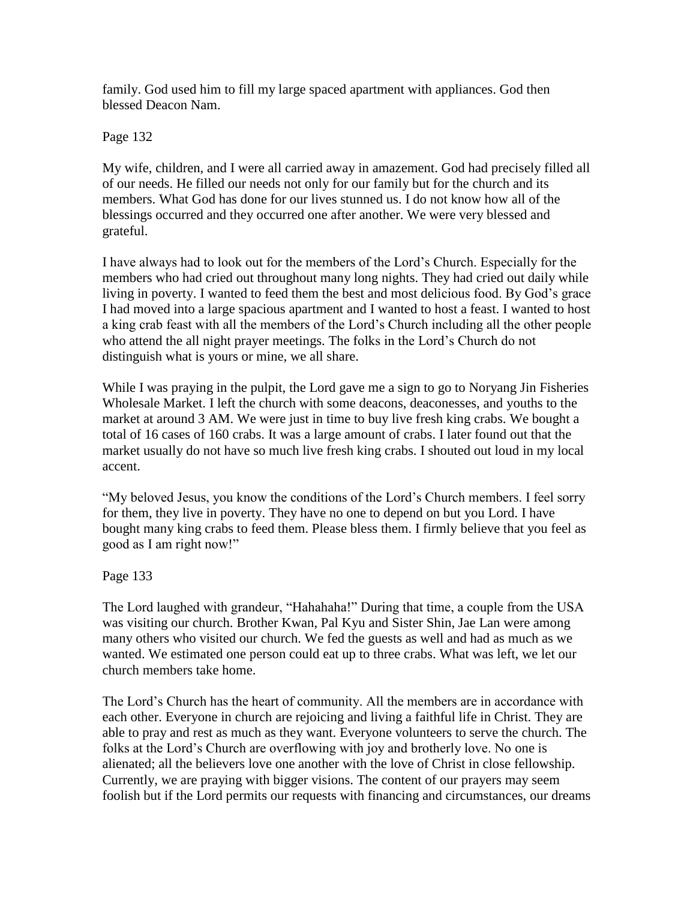family. God used him to fill my large spaced apartment with appliances. God then blessed Deacon Nam.

Page 132

My wife, children, and I were all carried away in amazement. God had precisely filled all of our needs. He filled our needs not only for our family but for the church and its members. What God has done for our lives stunned us. I do not know how all of the blessings occurred and they occurred one after another. We were very blessed and grateful.

I have always had to look out for the members of the Lord"s Church. Especially for the members who had cried out throughout many long nights. They had cried out daily while living in poverty. I wanted to feed them the best and most delicious food. By God"s grace I had moved into a large spacious apartment and I wanted to host a feast. I wanted to host a king crab feast with all the members of the Lord"s Church including all the other people who attend the all night prayer meetings. The folks in the Lord"s Church do not distinguish what is yours or mine, we all share.

While I was praying in the pulpit, the Lord gave me a sign to go to Noryang Jin Fisheries Wholesale Market. I left the church with some deacons, deaconesses, and youths to the market at around 3 AM. We were just in time to buy live fresh king crabs. We bought a total of 16 cases of 160 crabs. It was a large amount of crabs. I later found out that the market usually do not have so much live fresh king crabs. I shouted out loud in my local accent.

"My beloved Jesus, you know the conditions of the Lord"s Church members. I feel sorry for them, they live in poverty. They have no one to depend on but you Lord. I have bought many king crabs to feed them. Please bless them. I firmly believe that you feel as good as I am right now!"

Page 133

The Lord laughed with grandeur, "Hahahaha!" During that time, a couple from the USA was visiting our church. Brother Kwan, Pal Kyu and Sister Shin, Jae Lan were among many others who visited our church. We fed the guests as well and had as much as we wanted. We estimated one person could eat up to three crabs. What was left, we let our church members take home.

The Lord"s Church has the heart of community. All the members are in accordance with each other. Everyone in church are rejoicing and living a faithful life in Christ. They are able to pray and rest as much as they want. Everyone volunteers to serve the church. The folks at the Lord"s Church are overflowing with joy and brotherly love. No one is alienated; all the believers love one another with the love of Christ in close fellowship. Currently, we are praying with bigger visions. The content of our prayers may seem foolish but if the Lord permits our requests with financing and circumstances, our dreams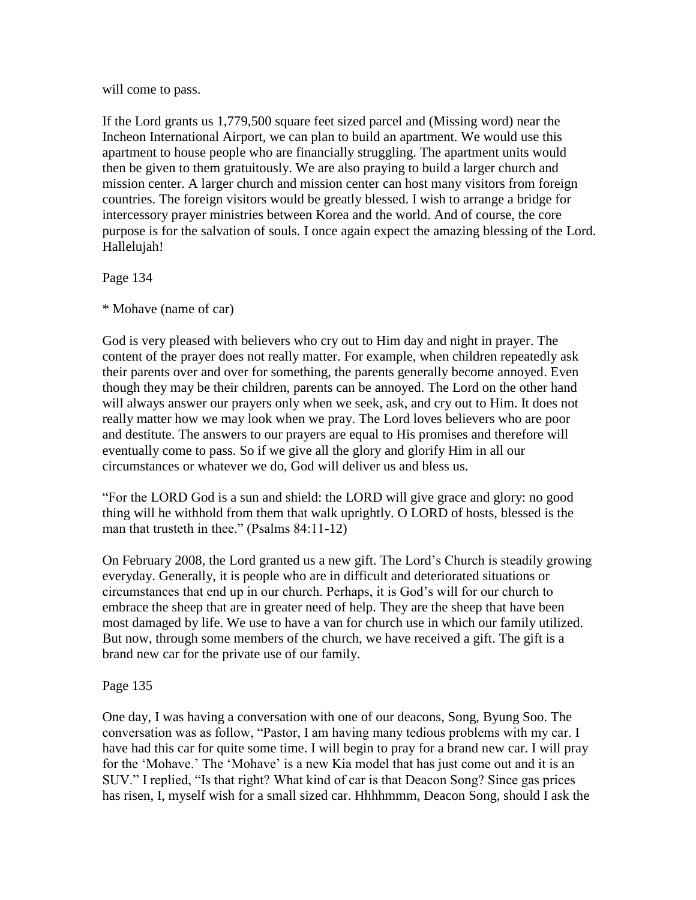will come to pass.

If the Lord grants us 1,779,500 square feet sized parcel and (Missing word) near the Incheon International Airport, we can plan to build an apartment. We would use this apartment to house people who are financially struggling. The apartment units would then be given to them gratuitously. We are also praying to build a larger church and mission center. A larger church and mission center can host many visitors from foreign countries. The foreign visitors would be greatly blessed. I wish to arrange a bridge for intercessory prayer ministries between Korea and the world. And of course, the core purpose is for the salvation of souls. I once again expect the amazing blessing of the Lord. Hallelujah!

Page 134

\* Mohave (name of car)

God is very pleased with believers who cry out to Him day and night in prayer. The content of the prayer does not really matter. For example, when children repeatedly ask their parents over and over for something, the parents generally become annoyed. Even though they may be their children, parents can be annoyed. The Lord on the other hand will always answer our prayers only when we seek, ask, and cry out to Him. It does not really matter how we may look when we pray. The Lord loves believers who are poor and destitute. The answers to our prayers are equal to His promises and therefore will eventually come to pass. So if we give all the glory and glorify Him in all our circumstances or whatever we do, God will deliver us and bless us.

"For the LORD God is a sun and shield: the LORD will give grace and glory: no good thing will he withhold from them that walk uprightly. O LORD of hosts, blessed is the man that trusteth in thee." (Psalms 84:11-12)

On February 2008, the Lord granted us a new gift. The Lord"s Church is steadily growing everyday. Generally, it is people who are in difficult and deteriorated situations or circumstances that end up in our church. Perhaps, it is God"s will for our church to embrace the sheep that are in greater need of help. They are the sheep that have been most damaged by life. We use to have a van for church use in which our family utilized. But now, through some members of the church, we have received a gift. The gift is a brand new car for the private use of our family.

## Page 135

One day, I was having a conversation with one of our deacons, Song, Byung Soo. The conversation was as follow, "Pastor, I am having many tedious problems with my car. I have had this car for quite some time. I will begin to pray for a brand new car. I will pray for the 'Mohave.' The 'Mohave' is a new Kia model that has just come out and it is an SUV." I replied, "Is that right? What kind of car is that Deacon Song? Since gas prices has risen, I, myself wish for a small sized car. Hhhhmmm, Deacon Song, should I ask the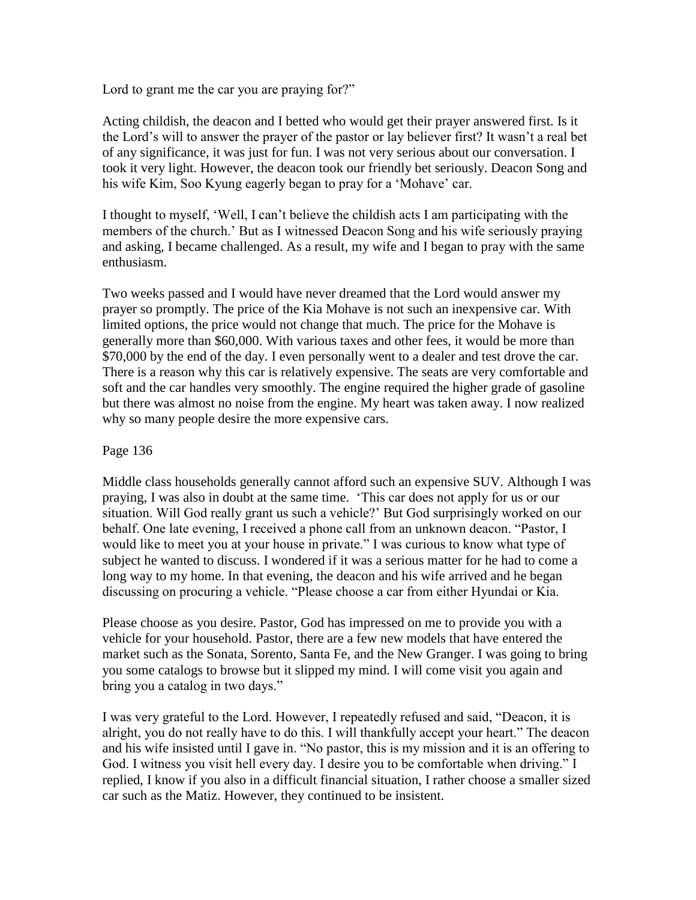Lord to grant me the car you are praying for?"

Acting childish, the deacon and I betted who would get their prayer answered first. Is it the Lord"s will to answer the prayer of the pastor or lay believer first? It wasn"t a real bet of any significance, it was just for fun. I was not very serious about our conversation. I took it very light. However, the deacon took our friendly bet seriously. Deacon Song and his wife Kim, Soo Kyung eagerly began to pray for a 'Mohave' car.

I thought to myself, "Well, I can"t believe the childish acts I am participating with the members of the church." But as I witnessed Deacon Song and his wife seriously praying and asking, I became challenged. As a result, my wife and I began to pray with the same enthusiasm.

Two weeks passed and I would have never dreamed that the Lord would answer my prayer so promptly. The price of the Kia Mohave is not such an inexpensive car. With limited options, the price would not change that much. The price for the Mohave is generally more than \$60,000. With various taxes and other fees, it would be more than \$70,000 by the end of the day. I even personally went to a dealer and test drove the car. There is a reason why this car is relatively expensive. The seats are very comfortable and soft and the car handles very smoothly. The engine required the higher grade of gasoline but there was almost no noise from the engine. My heart was taken away. I now realized why so many people desire the more expensive cars.

### Page 136

Middle class households generally cannot afford such an expensive SUV. Although I was praying, I was also in doubt at the same time. "This car does not apply for us or our situation. Will God really grant us such a vehicle?" But God surprisingly worked on our behalf. One late evening, I received a phone call from an unknown deacon. "Pastor, I would like to meet you at your house in private." I was curious to know what type of subject he wanted to discuss. I wondered if it was a serious matter for he had to come a long way to my home. In that evening, the deacon and his wife arrived and he began discussing on procuring a vehicle. "Please choose a car from either Hyundai or Kia.

Please choose as you desire. Pastor, God has impressed on me to provide you with a vehicle for your household. Pastor, there are a few new models that have entered the market such as the Sonata, Sorento, Santa Fe, and the New Granger. I was going to bring you some catalogs to browse but it slipped my mind. I will come visit you again and bring you a catalog in two days."

I was very grateful to the Lord. However, I repeatedly refused and said, "Deacon, it is alright, you do not really have to do this. I will thankfully accept your heart." The deacon and his wife insisted until I gave in. "No pastor, this is my mission and it is an offering to God. I witness you visit hell every day. I desire you to be comfortable when driving." I replied, I know if you also in a difficult financial situation, I rather choose a smaller sized car such as the Matiz. However, they continued to be insistent.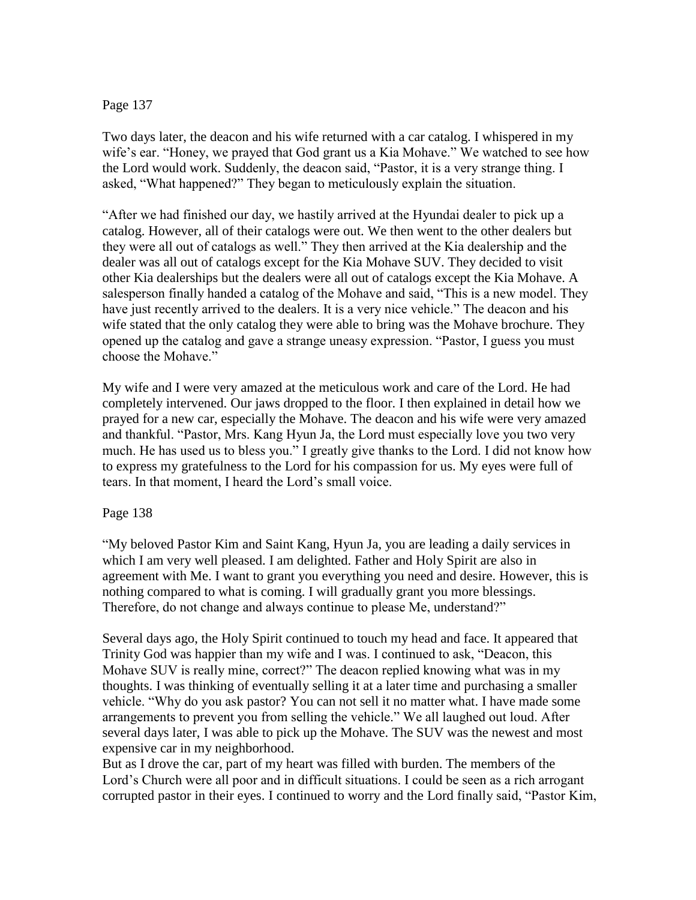## Page 137

Two days later, the deacon and his wife returned with a car catalog. I whispered in my wife's ear. "Honey, we prayed that God grant us a Kia Mohave." We watched to see how the Lord would work. Suddenly, the deacon said, "Pastor, it is a very strange thing. I asked, "What happened?" They began to meticulously explain the situation.

"After we had finished our day, we hastily arrived at the Hyundai dealer to pick up a catalog. However, all of their catalogs were out. We then went to the other dealers but they were all out of catalogs as well." They then arrived at the Kia dealership and the dealer was all out of catalogs except for the Kia Mohave SUV. They decided to visit other Kia dealerships but the dealers were all out of catalogs except the Kia Mohave. A salesperson finally handed a catalog of the Mohave and said, "This is a new model. They have just recently arrived to the dealers. It is a very nice vehicle." The deacon and his wife stated that the only catalog they were able to bring was the Mohave brochure. They opened up the catalog and gave a strange uneasy expression. "Pastor, I guess you must choose the Mohave."

My wife and I were very amazed at the meticulous work and care of the Lord. He had completely intervened. Our jaws dropped to the floor. I then explained in detail how we prayed for a new car, especially the Mohave. The deacon and his wife were very amazed and thankful. "Pastor, Mrs. Kang Hyun Ja, the Lord must especially love you two very much. He has used us to bless you." I greatly give thanks to the Lord. I did not know how to express my gratefulness to the Lord for his compassion for us. My eyes were full of tears. In that moment, I heard the Lord"s small voice.

## Page 138

"My beloved Pastor Kim and Saint Kang, Hyun Ja, you are leading a daily services in which I am very well pleased. I am delighted. Father and Holy Spirit are also in agreement with Me. I want to grant you everything you need and desire. However, this is nothing compared to what is coming. I will gradually grant you more blessings. Therefore, do not change and always continue to please Me, understand?"

Several days ago, the Holy Spirit continued to touch my head and face. It appeared that Trinity God was happier than my wife and I was. I continued to ask, "Deacon, this Mohave SUV is really mine, correct?" The deacon replied knowing what was in my thoughts. I was thinking of eventually selling it at a later time and purchasing a smaller vehicle. "Why do you ask pastor? You can not sell it no matter what. I have made some arrangements to prevent you from selling the vehicle." We all laughed out loud. After several days later, I was able to pick up the Mohave. The SUV was the newest and most expensive car in my neighborhood.

But as I drove the car, part of my heart was filled with burden. The members of the Lord's Church were all poor and in difficult situations. I could be seen as a rich arrogant corrupted pastor in their eyes. I continued to worry and the Lord finally said, "Pastor Kim,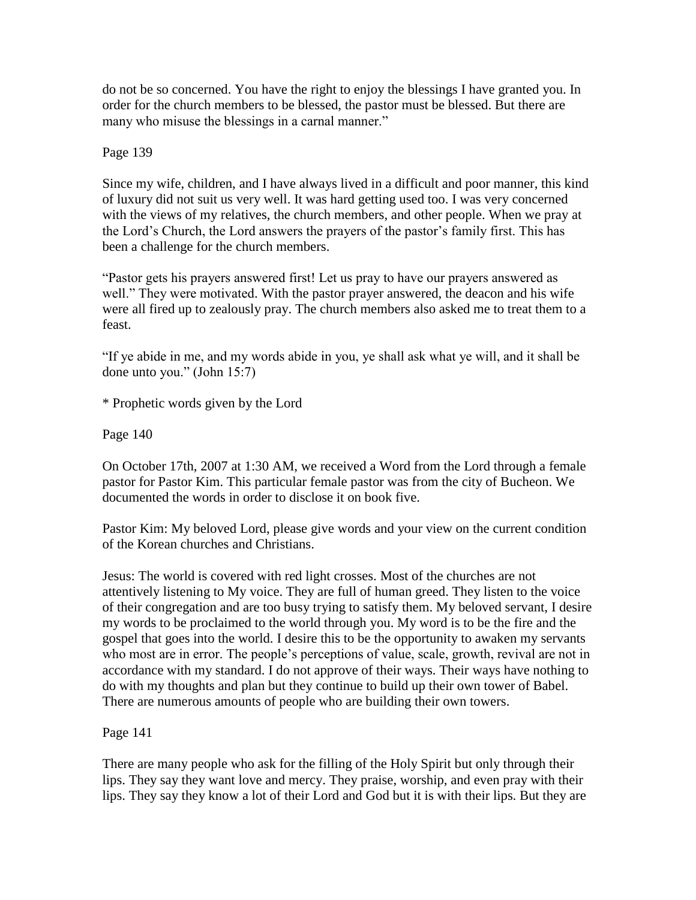do not be so concerned. You have the right to enjoy the blessings I have granted you. In order for the church members to be blessed, the pastor must be blessed. But there are many who misuse the blessings in a carnal manner."

Page 139

Since my wife, children, and I have always lived in a difficult and poor manner, this kind of luxury did not suit us very well. It was hard getting used too. I was very concerned with the views of my relatives, the church members, and other people. When we pray at the Lord's Church, the Lord answers the prayers of the pastor's family first. This has been a challenge for the church members.

"Pastor gets his prayers answered first! Let us pray to have our prayers answered as well." They were motivated. With the pastor prayer answered, the deacon and his wife were all fired up to zealously pray. The church members also asked me to treat them to a feast.

"If ye abide in me, and my words abide in you, ye shall ask what ye will, and it shall be done unto you." (John 15:7)

\* Prophetic words given by the Lord

Page 140

On October 17th, 2007 at 1:30 AM, we received a Word from the Lord through a female pastor for Pastor Kim. This particular female pastor was from the city of Bucheon. We documented the words in order to disclose it on book five.

Pastor Kim: My beloved Lord, please give words and your view on the current condition of the Korean churches and Christians.

Jesus: The world is covered with red light crosses. Most of the churches are not attentively listening to My voice. They are full of human greed. They listen to the voice of their congregation and are too busy trying to satisfy them. My beloved servant, I desire my words to be proclaimed to the world through you. My word is to be the fire and the gospel that goes into the world. I desire this to be the opportunity to awaken my servants who most are in error. The people's perceptions of value, scale, growth, revival are not in accordance with my standard. I do not approve of their ways. Their ways have nothing to do with my thoughts and plan but they continue to build up their own tower of Babel. There are numerous amounts of people who are building their own towers.

Page 141

There are many people who ask for the filling of the Holy Spirit but only through their lips. They say they want love and mercy. They praise, worship, and even pray with their lips. They say they know a lot of their Lord and God but it is with their lips. But they are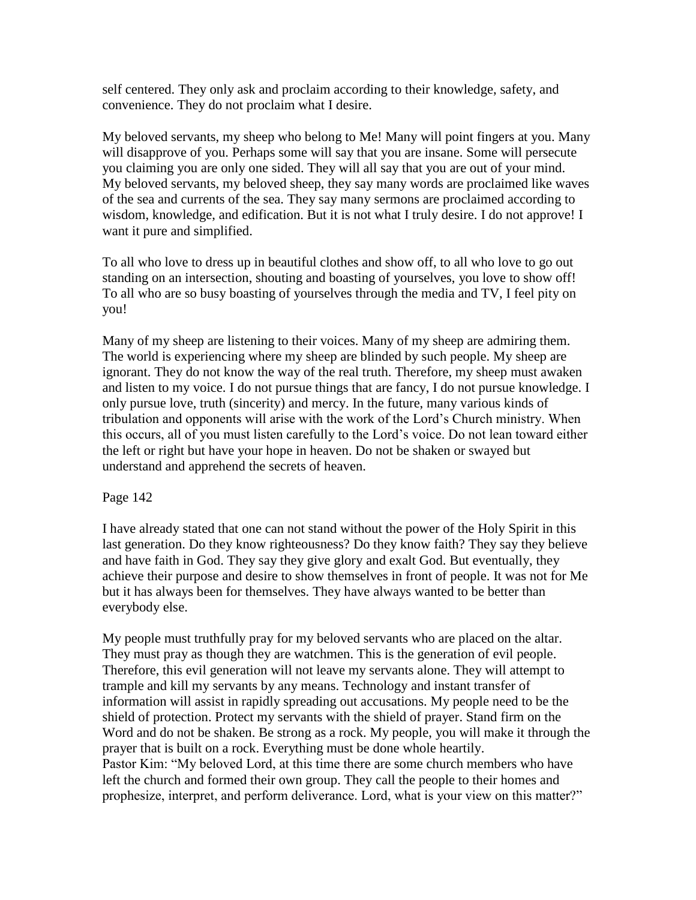self centered. They only ask and proclaim according to their knowledge, safety, and convenience. They do not proclaim what I desire.

My beloved servants, my sheep who belong to Me! Many will point fingers at you. Many will disapprove of you. Perhaps some will say that you are insane. Some will persecute you claiming you are only one sided. They will all say that you are out of your mind. My beloved servants, my beloved sheep, they say many words are proclaimed like waves of the sea and currents of the sea. They say many sermons are proclaimed according to wisdom, knowledge, and edification. But it is not what I truly desire. I do not approve! I want it pure and simplified.

To all who love to dress up in beautiful clothes and show off, to all who love to go out standing on an intersection, shouting and boasting of yourselves, you love to show off! To all who are so busy boasting of yourselves through the media and TV, I feel pity on you!

Many of my sheep are listening to their voices. Many of my sheep are admiring them. The world is experiencing where my sheep are blinded by such people. My sheep are ignorant. They do not know the way of the real truth. Therefore, my sheep must awaken and listen to my voice. I do not pursue things that are fancy, I do not pursue knowledge. I only pursue love, truth (sincerity) and mercy. In the future, many various kinds of tribulation and opponents will arise with the work of the Lord"s Church ministry. When this occurs, all of you must listen carefully to the Lord"s voice. Do not lean toward either the left or right but have your hope in heaven. Do not be shaken or swayed but understand and apprehend the secrets of heaven.

## Page 142

I have already stated that one can not stand without the power of the Holy Spirit in this last generation. Do they know righteousness? Do they know faith? They say they believe and have faith in God. They say they give glory and exalt God. But eventually, they achieve their purpose and desire to show themselves in front of people. It was not for Me but it has always been for themselves. They have always wanted to be better than everybody else.

My people must truthfully pray for my beloved servants who are placed on the altar. They must pray as though they are watchmen. This is the generation of evil people. Therefore, this evil generation will not leave my servants alone. They will attempt to trample and kill my servants by any means. Technology and instant transfer of information will assist in rapidly spreading out accusations. My people need to be the shield of protection. Protect my servants with the shield of prayer. Stand firm on the Word and do not be shaken. Be strong as a rock. My people, you will make it through the prayer that is built on a rock. Everything must be done whole heartily. Pastor Kim: "My beloved Lord, at this time there are some church members who have left the church and formed their own group. They call the people to their homes and prophesize, interpret, and perform deliverance. Lord, what is your view on this matter?"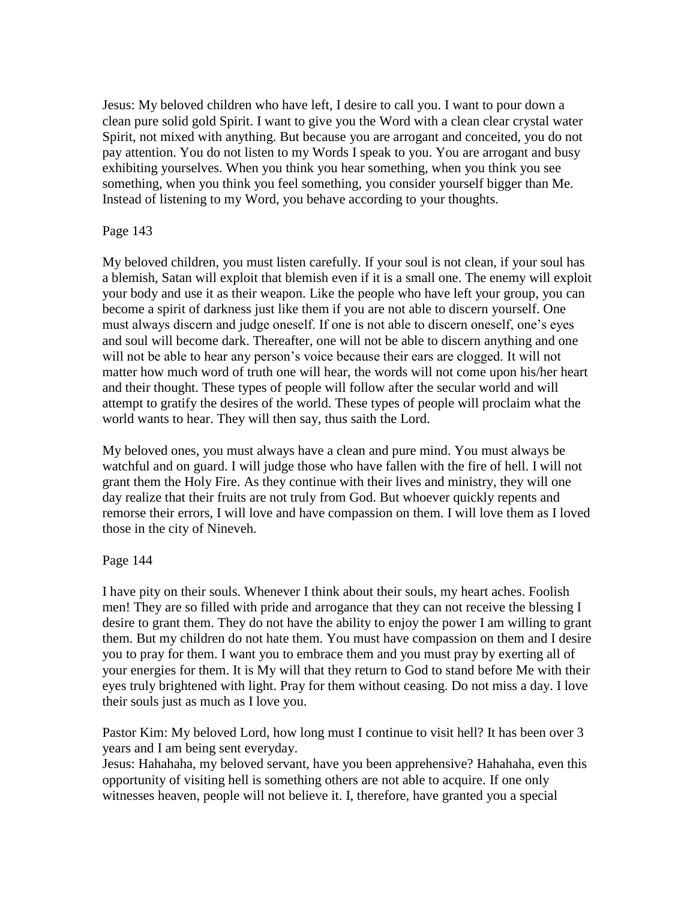Jesus: My beloved children who have left, I desire to call you. I want to pour down a clean pure solid gold Spirit. I want to give you the Word with a clean clear crystal water Spirit, not mixed with anything. But because you are arrogant and conceited, you do not pay attention. You do not listen to my Words I speak to you. You are arrogant and busy exhibiting yourselves. When you think you hear something, when you think you see something, when you think you feel something, you consider yourself bigger than Me. Instead of listening to my Word, you behave according to your thoughts.

### Page 143

My beloved children, you must listen carefully. If your soul is not clean, if your soul has a blemish, Satan will exploit that blemish even if it is a small one. The enemy will exploit your body and use it as their weapon. Like the people who have left your group, you can become a spirit of darkness just like them if you are not able to discern yourself. One must always discern and judge oneself. If one is not able to discern oneself, one"s eyes and soul will become dark. Thereafter, one will not be able to discern anything and one will not be able to hear any person's voice because their ears are clogged. It will not matter how much word of truth one will hear, the words will not come upon his/her heart and their thought. These types of people will follow after the secular world and will attempt to gratify the desires of the world. These types of people will proclaim what the world wants to hear. They will then say, thus saith the Lord.

My beloved ones, you must always have a clean and pure mind. You must always be watchful and on guard. I will judge those who have fallen with the fire of hell. I will not grant them the Holy Fire. As they continue with their lives and ministry, they will one day realize that their fruits are not truly from God. But whoever quickly repents and remorse their errors, I will love and have compassion on them. I will love them as I loved those in the city of Nineveh.

### Page 144

I have pity on their souls. Whenever I think about their souls, my heart aches. Foolish men! They are so filled with pride and arrogance that they can not receive the blessing I desire to grant them. They do not have the ability to enjoy the power I am willing to grant them. But my children do not hate them. You must have compassion on them and I desire you to pray for them. I want you to embrace them and you must pray by exerting all of your energies for them. It is My will that they return to God to stand before Me with their eyes truly brightened with light. Pray for them without ceasing. Do not miss a day. I love their souls just as much as I love you.

Pastor Kim: My beloved Lord, how long must I continue to visit hell? It has been over 3 years and I am being sent everyday.

Jesus: Hahahaha, my beloved servant, have you been apprehensive? Hahahaha, even this opportunity of visiting hell is something others are not able to acquire. If one only witnesses heaven, people will not believe it. I, therefore, have granted you a special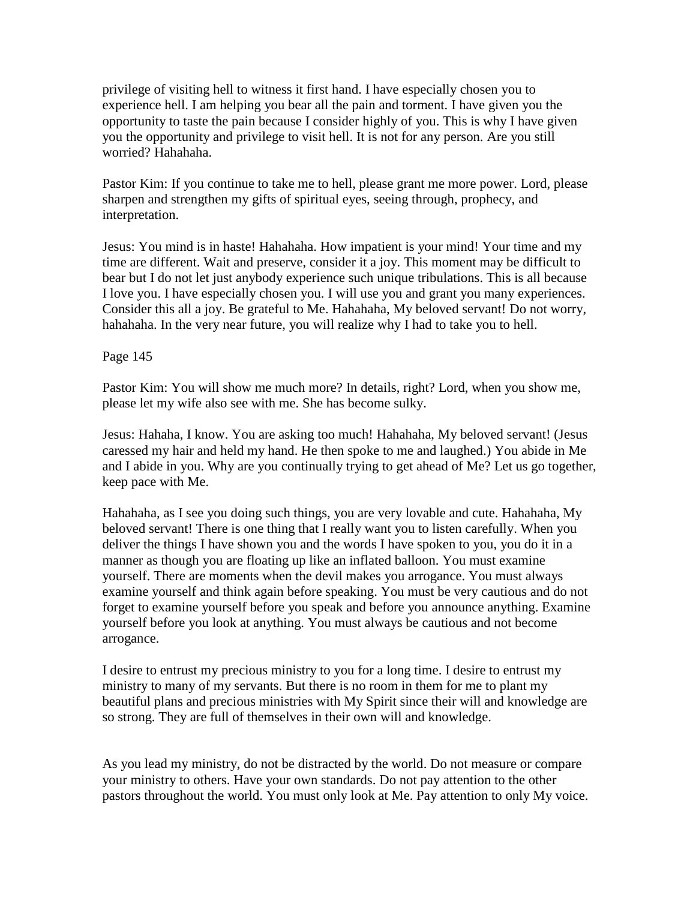privilege of visiting hell to witness it first hand. I have especially chosen you to experience hell. I am helping you bear all the pain and torment. I have given you the opportunity to taste the pain because I consider highly of you. This is why I have given you the opportunity and privilege to visit hell. It is not for any person. Are you still worried? Hahahaha.

Pastor Kim: If you continue to take me to hell, please grant me more power. Lord, please sharpen and strengthen my gifts of spiritual eyes, seeing through, prophecy, and interpretation.

Jesus: You mind is in haste! Hahahaha. How impatient is your mind! Your time and my time are different. Wait and preserve, consider it a joy. This moment may be difficult to bear but I do not let just anybody experience such unique tribulations. This is all because I love you. I have especially chosen you. I will use you and grant you many experiences. Consider this all a joy. Be grateful to Me. Hahahaha, My beloved servant! Do not worry, hahahaha. In the very near future, you will realize why I had to take you to hell.

Page 145

Pastor Kim: You will show me much more? In details, right? Lord, when you show me, please let my wife also see with me. She has become sulky.

Jesus: Hahaha, I know. You are asking too much! Hahahaha, My beloved servant! (Jesus caressed my hair and held my hand. He then spoke to me and laughed.) You abide in Me and I abide in you. Why are you continually trying to get ahead of Me? Let us go together, keep pace with Me.

Hahahaha, as I see you doing such things, you are very lovable and cute. Hahahaha, My beloved servant! There is one thing that I really want you to listen carefully. When you deliver the things I have shown you and the words I have spoken to you, you do it in a manner as though you are floating up like an inflated balloon. You must examine yourself. There are moments when the devil makes you arrogance. You must always examine yourself and think again before speaking. You must be very cautious and do not forget to examine yourself before you speak and before you announce anything. Examine yourself before you look at anything. You must always be cautious and not become arrogance.

I desire to entrust my precious ministry to you for a long time. I desire to entrust my ministry to many of my servants. But there is no room in them for me to plant my beautiful plans and precious ministries with My Spirit since their will and knowledge are so strong. They are full of themselves in their own will and knowledge.

As you lead my ministry, do not be distracted by the world. Do not measure or compare your ministry to others. Have your own standards. Do not pay attention to the other pastors throughout the world. You must only look at Me. Pay attention to only My voice.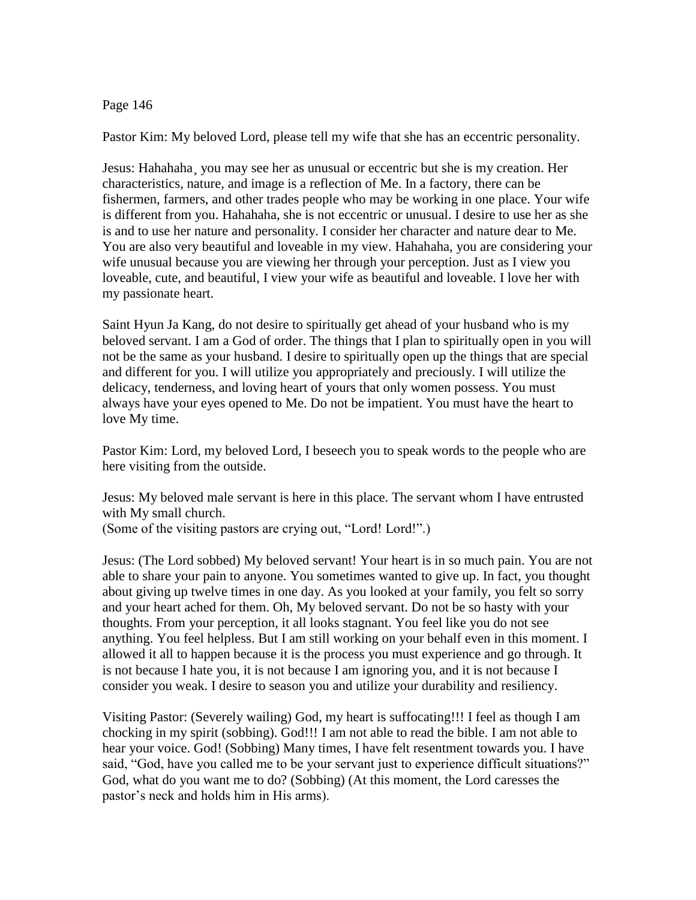#### Page 146

Pastor Kim: My beloved Lord, please tell my wife that she has an eccentric personality.

Jesus: Hahahaha, you may see her as unusual or eccentric but she is my creation. Her characteristics, nature, and image is a reflection of Me. In a factory, there can be fishermen, farmers, and other trades people who may be working in one place. Your wife is different from you. Hahahaha, she is not eccentric or unusual. I desire to use her as she is and to use her nature and personality. I consider her character and nature dear to Me. You are also very beautiful and loveable in my view. Hahahaha, you are considering your wife unusual because you are viewing her through your perception. Just as I view you loveable, cute, and beautiful, I view your wife as beautiful and loveable. I love her with my passionate heart.

Saint Hyun Ja Kang, do not desire to spiritually get ahead of your husband who is my beloved servant. I am a God of order. The things that I plan to spiritually open in you will not be the same as your husband. I desire to spiritually open up the things that are special and different for you. I will utilize you appropriately and preciously. I will utilize the delicacy, tenderness, and loving heart of yours that only women possess. You must always have your eyes opened to Me. Do not be impatient. You must have the heart to love My time.

Pastor Kim: Lord, my beloved Lord, I beseech you to speak words to the people who are here visiting from the outside.

Jesus: My beloved male servant is here in this place. The servant whom I have entrusted with My small church. (Some of the visiting pastors are crying out, "Lord! Lord!".)

Jesus: (The Lord sobbed) My beloved servant! Your heart is in so much pain. You are not able to share your pain to anyone. You sometimes wanted to give up. In fact, you thought about giving up twelve times in one day. As you looked at your family, you felt so sorry and your heart ached for them. Oh, My beloved servant. Do not be so hasty with your thoughts. From your perception, it all looks stagnant. You feel like you do not see anything. You feel helpless. But I am still working on your behalf even in this moment. I allowed it all to happen because it is the process you must experience and go through. It is not because I hate you, it is not because I am ignoring you, and it is not because I consider you weak. I desire to season you and utilize your durability and resiliency.

Visiting Pastor: (Severely wailing) God, my heart is suffocating!!! I feel as though I am chocking in my spirit (sobbing). God!!! I am not able to read the bible. I am not able to hear your voice. God! (Sobbing) Many times, I have felt resentment towards you. I have said, "God, have you called me to be your servant just to experience difficult situations?" God, what do you want me to do? (Sobbing) (At this moment, the Lord caresses the pastor"s neck and holds him in His arms).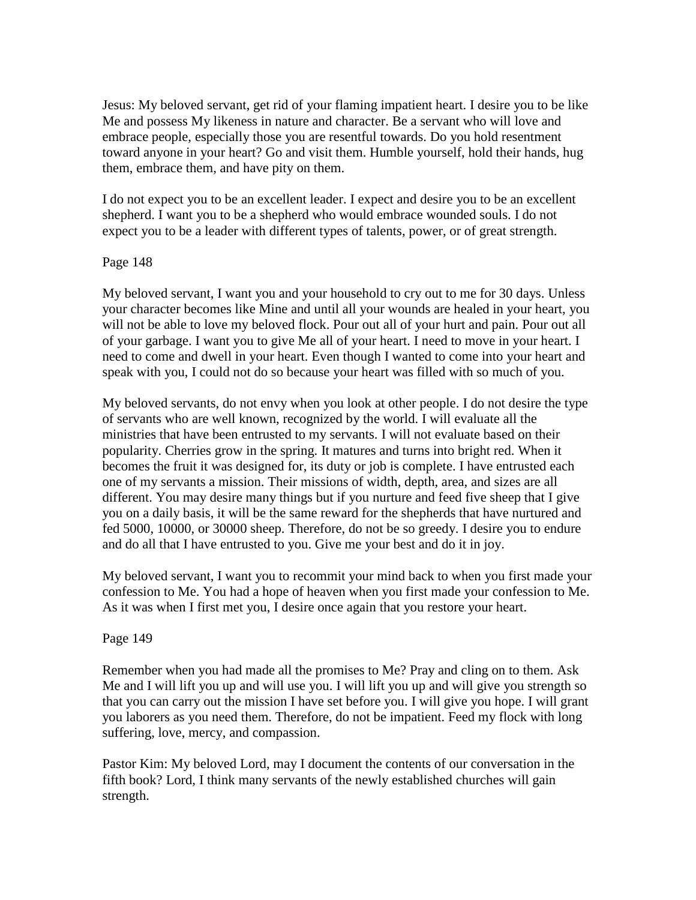Jesus: My beloved servant, get rid of your flaming impatient heart. I desire you to be like Me and possess My likeness in nature and character. Be a servant who will love and embrace people, especially those you are resentful towards. Do you hold resentment toward anyone in your heart? Go and visit them. Humble yourself, hold their hands, hug them, embrace them, and have pity on them.

I do not expect you to be an excellent leader. I expect and desire you to be an excellent shepherd. I want you to be a shepherd who would embrace wounded souls. I do not expect you to be a leader with different types of talents, power, or of great strength.

#### Page 148

My beloved servant, I want you and your household to cry out to me for 30 days. Unless your character becomes like Mine and until all your wounds are healed in your heart, you will not be able to love my beloved flock. Pour out all of your hurt and pain. Pour out all of your garbage. I want you to give Me all of your heart. I need to move in your heart. I need to come and dwell in your heart. Even though I wanted to come into your heart and speak with you, I could not do so because your heart was filled with so much of you.

My beloved servants, do not envy when you look at other people. I do not desire the type of servants who are well known, recognized by the world. I will evaluate all the ministries that have been entrusted to my servants. I will not evaluate based on their popularity. Cherries grow in the spring. It matures and turns into bright red. When it becomes the fruit it was designed for, its duty or job is complete. I have entrusted each one of my servants a mission. Their missions of width, depth, area, and sizes are all different. You may desire many things but if you nurture and feed five sheep that I give you on a daily basis, it will be the same reward for the shepherds that have nurtured and fed 5000, 10000, or 30000 sheep. Therefore, do not be so greedy. I desire you to endure and do all that I have entrusted to you. Give me your best and do it in joy.

My beloved servant, I want you to recommit your mind back to when you first made your confession to Me. You had a hope of heaven when you first made your confession to Me. As it was when I first met you, I desire once again that you restore your heart.

#### Page 149

Remember when you had made all the promises to Me? Pray and cling on to them. Ask Me and I will lift you up and will use you. I will lift you up and will give you strength so that you can carry out the mission I have set before you. I will give you hope. I will grant you laborers as you need them. Therefore, do not be impatient. Feed my flock with long suffering, love, mercy, and compassion.

Pastor Kim: My beloved Lord, may I document the contents of our conversation in the fifth book? Lord, I think many servants of the newly established churches will gain strength.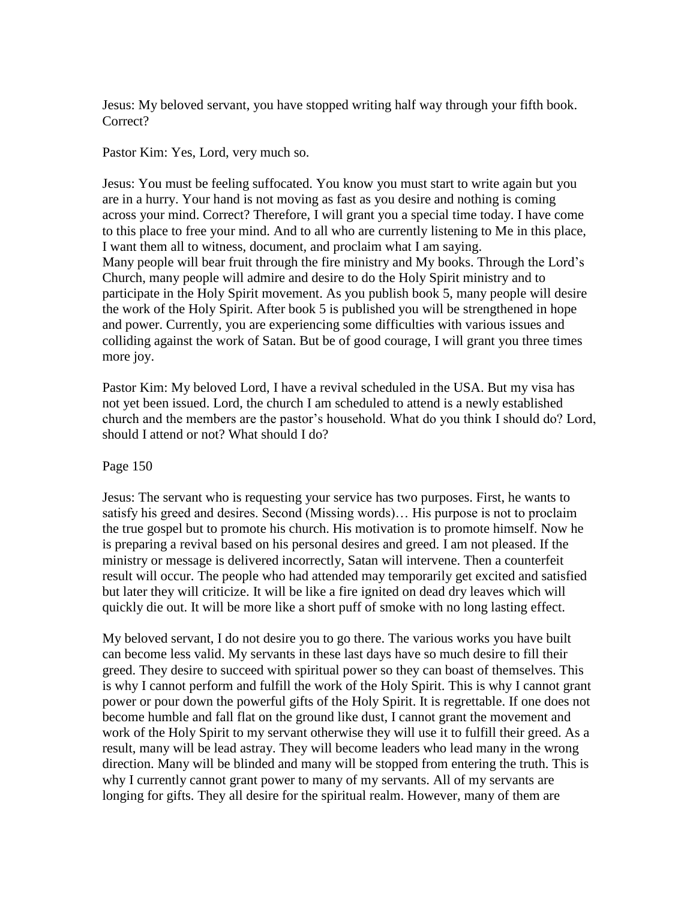Jesus: My beloved servant, you have stopped writing half way through your fifth book. Correct?

Pastor Kim: Yes, Lord, very much so.

Jesus: You must be feeling suffocated. You know you must start to write again but you are in a hurry. Your hand is not moving as fast as you desire and nothing is coming across your mind. Correct? Therefore, I will grant you a special time today. I have come to this place to free your mind. And to all who are currently listening to Me in this place, I want them all to witness, document, and proclaim what I am saying. Many people will bear fruit through the fire ministry and My books. Through the Lord"s Church, many people will admire and desire to do the Holy Spirit ministry and to participate in the Holy Spirit movement. As you publish book 5, many people will desire the work of the Holy Spirit. After book 5 is published you will be strengthened in hope and power. Currently, you are experiencing some difficulties with various issues and colliding against the work of Satan. But be of good courage, I will grant you three times more joy.

Pastor Kim: My beloved Lord, I have a revival scheduled in the USA. But my visa has not yet been issued. Lord, the church I am scheduled to attend is a newly established church and the members are the pastor"s household. What do you think I should do? Lord, should I attend or not? What should I do?

### Page 150

Jesus: The servant who is requesting your service has two purposes. First, he wants to satisfy his greed and desires. Second (Missing words)… His purpose is not to proclaim the true gospel but to promote his church. His motivation is to promote himself. Now he is preparing a revival based on his personal desires and greed. I am not pleased. If the ministry or message is delivered incorrectly, Satan will intervene. Then a counterfeit result will occur. The people who had attended may temporarily get excited and satisfied but later they will criticize. It will be like a fire ignited on dead dry leaves which will quickly die out. It will be more like a short puff of smoke with no long lasting effect.

My beloved servant, I do not desire you to go there. The various works you have built can become less valid. My servants in these last days have so much desire to fill their greed. They desire to succeed with spiritual power so they can boast of themselves. This is why I cannot perform and fulfill the work of the Holy Spirit. This is why I cannot grant power or pour down the powerful gifts of the Holy Spirit. It is regrettable. If one does not become humble and fall flat on the ground like dust, I cannot grant the movement and work of the Holy Spirit to my servant otherwise they will use it to fulfill their greed. As a result, many will be lead astray. They will become leaders who lead many in the wrong direction. Many will be blinded and many will be stopped from entering the truth. This is why I currently cannot grant power to many of my servants. All of my servants are longing for gifts. They all desire for the spiritual realm. However, many of them are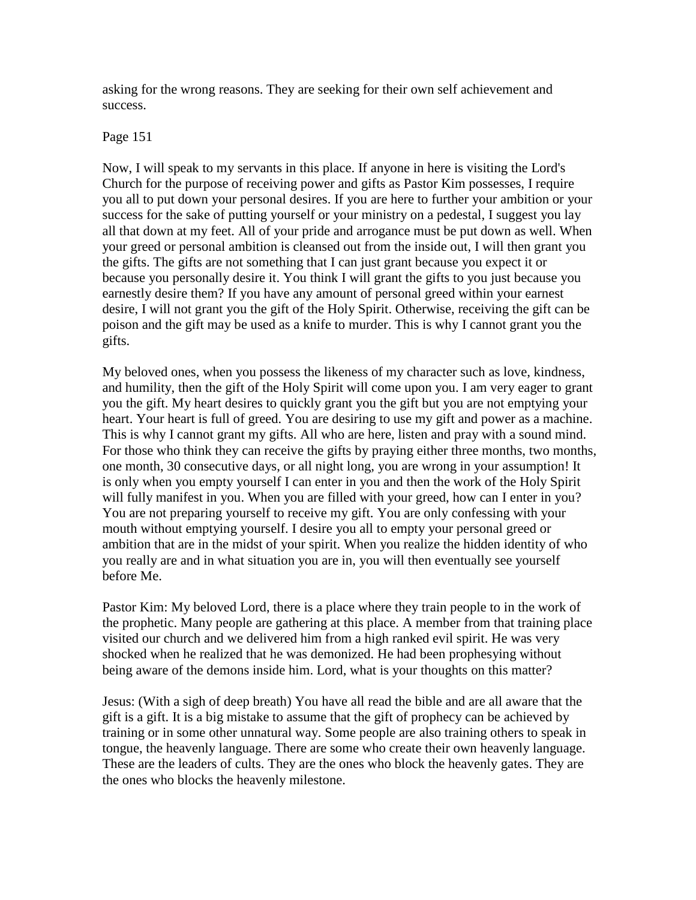asking for the wrong reasons. They are seeking for their own self achievement and success.

### Page 151

Now, I will speak to my servants in this place. If anyone in here is visiting the Lord's Church for the purpose of receiving power and gifts as Pastor Kim possesses, I require you all to put down your personal desires. If you are here to further your ambition or your success for the sake of putting yourself or your ministry on a pedestal, I suggest you lay all that down at my feet. All of your pride and arrogance must be put down as well. When your greed or personal ambition is cleansed out from the inside out, I will then grant you the gifts. The gifts are not something that I can just grant because you expect it or because you personally desire it. You think I will grant the gifts to you just because you earnestly desire them? If you have any amount of personal greed within your earnest desire, I will not grant you the gift of the Holy Spirit. Otherwise, receiving the gift can be poison and the gift may be used as a knife to murder. This is why I cannot grant you the gifts.

My beloved ones, when you possess the likeness of my character such as love, kindness, and humility, then the gift of the Holy Spirit will come upon you. I am very eager to grant you the gift. My heart desires to quickly grant you the gift but you are not emptying your heart. Your heart is full of greed. You are desiring to use my gift and power as a machine. This is why I cannot grant my gifts. All who are here, listen and pray with a sound mind. For those who think they can receive the gifts by praying either three months, two months, one month, 30 consecutive days, or all night long, you are wrong in your assumption! It is only when you empty yourself I can enter in you and then the work of the Holy Spirit will fully manifest in you. When you are filled with your greed, how can I enter in you? You are not preparing yourself to receive my gift. You are only confessing with your mouth without emptying yourself. I desire you all to empty your personal greed or ambition that are in the midst of your spirit. When you realize the hidden identity of who you really are and in what situation you are in, you will then eventually see yourself before Me.

Pastor Kim: My beloved Lord, there is a place where they train people to in the work of the prophetic. Many people are gathering at this place. A member from that training place visited our church and we delivered him from a high ranked evil spirit. He was very shocked when he realized that he was demonized. He had been prophesying without being aware of the demons inside him. Lord, what is your thoughts on this matter?

Jesus: (With a sigh of deep breath) You have all read the bible and are all aware that the gift is a gift. It is a big mistake to assume that the gift of prophecy can be achieved by training or in some other unnatural way. Some people are also training others to speak in tongue, the heavenly language. There are some who create their own heavenly language. These are the leaders of cults. They are the ones who block the heavenly gates. They are the ones who blocks the heavenly milestone.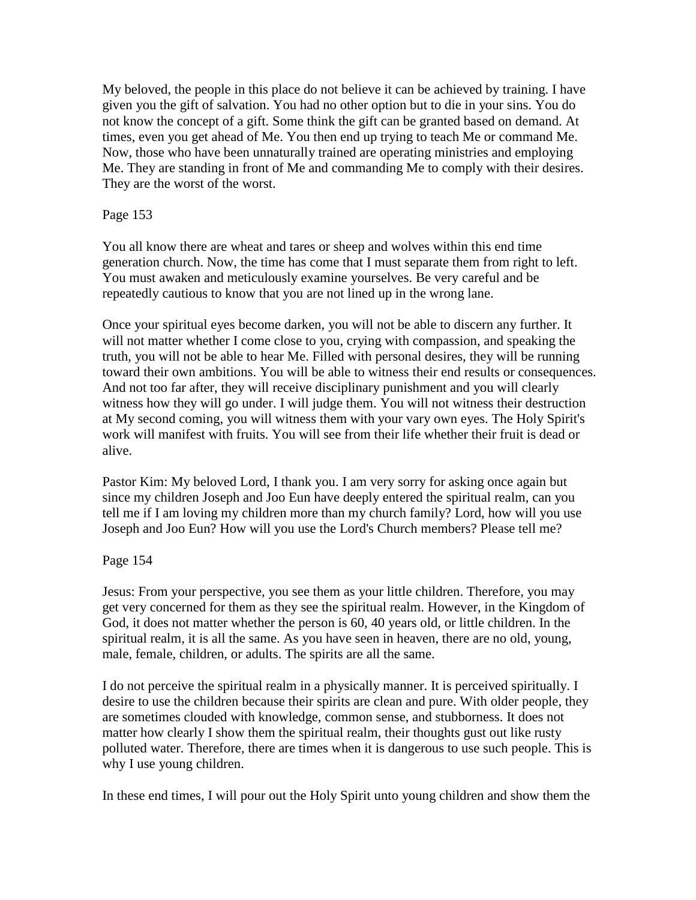My beloved, the people in this place do not believe it can be achieved by training. I have given you the gift of salvation. You had no other option but to die in your sins. You do not know the concept of a gift. Some think the gift can be granted based on demand. At times, even you get ahead of Me. You then end up trying to teach Me or command Me. Now, those who have been unnaturally trained are operating ministries and employing Me. They are standing in front of Me and commanding Me to comply with their desires. They are the worst of the worst.

### Page 153

You all know there are wheat and tares or sheep and wolves within this end time generation church. Now, the time has come that I must separate them from right to left. You must awaken and meticulously examine yourselves. Be very careful and be repeatedly cautious to know that you are not lined up in the wrong lane.

Once your spiritual eyes become darken, you will not be able to discern any further. It will not matter whether I come close to you, crying with compassion, and speaking the truth, you will not be able to hear Me. Filled with personal desires, they will be running toward their own ambitions. You will be able to witness their end results or consequences. And not too far after, they will receive disciplinary punishment and you will clearly witness how they will go under. I will judge them. You will not witness their destruction at My second coming, you will witness them with your vary own eyes. The Holy Spirit's work will manifest with fruits. You will see from their life whether their fruit is dead or alive.

Pastor Kim: My beloved Lord, I thank you. I am very sorry for asking once again but since my children Joseph and Joo Eun have deeply entered the spiritual realm, can you tell me if I am loving my children more than my church family? Lord, how will you use Joseph and Joo Eun? How will you use the Lord's Church members? Please tell me?

### Page 154

Jesus: From your perspective, you see them as your little children. Therefore, you may get very concerned for them as they see the spiritual realm. However, in the Kingdom of God, it does not matter whether the person is 60, 40 years old, or little children. In the spiritual realm, it is all the same. As you have seen in heaven, there are no old, young, male, female, children, or adults. The spirits are all the same.

I do not perceive the spiritual realm in a physically manner. It is perceived spiritually. I desire to use the children because their spirits are clean and pure. With older people, they are sometimes clouded with knowledge, common sense, and stubborness. It does not matter how clearly I show them the spiritual realm, their thoughts gust out like rusty polluted water. Therefore, there are times when it is dangerous to use such people. This is why I use young children.

In these end times, I will pour out the Holy Spirit unto young children and show them the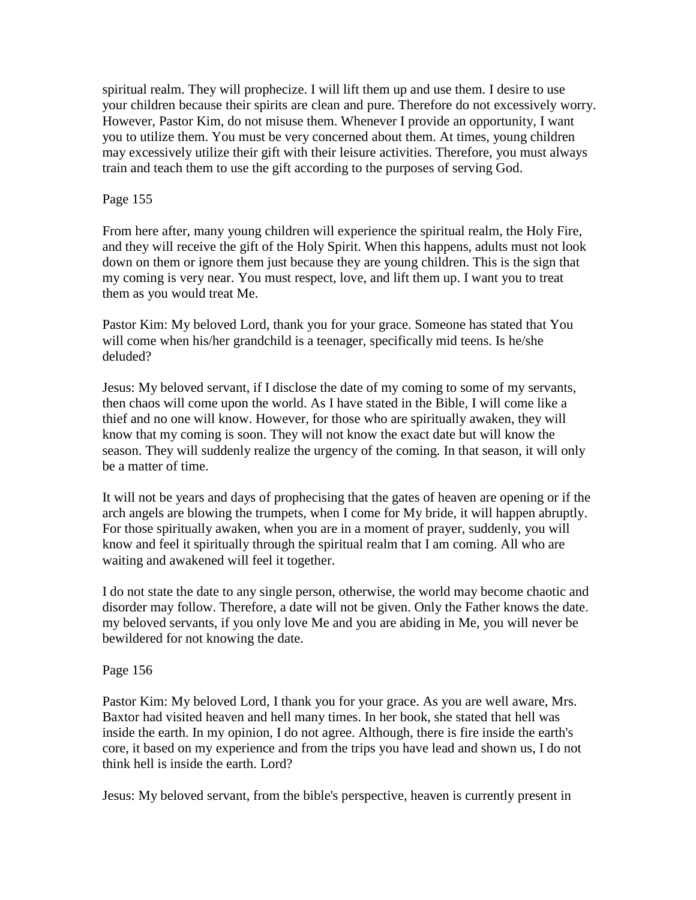spiritual realm. They will prophecize. I will lift them up and use them. I desire to use your children because their spirits are clean and pure. Therefore do not excessively worry. However, Pastor Kim, do not misuse them. Whenever I provide an opportunity, I want you to utilize them. You must be very concerned about them. At times, young children may excessively utilize their gift with their leisure activities. Therefore, you must always train and teach them to use the gift according to the purposes of serving God.

# Page 155

From here after, many young children will experience the spiritual realm, the Holy Fire, and they will receive the gift of the Holy Spirit. When this happens, adults must not look down on them or ignore them just because they are young children. This is the sign that my coming is very near. You must respect, love, and lift them up. I want you to treat them as you would treat Me.

Pastor Kim: My beloved Lord, thank you for your grace. Someone has stated that You will come when his/her grandchild is a teenager, specifically mid teens. Is he/she deluded?

Jesus: My beloved servant, if I disclose the date of my coming to some of my servants, then chaos will come upon the world. As I have stated in the Bible, I will come like a thief and no one will know. However, for those who are spiritually awaken, they will know that my coming is soon. They will not know the exact date but will know the season. They will suddenly realize the urgency of the coming. In that season, it will only be a matter of time.

It will not be years and days of prophecising that the gates of heaven are opening or if the arch angels are blowing the trumpets, when I come for My bride, it will happen abruptly. For those spiritually awaken, when you are in a moment of prayer, suddenly, you will know and feel it spiritually through the spiritual realm that I am coming. All who are waiting and awakened will feel it together.

I do not state the date to any single person, otherwise, the world may become chaotic and disorder may follow. Therefore, a date will not be given. Only the Father knows the date. my beloved servants, if you only love Me and you are abiding in Me, you will never be bewildered for not knowing the date.

# Page 156

Pastor Kim: My beloved Lord, I thank you for your grace. As you are well aware, Mrs. Baxtor had visited heaven and hell many times. In her book, she stated that hell was inside the earth. In my opinion, I do not agree. Although, there is fire inside the earth's core, it based on my experience and from the trips you have lead and shown us, I do not think hell is inside the earth. Lord?

Jesus: My beloved servant, from the bible's perspective, heaven is currently present in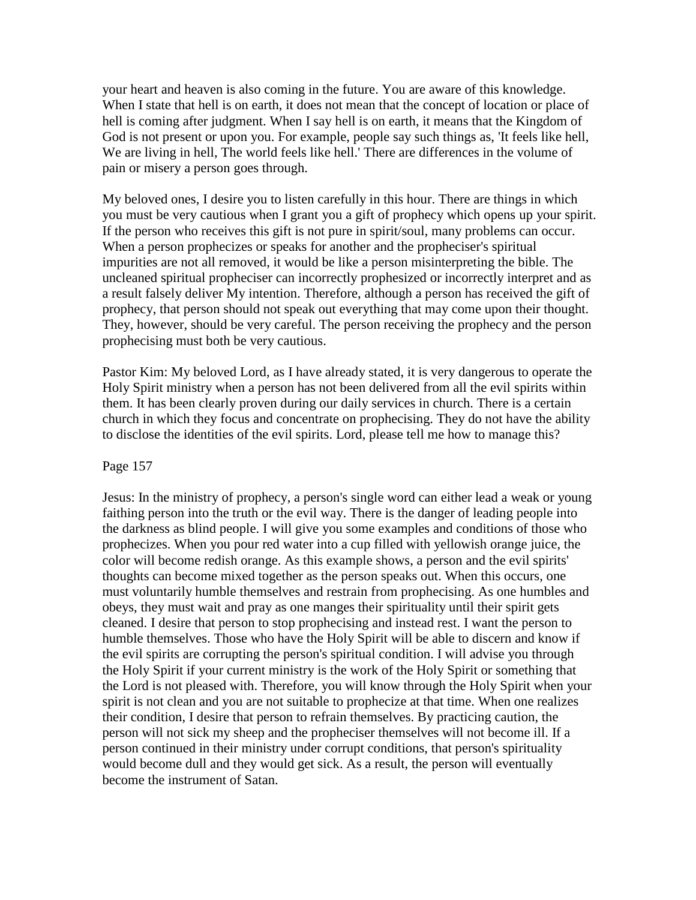your heart and heaven is also coming in the future. You are aware of this knowledge. When I state that hell is on earth, it does not mean that the concept of location or place of hell is coming after judgment. When I say hell is on earth, it means that the Kingdom of God is not present or upon you. For example, people say such things as, 'It feels like hell, We are living in hell, The world feels like hell.' There are differences in the volume of pain or misery a person goes through.

My beloved ones, I desire you to listen carefully in this hour. There are things in which you must be very cautious when I grant you a gift of prophecy which opens up your spirit. If the person who receives this gift is not pure in spirit/soul, many problems can occur. When a person prophecizes or speaks for another and the propheciser's spiritual impurities are not all removed, it would be like a person misinterpreting the bible. The uncleaned spiritual propheciser can incorrectly prophesized or incorrectly interpret and as a result falsely deliver My intention. Therefore, although a person has received the gift of prophecy, that person should not speak out everything that may come upon their thought. They, however, should be very careful. The person receiving the prophecy and the person prophecising must both be very cautious.

Pastor Kim: My beloved Lord, as I have already stated, it is very dangerous to operate the Holy Spirit ministry when a person has not been delivered from all the evil spirits within them. It has been clearly proven during our daily services in church. There is a certain church in which they focus and concentrate on prophecising. They do not have the ability to disclose the identities of the evil spirits. Lord, please tell me how to manage this?

#### Page 157

Jesus: In the ministry of prophecy, a person's single word can either lead a weak or young faithing person into the truth or the evil way. There is the danger of leading people into the darkness as blind people. I will give you some examples and conditions of those who prophecizes. When you pour red water into a cup filled with yellowish orange juice, the color will become redish orange. As this example shows, a person and the evil spirits' thoughts can become mixed together as the person speaks out. When this occurs, one must voluntarily humble themselves and restrain from prophecising. As one humbles and obeys, they must wait and pray as one manges their spirituality until their spirit gets cleaned. I desire that person to stop prophecising and instead rest. I want the person to humble themselves. Those who have the Holy Spirit will be able to discern and know if the evil spirits are corrupting the person's spiritual condition. I will advise you through the Holy Spirit if your current ministry is the work of the Holy Spirit or something that the Lord is not pleased with. Therefore, you will know through the Holy Spirit when your spirit is not clean and you are not suitable to prophecize at that time. When one realizes their condition, I desire that person to refrain themselves. By practicing caution, the person will not sick my sheep and the propheciser themselves will not become ill. If a person continued in their ministry under corrupt conditions, that person's spirituality would become dull and they would get sick. As a result, the person will eventually become the instrument of Satan.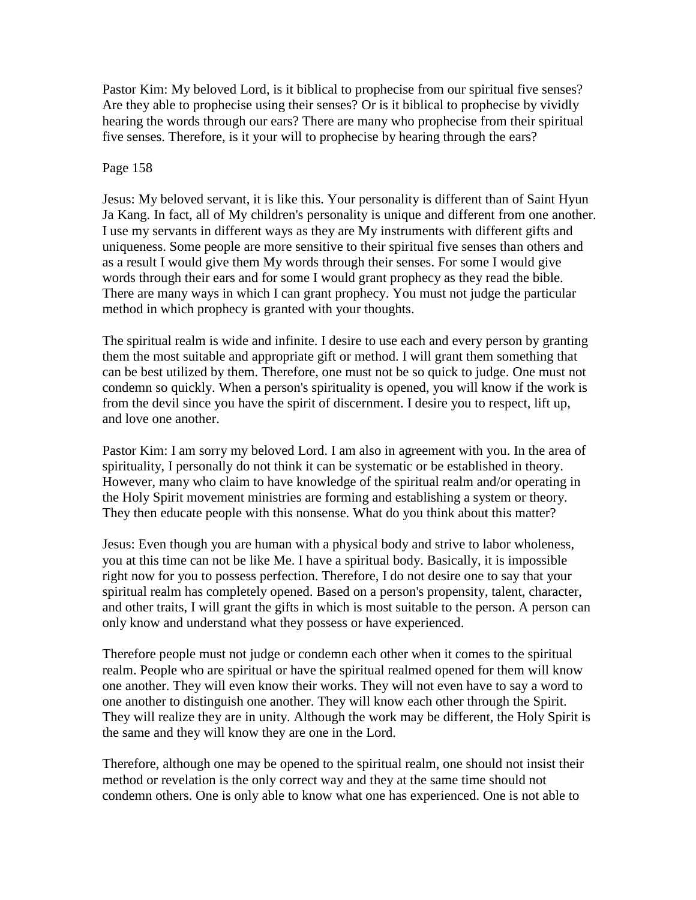Pastor Kim: My beloved Lord, is it biblical to prophecise from our spiritual five senses? Are they able to prophecise using their senses? Or is it biblical to prophecise by vividly hearing the words through our ears? There are many who prophecise from their spiritual five senses. Therefore, is it your will to prophecise by hearing through the ears?

### Page 158

Jesus: My beloved servant, it is like this. Your personality is different than of Saint Hyun Ja Kang. In fact, all of My children's personality is unique and different from one another. I use my servants in different ways as they are My instruments with different gifts and uniqueness. Some people are more sensitive to their spiritual five senses than others and as a result I would give them My words through their senses. For some I would give words through their ears and for some I would grant prophecy as they read the bible. There are many ways in which I can grant prophecy. You must not judge the particular method in which prophecy is granted with your thoughts.

The spiritual realm is wide and infinite. I desire to use each and every person by granting them the most suitable and appropriate gift or method. I will grant them something that can be best utilized by them. Therefore, one must not be so quick to judge. One must not condemn so quickly. When a person's spirituality is opened, you will know if the work is from the devil since you have the spirit of discernment. I desire you to respect, lift up, and love one another.

Pastor Kim: I am sorry my beloved Lord. I am also in agreement with you. In the area of spirituality, I personally do not think it can be systematic or be established in theory. However, many who claim to have knowledge of the spiritual realm and/or operating in the Holy Spirit movement ministries are forming and establishing a system or theory. They then educate people with this nonsense. What do you think about this matter?

Jesus: Even though you are human with a physical body and strive to labor wholeness, you at this time can not be like Me. I have a spiritual body. Basically, it is impossible right now for you to possess perfection. Therefore, I do not desire one to say that your spiritual realm has completely opened. Based on a person's propensity, talent, character, and other traits, I will grant the gifts in which is most suitable to the person. A person can only know and understand what they possess or have experienced.

Therefore people must not judge or condemn each other when it comes to the spiritual realm. People who are spiritual or have the spiritual realmed opened for them will know one another. They will even know their works. They will not even have to say a word to one another to distinguish one another. They will know each other through the Spirit. They will realize they are in unity. Although the work may be different, the Holy Spirit is the same and they will know they are one in the Lord.

Therefore, although one may be opened to the spiritual realm, one should not insist their method or revelation is the only correct way and they at the same time should not condemn others. One is only able to know what one has experienced. One is not able to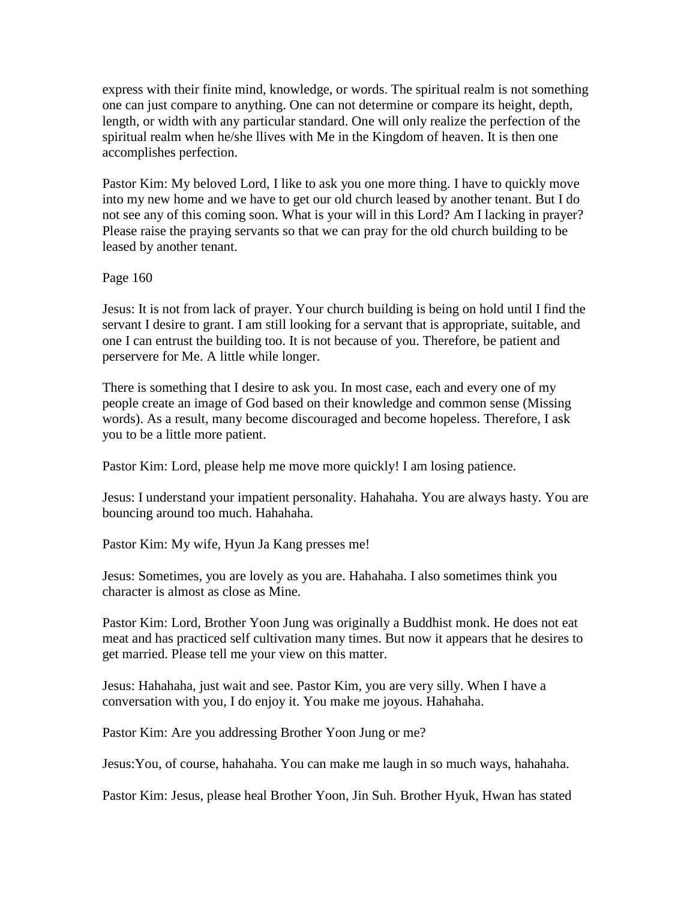express with their finite mind, knowledge, or words. The spiritual realm is not something one can just compare to anything. One can not determine or compare its height, depth, length, or width with any particular standard. One will only realize the perfection of the spiritual realm when he/she llives with Me in the Kingdom of heaven. It is then one accomplishes perfection.

Pastor Kim: My beloved Lord, I like to ask you one more thing. I have to quickly move into my new home and we have to get our old church leased by another tenant. But I do not see any of this coming soon. What is your will in this Lord? Am I lacking in prayer? Please raise the praying servants so that we can pray for the old church building to be leased by another tenant.

Page 160

Jesus: It is not from lack of prayer. Your church building is being on hold until I find the servant I desire to grant. I am still looking for a servant that is appropriate, suitable, and one I can entrust the building too. It is not because of you. Therefore, be patient and perservere for Me. A little while longer.

There is something that I desire to ask you. In most case, each and every one of my people create an image of God based on their knowledge and common sense (Missing words). As a result, many become discouraged and become hopeless. Therefore, I ask you to be a little more patient.

Pastor Kim: Lord, please help me move more quickly! I am losing patience.

Jesus: I understand your impatient personality. Hahahaha. You are always hasty. You are bouncing around too much. Hahahaha.

Pastor Kim: My wife, Hyun Ja Kang presses me!

Jesus: Sometimes, you are lovely as you are. Hahahaha. I also sometimes think you character is almost as close as Mine.

Pastor Kim: Lord, Brother Yoon Jung was originally a Buddhist monk. He does not eat meat and has practiced self cultivation many times. But now it appears that he desires to get married. Please tell me your view on this matter.

Jesus: Hahahaha, just wait and see. Pastor Kim, you are very silly. When I have a conversation with you, I do enjoy it. You make me joyous. Hahahaha.

Pastor Kim: Are you addressing Brother Yoon Jung or me?

Jesus:You, of course, hahahaha. You can make me laugh in so much ways, hahahaha.

Pastor Kim: Jesus, please heal Brother Yoon, Jin Suh. Brother Hyuk, Hwan has stated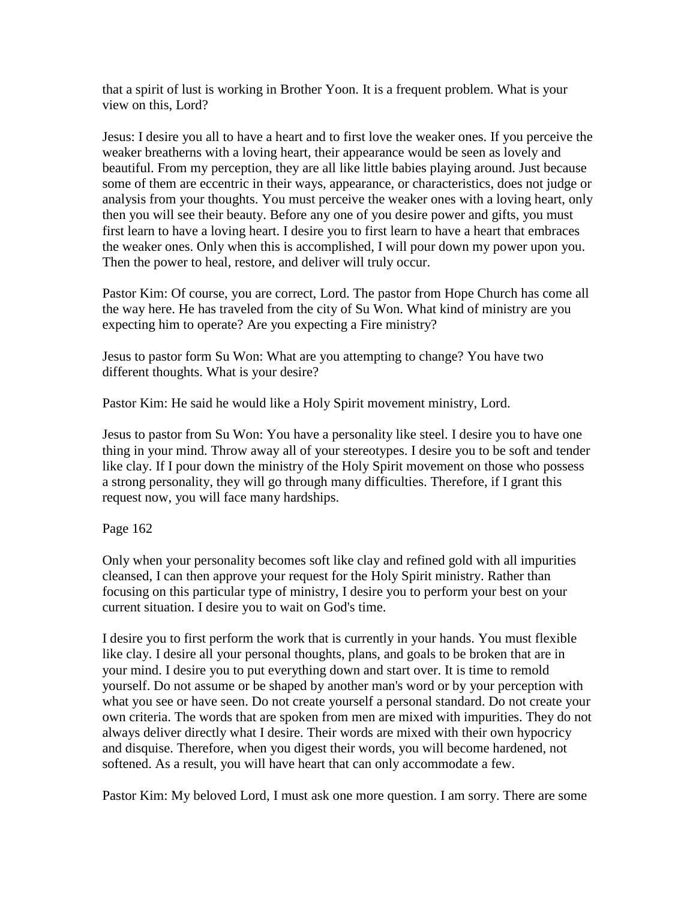that a spirit of lust is working in Brother Yoon. It is a frequent problem. What is your view on this, Lord?

Jesus: I desire you all to have a heart and to first love the weaker ones. If you perceive the weaker breatherns with a loving heart, their appearance would be seen as lovely and beautiful. From my perception, they are all like little babies playing around. Just because some of them are eccentric in their ways, appearance, or characteristics, does not judge or analysis from your thoughts. You must perceive the weaker ones with a loving heart, only then you will see their beauty. Before any one of you desire power and gifts, you must first learn to have a loving heart. I desire you to first learn to have a heart that embraces the weaker ones. Only when this is accomplished, I will pour down my power upon you. Then the power to heal, restore, and deliver will truly occur.

Pastor Kim: Of course, you are correct, Lord. The pastor from Hope Church has come all the way here. He has traveled from the city of Su Won. What kind of ministry are you expecting him to operate? Are you expecting a Fire ministry?

Jesus to pastor form Su Won: What are you attempting to change? You have two different thoughts. What is your desire?

Pastor Kim: He said he would like a Holy Spirit movement ministry, Lord.

Jesus to pastor from Su Won: You have a personality like steel. I desire you to have one thing in your mind. Throw away all of your stereotypes. I desire you to be soft and tender like clay. If I pour down the ministry of the Holy Spirit movement on those who possess a strong personality, they will go through many difficulties. Therefore, if I grant this request now, you will face many hardships.

### Page 162

Only when your personality becomes soft like clay and refined gold with all impurities cleansed, I can then approve your request for the Holy Spirit ministry. Rather than focusing on this particular type of ministry, I desire you to perform your best on your current situation. I desire you to wait on God's time.

I desire you to first perform the work that is currently in your hands. You must flexible like clay. I desire all your personal thoughts, plans, and goals to be broken that are in your mind. I desire you to put everything down and start over. It is time to remold yourself. Do not assume or be shaped by another man's word or by your perception with what you see or have seen. Do not create yourself a personal standard. Do not create your own criteria. The words that are spoken from men are mixed with impurities. They do not always deliver directly what I desire. Their words are mixed with their own hypocricy and disquise. Therefore, when you digest their words, you will become hardened, not softened. As a result, you will have heart that can only accommodate a few.

Pastor Kim: My beloved Lord, I must ask one more question. I am sorry. There are some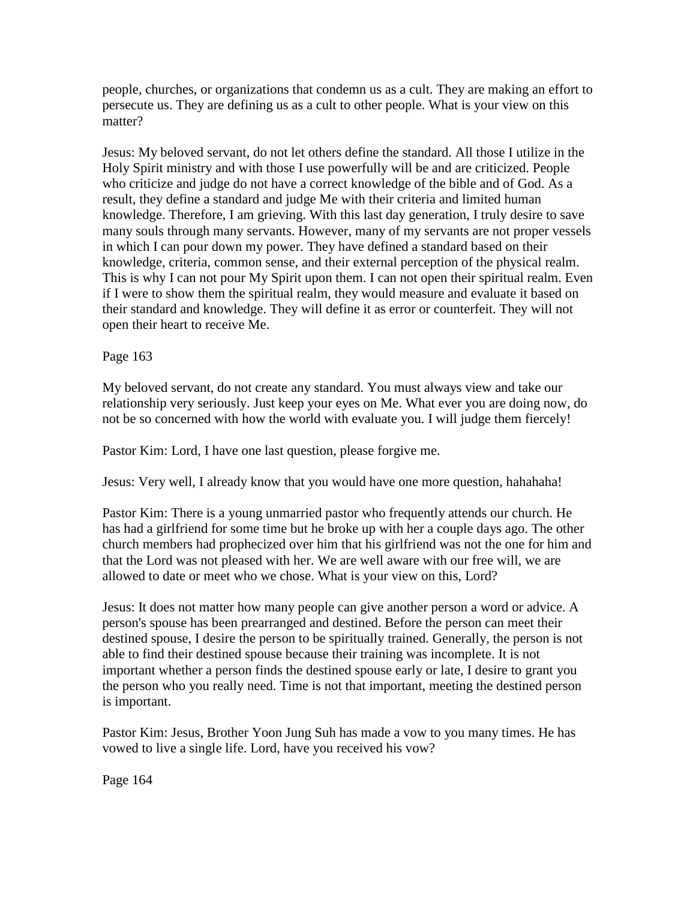people, churches, or organizations that condemn us as a cult. They are making an effort to persecute us. They are defining us as a cult to other people. What is your view on this matter?

Jesus: My beloved servant, do not let others define the standard. All those I utilize in the Holy Spirit ministry and with those I use powerfully will be and are criticized. People who criticize and judge do not have a correct knowledge of the bible and of God. As a result, they define a standard and judge Me with their criteria and limited human knowledge. Therefore, I am grieving. With this last day generation, I truly desire to save many souls through many servants. However, many of my servants are not proper vessels in which I can pour down my power. They have defined a standard based on their knowledge, criteria, common sense, and their external perception of the physical realm. This is why I can not pour My Spirit upon them. I can not open their spiritual realm. Even if I were to show them the spiritual realm, they would measure and evaluate it based on their standard and knowledge. They will define it as error or counterfeit. They will not open their heart to receive Me.

## Page 163

My beloved servant, do not create any standard. You must always view and take our relationship very seriously. Just keep your eyes on Me. What ever you are doing now, do not be so concerned with how the world with evaluate you. I will judge them fiercely!

Pastor Kim: Lord, I have one last question, please forgive me.

Jesus: Very well, I already know that you would have one more question, hahahaha!

Pastor Kim: There is a young unmarried pastor who frequently attends our church. He has had a girlfriend for some time but he broke up with her a couple days ago. The other church members had prophecized over him that his girlfriend was not the one for him and that the Lord was not pleased with her. We are well aware with our free will, we are allowed to date or meet who we chose. What is your view on this, Lord?

Jesus: It does not matter how many people can give another person a word or advice. A person's spouse has been prearranged and destined. Before the person can meet their destined spouse, I desire the person to be spiritually trained. Generally, the person is not able to find their destined spouse because their training was incomplete. It is not important whether a person finds the destined spouse early or late, I desire to grant you the person who you really need. Time is not that important, meeting the destined person is important.

Pastor Kim: Jesus, Brother Yoon Jung Suh has made a vow to you many times. He has vowed to live a single life. Lord, have you received his vow?

Page 164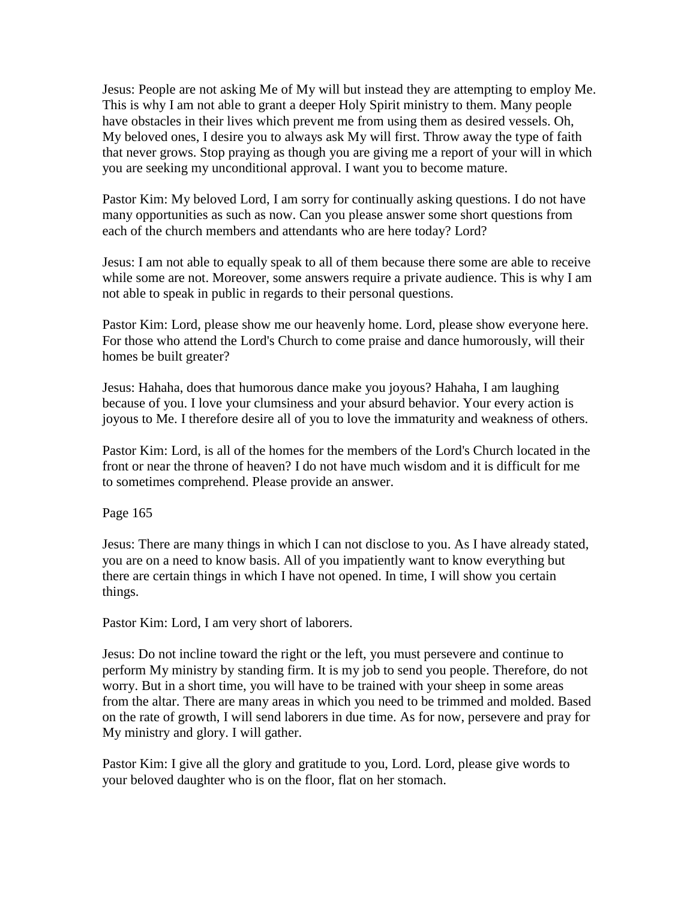Jesus: People are not asking Me of My will but instead they are attempting to employ Me. This is why I am not able to grant a deeper Holy Spirit ministry to them. Many people have obstacles in their lives which prevent me from using them as desired vessels. Oh, My beloved ones, I desire you to always ask My will first. Throw away the type of faith that never grows. Stop praying as though you are giving me a report of your will in which you are seeking my unconditional approval. I want you to become mature.

Pastor Kim: My beloved Lord, I am sorry for continually asking questions. I do not have many opportunities as such as now. Can you please answer some short questions from each of the church members and attendants who are here today? Lord?

Jesus: I am not able to equally speak to all of them because there some are able to receive while some are not. Moreover, some answers require a private audience. This is why I am not able to speak in public in regards to their personal questions.

Pastor Kim: Lord, please show me our heavenly home. Lord, please show everyone here. For those who attend the Lord's Church to come praise and dance humorously, will their homes be built greater?

Jesus: Hahaha, does that humorous dance make you joyous? Hahaha, I am laughing because of you. I love your clumsiness and your absurd behavior. Your every action is joyous to Me. I therefore desire all of you to love the immaturity and weakness of others.

Pastor Kim: Lord, is all of the homes for the members of the Lord's Church located in the front or near the throne of heaven? I do not have much wisdom and it is difficult for me to sometimes comprehend. Please provide an answer.

Page 165

Jesus: There are many things in which I can not disclose to you. As I have already stated, you are on a need to know basis. All of you impatiently want to know everything but there are certain things in which I have not opened. In time, I will show you certain things.

Pastor Kim: Lord, I am very short of laborers.

Jesus: Do not incline toward the right or the left, you must persevere and continue to perform My ministry by standing firm. It is my job to send you people. Therefore, do not worry. But in a short time, you will have to be trained with your sheep in some areas from the altar. There are many areas in which you need to be trimmed and molded. Based on the rate of growth, I will send laborers in due time. As for now, persevere and pray for My ministry and glory. I will gather.

Pastor Kim: I give all the glory and gratitude to you, Lord. Lord, please give words to your beloved daughter who is on the floor, flat on her stomach.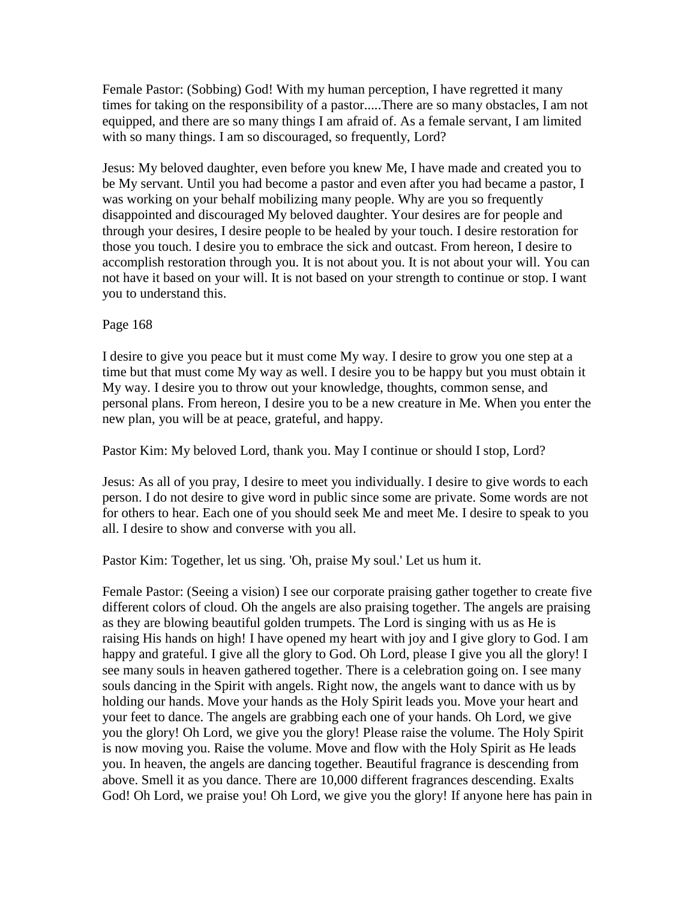Female Pastor: (Sobbing) God! With my human perception, I have regretted it many times for taking on the responsibility of a pastor.....There are so many obstacles, I am not equipped, and there are so many things I am afraid of. As a female servant, I am limited with so many things. I am so discouraged, so frequently, Lord?

Jesus: My beloved daughter, even before you knew Me, I have made and created you to be My servant. Until you had become a pastor and even after you had became a pastor, I was working on your behalf mobilizing many people. Why are you so frequently disappointed and discouraged My beloved daughter. Your desires are for people and through your desires, I desire people to be healed by your touch. I desire restoration for those you touch. I desire you to embrace the sick and outcast. From hereon, I desire to accomplish restoration through you. It is not about you. It is not about your will. You can not have it based on your will. It is not based on your strength to continue or stop. I want you to understand this.

### Page 168

I desire to give you peace but it must come My way. I desire to grow you one step at a time but that must come My way as well. I desire you to be happy but you must obtain it My way. I desire you to throw out your knowledge, thoughts, common sense, and personal plans. From hereon, I desire you to be a new creature in Me. When you enter the new plan, you will be at peace, grateful, and happy.

Pastor Kim: My beloved Lord, thank you. May I continue or should I stop, Lord?

Jesus: As all of you pray, I desire to meet you individually. I desire to give words to each person. I do not desire to give word in public since some are private. Some words are not for others to hear. Each one of you should seek Me and meet Me. I desire to speak to you all. I desire to show and converse with you all.

Pastor Kim: Together, let us sing. 'Oh, praise My soul.' Let us hum it.

Female Pastor: (Seeing a vision) I see our corporate praising gather together to create five different colors of cloud. Oh the angels are also praising together. The angels are praising as they are blowing beautiful golden trumpets. The Lord is singing with us as He is raising His hands on high! I have opened my heart with joy and I give glory to God. I am happy and grateful. I give all the glory to God. Oh Lord, please I give you all the glory! I see many souls in heaven gathered together. There is a celebration going on. I see many souls dancing in the Spirit with angels. Right now, the angels want to dance with us by holding our hands. Move your hands as the Holy Spirit leads you. Move your heart and your feet to dance. The angels are grabbing each one of your hands. Oh Lord, we give you the glory! Oh Lord, we give you the glory! Please raise the volume. The Holy Spirit is now moving you. Raise the volume. Move and flow with the Holy Spirit as He leads you. In heaven, the angels are dancing together. Beautiful fragrance is descending from above. Smell it as you dance. There are 10,000 different fragrances descending. Exalts God! Oh Lord, we praise you! Oh Lord, we give you the glory! If anyone here has pain in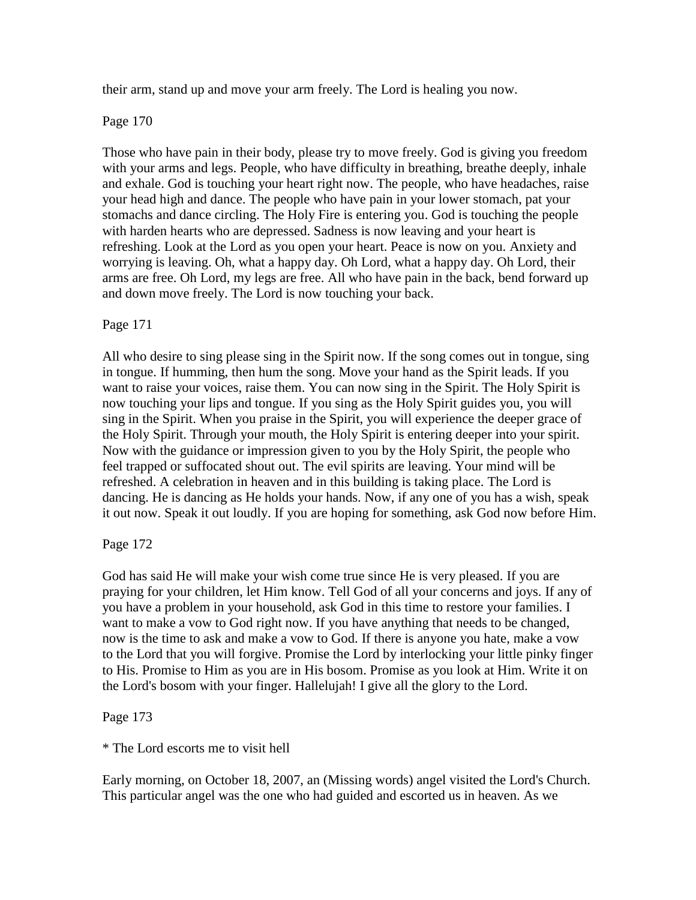their arm, stand up and move your arm freely. The Lord is healing you now.

Page 170

Those who have pain in their body, please try to move freely. God is giving you freedom with your arms and legs. People, who have difficulty in breathing, breathe deeply, inhale and exhale. God is touching your heart right now. The people, who have headaches, raise your head high and dance. The people who have pain in your lower stomach, pat your stomachs and dance circling. The Holy Fire is entering you. God is touching the people with harden hearts who are depressed. Sadness is now leaving and your heart is refreshing. Look at the Lord as you open your heart. Peace is now on you. Anxiety and worrying is leaving. Oh, what a happy day. Oh Lord, what a happy day. Oh Lord, their arms are free. Oh Lord, my legs are free. All who have pain in the back, bend forward up and down move freely. The Lord is now touching your back.

### Page 171

All who desire to sing please sing in the Spirit now. If the song comes out in tongue, sing in tongue. If humming, then hum the song. Move your hand as the Spirit leads. If you want to raise your voices, raise them. You can now sing in the Spirit. The Holy Spirit is now touching your lips and tongue. If you sing as the Holy Spirit guides you, you will sing in the Spirit. When you praise in the Spirit, you will experience the deeper grace of the Holy Spirit. Through your mouth, the Holy Spirit is entering deeper into your spirit. Now with the guidance or impression given to you by the Holy Spirit, the people who feel trapped or suffocated shout out. The evil spirits are leaving. Your mind will be refreshed. A celebration in heaven and in this building is taking place. The Lord is dancing. He is dancing as He holds your hands. Now, if any one of you has a wish, speak it out now. Speak it out loudly. If you are hoping for something, ask God now before Him.

### Page 172

God has said He will make your wish come true since He is very pleased. If you are praying for your children, let Him know. Tell God of all your concerns and joys. If any of you have a problem in your household, ask God in this time to restore your families. I want to make a vow to God right now. If you have anything that needs to be changed, now is the time to ask and make a vow to God. If there is anyone you hate, make a vow to the Lord that you will forgive. Promise the Lord by interlocking your little pinky finger to His. Promise to Him as you are in His bosom. Promise as you look at Him. Write it on the Lord's bosom with your finger. Hallelujah! I give all the glory to the Lord.

### Page 173

\* The Lord escorts me to visit hell

Early morning, on October 18, 2007, an (Missing words) angel visited the Lord's Church. This particular angel was the one who had guided and escorted us in heaven. As we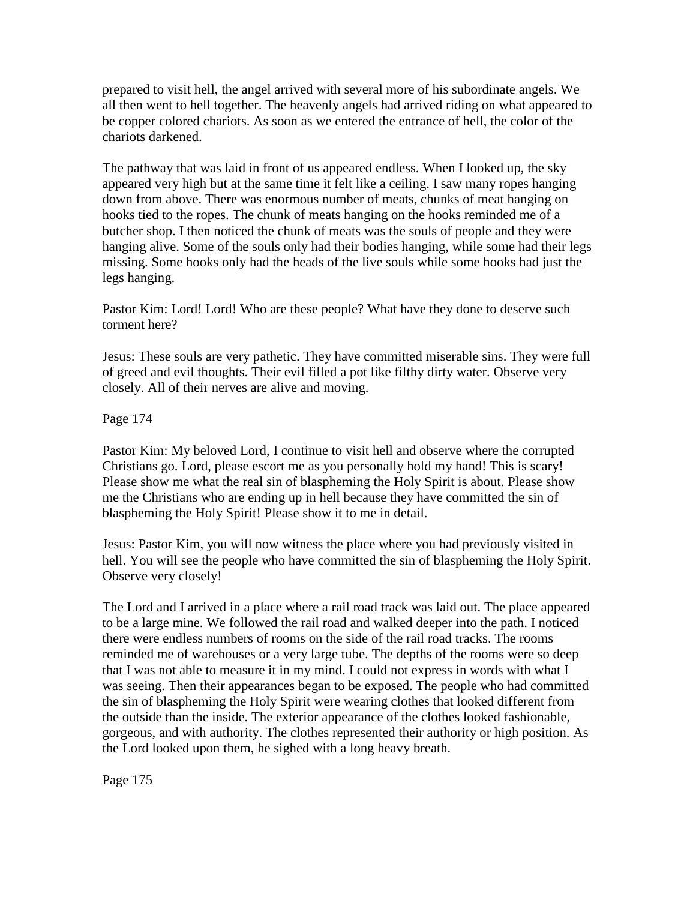prepared to visit hell, the angel arrived with several more of his subordinate angels. We all then went to hell together. The heavenly angels had arrived riding on what appeared to be copper colored chariots. As soon as we entered the entrance of hell, the color of the chariots darkened.

The pathway that was laid in front of us appeared endless. When I looked up, the sky appeared very high but at the same time it felt like a ceiling. I saw many ropes hanging down from above. There was enormous number of meats, chunks of meat hanging on hooks tied to the ropes. The chunk of meats hanging on the hooks reminded me of a butcher shop. I then noticed the chunk of meats was the souls of people and they were hanging alive. Some of the souls only had their bodies hanging, while some had their legs missing. Some hooks only had the heads of the live souls while some hooks had just the legs hanging.

Pastor Kim: Lord! Lord! Who are these people? What have they done to deserve such torment here?

Jesus: These souls are very pathetic. They have committed miserable sins. They were full of greed and evil thoughts. Their evil filled a pot like filthy dirty water. Observe very closely. All of their nerves are alive and moving.

Page 174

Pastor Kim: My beloved Lord, I continue to visit hell and observe where the corrupted Christians go. Lord, please escort me as you personally hold my hand! This is scary! Please show me what the real sin of blaspheming the Holy Spirit is about. Please show me the Christians who are ending up in hell because they have committed the sin of blaspheming the Holy Spirit! Please show it to me in detail.

Jesus: Pastor Kim, you will now witness the place where you had previously visited in hell. You will see the people who have committed the sin of blaspheming the Holy Spirit. Observe very closely!

The Lord and I arrived in a place where a rail road track was laid out. The place appeared to be a large mine. We followed the rail road and walked deeper into the path. I noticed there were endless numbers of rooms on the side of the rail road tracks. The rooms reminded me of warehouses or a very large tube. The depths of the rooms were so deep that I was not able to measure it in my mind. I could not express in words with what I was seeing. Then their appearances began to be exposed. The people who had committed the sin of blaspheming the Holy Spirit were wearing clothes that looked different from the outside than the inside. The exterior appearance of the clothes looked fashionable, gorgeous, and with authority. The clothes represented their authority or high position. As the Lord looked upon them, he sighed with a long heavy breath.

Page 175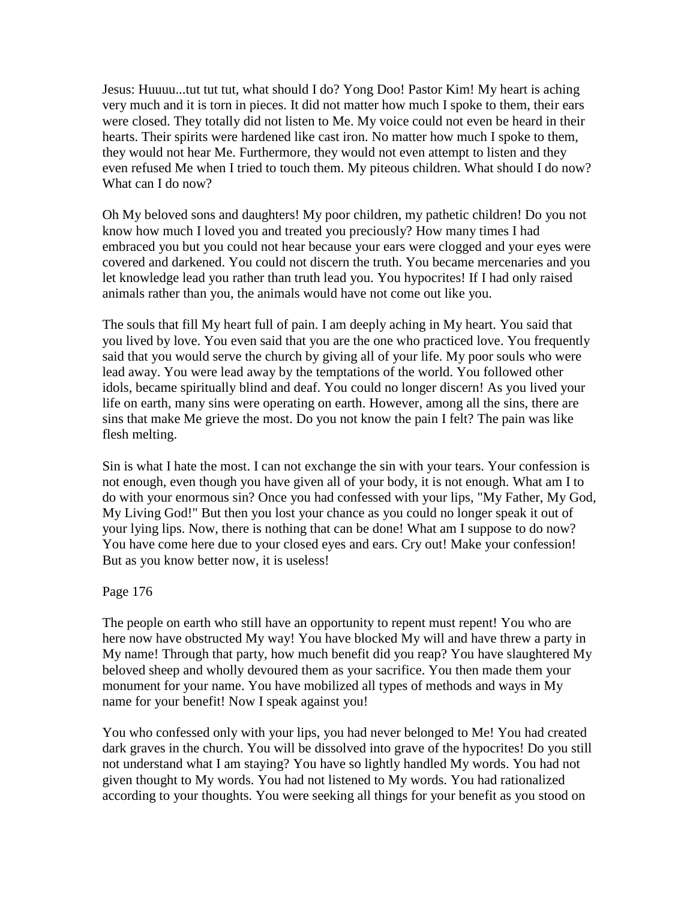Jesus: Huuuu...tut tut tut, what should I do? Yong Doo! Pastor Kim! My heart is aching very much and it is torn in pieces. It did not matter how much I spoke to them, their ears were closed. They totally did not listen to Me. My voice could not even be heard in their hearts. Their spirits were hardened like cast iron. No matter how much I spoke to them, they would not hear Me. Furthermore, they would not even attempt to listen and they even refused Me when I tried to touch them. My piteous children. What should I do now? What can I do now?

Oh My beloved sons and daughters! My poor children, my pathetic children! Do you not know how much I loved you and treated you preciously? How many times I had embraced you but you could not hear because your ears were clogged and your eyes were covered and darkened. You could not discern the truth. You became mercenaries and you let knowledge lead you rather than truth lead you. You hypocrites! If I had only raised animals rather than you, the animals would have not come out like you.

The souls that fill My heart full of pain. I am deeply aching in My heart. You said that you lived by love. You even said that you are the one who practiced love. You frequently said that you would serve the church by giving all of your life. My poor souls who were lead away. You were lead away by the temptations of the world. You followed other idols, became spiritually blind and deaf. You could no longer discern! As you lived your life on earth, many sins were operating on earth. However, among all the sins, there are sins that make Me grieve the most. Do you not know the pain I felt? The pain was like flesh melting.

Sin is what I hate the most. I can not exchange the sin with your tears. Your confession is not enough, even though you have given all of your body, it is not enough. What am I to do with your enormous sin? Once you had confessed with your lips, "My Father, My God, My Living God!" But then you lost your chance as you could no longer speak it out of your lying lips. Now, there is nothing that can be done! What am I suppose to do now? You have come here due to your closed eyes and ears. Cry out! Make your confession! But as you know better now, it is useless!

### Page 176

The people on earth who still have an opportunity to repent must repent! You who are here now have obstructed My way! You have blocked My will and have threw a party in My name! Through that party, how much benefit did you reap? You have slaughtered My beloved sheep and wholly devoured them as your sacrifice. You then made them your monument for your name. You have mobilized all types of methods and ways in My name for your benefit! Now I speak against you!

You who confessed only with your lips, you had never belonged to Me! You had created dark graves in the church. You will be dissolved into grave of the hypocrites! Do you still not understand what I am staying? You have so lightly handled My words. You had not given thought to My words. You had not listened to My words. You had rationalized according to your thoughts. You were seeking all things for your benefit as you stood on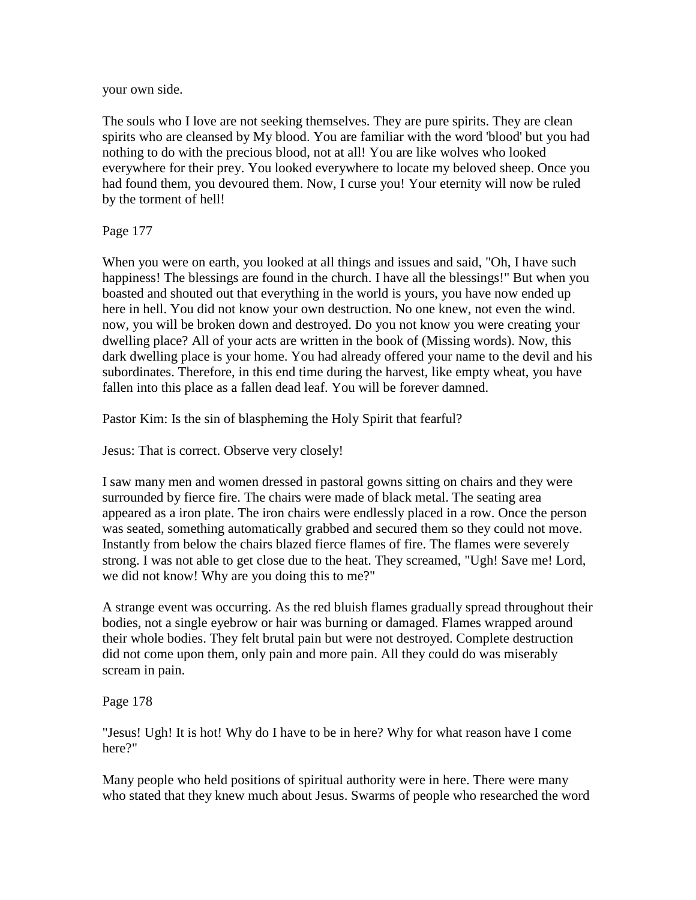your own side.

The souls who I love are not seeking themselves. They are pure spirits. They are clean spirits who are cleansed by My blood. You are familiar with the word 'blood' but you had nothing to do with the precious blood, not at all! You are like wolves who looked everywhere for their prey. You looked everywhere to locate my beloved sheep. Once you had found them, you devoured them. Now, I curse you! Your eternity will now be ruled by the torment of hell!

Page 177

When you were on earth, you looked at all things and issues and said, "Oh, I have such happiness! The blessings are found in the church. I have all the blessings!" But when you boasted and shouted out that everything in the world is yours, you have now ended up here in hell. You did not know your own destruction. No one knew, not even the wind. now, you will be broken down and destroyed. Do you not know you were creating your dwelling place? All of your acts are written in the book of (Missing words). Now, this dark dwelling place is your home. You had already offered your name to the devil and his subordinates. Therefore, in this end time during the harvest, like empty wheat, you have fallen into this place as a fallen dead leaf. You will be forever damned.

Pastor Kim: Is the sin of blaspheming the Holy Spirit that fearful?

Jesus: That is correct. Observe very closely!

I saw many men and women dressed in pastoral gowns sitting on chairs and they were surrounded by fierce fire. The chairs were made of black metal. The seating area appeared as a iron plate. The iron chairs were endlessly placed in a row. Once the person was seated, something automatically grabbed and secured them so they could not move. Instantly from below the chairs blazed fierce flames of fire. The flames were severely strong. I was not able to get close due to the heat. They screamed, "Ugh! Save me! Lord, we did not know! Why are you doing this to me?"

A strange event was occurring. As the red bluish flames gradually spread throughout their bodies, not a single eyebrow or hair was burning or damaged. Flames wrapped around their whole bodies. They felt brutal pain but were not destroyed. Complete destruction did not come upon them, only pain and more pain. All they could do was miserably scream in pain.

Page 178

"Jesus! Ugh! It is hot! Why do I have to be in here? Why for what reason have I come here?"

Many people who held positions of spiritual authority were in here. There were many who stated that they knew much about Jesus. Swarms of people who researched the word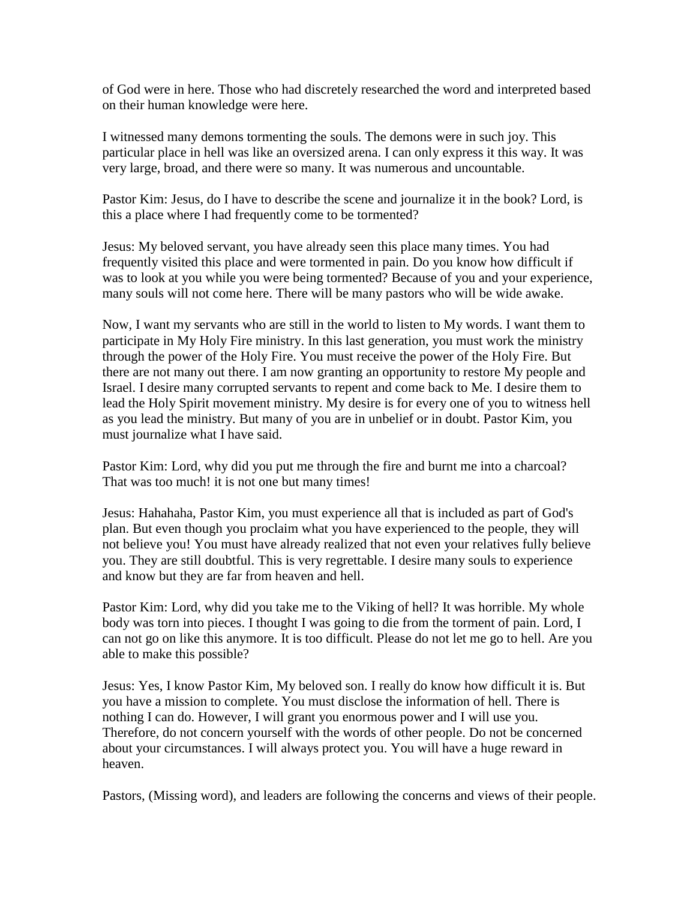of God were in here. Those who had discretely researched the word and interpreted based on their human knowledge were here.

I witnessed many demons tormenting the souls. The demons were in such joy. This particular place in hell was like an oversized arena. I can only express it this way. It was very large, broad, and there were so many. It was numerous and uncountable.

Pastor Kim: Jesus, do I have to describe the scene and journalize it in the book? Lord, is this a place where I had frequently come to be tormented?

Jesus: My beloved servant, you have already seen this place many times. You had frequently visited this place and were tormented in pain. Do you know how difficult if was to look at you while you were being tormented? Because of you and your experience, many souls will not come here. There will be many pastors who will be wide awake.

Now, I want my servants who are still in the world to listen to My words. I want them to participate in My Holy Fire ministry. In this last generation, you must work the ministry through the power of the Holy Fire. You must receive the power of the Holy Fire. But there are not many out there. I am now granting an opportunity to restore My people and Israel. I desire many corrupted servants to repent and come back to Me. I desire them to lead the Holy Spirit movement ministry. My desire is for every one of you to witness hell as you lead the ministry. But many of you are in unbelief or in doubt. Pastor Kim, you must journalize what I have said.

Pastor Kim: Lord, why did you put me through the fire and burnt me into a charcoal? That was too much! it is not one but many times!

Jesus: Hahahaha, Pastor Kim, you must experience all that is included as part of God's plan. But even though you proclaim what you have experienced to the people, they will not believe you! You must have already realized that not even your relatives fully believe you. They are still doubtful. This is very regrettable. I desire many souls to experience and know but they are far from heaven and hell.

Pastor Kim: Lord, why did you take me to the Viking of hell? It was horrible. My whole body was torn into pieces. I thought I was going to die from the torment of pain. Lord, I can not go on like this anymore. It is too difficult. Please do not let me go to hell. Are you able to make this possible?

Jesus: Yes, I know Pastor Kim, My beloved son. I really do know how difficult it is. But you have a mission to complete. You must disclose the information of hell. There is nothing I can do. However, I will grant you enormous power and I will use you. Therefore, do not concern yourself with the words of other people. Do not be concerned about your circumstances. I will always protect you. You will have a huge reward in heaven.

Pastors, (Missing word), and leaders are following the concerns and views of their people.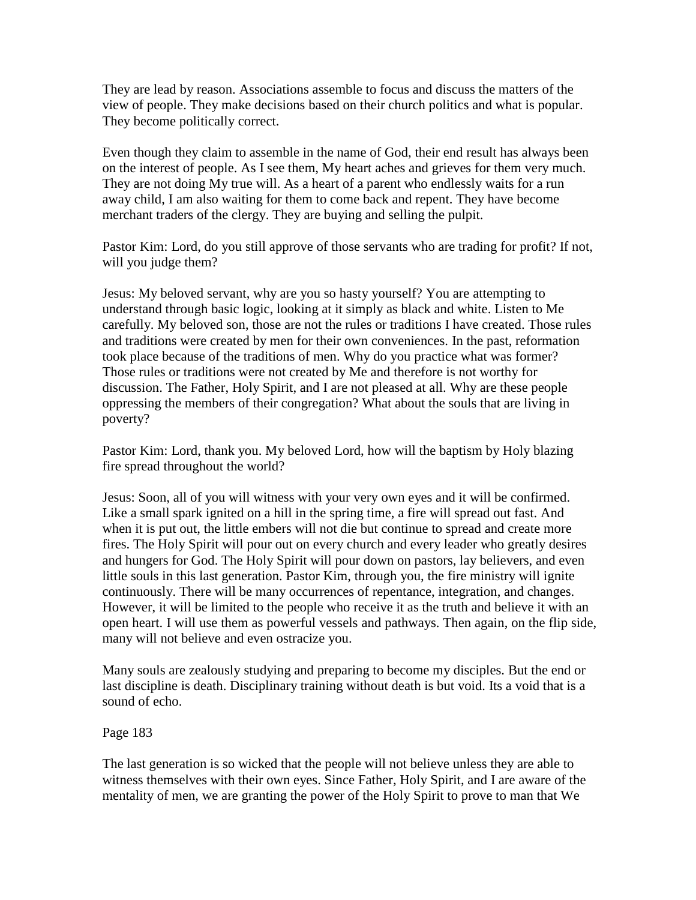They are lead by reason. Associations assemble to focus and discuss the matters of the view of people. They make decisions based on their church politics and what is popular. They become politically correct.

Even though they claim to assemble in the name of God, their end result has always been on the interest of people. As I see them, My heart aches and grieves for them very much. They are not doing My true will. As a heart of a parent who endlessly waits for a run away child, I am also waiting for them to come back and repent. They have become merchant traders of the clergy. They are buying and selling the pulpit.

Pastor Kim: Lord, do you still approve of those servants who are trading for profit? If not, will you judge them?

Jesus: My beloved servant, why are you so hasty yourself? You are attempting to understand through basic logic, looking at it simply as black and white. Listen to Me carefully. My beloved son, those are not the rules or traditions I have created. Those rules and traditions were created by men for their own conveniences. In the past, reformation took place because of the traditions of men. Why do you practice what was former? Those rules or traditions were not created by Me and therefore is not worthy for discussion. The Father, Holy Spirit, and I are not pleased at all. Why are these people oppressing the members of their congregation? What about the souls that are living in poverty?

Pastor Kim: Lord, thank you. My beloved Lord, how will the baptism by Holy blazing fire spread throughout the world?

Jesus: Soon, all of you will witness with your very own eyes and it will be confirmed. Like a small spark ignited on a hill in the spring time, a fire will spread out fast. And when it is put out, the little embers will not die but continue to spread and create more fires. The Holy Spirit will pour out on every church and every leader who greatly desires and hungers for God. The Holy Spirit will pour down on pastors, lay believers, and even little souls in this last generation. Pastor Kim, through you, the fire ministry will ignite continuously. There will be many occurrences of repentance, integration, and changes. However, it will be limited to the people who receive it as the truth and believe it with an open heart. I will use them as powerful vessels and pathways. Then again, on the flip side, many will not believe and even ostracize you.

Many souls are zealously studying and preparing to become my disciples. But the end or last discipline is death. Disciplinary training without death is but void. Its a void that is a sound of echo.

### Page 183

The last generation is so wicked that the people will not believe unless they are able to witness themselves with their own eyes. Since Father, Holy Spirit, and I are aware of the mentality of men, we are granting the power of the Holy Spirit to prove to man that We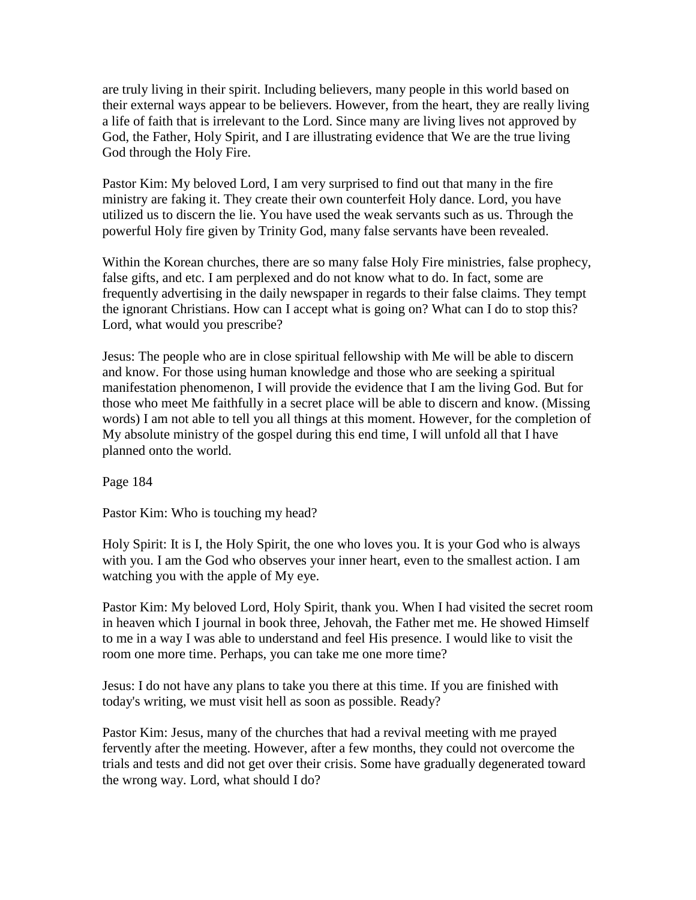are truly living in their spirit. Including believers, many people in this world based on their external ways appear to be believers. However, from the heart, they are really living a life of faith that is irrelevant to the Lord. Since many are living lives not approved by God, the Father, Holy Spirit, and I are illustrating evidence that We are the true living God through the Holy Fire.

Pastor Kim: My beloved Lord, I am very surprised to find out that many in the fire ministry are faking it. They create their own counterfeit Holy dance. Lord, you have utilized us to discern the lie. You have used the weak servants such as us. Through the powerful Holy fire given by Trinity God, many false servants have been revealed.

Within the Korean churches, there are so many false Holy Fire ministries, false prophecy, false gifts, and etc. I am perplexed and do not know what to do. In fact, some are frequently advertising in the daily newspaper in regards to their false claims. They tempt the ignorant Christians. How can I accept what is going on? What can I do to stop this? Lord, what would you prescribe?

Jesus: The people who are in close spiritual fellowship with Me will be able to discern and know. For those using human knowledge and those who are seeking a spiritual manifestation phenomenon, I will provide the evidence that I am the living God. But for those who meet Me faithfully in a secret place will be able to discern and know. (Missing words) I am not able to tell you all things at this moment. However, for the completion of My absolute ministry of the gospel during this end time, I will unfold all that I have planned onto the world.

Page 184

Pastor Kim: Who is touching my head?

Holy Spirit: It is I, the Holy Spirit, the one who loves you. It is your God who is always with you. I am the God who observes your inner heart, even to the smallest action. I am watching you with the apple of My eye.

Pastor Kim: My beloved Lord, Holy Spirit, thank you. When I had visited the secret room in heaven which I journal in book three, Jehovah, the Father met me. He showed Himself to me in a way I was able to understand and feel His presence. I would like to visit the room one more time. Perhaps, you can take me one more time?

Jesus: I do not have any plans to take you there at this time. If you are finished with today's writing, we must visit hell as soon as possible. Ready?

Pastor Kim: Jesus, many of the churches that had a revival meeting with me prayed fervently after the meeting. However, after a few months, they could not overcome the trials and tests and did not get over their crisis. Some have gradually degenerated toward the wrong way. Lord, what should I do?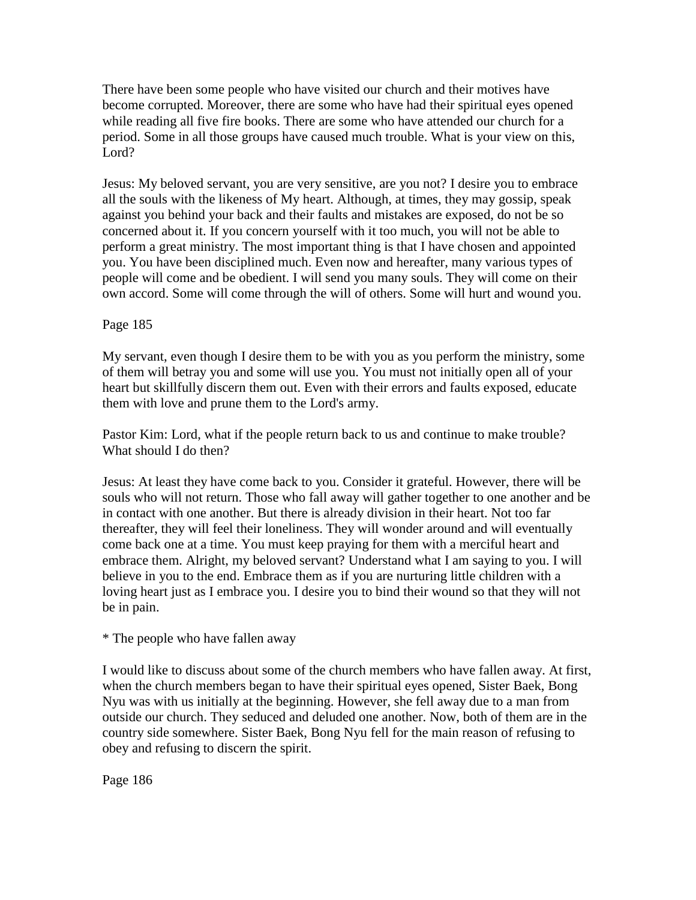There have been some people who have visited our church and their motives have become corrupted. Moreover, there are some who have had their spiritual eyes opened while reading all five fire books. There are some who have attended our church for a period. Some in all those groups have caused much trouble. What is your view on this, Lord?

Jesus: My beloved servant, you are very sensitive, are you not? I desire you to embrace all the souls with the likeness of My heart. Although, at times, they may gossip, speak against you behind your back and their faults and mistakes are exposed, do not be so concerned about it. If you concern yourself with it too much, you will not be able to perform a great ministry. The most important thing is that I have chosen and appointed you. You have been disciplined much. Even now and hereafter, many various types of people will come and be obedient. I will send you many souls. They will come on their own accord. Some will come through the will of others. Some will hurt and wound you.

# Page 185

My servant, even though I desire them to be with you as you perform the ministry, some of them will betray you and some will use you. You must not initially open all of your heart but skillfully discern them out. Even with their errors and faults exposed, educate them with love and prune them to the Lord's army.

Pastor Kim: Lord, what if the people return back to us and continue to make trouble? What should I do then?

Jesus: At least they have come back to you. Consider it grateful. However, there will be souls who will not return. Those who fall away will gather together to one another and be in contact with one another. But there is already division in their heart. Not too far thereafter, they will feel their loneliness. They will wonder around and will eventually come back one at a time. You must keep praying for them with a merciful heart and embrace them. Alright, my beloved servant? Understand what I am saying to you. I will believe in you to the end. Embrace them as if you are nurturing little children with a loving heart just as I embrace you. I desire you to bind their wound so that they will not be in pain.

### \* The people who have fallen away

I would like to discuss about some of the church members who have fallen away. At first, when the church members began to have their spiritual eyes opened, Sister Baek, Bong Nyu was with us initially at the beginning. However, she fell away due to a man from outside our church. They seduced and deluded one another. Now, both of them are in the country side somewhere. Sister Baek, Bong Nyu fell for the main reason of refusing to obey and refusing to discern the spirit.

Page 186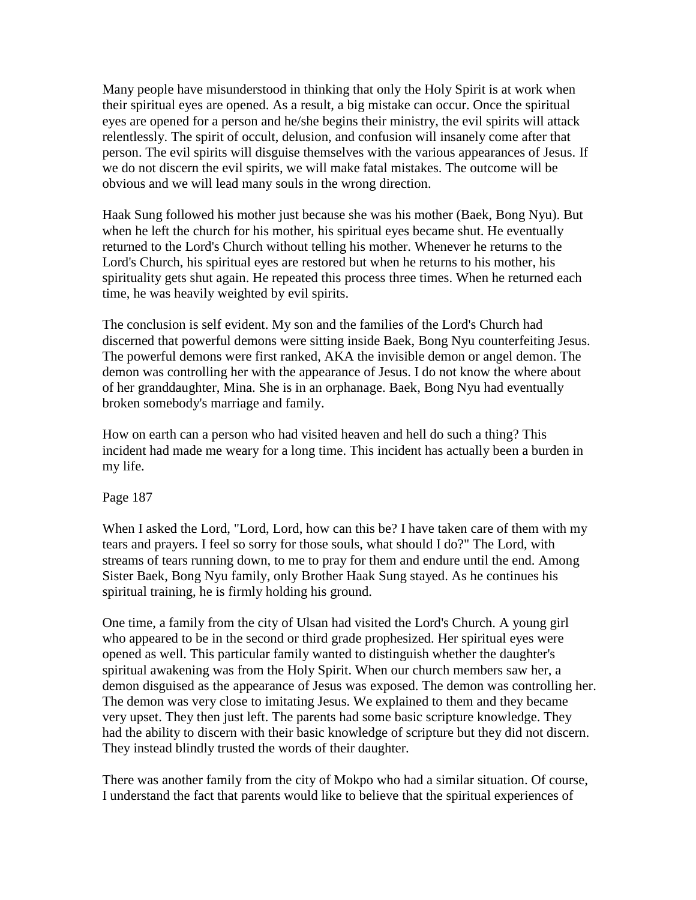Many people have misunderstood in thinking that only the Holy Spirit is at work when their spiritual eyes are opened. As a result, a big mistake can occur. Once the spiritual eyes are opened for a person and he/she begins their ministry, the evil spirits will attack relentlessly. The spirit of occult, delusion, and confusion will insanely come after that person. The evil spirits will disguise themselves with the various appearances of Jesus. If we do not discern the evil spirits, we will make fatal mistakes. The outcome will be obvious and we will lead many souls in the wrong direction.

Haak Sung followed his mother just because she was his mother (Baek, Bong Nyu). But when he left the church for his mother, his spiritual eyes became shut. He eventually returned to the Lord's Church without telling his mother. Whenever he returns to the Lord's Church, his spiritual eyes are restored but when he returns to his mother, his spirituality gets shut again. He repeated this process three times. When he returned each time, he was heavily weighted by evil spirits.

The conclusion is self evident. My son and the families of the Lord's Church had discerned that powerful demons were sitting inside Baek, Bong Nyu counterfeiting Jesus. The powerful demons were first ranked, AKA the invisible demon or angel demon. The demon was controlling her with the appearance of Jesus. I do not know the where about of her granddaughter, Mina. She is in an orphanage. Baek, Bong Nyu had eventually broken somebody's marriage and family.

How on earth can a person who had visited heaven and hell do such a thing? This incident had made me weary for a long time. This incident has actually been a burden in my life.

Page 187

When I asked the Lord, "Lord, Lord, how can this be? I have taken care of them with my tears and prayers. I feel so sorry for those souls, what should I do?" The Lord, with streams of tears running down, to me to pray for them and endure until the end. Among Sister Baek, Bong Nyu family, only Brother Haak Sung stayed. As he continues his spiritual training, he is firmly holding his ground.

One time, a family from the city of Ulsan had visited the Lord's Church. A young girl who appeared to be in the second or third grade prophesized. Her spiritual eyes were opened as well. This particular family wanted to distinguish whether the daughter's spiritual awakening was from the Holy Spirit. When our church members saw her, a demon disguised as the appearance of Jesus was exposed. The demon was controlling her. The demon was very close to imitating Jesus. We explained to them and they became very upset. They then just left. The parents had some basic scripture knowledge. They had the ability to discern with their basic knowledge of scripture but they did not discern. They instead blindly trusted the words of their daughter.

There was another family from the city of Mokpo who had a similar situation. Of course, I understand the fact that parents would like to believe that the spiritual experiences of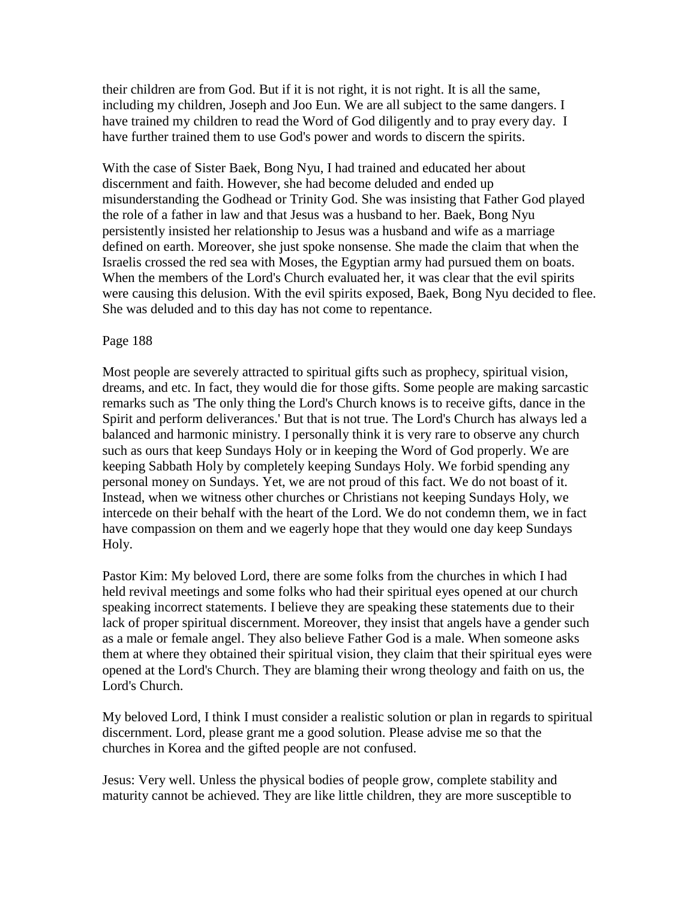their children are from God. But if it is not right, it is not right. It is all the same, including my children, Joseph and Joo Eun. We are all subject to the same dangers. I have trained my children to read the Word of God diligently and to pray every day. I have further trained them to use God's power and words to discern the spirits.

With the case of Sister Baek, Bong Nyu, I had trained and educated her about discernment and faith. However, she had become deluded and ended up misunderstanding the Godhead or Trinity God. She was insisting that Father God played the role of a father in law and that Jesus was a husband to her. Baek, Bong Nyu persistently insisted her relationship to Jesus was a husband and wife as a marriage defined on earth. Moreover, she just spoke nonsense. She made the claim that when the Israelis crossed the red sea with Moses, the Egyptian army had pursued them on boats. When the members of the Lord's Church evaluated her, it was clear that the evil spirits were causing this delusion. With the evil spirits exposed, Baek, Bong Nyu decided to flee. She was deluded and to this day has not come to repentance.

#### Page 188

Most people are severely attracted to spiritual gifts such as prophecy, spiritual vision, dreams, and etc. In fact, they would die for those gifts. Some people are making sarcastic remarks such as 'The only thing the Lord's Church knows is to receive gifts, dance in the Spirit and perform deliverances.' But that is not true. The Lord's Church has always led a balanced and harmonic ministry. I personally think it is very rare to observe any church such as ours that keep Sundays Holy or in keeping the Word of God properly. We are keeping Sabbath Holy by completely keeping Sundays Holy. We forbid spending any personal money on Sundays. Yet, we are not proud of this fact. We do not boast of it. Instead, when we witness other churches or Christians not keeping Sundays Holy, we intercede on their behalf with the heart of the Lord. We do not condemn them, we in fact have compassion on them and we eagerly hope that they would one day keep Sundays Holy.

Pastor Kim: My beloved Lord, there are some folks from the churches in which I had held revival meetings and some folks who had their spiritual eyes opened at our church speaking incorrect statements. I believe they are speaking these statements due to their lack of proper spiritual discernment. Moreover, they insist that angels have a gender such as a male or female angel. They also believe Father God is a male. When someone asks them at where they obtained their spiritual vision, they claim that their spiritual eyes were opened at the Lord's Church. They are blaming their wrong theology and faith on us, the Lord's Church.

My beloved Lord, I think I must consider a realistic solution or plan in regards to spiritual discernment. Lord, please grant me a good solution. Please advise me so that the churches in Korea and the gifted people are not confused.

Jesus: Very well. Unless the physical bodies of people grow, complete stability and maturity cannot be achieved. They are like little children, they are more susceptible to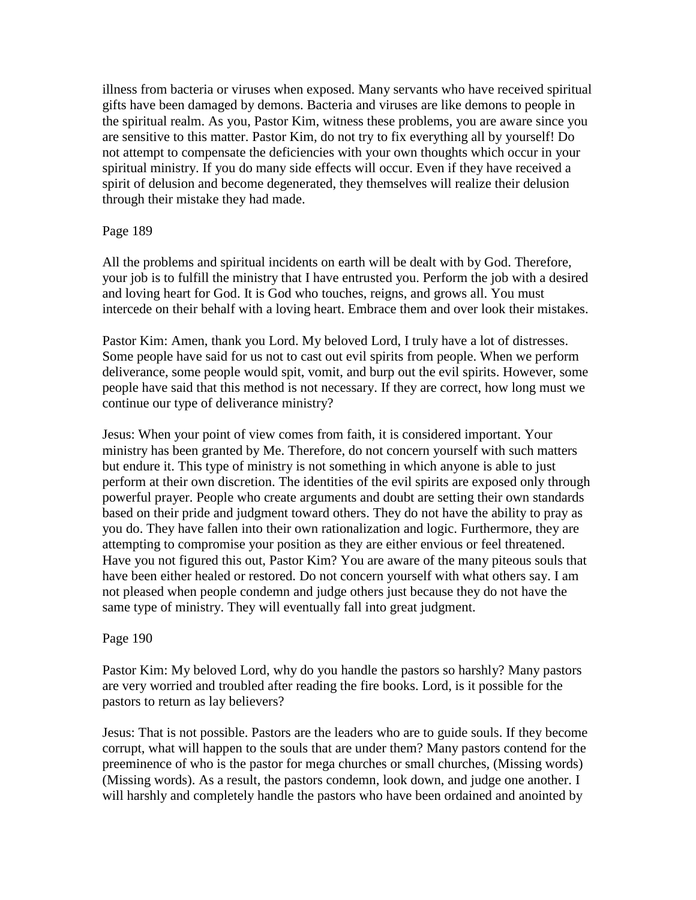illness from bacteria or viruses when exposed. Many servants who have received spiritual gifts have been damaged by demons. Bacteria and viruses are like demons to people in the spiritual realm. As you, Pastor Kim, witness these problems, you are aware since you are sensitive to this matter. Pastor Kim, do not try to fix everything all by yourself! Do not attempt to compensate the deficiencies with your own thoughts which occur in your spiritual ministry. If you do many side effects will occur. Even if they have received a spirit of delusion and become degenerated, they themselves will realize their delusion through their mistake they had made.

### Page 189

All the problems and spiritual incidents on earth will be dealt with by God. Therefore, your job is to fulfill the ministry that I have entrusted you. Perform the job with a desired and loving heart for God. It is God who touches, reigns, and grows all. You must intercede on their behalf with a loving heart. Embrace them and over look their mistakes.

Pastor Kim: Amen, thank you Lord. My beloved Lord, I truly have a lot of distresses. Some people have said for us not to cast out evil spirits from people. When we perform deliverance, some people would spit, vomit, and burp out the evil spirits. However, some people have said that this method is not necessary. If they are correct, how long must we continue our type of deliverance ministry?

Jesus: When your point of view comes from faith, it is considered important. Your ministry has been granted by Me. Therefore, do not concern yourself with such matters but endure it. This type of ministry is not something in which anyone is able to just perform at their own discretion. The identities of the evil spirits are exposed only through powerful prayer. People who create arguments and doubt are setting their own standards based on their pride and judgment toward others. They do not have the ability to pray as you do. They have fallen into their own rationalization and logic. Furthermore, they are attempting to compromise your position as they are either envious or feel threatened. Have you not figured this out, Pastor Kim? You are aware of the many piteous souls that have been either healed or restored. Do not concern yourself with what others say. I am not pleased when people condemn and judge others just because they do not have the same type of ministry. They will eventually fall into great judgment.

### Page 190

Pastor Kim: My beloved Lord, why do you handle the pastors so harshly? Many pastors are very worried and troubled after reading the fire books. Lord, is it possible for the pastors to return as lay believers?

Jesus: That is not possible. Pastors are the leaders who are to guide souls. If they become corrupt, what will happen to the souls that are under them? Many pastors contend for the preeminence of who is the pastor for mega churches or small churches, (Missing words) (Missing words). As a result, the pastors condemn, look down, and judge one another. I will harshly and completely handle the pastors who have been ordained and anointed by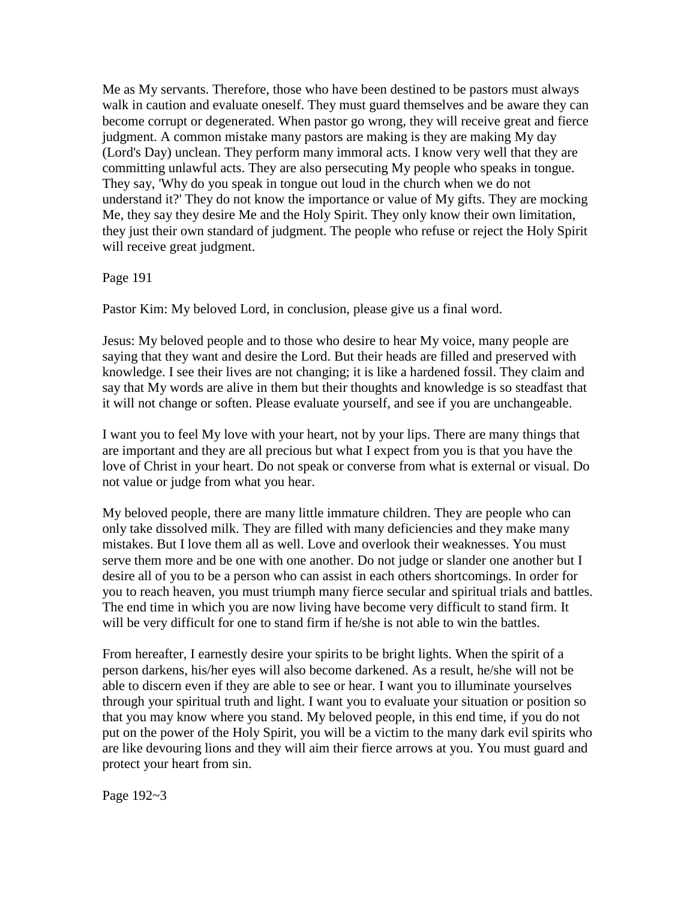Me as My servants. Therefore, those who have been destined to be pastors must always walk in caution and evaluate oneself. They must guard themselves and be aware they can become corrupt or degenerated. When pastor go wrong, they will receive great and fierce judgment. A common mistake many pastors are making is they are making My day (Lord's Day) unclean. They perform many immoral acts. I know very well that they are committing unlawful acts. They are also persecuting My people who speaks in tongue. They say, 'Why do you speak in tongue out loud in the church when we do not understand it?' They do not know the importance or value of My gifts. They are mocking Me, they say they desire Me and the Holy Spirit. They only know their own limitation, they just their own standard of judgment. The people who refuse or reject the Holy Spirit will receive great judgment.

Page 191

Pastor Kim: My beloved Lord, in conclusion, please give us a final word.

Jesus: My beloved people and to those who desire to hear My voice, many people are saying that they want and desire the Lord. But their heads are filled and preserved with knowledge. I see their lives are not changing; it is like a hardened fossil. They claim and say that My words are alive in them but their thoughts and knowledge is so steadfast that it will not change or soften. Please evaluate yourself, and see if you are unchangeable.

I want you to feel My love with your heart, not by your lips. There are many things that are important and they are all precious but what I expect from you is that you have the love of Christ in your heart. Do not speak or converse from what is external or visual. Do not value or judge from what you hear.

My beloved people, there are many little immature children. They are people who can only take dissolved milk. They are filled with many deficiencies and they make many mistakes. But I love them all as well. Love and overlook their weaknesses. You must serve them more and be one with one another. Do not judge or slander one another but I desire all of you to be a person who can assist in each others shortcomings. In order for you to reach heaven, you must triumph many fierce secular and spiritual trials and battles. The end time in which you are now living have become very difficult to stand firm. It will be very difficult for one to stand firm if he/she is not able to win the battles.

From hereafter, I earnestly desire your spirits to be bright lights. When the spirit of a person darkens, his/her eyes will also become darkened. As a result, he/she will not be able to discern even if they are able to see or hear. I want you to illuminate yourselves through your spiritual truth and light. I want you to evaluate your situation or position so that you may know where you stand. My beloved people, in this end time, if you do not put on the power of the Holy Spirit, you will be a victim to the many dark evil spirits who are like devouring lions and they will aim their fierce arrows at you. You must guard and protect your heart from sin.

Page 192~3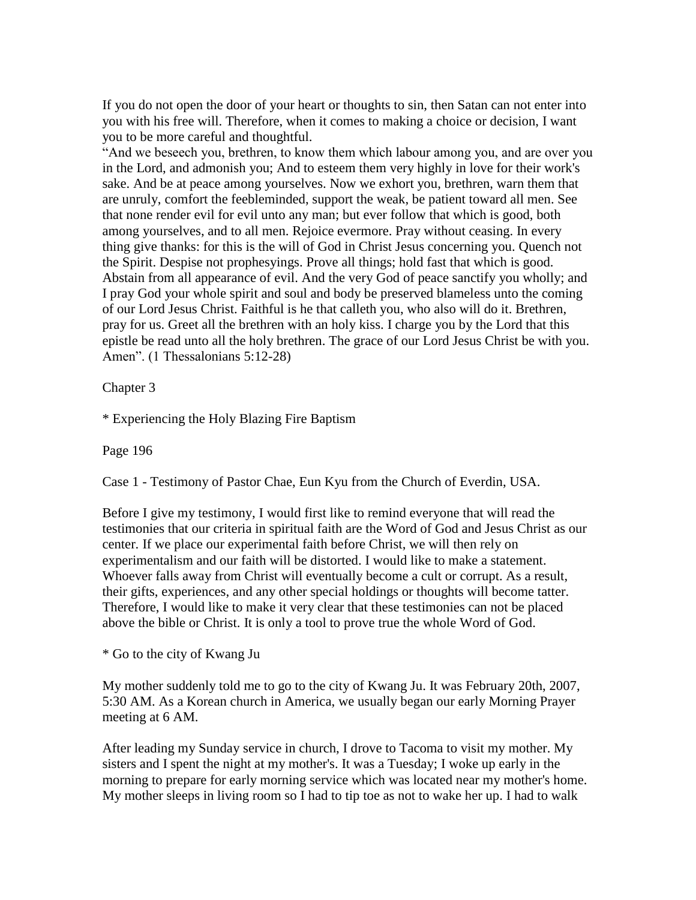If you do not open the door of your heart or thoughts to sin, then Satan can not enter into you with his free will. Therefore, when it comes to making a choice or decision, I want you to be more careful and thoughtful.

"And we beseech you, brethren, to know them which labour among you, and are over you in the Lord, and admonish you; And to esteem them very highly in love for their work's sake. And be at peace among yourselves. Now we exhort you, brethren, warn them that are unruly, comfort the feebleminded, support the weak, be patient toward all men. See that none render evil for evil unto any man; but ever follow that which is good, both among yourselves, and to all men. Rejoice evermore. Pray without ceasing. In every thing give thanks: for this is the will of God in Christ Jesus concerning you. Quench not the Spirit. Despise not prophesyings. Prove all things; hold fast that which is good. Abstain from all appearance of evil. And the very God of peace sanctify you wholly; and I pray God your whole spirit and soul and body be preserved blameless unto the coming of our Lord Jesus Christ. Faithful is he that calleth you, who also will do it. Brethren, pray for us. Greet all the brethren with an holy kiss. I charge you by the Lord that this epistle be read unto all the holy brethren. The grace of our Lord Jesus Christ be with you. Amen". (1 Thessalonians 5:12-28)

Chapter 3

\* Experiencing the Holy Blazing Fire Baptism

Page 196

Case 1 - Testimony of Pastor Chae, Eun Kyu from the Church of Everdin, USA.

Before I give my testimony, I would first like to remind everyone that will read the testimonies that our criteria in spiritual faith are the Word of God and Jesus Christ as our center. If we place our experimental faith before Christ, we will then rely on experimentalism and our faith will be distorted. I would like to make a statement. Whoever falls away from Christ will eventually become a cult or corrupt. As a result, their gifts, experiences, and any other special holdings or thoughts will become tatter. Therefore, I would like to make it very clear that these testimonies can not be placed above the bible or Christ. It is only a tool to prove true the whole Word of God.

\* Go to the city of Kwang Ju

My mother suddenly told me to go to the city of Kwang Ju. It was February 20th, 2007, 5:30 AM. As a Korean church in America, we usually began our early Morning Prayer meeting at 6 AM.

After leading my Sunday service in church, I drove to Tacoma to visit my mother. My sisters and I spent the night at my mother's. It was a Tuesday; I woke up early in the morning to prepare for early morning service which was located near my mother's home. My mother sleeps in living room so I had to tip toe as not to wake her up. I had to walk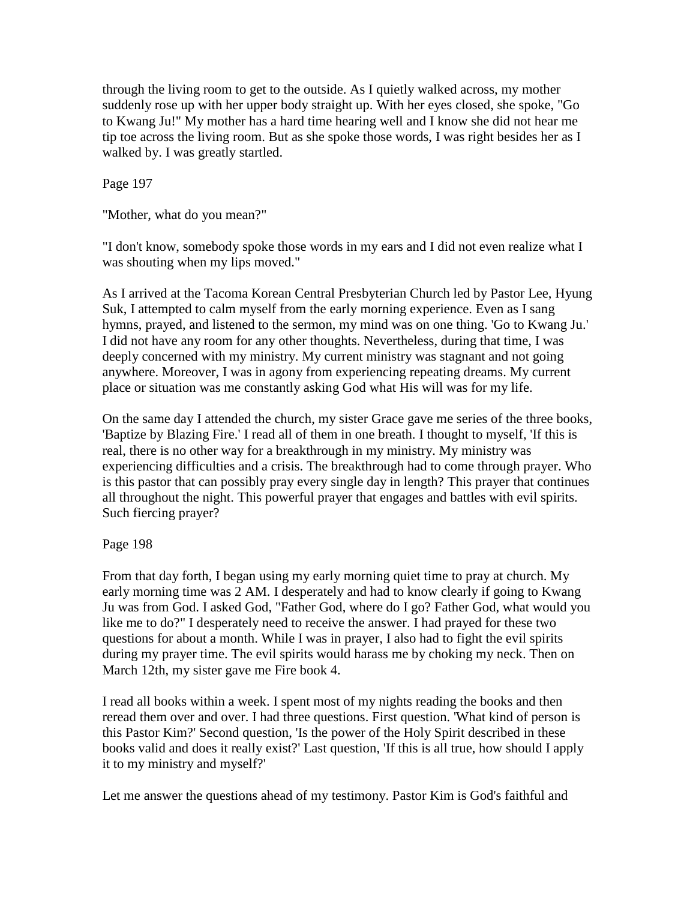through the living room to get to the outside. As I quietly walked across, my mother suddenly rose up with her upper body straight up. With her eyes closed, she spoke, "Go to Kwang Ju!" My mother has a hard time hearing well and I know she did not hear me tip toe across the living room. But as she spoke those words, I was right besides her as I walked by. I was greatly startled.

Page 197

"Mother, what do you mean?"

"I don't know, somebody spoke those words in my ears and I did not even realize what I was shouting when my lips moved."

As I arrived at the Tacoma Korean Central Presbyterian Church led by Pastor Lee, Hyung Suk, I attempted to calm myself from the early morning experience. Even as I sang hymns, prayed, and listened to the sermon, my mind was on one thing. 'Go to Kwang Ju.' I did not have any room for any other thoughts. Nevertheless, during that time, I was deeply concerned with my ministry. My current ministry was stagnant and not going anywhere. Moreover, I was in agony from experiencing repeating dreams. My current place or situation was me constantly asking God what His will was for my life.

On the same day I attended the church, my sister Grace gave me series of the three books, 'Baptize by Blazing Fire.' I read all of them in one breath. I thought to myself, 'If this is real, there is no other way for a breakthrough in my ministry. My ministry was experiencing difficulties and a crisis. The breakthrough had to come through prayer. Who is this pastor that can possibly pray every single day in length? This prayer that continues all throughout the night. This powerful prayer that engages and battles with evil spirits. Such fiercing prayer?

### Page 198

From that day forth, I began using my early morning quiet time to pray at church. My early morning time was 2 AM. I desperately and had to know clearly if going to Kwang Ju was from God. I asked God, "Father God, where do I go? Father God, what would you like me to do?" I desperately need to receive the answer. I had prayed for these two questions for about a month. While I was in prayer, I also had to fight the evil spirits during my prayer time. The evil spirits would harass me by choking my neck. Then on March 12th, my sister gave me Fire book 4.

I read all books within a week. I spent most of my nights reading the books and then reread them over and over. I had three questions. First question. 'What kind of person is this Pastor Kim?' Second question, 'Is the power of the Holy Spirit described in these books valid and does it really exist?' Last question, 'If this is all true, how should I apply it to my ministry and myself?'

Let me answer the questions ahead of my testimony. Pastor Kim is God's faithful and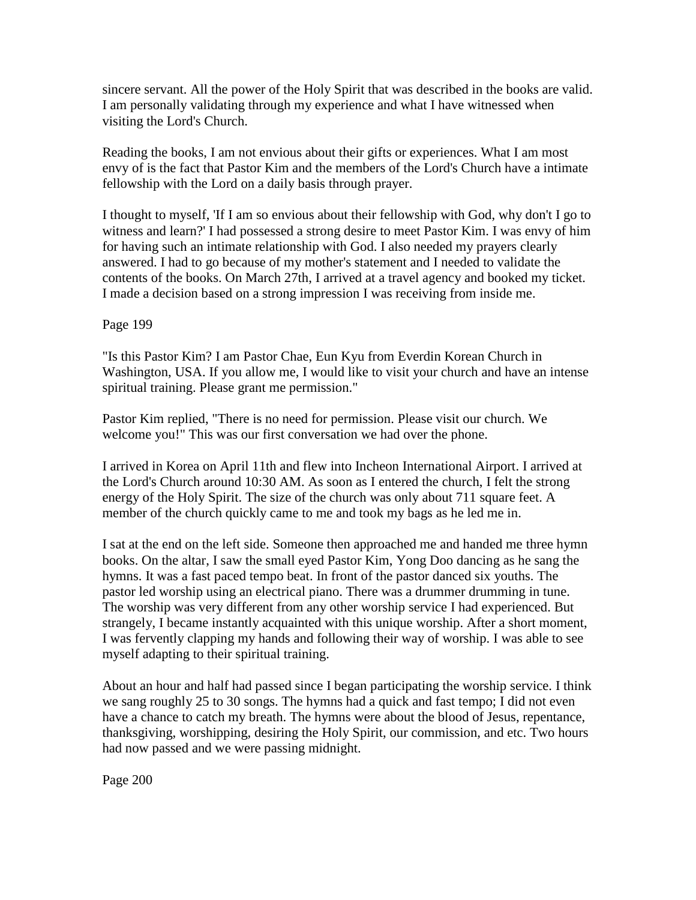sincere servant. All the power of the Holy Spirit that was described in the books are valid. I am personally validating through my experience and what I have witnessed when visiting the Lord's Church.

Reading the books, I am not envious about their gifts or experiences. What I am most envy of is the fact that Pastor Kim and the members of the Lord's Church have a intimate fellowship with the Lord on a daily basis through prayer.

I thought to myself, 'If I am so envious about their fellowship with God, why don't I go to witness and learn?' I had possessed a strong desire to meet Pastor Kim. I was envy of him for having such an intimate relationship with God. I also needed my prayers clearly answered. I had to go because of my mother's statement and I needed to validate the contents of the books. On March 27th, I arrived at a travel agency and booked my ticket. I made a decision based on a strong impression I was receiving from inside me.

Page 199

"Is this Pastor Kim? I am Pastor Chae, Eun Kyu from Everdin Korean Church in Washington, USA. If you allow me, I would like to visit your church and have an intense spiritual training. Please grant me permission."

Pastor Kim replied, "There is no need for permission. Please visit our church. We welcome you!" This was our first conversation we had over the phone.

I arrived in Korea on April 11th and flew into Incheon International Airport. I arrived at the Lord's Church around 10:30 AM. As soon as I entered the church, I felt the strong energy of the Holy Spirit. The size of the church was only about 711 square feet. A member of the church quickly came to me and took my bags as he led me in.

I sat at the end on the left side. Someone then approached me and handed me three hymn books. On the altar, I saw the small eyed Pastor Kim, Yong Doo dancing as he sang the hymns. It was a fast paced tempo beat. In front of the pastor danced six youths. The pastor led worship using an electrical piano. There was a drummer drumming in tune. The worship was very different from any other worship service I had experienced. But strangely, I became instantly acquainted with this unique worship. After a short moment, I was fervently clapping my hands and following their way of worship. I was able to see myself adapting to their spiritual training.

About an hour and half had passed since I began participating the worship service. I think we sang roughly 25 to 30 songs. The hymns had a quick and fast tempo; I did not even have a chance to catch my breath. The hymns were about the blood of Jesus, repentance, thanksgiving, worshipping, desiring the Holy Spirit, our commission, and etc. Two hours had now passed and we were passing midnight.

Page 200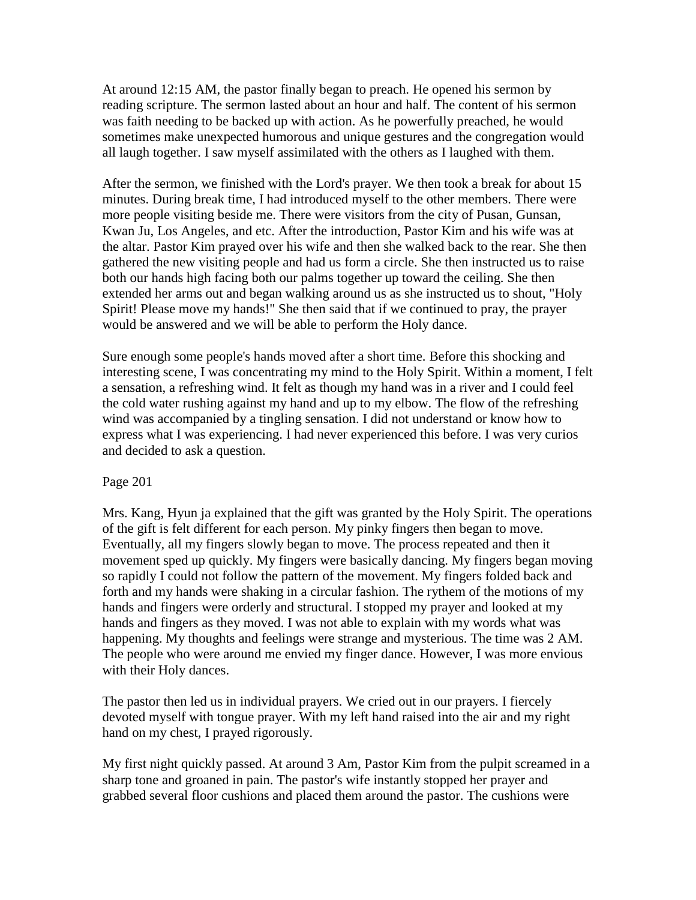At around 12:15 AM, the pastor finally began to preach. He opened his sermon by reading scripture. The sermon lasted about an hour and half. The content of his sermon was faith needing to be backed up with action. As he powerfully preached, he would sometimes make unexpected humorous and unique gestures and the congregation would all laugh together. I saw myself assimilated with the others as I laughed with them.

After the sermon, we finished with the Lord's prayer. We then took a break for about 15 minutes. During break time, I had introduced myself to the other members. There were more people visiting beside me. There were visitors from the city of Pusan, Gunsan, Kwan Ju, Los Angeles, and etc. After the introduction, Pastor Kim and his wife was at the altar. Pastor Kim prayed over his wife and then she walked back to the rear. She then gathered the new visiting people and had us form a circle. She then instructed us to raise both our hands high facing both our palms together up toward the ceiling. She then extended her arms out and began walking around us as she instructed us to shout, "Holy Spirit! Please move my hands!" She then said that if we continued to pray, the prayer would be answered and we will be able to perform the Holy dance.

Sure enough some people's hands moved after a short time. Before this shocking and interesting scene, I was concentrating my mind to the Holy Spirit. Within a moment, I felt a sensation, a refreshing wind. It felt as though my hand was in a river and I could feel the cold water rushing against my hand and up to my elbow. The flow of the refreshing wind was accompanied by a tingling sensation. I did not understand or know how to express what I was experiencing. I had never experienced this before. I was very curios and decided to ask a question.

### Page 201

Mrs. Kang, Hyun ja explained that the gift was granted by the Holy Spirit. The operations of the gift is felt different for each person. My pinky fingers then began to move. Eventually, all my fingers slowly began to move. The process repeated and then it movement sped up quickly. My fingers were basically dancing. My fingers began moving so rapidly I could not follow the pattern of the movement. My fingers folded back and forth and my hands were shaking in a circular fashion. The rythem of the motions of my hands and fingers were orderly and structural. I stopped my prayer and looked at my hands and fingers as they moved. I was not able to explain with my words what was happening. My thoughts and feelings were strange and mysterious. The time was 2 AM. The people who were around me envied my finger dance. However, I was more envious with their Holy dances.

The pastor then led us in individual prayers. We cried out in our prayers. I fiercely devoted myself with tongue prayer. With my left hand raised into the air and my right hand on my chest, I prayed rigorously.

My first night quickly passed. At around 3 Am, Pastor Kim from the pulpit screamed in a sharp tone and groaned in pain. The pastor's wife instantly stopped her prayer and grabbed several floor cushions and placed them around the pastor. The cushions were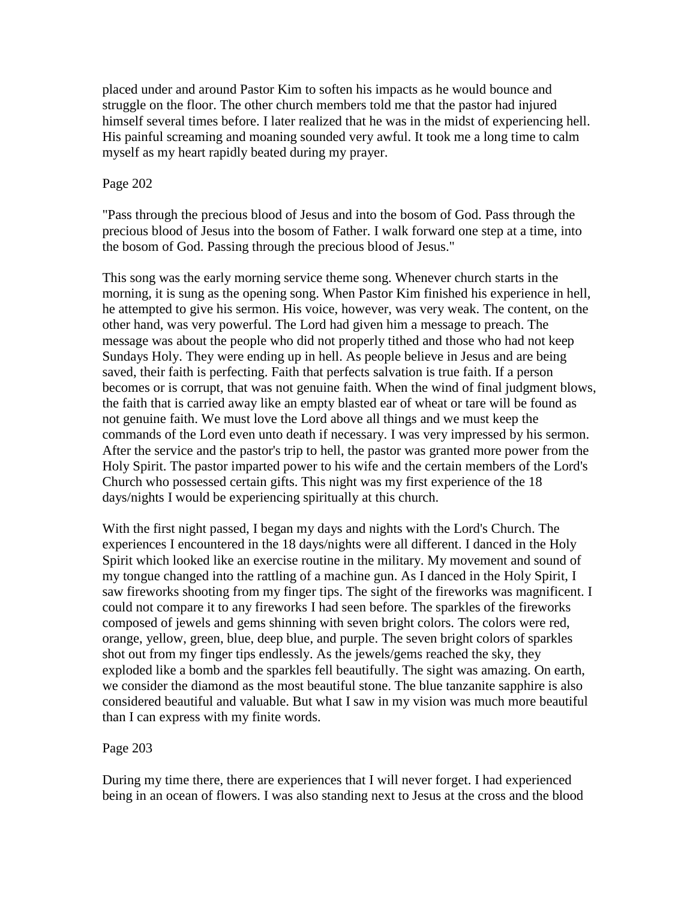placed under and around Pastor Kim to soften his impacts as he would bounce and struggle on the floor. The other church members told me that the pastor had injured himself several times before. I later realized that he was in the midst of experiencing hell. His painful screaming and moaning sounded very awful. It took me a long time to calm myself as my heart rapidly beated during my prayer.

### Page 202

"Pass through the precious blood of Jesus and into the bosom of God. Pass through the precious blood of Jesus into the bosom of Father. I walk forward one step at a time, into the bosom of God. Passing through the precious blood of Jesus."

This song was the early morning service theme song. Whenever church starts in the morning, it is sung as the opening song. When Pastor Kim finished his experience in hell, he attempted to give his sermon. His voice, however, was very weak. The content, on the other hand, was very powerful. The Lord had given him a message to preach. The message was about the people who did not properly tithed and those who had not keep Sundays Holy. They were ending up in hell. As people believe in Jesus and are being saved, their faith is perfecting. Faith that perfects salvation is true faith. If a person becomes or is corrupt, that was not genuine faith. When the wind of final judgment blows, the faith that is carried away like an empty blasted ear of wheat or tare will be found as not genuine faith. We must love the Lord above all things and we must keep the commands of the Lord even unto death if necessary. I was very impressed by his sermon. After the service and the pastor's trip to hell, the pastor was granted more power from the Holy Spirit. The pastor imparted power to his wife and the certain members of the Lord's Church who possessed certain gifts. This night was my first experience of the 18 days/nights I would be experiencing spiritually at this church.

With the first night passed, I began my days and nights with the Lord's Church. The experiences I encountered in the 18 days/nights were all different. I danced in the Holy Spirit which looked like an exercise routine in the military. My movement and sound of my tongue changed into the rattling of a machine gun. As I danced in the Holy Spirit, I saw fireworks shooting from my finger tips. The sight of the fireworks was magnificent. I could not compare it to any fireworks I had seen before. The sparkles of the fireworks composed of jewels and gems shinning with seven bright colors. The colors were red, orange, yellow, green, blue, deep blue, and purple. The seven bright colors of sparkles shot out from my finger tips endlessly. As the jewels/gems reached the sky, they exploded like a bomb and the sparkles fell beautifully. The sight was amazing. On earth, we consider the diamond as the most beautiful stone. The blue tanzanite sapphire is also considered beautiful and valuable. But what I saw in my vision was much more beautiful than I can express with my finite words.

### Page 203

During my time there, there are experiences that I will never forget. I had experienced being in an ocean of flowers. I was also standing next to Jesus at the cross and the blood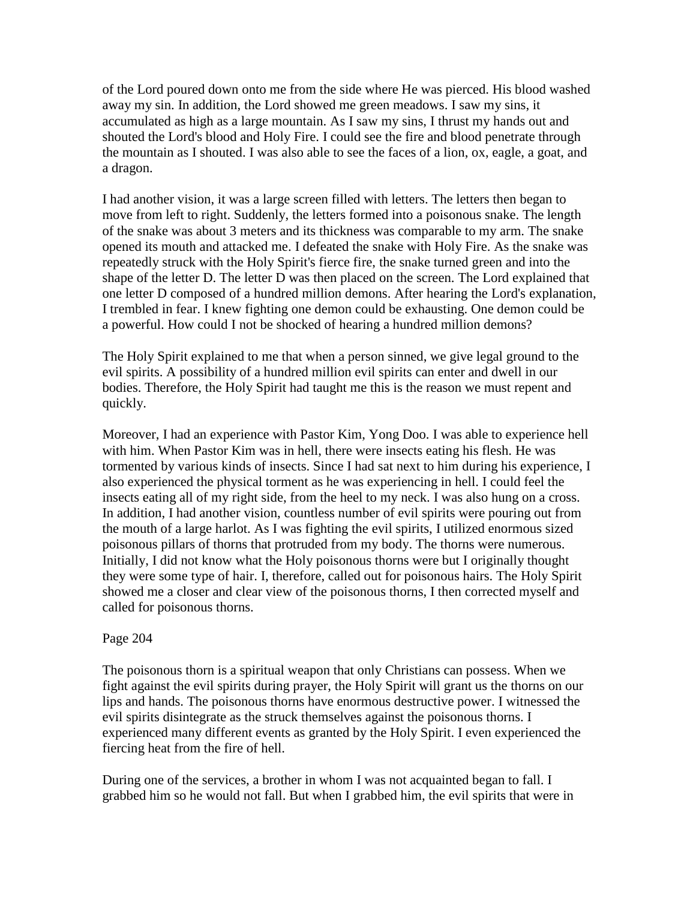of the Lord poured down onto me from the side where He was pierced. His blood washed away my sin. In addition, the Lord showed me green meadows. I saw my sins, it accumulated as high as a large mountain. As I saw my sins, I thrust my hands out and shouted the Lord's blood and Holy Fire. I could see the fire and blood penetrate through the mountain as I shouted. I was also able to see the faces of a lion, ox, eagle, a goat, and a dragon.

I had another vision, it was a large screen filled with letters. The letters then began to move from left to right. Suddenly, the letters formed into a poisonous snake. The length of the snake was about 3 meters and its thickness was comparable to my arm. The snake opened its mouth and attacked me. I defeated the snake with Holy Fire. As the snake was repeatedly struck with the Holy Spirit's fierce fire, the snake turned green and into the shape of the letter D. The letter D was then placed on the screen. The Lord explained that one letter D composed of a hundred million demons. After hearing the Lord's explanation, I trembled in fear. I knew fighting one demon could be exhausting. One demon could be a powerful. How could I not be shocked of hearing a hundred million demons?

The Holy Spirit explained to me that when a person sinned, we give legal ground to the evil spirits. A possibility of a hundred million evil spirits can enter and dwell in our bodies. Therefore, the Holy Spirit had taught me this is the reason we must repent and quickly.

Moreover, I had an experience with Pastor Kim, Yong Doo. I was able to experience hell with him. When Pastor Kim was in hell, there were insects eating his flesh. He was tormented by various kinds of insects. Since I had sat next to him during his experience, I also experienced the physical torment as he was experiencing in hell. I could feel the insects eating all of my right side, from the heel to my neck. I was also hung on a cross. In addition, I had another vision, countless number of evil spirits were pouring out from the mouth of a large harlot. As I was fighting the evil spirits, I utilized enormous sized poisonous pillars of thorns that protruded from my body. The thorns were numerous. Initially, I did not know what the Holy poisonous thorns were but I originally thought they were some type of hair. I, therefore, called out for poisonous hairs. The Holy Spirit showed me a closer and clear view of the poisonous thorns, I then corrected myself and called for poisonous thorns.

### Page 204

The poisonous thorn is a spiritual weapon that only Christians can possess. When we fight against the evil spirits during prayer, the Holy Spirit will grant us the thorns on our lips and hands. The poisonous thorns have enormous destructive power. I witnessed the evil spirits disintegrate as the struck themselves against the poisonous thorns. I experienced many different events as granted by the Holy Spirit. I even experienced the fiercing heat from the fire of hell.

During one of the services, a brother in whom I was not acquainted began to fall. I grabbed him so he would not fall. But when I grabbed him, the evil spirits that were in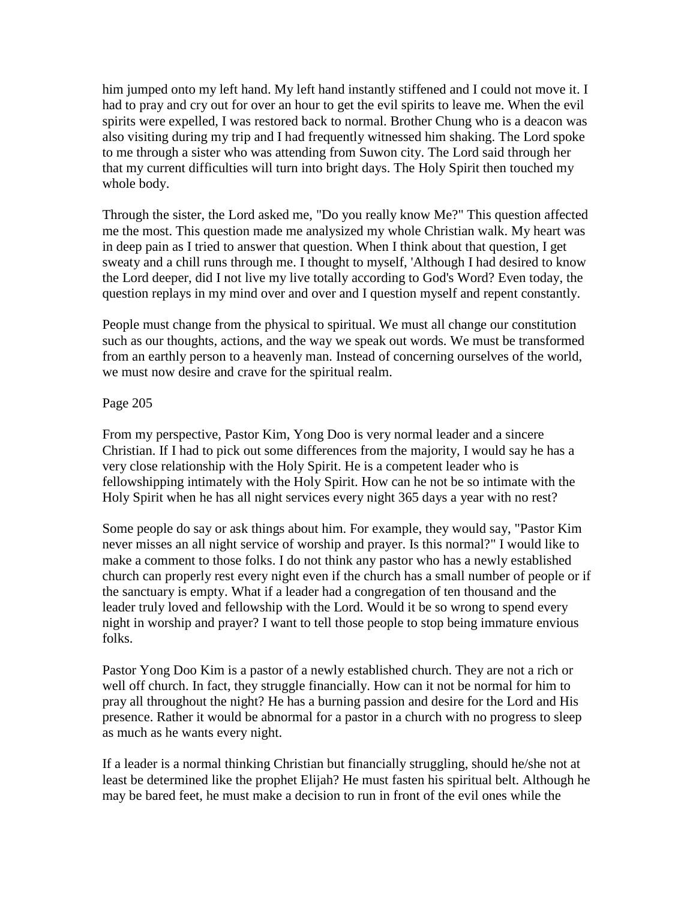him jumped onto my left hand. My left hand instantly stiffened and I could not move it. I had to pray and cry out for over an hour to get the evil spirits to leave me. When the evil spirits were expelled, I was restored back to normal. Brother Chung who is a deacon was also visiting during my trip and I had frequently witnessed him shaking. The Lord spoke to me through a sister who was attending from Suwon city. The Lord said through her that my current difficulties will turn into bright days. The Holy Spirit then touched my whole body.

Through the sister, the Lord asked me, "Do you really know Me?" This question affected me the most. This question made me analysized my whole Christian walk. My heart was in deep pain as I tried to answer that question. When I think about that question, I get sweaty and a chill runs through me. I thought to myself, 'Although I had desired to know the Lord deeper, did I not live my live totally according to God's Word? Even today, the question replays in my mind over and over and I question myself and repent constantly.

People must change from the physical to spiritual. We must all change our constitution such as our thoughts, actions, and the way we speak out words. We must be transformed from an earthly person to a heavenly man. Instead of concerning ourselves of the world, we must now desire and crave for the spiritual realm.

## Page 205

From my perspective, Pastor Kim, Yong Doo is very normal leader and a sincere Christian. If I had to pick out some differences from the majority, I would say he has a very close relationship with the Holy Spirit. He is a competent leader who is fellowshipping intimately with the Holy Spirit. How can he not be so intimate with the Holy Spirit when he has all night services every night 365 days a year with no rest?

Some people do say or ask things about him. For example, they would say, "Pastor Kim never misses an all night service of worship and prayer. Is this normal?" I would like to make a comment to those folks. I do not think any pastor who has a newly established church can properly rest every night even if the church has a small number of people or if the sanctuary is empty. What if a leader had a congregation of ten thousand and the leader truly loved and fellowship with the Lord. Would it be so wrong to spend every night in worship and prayer? I want to tell those people to stop being immature envious folks.

Pastor Yong Doo Kim is a pastor of a newly established church. They are not a rich or well off church. In fact, they struggle financially. How can it not be normal for him to pray all throughout the night? He has a burning passion and desire for the Lord and His presence. Rather it would be abnormal for a pastor in a church with no progress to sleep as much as he wants every night.

If a leader is a normal thinking Christian but financially struggling, should he/she not at least be determined like the prophet Elijah? He must fasten his spiritual belt. Although he may be bared feet, he must make a decision to run in front of the evil ones while the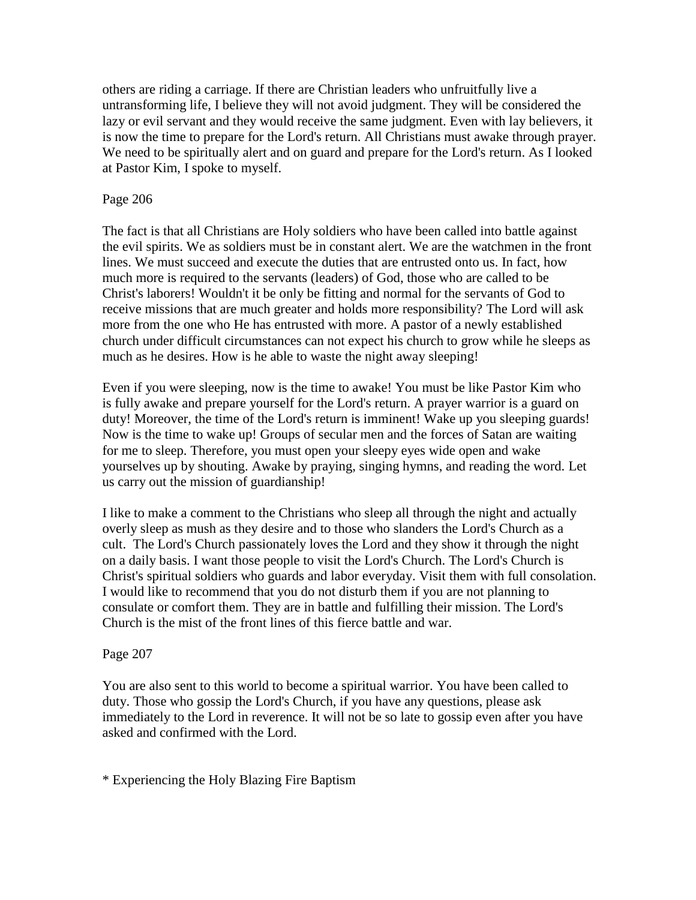others are riding a carriage. If there are Christian leaders who unfruitfully live a untransforming life, I believe they will not avoid judgment. They will be considered the lazy or evil servant and they would receive the same judgment. Even with lay believers, it is now the time to prepare for the Lord's return. All Christians must awake through prayer. We need to be spiritually alert and on guard and prepare for the Lord's return. As I looked at Pastor Kim, I spoke to myself.

## Page 206

The fact is that all Christians are Holy soldiers who have been called into battle against the evil spirits. We as soldiers must be in constant alert. We are the watchmen in the front lines. We must succeed and execute the duties that are entrusted onto us. In fact, how much more is required to the servants (leaders) of God, those who are called to be Christ's laborers! Wouldn't it be only be fitting and normal for the servants of God to receive missions that are much greater and holds more responsibility? The Lord will ask more from the one who He has entrusted with more. A pastor of a newly established church under difficult circumstances can not expect his church to grow while he sleeps as much as he desires. How is he able to waste the night away sleeping!

Even if you were sleeping, now is the time to awake! You must be like Pastor Kim who is fully awake and prepare yourself for the Lord's return. A prayer warrior is a guard on duty! Moreover, the time of the Lord's return is imminent! Wake up you sleeping guards! Now is the time to wake up! Groups of secular men and the forces of Satan are waiting for me to sleep. Therefore, you must open your sleepy eyes wide open and wake yourselves up by shouting. Awake by praying, singing hymns, and reading the word. Let us carry out the mission of guardianship!

I like to make a comment to the Christians who sleep all through the night and actually overly sleep as mush as they desire and to those who slanders the Lord's Church as a cult. The Lord's Church passionately loves the Lord and they show it through the night on a daily basis. I want those people to visit the Lord's Church. The Lord's Church is Christ's spiritual soldiers who guards and labor everyday. Visit them with full consolation. I would like to recommend that you do not disturb them if you are not planning to consulate or comfort them. They are in battle and fulfilling their mission. The Lord's Church is the mist of the front lines of this fierce battle and war.

### Page 207

You are also sent to this world to become a spiritual warrior. You have been called to duty. Those who gossip the Lord's Church, if you have any questions, please ask immediately to the Lord in reverence. It will not be so late to gossip even after you have asked and confirmed with the Lord.

\* Experiencing the Holy Blazing Fire Baptism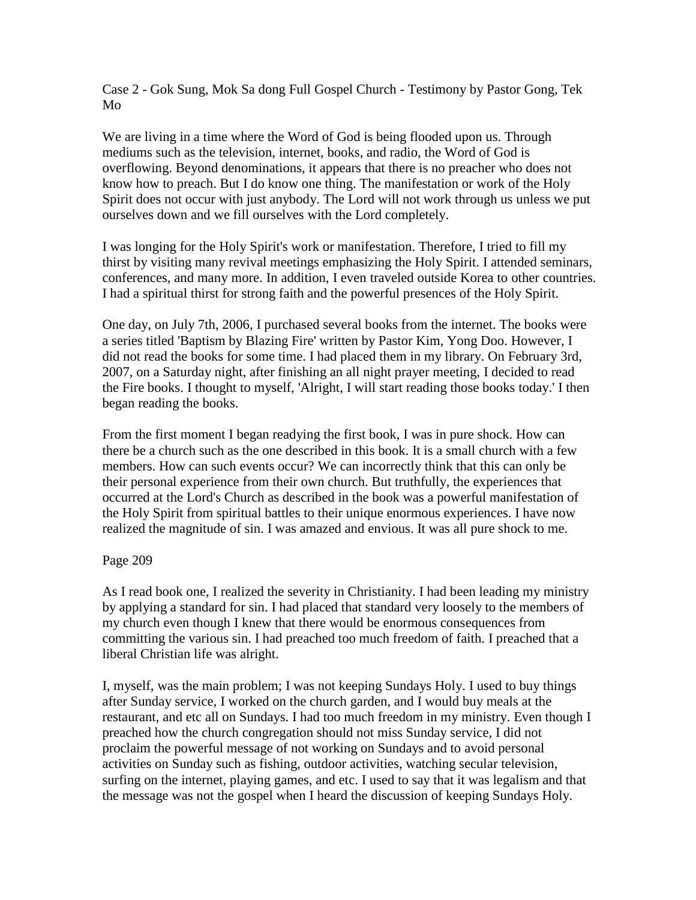Case 2 - Gok Sung, Mok Sa dong Full Gospel Church - Testimony by Pastor Gong, Tek Mo

We are living in a time where the Word of God is being flooded upon us. Through mediums such as the television, internet, books, and radio, the Word of God is overflowing. Beyond denominations, it appears that there is no preacher who does not know how to preach. But I do know one thing. The manifestation or work of the Holy Spirit does not occur with just anybody. The Lord will not work through us unless we put ourselves down and we fill ourselves with the Lord completely.

I was longing for the Holy Spirit's work or manifestation. Therefore, I tried to fill my thirst by visiting many revival meetings emphasizing the Holy Spirit. I attended seminars, conferences, and many more. In addition, I even traveled outside Korea to other countries. I had a spiritual thirst for strong faith and the powerful presences of the Holy Spirit.

One day, on July 7th, 2006, I purchased several books from the internet. The books were a series titled 'Baptism by Blazing Fire' written by Pastor Kim, Yong Doo. However, I did not read the books for some time. I had placed them in my library. On February 3rd, 2007, on a Saturday night, after finishing an all night prayer meeting, I decided to read the Fire books. I thought to myself, 'Alright, I will start reading those books today.' I then began reading the books.

From the first moment I began readying the first book, I was in pure shock. How can there be a church such as the one described in this book. It is a small church with a few members. How can such events occur? We can incorrectly think that this can only be their personal experience from their own church. But truthfully, the experiences that occurred at the Lord's Church as described in the book was a powerful manifestation of the Holy Spirit from spiritual battles to their unique enormous experiences. I have now realized the magnitude of sin. I was amazed and envious. It was all pure shock to me.

### Page 209

As I read book one, I realized the severity in Christianity. I had been leading my ministry by applying a standard for sin. I had placed that standard very loosely to the members of my church even though I knew that there would be enormous consequences from committing the various sin. I had preached too much freedom of faith. I preached that a liberal Christian life was alright.

I, myself, was the main problem; I was not keeping Sundays Holy. I used to buy things after Sunday service, I worked on the church garden, and I would buy meals at the restaurant, and etc all on Sundays. I had too much freedom in my ministry. Even though I preached how the church congregation should not miss Sunday service, I did not proclaim the powerful message of not working on Sundays and to avoid personal activities on Sunday such as fishing, outdoor activities, watching secular television, surfing on the internet, playing games, and etc. I used to say that it was legalism and that the message was not the gospel when I heard the discussion of keeping Sundays Holy.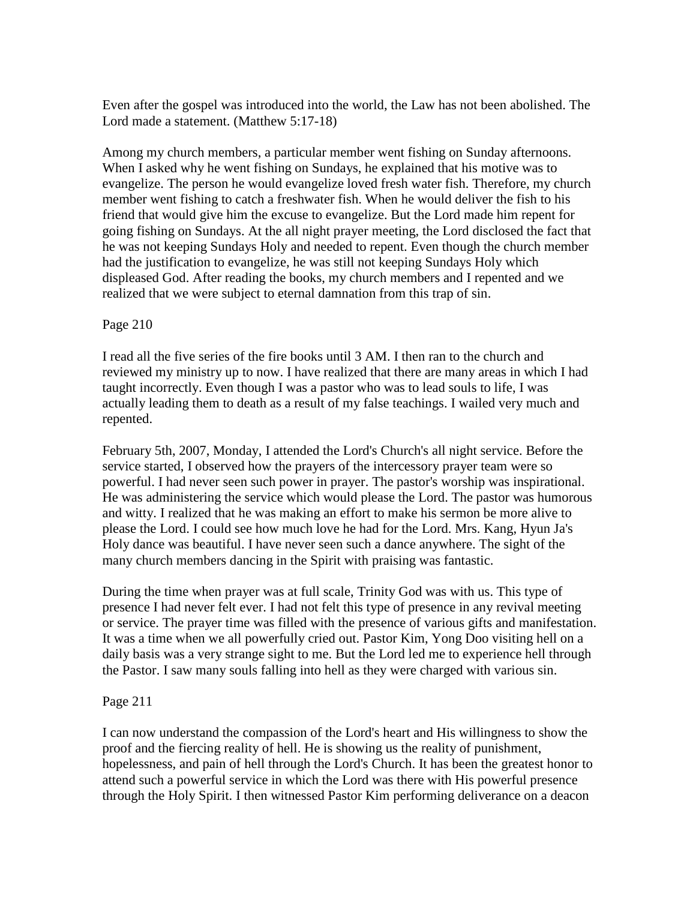Even after the gospel was introduced into the world, the Law has not been abolished. The Lord made a statement. (Matthew 5:17-18)

Among my church members, a particular member went fishing on Sunday afternoons. When I asked why he went fishing on Sundays, he explained that his motive was to evangelize. The person he would evangelize loved fresh water fish. Therefore, my church member went fishing to catch a freshwater fish. When he would deliver the fish to his friend that would give him the excuse to evangelize. But the Lord made him repent for going fishing on Sundays. At the all night prayer meeting, the Lord disclosed the fact that he was not keeping Sundays Holy and needed to repent. Even though the church member had the justification to evangelize, he was still not keeping Sundays Holy which displeased God. After reading the books, my church members and I repented and we realized that we were subject to eternal damnation from this trap of sin.

### Page 210

I read all the five series of the fire books until 3 AM. I then ran to the church and reviewed my ministry up to now. I have realized that there are many areas in which I had taught incorrectly. Even though I was a pastor who was to lead souls to life, I was actually leading them to death as a result of my false teachings. I wailed very much and repented.

February 5th, 2007, Monday, I attended the Lord's Church's all night service. Before the service started, I observed how the prayers of the intercessory prayer team were so powerful. I had never seen such power in prayer. The pastor's worship was inspirational. He was administering the service which would please the Lord. The pastor was humorous and witty. I realized that he was making an effort to make his sermon be more alive to please the Lord. I could see how much love he had for the Lord. Mrs. Kang, Hyun Ja's Holy dance was beautiful. I have never seen such a dance anywhere. The sight of the many church members dancing in the Spirit with praising was fantastic.

During the time when prayer was at full scale, Trinity God was with us. This type of presence I had never felt ever. I had not felt this type of presence in any revival meeting or service. The prayer time was filled with the presence of various gifts and manifestation. It was a time when we all powerfully cried out. Pastor Kim, Yong Doo visiting hell on a daily basis was a very strange sight to me. But the Lord led me to experience hell through the Pastor. I saw many souls falling into hell as they were charged with various sin.

### Page 211

I can now understand the compassion of the Lord's heart and His willingness to show the proof and the fiercing reality of hell. He is showing us the reality of punishment, hopelessness, and pain of hell through the Lord's Church. It has been the greatest honor to attend such a powerful service in which the Lord was there with His powerful presence through the Holy Spirit. I then witnessed Pastor Kim performing deliverance on a deacon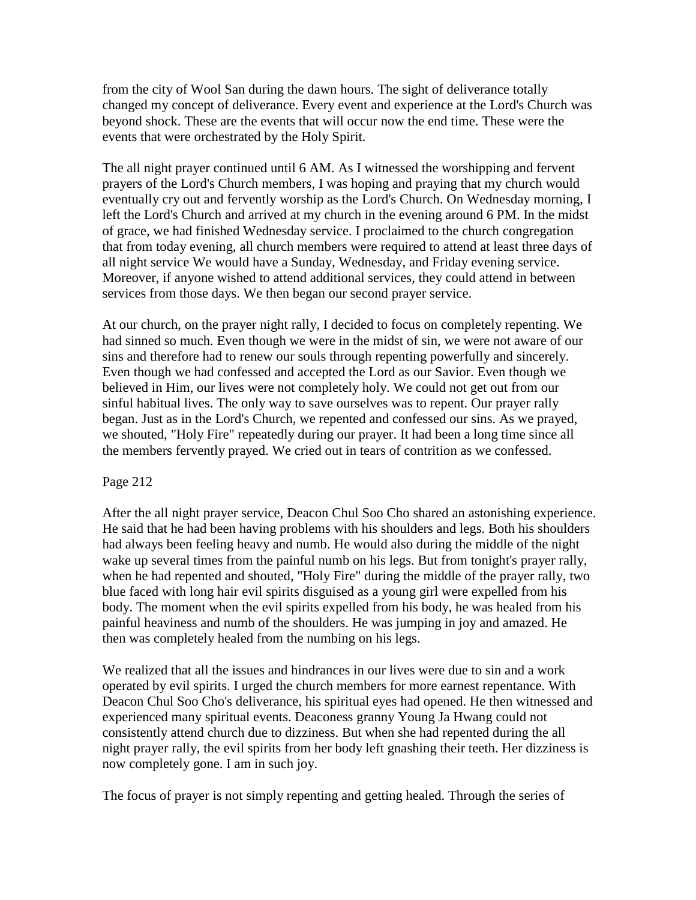from the city of Wool San during the dawn hours. The sight of deliverance totally changed my concept of deliverance. Every event and experience at the Lord's Church was beyond shock. These are the events that will occur now the end time. These were the events that were orchestrated by the Holy Spirit.

The all night prayer continued until 6 AM. As I witnessed the worshipping and fervent prayers of the Lord's Church members, I was hoping and praying that my church would eventually cry out and fervently worship as the Lord's Church. On Wednesday morning, I left the Lord's Church and arrived at my church in the evening around 6 PM. In the midst of grace, we had finished Wednesday service. I proclaimed to the church congregation that from today evening, all church members were required to attend at least three days of all night service We would have a Sunday, Wednesday, and Friday evening service. Moreover, if anyone wished to attend additional services, they could attend in between services from those days. We then began our second prayer service.

At our church, on the prayer night rally, I decided to focus on completely repenting. We had sinned so much. Even though we were in the midst of sin, we were not aware of our sins and therefore had to renew our souls through repenting powerfully and sincerely. Even though we had confessed and accepted the Lord as our Savior. Even though we believed in Him, our lives were not completely holy. We could not get out from our sinful habitual lives. The only way to save ourselves was to repent. Our prayer rally began. Just as in the Lord's Church, we repented and confessed our sins. As we prayed, we shouted, "Holy Fire" repeatedly during our prayer. It had been a long time since all the members fervently prayed. We cried out in tears of contrition as we confessed.

# Page 212

After the all night prayer service, Deacon Chul Soo Cho shared an astonishing experience. He said that he had been having problems with his shoulders and legs. Both his shoulders had always been feeling heavy and numb. He would also during the middle of the night wake up several times from the painful numb on his legs. But from tonight's prayer rally, when he had repented and shouted, "Holy Fire" during the middle of the prayer rally, two blue faced with long hair evil spirits disguised as a young girl were expelled from his body. The moment when the evil spirits expelled from his body, he was healed from his painful heaviness and numb of the shoulders. He was jumping in joy and amazed. He then was completely healed from the numbing on his legs.

We realized that all the issues and hindrances in our lives were due to sin and a work operated by evil spirits. I urged the church members for more earnest repentance. With Deacon Chul Soo Cho's deliverance, his spiritual eyes had opened. He then witnessed and experienced many spiritual events. Deaconess granny Young Ja Hwang could not consistently attend church due to dizziness. But when she had repented during the all night prayer rally, the evil spirits from her body left gnashing their teeth. Her dizziness is now completely gone. I am in such joy.

The focus of prayer is not simply repenting and getting healed. Through the series of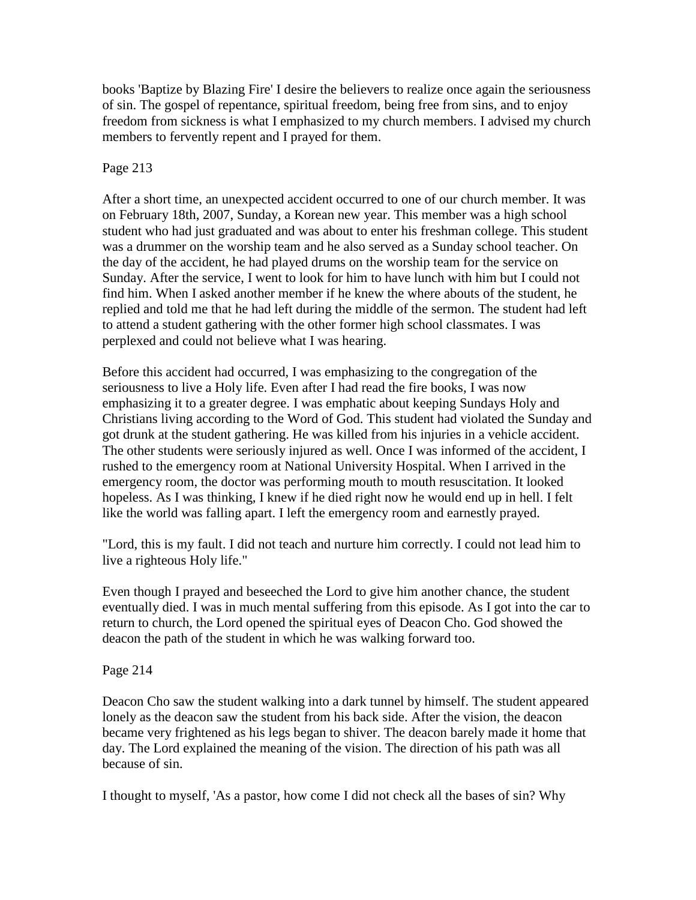books 'Baptize by Blazing Fire' I desire the believers to realize once again the seriousness of sin. The gospel of repentance, spiritual freedom, being free from sins, and to enjoy freedom from sickness is what I emphasized to my church members. I advised my church members to fervently repent and I prayed for them.

## Page 213

After a short time, an unexpected accident occurred to one of our church member. It was on February 18th, 2007, Sunday, a Korean new year. This member was a high school student who had just graduated and was about to enter his freshman college. This student was a drummer on the worship team and he also served as a Sunday school teacher. On the day of the accident, he had played drums on the worship team for the service on Sunday. After the service, I went to look for him to have lunch with him but I could not find him. When I asked another member if he knew the where abouts of the student, he replied and told me that he had left during the middle of the sermon. The student had left to attend a student gathering with the other former high school classmates. I was perplexed and could not believe what I was hearing.

Before this accident had occurred, I was emphasizing to the congregation of the seriousness to live a Holy life. Even after I had read the fire books, I was now emphasizing it to a greater degree. I was emphatic about keeping Sundays Holy and Christians living according to the Word of God. This student had violated the Sunday and got drunk at the student gathering. He was killed from his injuries in a vehicle accident. The other students were seriously injured as well. Once I was informed of the accident, I rushed to the emergency room at National University Hospital. When I arrived in the emergency room, the doctor was performing mouth to mouth resuscitation. It looked hopeless. As I was thinking, I knew if he died right now he would end up in hell. I felt like the world was falling apart. I left the emergency room and earnestly prayed.

"Lord, this is my fault. I did not teach and nurture him correctly. I could not lead him to live a righteous Holy life."

Even though I prayed and beseeched the Lord to give him another chance, the student eventually died. I was in much mental suffering from this episode. As I got into the car to return to church, the Lord opened the spiritual eyes of Deacon Cho. God showed the deacon the path of the student in which he was walking forward too.

Page 214

Deacon Cho saw the student walking into a dark tunnel by himself. The student appeared lonely as the deacon saw the student from his back side. After the vision, the deacon became very frightened as his legs began to shiver. The deacon barely made it home that day. The Lord explained the meaning of the vision. The direction of his path was all because of sin.

I thought to myself, 'As a pastor, how come I did not check all the bases of sin? Why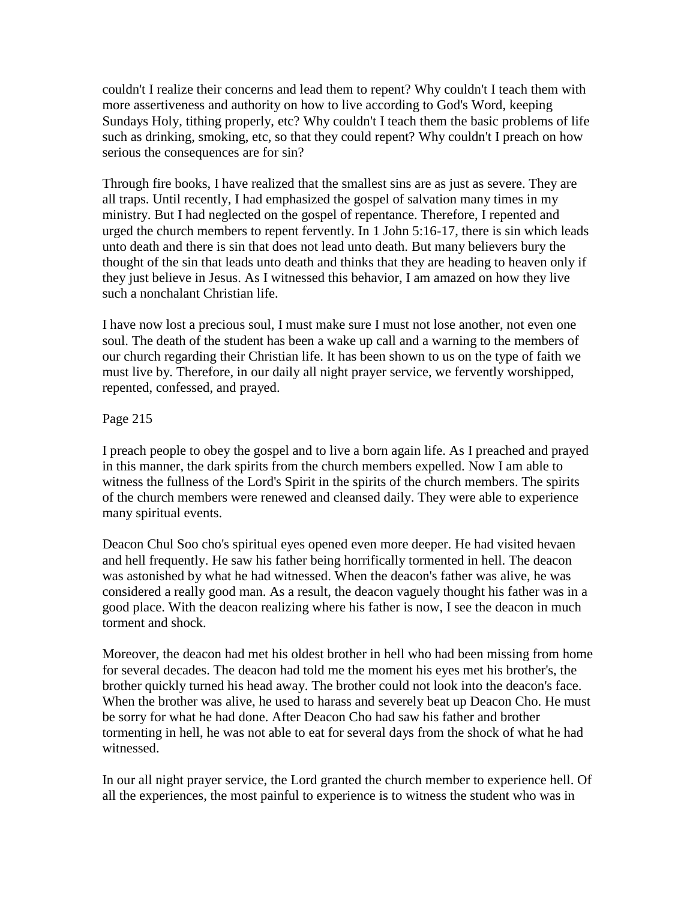couldn't I realize their concerns and lead them to repent? Why couldn't I teach them with more assertiveness and authority on how to live according to God's Word, keeping Sundays Holy, tithing properly, etc? Why couldn't I teach them the basic problems of life such as drinking, smoking, etc, so that they could repent? Why couldn't I preach on how serious the consequences are for sin?

Through fire books, I have realized that the smallest sins are as just as severe. They are all traps. Until recently, I had emphasized the gospel of salvation many times in my ministry. But I had neglected on the gospel of repentance. Therefore, I repented and urged the church members to repent fervently. In 1 John 5:16-17, there is sin which leads unto death and there is sin that does not lead unto death. But many believers bury the thought of the sin that leads unto death and thinks that they are heading to heaven only if they just believe in Jesus. As I witnessed this behavior, I am amazed on how they live such a nonchalant Christian life.

I have now lost a precious soul, I must make sure I must not lose another, not even one soul. The death of the student has been a wake up call and a warning to the members of our church regarding their Christian life. It has been shown to us on the type of faith we must live by. Therefore, in our daily all night prayer service, we fervently worshipped, repented, confessed, and prayed.

Page 215

I preach people to obey the gospel and to live a born again life. As I preached and prayed in this manner, the dark spirits from the church members expelled. Now I am able to witness the fullness of the Lord's Spirit in the spirits of the church members. The spirits of the church members were renewed and cleansed daily. They were able to experience many spiritual events.

Deacon Chul Soo cho's spiritual eyes opened even more deeper. He had visited hevaen and hell frequently. He saw his father being horrifically tormented in hell. The deacon was astonished by what he had witnessed. When the deacon's father was alive, he was considered a really good man. As a result, the deacon vaguely thought his father was in a good place. With the deacon realizing where his father is now, I see the deacon in much torment and shock.

Moreover, the deacon had met his oldest brother in hell who had been missing from home for several decades. The deacon had told me the moment his eyes met his brother's, the brother quickly turned his head away. The brother could not look into the deacon's face. When the brother was alive, he used to harass and severely beat up Deacon Cho. He must be sorry for what he had done. After Deacon Cho had saw his father and brother tormenting in hell, he was not able to eat for several days from the shock of what he had witnessed.

In our all night prayer service, the Lord granted the church member to experience hell. Of all the experiences, the most painful to experience is to witness the student who was in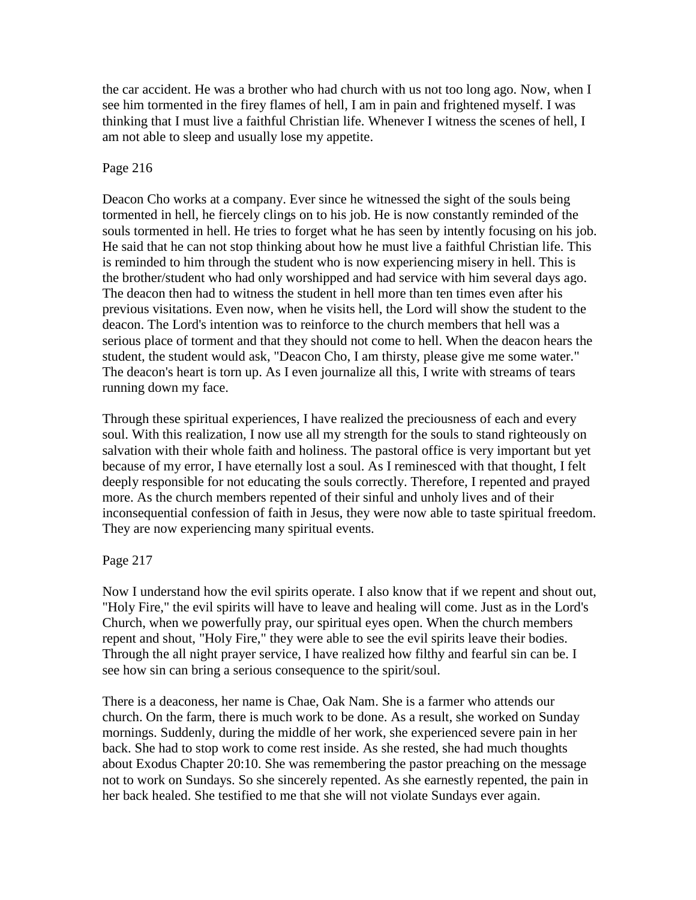the car accident. He was a brother who had church with us not too long ago. Now, when I see him tormented in the firey flames of hell, I am in pain and frightened myself. I was thinking that I must live a faithful Christian life. Whenever I witness the scenes of hell, I am not able to sleep and usually lose my appetite.

## Page 216

Deacon Cho works at a company. Ever since he witnessed the sight of the souls being tormented in hell, he fiercely clings on to his job. He is now constantly reminded of the souls tormented in hell. He tries to forget what he has seen by intently focusing on his job. He said that he can not stop thinking about how he must live a faithful Christian life. This is reminded to him through the student who is now experiencing misery in hell. This is the brother/student who had only worshipped and had service with him several days ago. The deacon then had to witness the student in hell more than ten times even after his previous visitations. Even now, when he visits hell, the Lord will show the student to the deacon. The Lord's intention was to reinforce to the church members that hell was a serious place of torment and that they should not come to hell. When the deacon hears the student, the student would ask, "Deacon Cho, I am thirsty, please give me some water." The deacon's heart is torn up. As I even journalize all this, I write with streams of tears running down my face.

Through these spiritual experiences, I have realized the preciousness of each and every soul. With this realization, I now use all my strength for the souls to stand righteously on salvation with their whole faith and holiness. The pastoral office is very important but yet because of my error, I have eternally lost a soul. As I reminesced with that thought, I felt deeply responsible for not educating the souls correctly. Therefore, I repented and prayed more. As the church members repented of their sinful and unholy lives and of their inconsequential confession of faith in Jesus, they were now able to taste spiritual freedom. They are now experiencing many spiritual events.

# Page 217

Now I understand how the evil spirits operate. I also know that if we repent and shout out, "Holy Fire," the evil spirits will have to leave and healing will come. Just as in the Lord's Church, when we powerfully pray, our spiritual eyes open. When the church members repent and shout, "Holy Fire," they were able to see the evil spirits leave their bodies. Through the all night prayer service, I have realized how filthy and fearful sin can be. I see how sin can bring a serious consequence to the spirit/soul.

There is a deaconess, her name is Chae, Oak Nam. She is a farmer who attends our church. On the farm, there is much work to be done. As a result, she worked on Sunday mornings. Suddenly, during the middle of her work, she experienced severe pain in her back. She had to stop work to come rest inside. As she rested, she had much thoughts about Exodus Chapter 20:10. She was remembering the pastor preaching on the message not to work on Sundays. So she sincerely repented. As she earnestly repented, the pain in her back healed. She testified to me that she will not violate Sundays ever again.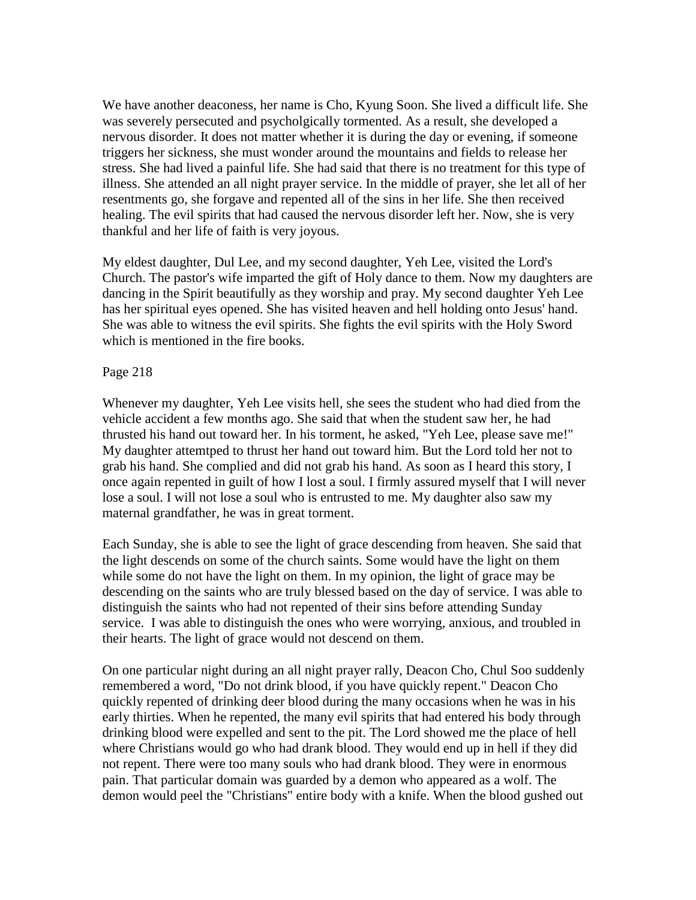We have another deaconess, her name is Cho, Kyung Soon. She lived a difficult life. She was severely persecuted and psycholgically tormented. As a result, she developed a nervous disorder. It does not matter whether it is during the day or evening, if someone triggers her sickness, she must wonder around the mountains and fields to release her stress. She had lived a painful life. She had said that there is no treatment for this type of illness. She attended an all night prayer service. In the middle of prayer, she let all of her resentments go, she forgave and repented all of the sins in her life. She then received healing. The evil spirits that had caused the nervous disorder left her. Now, she is very thankful and her life of faith is very joyous.

My eldest daughter, Dul Lee, and my second daughter, Yeh Lee, visited the Lord's Church. The pastor's wife imparted the gift of Holy dance to them. Now my daughters are dancing in the Spirit beautifully as they worship and pray. My second daughter Yeh Lee has her spiritual eyes opened. She has visited heaven and hell holding onto Jesus' hand. She was able to witness the evil spirits. She fights the evil spirits with the Holy Sword which is mentioned in the fire books.

#### Page 218

Whenever my daughter, Yeh Lee visits hell, she sees the student who had died from the vehicle accident a few months ago. She said that when the student saw her, he had thrusted his hand out toward her. In his torment, he asked, "Yeh Lee, please save me!" My daughter attemtped to thrust her hand out toward him. But the Lord told her not to grab his hand. She complied and did not grab his hand. As soon as I heard this story, I once again repented in guilt of how I lost a soul. I firmly assured myself that I will never lose a soul. I will not lose a soul who is entrusted to me. My daughter also saw my maternal grandfather, he was in great torment.

Each Sunday, she is able to see the light of grace descending from heaven. She said that the light descends on some of the church saints. Some would have the light on them while some do not have the light on them. In my opinion, the light of grace may be descending on the saints who are truly blessed based on the day of service. I was able to distinguish the saints who had not repented of their sins before attending Sunday service. I was able to distinguish the ones who were worrying, anxious, and troubled in their hearts. The light of grace would not descend on them.

On one particular night during an all night prayer rally, Deacon Cho, Chul Soo suddenly remembered a word, "Do not drink blood, if you have quickly repent." Deacon Cho quickly repented of drinking deer blood during the many occasions when he was in his early thirties. When he repented, the many evil spirits that had entered his body through drinking blood were expelled and sent to the pit. The Lord showed me the place of hell where Christians would go who had drank blood. They would end up in hell if they did not repent. There were too many souls who had drank blood. They were in enormous pain. That particular domain was guarded by a demon who appeared as a wolf. The demon would peel the "Christians" entire body with a knife. When the blood gushed out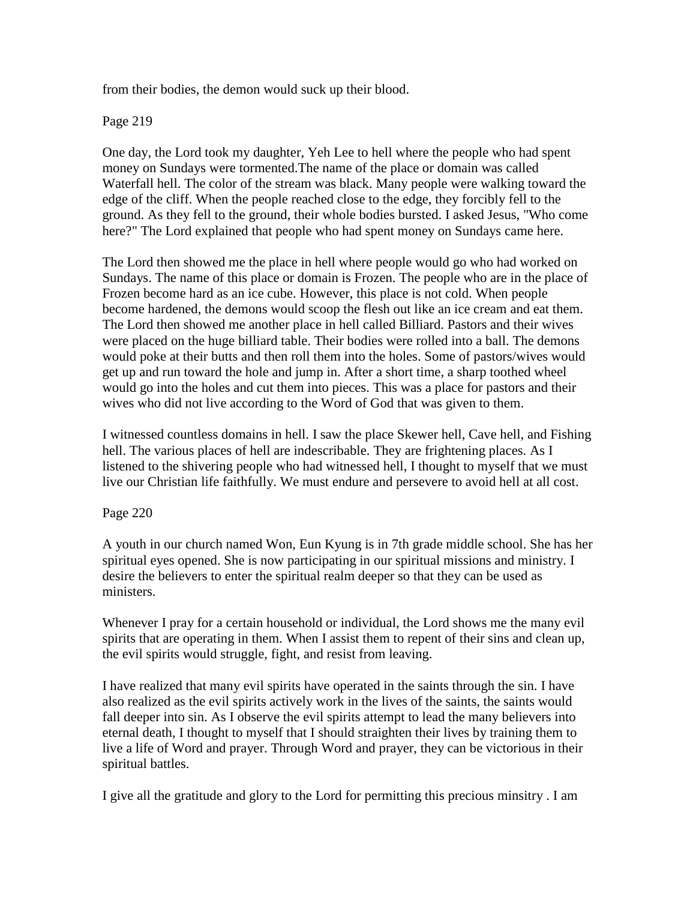from their bodies, the demon would suck up their blood.

Page 219

One day, the Lord took my daughter, Yeh Lee to hell where the people who had spent money on Sundays were tormented.The name of the place or domain was called Waterfall hell. The color of the stream was black. Many people were walking toward the edge of the cliff. When the people reached close to the edge, they forcibly fell to the ground. As they fell to the ground, their whole bodies bursted. I asked Jesus, "Who come here?" The Lord explained that people who had spent money on Sundays came here.

The Lord then showed me the place in hell where people would go who had worked on Sundays. The name of this place or domain is Frozen. The people who are in the place of Frozen become hard as an ice cube. However, this place is not cold. When people become hardened, the demons would scoop the flesh out like an ice cream and eat them. The Lord then showed me another place in hell called Billiard. Pastors and their wives were placed on the huge billiard table. Their bodies were rolled into a ball. The demons would poke at their butts and then roll them into the holes. Some of pastors/wives would get up and run toward the hole and jump in. After a short time, a sharp toothed wheel would go into the holes and cut them into pieces. This was a place for pastors and their wives who did not live according to the Word of God that was given to them.

I witnessed countless domains in hell. I saw the place Skewer hell, Cave hell, and Fishing hell. The various places of hell are indescribable. They are frightening places. As I listened to the shivering people who had witnessed hell, I thought to myself that we must live our Christian life faithfully. We must endure and persevere to avoid hell at all cost.

Page 220

A youth in our church named Won, Eun Kyung is in 7th grade middle school. She has her spiritual eyes opened. She is now participating in our spiritual missions and ministry. I desire the believers to enter the spiritual realm deeper so that they can be used as ministers.

Whenever I pray for a certain household or individual, the Lord shows me the many evil spirits that are operating in them. When I assist them to repent of their sins and clean up, the evil spirits would struggle, fight, and resist from leaving.

I have realized that many evil spirits have operated in the saints through the sin. I have also realized as the evil spirits actively work in the lives of the saints, the saints would fall deeper into sin. As I observe the evil spirits attempt to lead the many believers into eternal death, I thought to myself that I should straighten their lives by training them to live a life of Word and prayer. Through Word and prayer, they can be victorious in their spiritual battles.

I give all the gratitude and glory to the Lord for permitting this precious minsitry . I am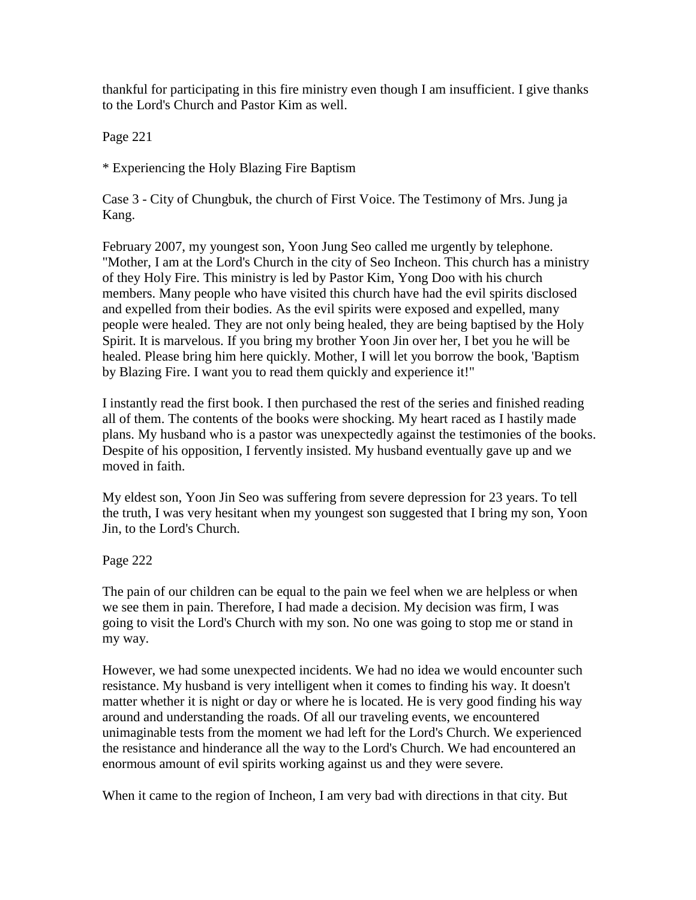thankful for participating in this fire ministry even though I am insufficient. I give thanks to the Lord's Church and Pastor Kim as well.

Page 221

\* Experiencing the Holy Blazing Fire Baptism

Case 3 - City of Chungbuk, the church of First Voice. The Testimony of Mrs. Jung ja Kang.

February 2007, my youngest son, Yoon Jung Seo called me urgently by telephone. "Mother, I am at the Lord's Church in the city of Seo Incheon. This church has a ministry of they Holy Fire. This ministry is led by Pastor Kim, Yong Doo with his church members. Many people who have visited this church have had the evil spirits disclosed and expelled from their bodies. As the evil spirits were exposed and expelled, many people were healed. They are not only being healed, they are being baptised by the Holy Spirit. It is marvelous. If you bring my brother Yoon Jin over her, I bet you he will be healed. Please bring him here quickly. Mother, I will let you borrow the book, 'Baptism by Blazing Fire. I want you to read them quickly and experience it!"

I instantly read the first book. I then purchased the rest of the series and finished reading all of them. The contents of the books were shocking. My heart raced as I hastily made plans. My husband who is a pastor was unexpectedly against the testimonies of the books. Despite of his opposition, I fervently insisted. My husband eventually gave up and we moved in faith.

My eldest son, Yoon Jin Seo was suffering from severe depression for 23 years. To tell the truth, I was very hesitant when my youngest son suggested that I bring my son, Yoon Jin, to the Lord's Church.

Page 222

The pain of our children can be equal to the pain we feel when we are helpless or when we see them in pain. Therefore, I had made a decision. My decision was firm, I was going to visit the Lord's Church with my son. No one was going to stop me or stand in my way.

However, we had some unexpected incidents. We had no idea we would encounter such resistance. My husband is very intelligent when it comes to finding his way. It doesn't matter whether it is night or day or where he is located. He is very good finding his way around and understanding the roads. Of all our traveling events, we encountered unimaginable tests from the moment we had left for the Lord's Church. We experienced the resistance and hinderance all the way to the Lord's Church. We had encountered an enormous amount of evil spirits working against us and they were severe.

When it came to the region of Incheon, I am very bad with directions in that city. But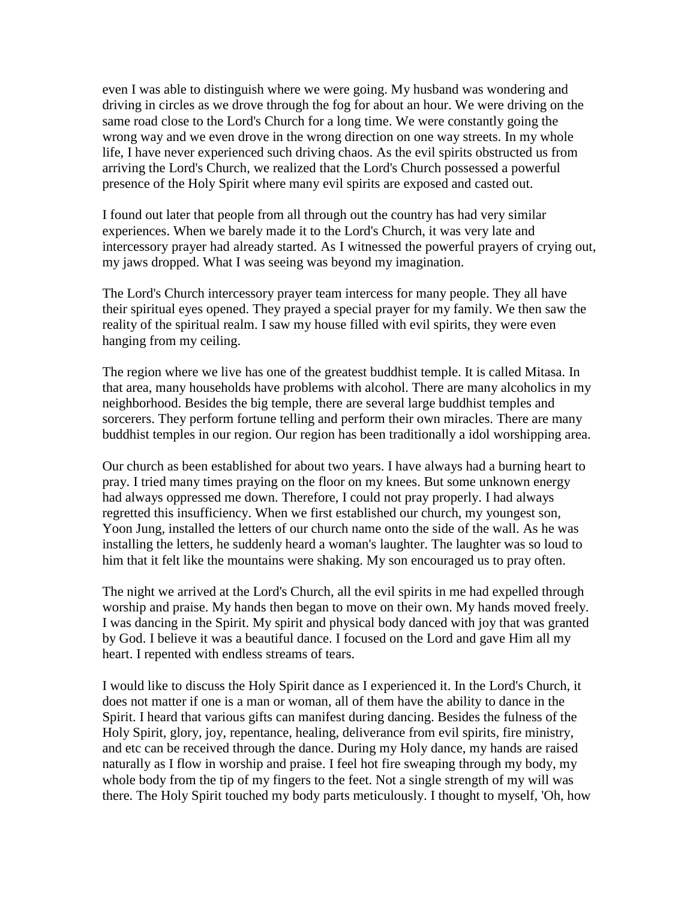even I was able to distinguish where we were going. My husband was wondering and driving in circles as we drove through the fog for about an hour. We were driving on the same road close to the Lord's Church for a long time. We were constantly going the wrong way and we even drove in the wrong direction on one way streets. In my whole life, I have never experienced such driving chaos. As the evil spirits obstructed us from arriving the Lord's Church, we realized that the Lord's Church possessed a powerful presence of the Holy Spirit where many evil spirits are exposed and casted out.

I found out later that people from all through out the country has had very similar experiences. When we barely made it to the Lord's Church, it was very late and intercessory prayer had already started. As I witnessed the powerful prayers of crying out, my jaws dropped. What I was seeing was beyond my imagination.

The Lord's Church intercessory prayer team intercess for many people. They all have their spiritual eyes opened. They prayed a special prayer for my family. We then saw the reality of the spiritual realm. I saw my house filled with evil spirits, they were even hanging from my ceiling.

The region where we live has one of the greatest buddhist temple. It is called Mitasa. In that area, many households have problems with alcohol. There are many alcoholics in my neighborhood. Besides the big temple, there are several large buddhist temples and sorcerers. They perform fortune telling and perform their own miracles. There are many buddhist temples in our region. Our region has been traditionally a idol worshipping area.

Our church as been established for about two years. I have always had a burning heart to pray. I tried many times praying on the floor on my knees. But some unknown energy had always oppressed me down. Therefore, I could not pray properly. I had always regretted this insufficiency. When we first established our church, my youngest son, Yoon Jung, installed the letters of our church name onto the side of the wall. As he was installing the letters, he suddenly heard a woman's laughter. The laughter was so loud to him that it felt like the mountains were shaking. My son encouraged us to pray often.

The night we arrived at the Lord's Church, all the evil spirits in me had expelled through worship and praise. My hands then began to move on their own. My hands moved freely. I was dancing in the Spirit. My spirit and physical body danced with joy that was granted by God. I believe it was a beautiful dance. I focused on the Lord and gave Him all my heart. I repented with endless streams of tears.

I would like to discuss the Holy Spirit dance as I experienced it. In the Lord's Church, it does not matter if one is a man or woman, all of them have the ability to dance in the Spirit. I heard that various gifts can manifest during dancing. Besides the fulness of the Holy Spirit, glory, joy, repentance, healing, deliverance from evil spirits, fire ministry, and etc can be received through the dance. During my Holy dance, my hands are raised naturally as I flow in worship and praise. I feel hot fire sweaping through my body, my whole body from the tip of my fingers to the feet. Not a single strength of my will was there. The Holy Spirit touched my body parts meticulously. I thought to myself, 'Oh, how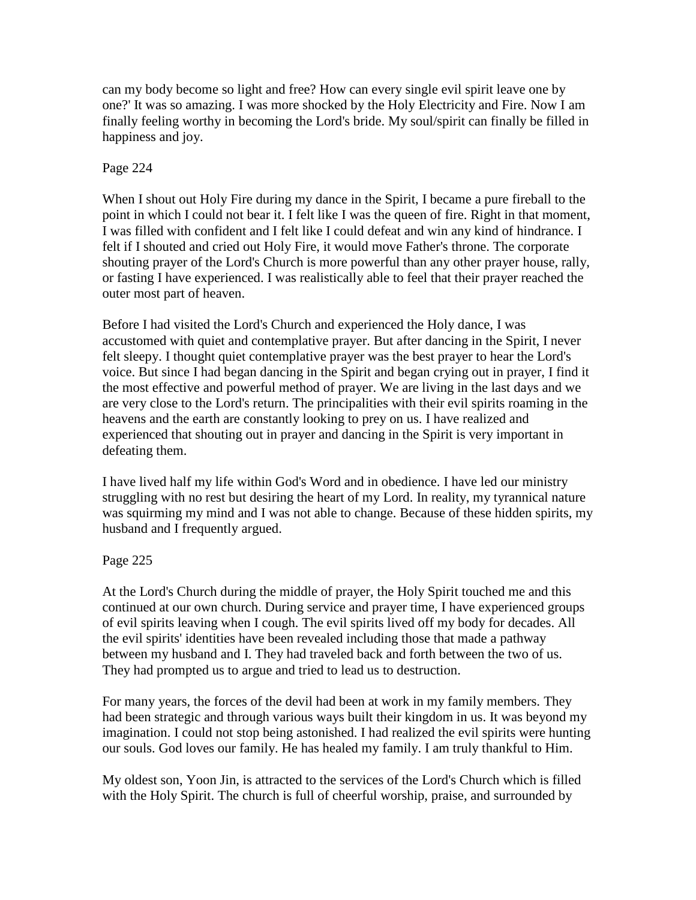can my body become so light and free? How can every single evil spirit leave one by one?' It was so amazing. I was more shocked by the Holy Electricity and Fire. Now I am finally feeling worthy in becoming the Lord's bride. My soul/spirit can finally be filled in happiness and joy.

# Page 224

When I shout out Holy Fire during my dance in the Spirit, I became a pure fireball to the point in which I could not bear it. I felt like I was the queen of fire. Right in that moment, I was filled with confident and I felt like I could defeat and win any kind of hindrance. I felt if I shouted and cried out Holy Fire, it would move Father's throne. The corporate shouting prayer of the Lord's Church is more powerful than any other prayer house, rally, or fasting I have experienced. I was realistically able to feel that their prayer reached the outer most part of heaven.

Before I had visited the Lord's Church and experienced the Holy dance, I was accustomed with quiet and contemplative prayer. But after dancing in the Spirit, I never felt sleepy. I thought quiet contemplative prayer was the best prayer to hear the Lord's voice. But since I had began dancing in the Spirit and began crying out in prayer, I find it the most effective and powerful method of prayer. We are living in the last days and we are very close to the Lord's return. The principalities with their evil spirits roaming in the heavens and the earth are constantly looking to prey on us. I have realized and experienced that shouting out in prayer and dancing in the Spirit is very important in defeating them.

I have lived half my life within God's Word and in obedience. I have led our ministry struggling with no rest but desiring the heart of my Lord. In reality, my tyrannical nature was squirming my mind and I was not able to change. Because of these hidden spirits, my husband and I frequently argued.

# Page 225

At the Lord's Church during the middle of prayer, the Holy Spirit touched me and this continued at our own church. During service and prayer time, I have experienced groups of evil spirits leaving when I cough. The evil spirits lived off my body for decades. All the evil spirits' identities have been revealed including those that made a pathway between my husband and I. They had traveled back and forth between the two of us. They had prompted us to argue and tried to lead us to destruction.

For many years, the forces of the devil had been at work in my family members. They had been strategic and through various ways built their kingdom in us. It was beyond my imagination. I could not stop being astonished. I had realized the evil spirits were hunting our souls. God loves our family. He has healed my family. I am truly thankful to Him.

My oldest son, Yoon Jin, is attracted to the services of the Lord's Church which is filled with the Holy Spirit. The church is full of cheerful worship, praise, and surrounded by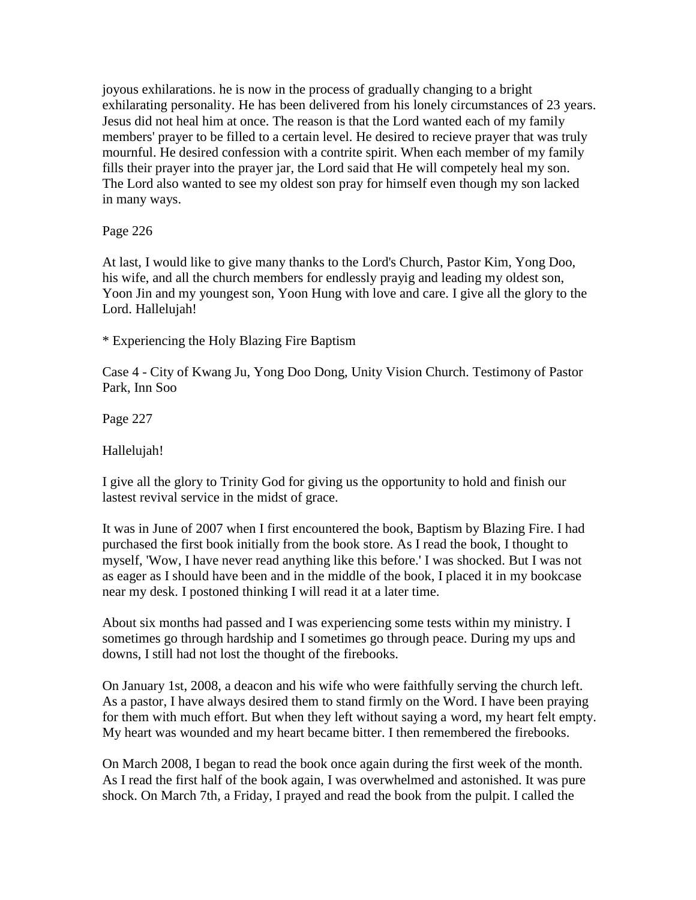joyous exhilarations. he is now in the process of gradually changing to a bright exhilarating personality. He has been delivered from his lonely circumstances of 23 years. Jesus did not heal him at once. The reason is that the Lord wanted each of my family members' prayer to be filled to a certain level. He desired to recieve prayer that was truly mournful. He desired confession with a contrite spirit. When each member of my family fills their prayer into the prayer jar, the Lord said that He will competely heal my son. The Lord also wanted to see my oldest son pray for himself even though my son lacked in many ways.

Page 226

At last, I would like to give many thanks to the Lord's Church, Pastor Kim, Yong Doo, his wife, and all the church members for endlessly prayig and leading my oldest son, Yoon Jin and my youngest son, Yoon Hung with love and care. I give all the glory to the Lord. Hallelujah!

\* Experiencing the Holy Blazing Fire Baptism

Case 4 - City of Kwang Ju, Yong Doo Dong, Unity Vision Church. Testimony of Pastor Park, Inn Soo

Page 227

Hallelujah!

I give all the glory to Trinity God for giving us the opportunity to hold and finish our lastest revival service in the midst of grace.

It was in June of 2007 when I first encountered the book, Baptism by Blazing Fire. I had purchased the first book initially from the book store. As I read the book, I thought to myself, 'Wow, I have never read anything like this before.' I was shocked. But I was not as eager as I should have been and in the middle of the book, I placed it in my bookcase near my desk. I postoned thinking I will read it at a later time.

About six months had passed and I was experiencing some tests within my ministry. I sometimes go through hardship and I sometimes go through peace. During my ups and downs, I still had not lost the thought of the firebooks.

On January 1st, 2008, a deacon and his wife who were faithfully serving the church left. As a pastor, I have always desired them to stand firmly on the Word. I have been praying for them with much effort. But when they left without saying a word, my heart felt empty. My heart was wounded and my heart became bitter. I then remembered the firebooks.

On March 2008, I began to read the book once again during the first week of the month. As I read the first half of the book again, I was overwhelmed and astonished. It was pure shock. On March 7th, a Friday, I prayed and read the book from the pulpit. I called the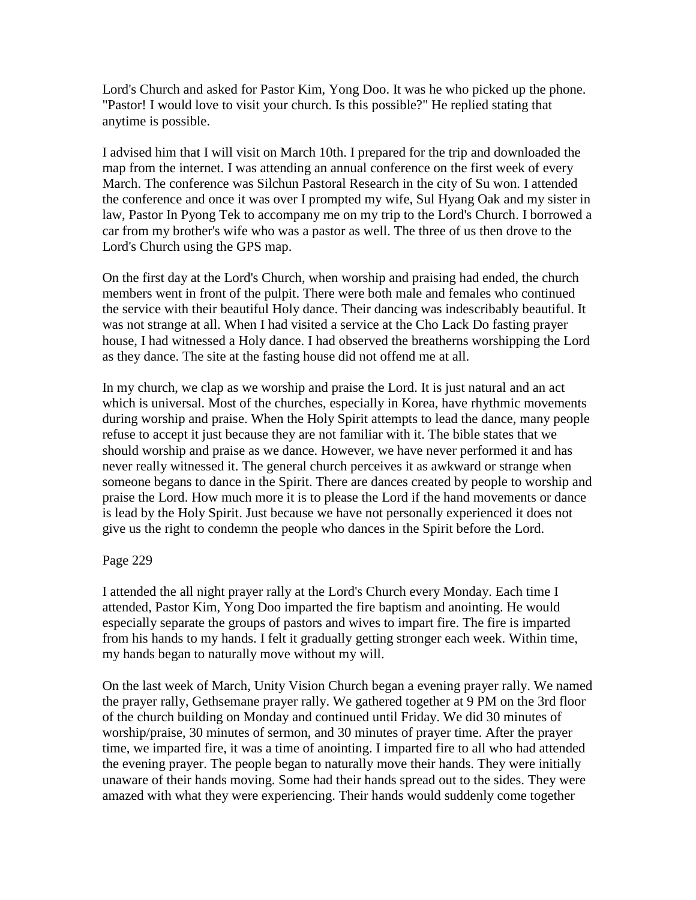Lord's Church and asked for Pastor Kim, Yong Doo. It was he who picked up the phone. "Pastor! I would love to visit your church. Is this possible?" He replied stating that anytime is possible.

I advised him that I will visit on March 10th. I prepared for the trip and downloaded the map from the internet. I was attending an annual conference on the first week of every March. The conference was Silchun Pastoral Research in the city of Su won. I attended the conference and once it was over I prompted my wife, Sul Hyang Oak and my sister in law, Pastor In Pyong Tek to accompany me on my trip to the Lord's Church. I borrowed a car from my brother's wife who was a pastor as well. The three of us then drove to the Lord's Church using the GPS map.

On the first day at the Lord's Church, when worship and praising had ended, the church members went in front of the pulpit. There were both male and females who continued the service with their beautiful Holy dance. Their dancing was indescribably beautiful. It was not strange at all. When I had visited a service at the Cho Lack Do fasting prayer house, I had witnessed a Holy dance. I had observed the breatherns worshipping the Lord as they dance. The site at the fasting house did not offend me at all.

In my church, we clap as we worship and praise the Lord. It is just natural and an act which is universal. Most of the churches, especially in Korea, have rhythmic movements during worship and praise. When the Holy Spirit attempts to lead the dance, many people refuse to accept it just because they are not familiar with it. The bible states that we should worship and praise as we dance. However, we have never performed it and has never really witnessed it. The general church perceives it as awkward or strange when someone begans to dance in the Spirit. There are dances created by people to worship and praise the Lord. How much more it is to please the Lord if the hand movements or dance is lead by the Holy Spirit. Just because we have not personally experienced it does not give us the right to condemn the people who dances in the Spirit before the Lord.

### Page 229

I attended the all night prayer rally at the Lord's Church every Monday. Each time I attended, Pastor Kim, Yong Doo imparted the fire baptism and anointing. He would especially separate the groups of pastors and wives to impart fire. The fire is imparted from his hands to my hands. I felt it gradually getting stronger each week. Within time, my hands began to naturally move without my will.

On the last week of March, Unity Vision Church began a evening prayer rally. We named the prayer rally, Gethsemane prayer rally. We gathered together at 9 PM on the 3rd floor of the church building on Monday and continued until Friday. We did 30 minutes of worship/praise, 30 minutes of sermon, and 30 minutes of prayer time. After the prayer time, we imparted fire, it was a time of anointing. I imparted fire to all who had attended the evening prayer. The people began to naturally move their hands. They were initially unaware of their hands moving. Some had their hands spread out to the sides. They were amazed with what they were experiencing. Their hands would suddenly come together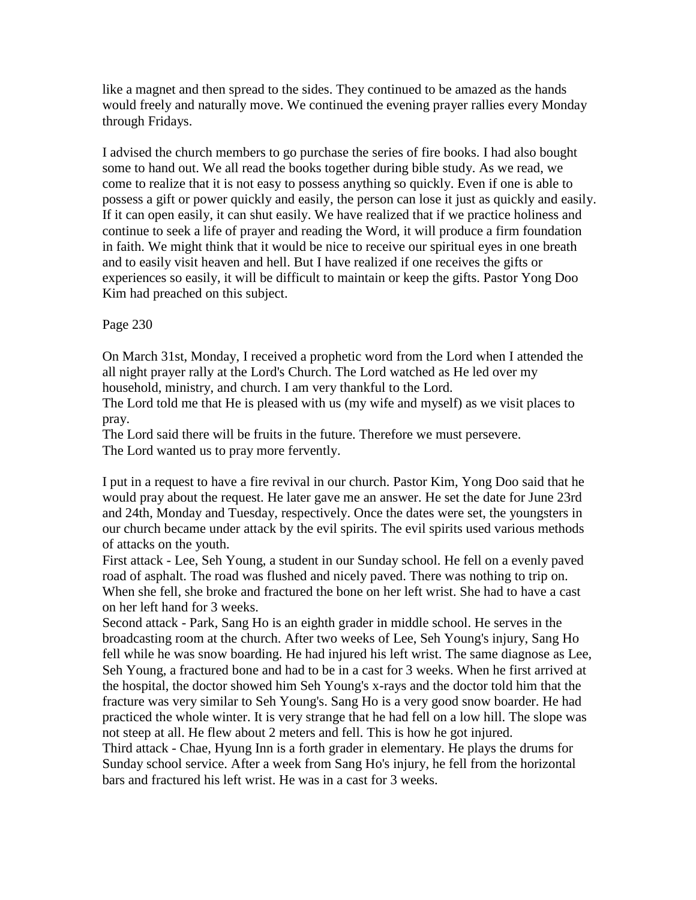like a magnet and then spread to the sides. They continued to be amazed as the hands would freely and naturally move. We continued the evening prayer rallies every Monday through Fridays.

I advised the church members to go purchase the series of fire books. I had also bought some to hand out. We all read the books together during bible study. As we read, we come to realize that it is not easy to possess anything so quickly. Even if one is able to possess a gift or power quickly and easily, the person can lose it just as quickly and easily. If it can open easily, it can shut easily. We have realized that if we practice holiness and continue to seek a life of prayer and reading the Word, it will produce a firm foundation in faith. We might think that it would be nice to receive our spiritual eyes in one breath and to easily visit heaven and hell. But I have realized if one receives the gifts or experiences so easily, it will be difficult to maintain or keep the gifts. Pastor Yong Doo Kim had preached on this subject.

Page 230

On March 31st, Monday, I received a prophetic word from the Lord when I attended the all night prayer rally at the Lord's Church. The Lord watched as He led over my household, ministry, and church. I am very thankful to the Lord.

The Lord told me that He is pleased with us (my wife and myself) as we visit places to pray.

The Lord said there will be fruits in the future. Therefore we must persevere. The Lord wanted us to pray more fervently.

I put in a request to have a fire revival in our church. Pastor Kim, Yong Doo said that he would pray about the request. He later gave me an answer. He set the date for June 23rd and 24th, Monday and Tuesday, respectively. Once the dates were set, the youngsters in our church became under attack by the evil spirits. The evil spirits used various methods of attacks on the youth.

First attack - Lee, Seh Young, a student in our Sunday school. He fell on a evenly paved road of asphalt. The road was flushed and nicely paved. There was nothing to trip on. When she fell, she broke and fractured the bone on her left wrist. She had to have a cast on her left hand for 3 weeks.

Second attack - Park, Sang Ho is an eighth grader in middle school. He serves in the broadcasting room at the church. After two weeks of Lee, Seh Young's injury, Sang Ho fell while he was snow boarding. He had injured his left wrist. The same diagnose as Lee, Seh Young, a fractured bone and had to be in a cast for 3 weeks. When he first arrived at the hospital, the doctor showed him Seh Young's x-rays and the doctor told him that the fracture was very similar to Seh Young's. Sang Ho is a very good snow boarder. He had practiced the whole winter. It is very strange that he had fell on a low hill. The slope was not steep at all. He flew about 2 meters and fell. This is how he got injured.

Third attack - Chae, Hyung Inn is a forth grader in elementary. He plays the drums for Sunday school service. After a week from Sang Ho's injury, he fell from the horizontal bars and fractured his left wrist. He was in a cast for 3 weeks.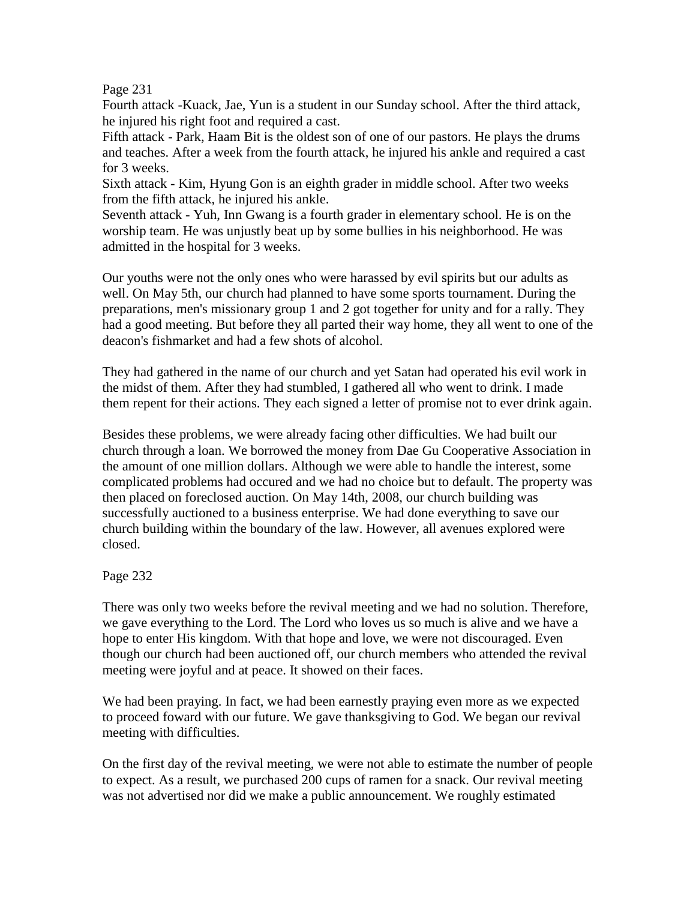### Page 231

Fourth attack -Kuack, Jae, Yun is a student in our Sunday school. After the third attack, he injured his right foot and required a cast.

Fifth attack - Park, Haam Bit is the oldest son of one of our pastors. He plays the drums and teaches. After a week from the fourth attack, he injured his ankle and required a cast for 3 weeks.

Sixth attack - Kim, Hyung Gon is an eighth grader in middle school. After two weeks from the fifth attack, he injured his ankle.

Seventh attack - Yuh, Inn Gwang is a fourth grader in elementary school. He is on the worship team. He was unjustly beat up by some bullies in his neighborhood. He was admitted in the hospital for 3 weeks.

Our youths were not the only ones who were harassed by evil spirits but our adults as well. On May 5th, our church had planned to have some sports tournament. During the preparations, men's missionary group 1 and 2 got together for unity and for a rally. They had a good meeting. But before they all parted their way home, they all went to one of the deacon's fishmarket and had a few shots of alcohol.

They had gathered in the name of our church and yet Satan had operated his evil work in the midst of them. After they had stumbled, I gathered all who went to drink. I made them repent for their actions. They each signed a letter of promise not to ever drink again.

Besides these problems, we were already facing other difficulties. We had built our church through a loan. We borrowed the money from Dae Gu Cooperative Association in the amount of one million dollars. Although we were able to handle the interest, some complicated problems had occured and we had no choice but to default. The property was then placed on foreclosed auction. On May 14th, 2008, our church building was successfully auctioned to a business enterprise. We had done everything to save our church building within the boundary of the law. However, all avenues explored were closed.

# Page 232

There was only two weeks before the revival meeting and we had no solution. Therefore, we gave everything to the Lord. The Lord who loves us so much is alive and we have a hope to enter His kingdom. With that hope and love, we were not discouraged. Even though our church had been auctioned off, our church members who attended the revival meeting were joyful and at peace. It showed on their faces.

We had been praying. In fact, we had been earnestly praying even more as we expected to proceed foward with our future. We gave thanksgiving to God. We began our revival meeting with difficulties.

On the first day of the revival meeting, we were not able to estimate the number of people to expect. As a result, we purchased 200 cups of ramen for a snack. Our revival meeting was not advertised nor did we make a public announcement. We roughly estimated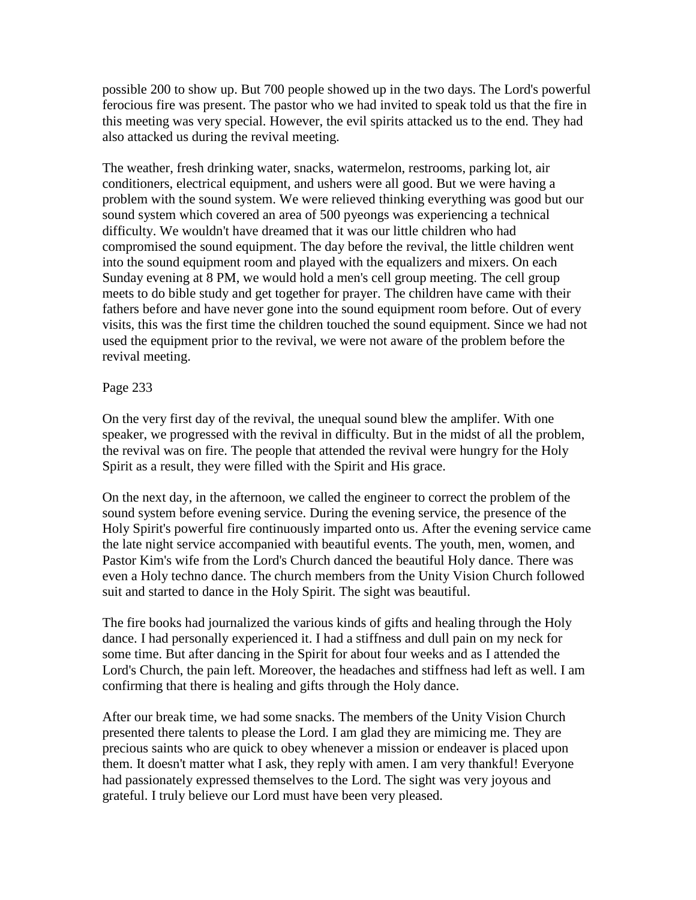possible 200 to show up. But 700 people showed up in the two days. The Lord's powerful ferocious fire was present. The pastor who we had invited to speak told us that the fire in this meeting was very special. However, the evil spirits attacked us to the end. They had also attacked us during the revival meeting.

The weather, fresh drinking water, snacks, watermelon, restrooms, parking lot, air conditioners, electrical equipment, and ushers were all good. But we were having a problem with the sound system. We were relieved thinking everything was good but our sound system which covered an area of 500 pyeongs was experiencing a technical difficulty. We wouldn't have dreamed that it was our little children who had compromised the sound equipment. The day before the revival, the little children went into the sound equipment room and played with the equalizers and mixers. On each Sunday evening at 8 PM, we would hold a men's cell group meeting. The cell group meets to do bible study and get together for prayer. The children have came with their fathers before and have never gone into the sound equipment room before. Out of every visits, this was the first time the children touched the sound equipment. Since we had not used the equipment prior to the revival, we were not aware of the problem before the revival meeting.

## Page 233

On the very first day of the revival, the unequal sound blew the amplifer. With one speaker, we progressed with the revival in difficulty. But in the midst of all the problem, the revival was on fire. The people that attended the revival were hungry for the Holy Spirit as a result, they were filled with the Spirit and His grace.

On the next day, in the afternoon, we called the engineer to correct the problem of the sound system before evening service. During the evening service, the presence of the Holy Spirit's powerful fire continuously imparted onto us. After the evening service came the late night service accompanied with beautiful events. The youth, men, women, and Pastor Kim's wife from the Lord's Church danced the beautiful Holy dance. There was even a Holy techno dance. The church members from the Unity Vision Church followed suit and started to dance in the Holy Spirit. The sight was beautiful.

The fire books had journalized the various kinds of gifts and healing through the Holy dance. I had personally experienced it. I had a stiffness and dull pain on my neck for some time. But after dancing in the Spirit for about four weeks and as I attended the Lord's Church, the pain left. Moreover, the headaches and stiffness had left as well. I am confirming that there is healing and gifts through the Holy dance.

After our break time, we had some snacks. The members of the Unity Vision Church presented there talents to please the Lord. I am glad they are mimicing me. They are precious saints who are quick to obey whenever a mission or endeaver is placed upon them. It doesn't matter what I ask, they reply with amen. I am very thankful! Everyone had passionately expressed themselves to the Lord. The sight was very joyous and grateful. I truly believe our Lord must have been very pleased.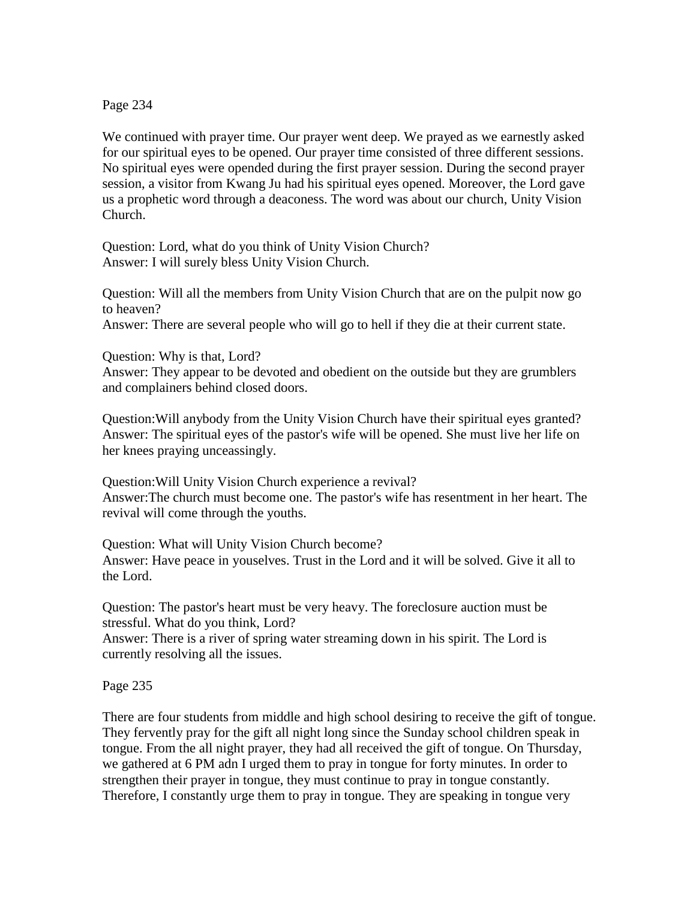Page 234

We continued with prayer time. Our prayer went deep. We prayed as we earnestly asked for our spiritual eyes to be opened. Our prayer time consisted of three different sessions. No spiritual eyes were opended during the first prayer session. During the second prayer session, a visitor from Kwang Ju had his spiritual eyes opened. Moreover, the Lord gave us a prophetic word through a deaconess. The word was about our church, Unity Vision Church.

Question: Lord, what do you think of Unity Vision Church? Answer: I will surely bless Unity Vision Church.

Question: Will all the members from Unity Vision Church that are on the pulpit now go to heaven?

Answer: There are several people who will go to hell if they die at their current state.

Question: Why is that, Lord?

Answer: They appear to be devoted and obedient on the outside but they are grumblers and complainers behind closed doors.

Question:Will anybody from the Unity Vision Church have their spiritual eyes granted? Answer: The spiritual eyes of the pastor's wife will be opened. She must live her life on her knees praying unceassingly.

Question:Will Unity Vision Church experience a revival? Answer:The church must become one. The pastor's wife has resentment in her heart. The revival will come through the youths.

Question: What will Unity Vision Church become? Answer: Have peace in youselves. Trust in the Lord and it will be solved. Give it all to the Lord.

Question: The pastor's heart must be very heavy. The foreclosure auction must be stressful. What do you think, Lord?

Answer: There is a river of spring water streaming down in his spirit. The Lord is currently resolving all the issues.

Page 235

There are four students from middle and high school desiring to receive the gift of tongue. They fervently pray for the gift all night long since the Sunday school children speak in tongue. From the all night prayer, they had all received the gift of tongue. On Thursday, we gathered at 6 PM adn I urged them to pray in tongue for forty minutes. In order to strengthen their prayer in tongue, they must continue to pray in tongue constantly. Therefore, I constantly urge them to pray in tongue. They are speaking in tongue very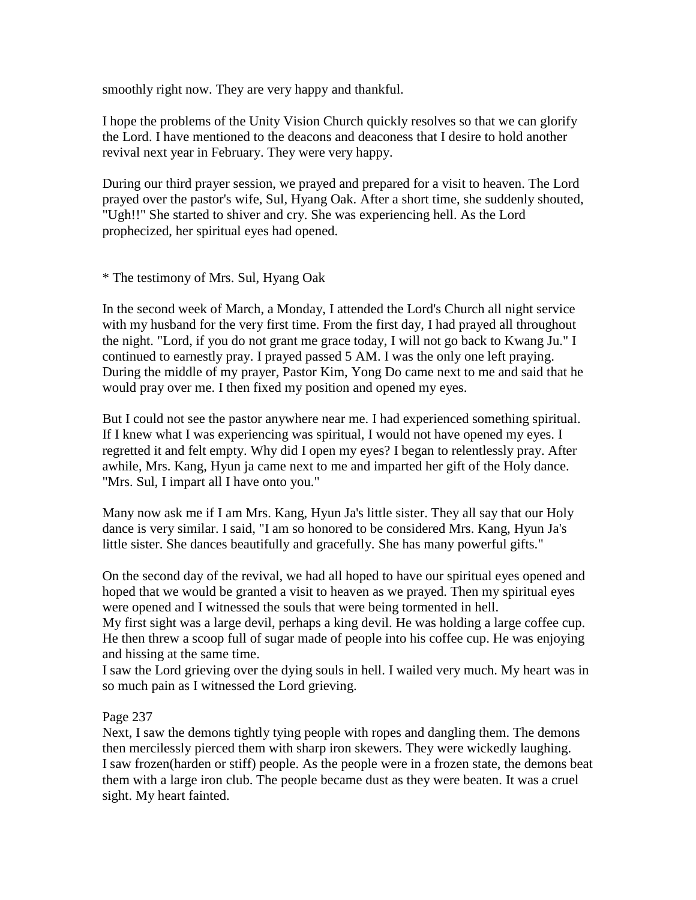smoothly right now. They are very happy and thankful.

I hope the problems of the Unity Vision Church quickly resolves so that we can glorify the Lord. I have mentioned to the deacons and deaconess that I desire to hold another revival next year in February. They were very happy.

During our third prayer session, we prayed and prepared for a visit to heaven. The Lord prayed over the pastor's wife, Sul, Hyang Oak. After a short time, she suddenly shouted, "Ugh!!" She started to shiver and cry. She was experiencing hell. As the Lord prophecized, her spiritual eyes had opened.

\* The testimony of Mrs. Sul, Hyang Oak

In the second week of March, a Monday, I attended the Lord's Church all night service with my husband for the very first time. From the first day, I had prayed all throughout the night. "Lord, if you do not grant me grace today, I will not go back to Kwang Ju." I continued to earnestly pray. I prayed passed 5 AM. I was the only one left praying. During the middle of my prayer, Pastor Kim, Yong Do came next to me and said that he would pray over me. I then fixed my position and opened my eyes.

But I could not see the pastor anywhere near me. I had experienced something spiritual. If I knew what I was experiencing was spiritual, I would not have opened my eyes. I regretted it and felt empty. Why did I open my eyes? I began to relentlessly pray. After awhile, Mrs. Kang, Hyun ja came next to me and imparted her gift of the Holy dance. "Mrs. Sul, I impart all I have onto you."

Many now ask me if I am Mrs. Kang, Hyun Ja's little sister. They all say that our Holy dance is very similar. I said, "I am so honored to be considered Mrs. Kang, Hyun Ja's little sister. She dances beautifully and gracefully. She has many powerful gifts."

On the second day of the revival, we had all hoped to have our spiritual eyes opened and hoped that we would be granted a visit to heaven as we prayed. Then my spiritual eyes were opened and I witnessed the souls that were being tormented in hell.

My first sight was a large devil, perhaps a king devil. He was holding a large coffee cup. He then threw a scoop full of sugar made of people into his coffee cup. He was enjoying and hissing at the same time.

I saw the Lord grieving over the dying souls in hell. I wailed very much. My heart was in so much pain as I witnessed the Lord grieving.

Page 237

Next, I saw the demons tightly tying people with ropes and dangling them. The demons then mercilessly pierced them with sharp iron skewers. They were wickedly laughing. I saw frozen(harden or stiff) people. As the people were in a frozen state, the demons beat them with a large iron club. The people became dust as they were beaten. It was a cruel sight. My heart fainted.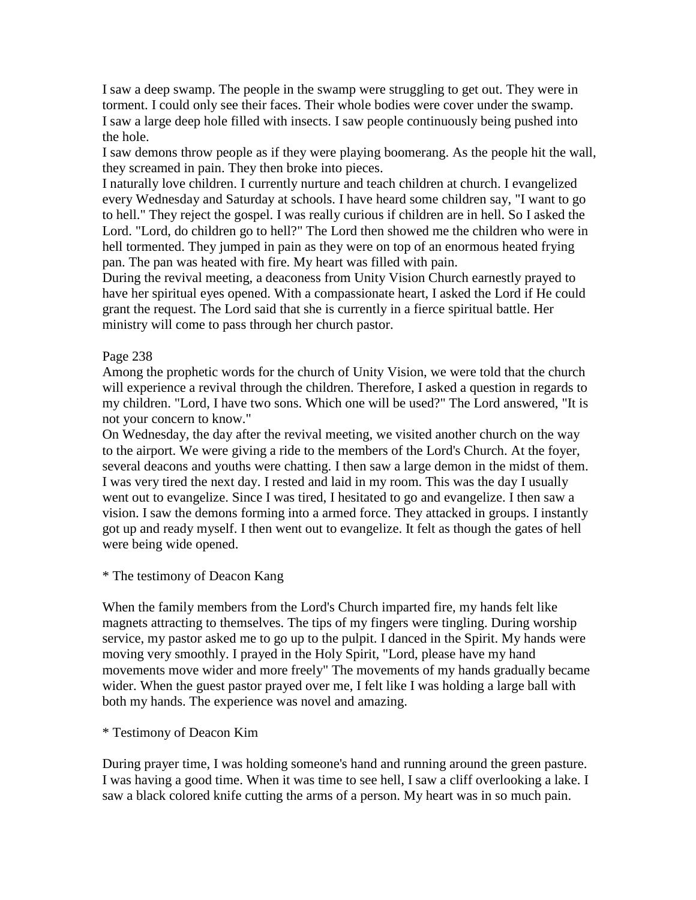I saw a deep swamp. The people in the swamp were struggling to get out. They were in torment. I could only see their faces. Their whole bodies were cover under the swamp. I saw a large deep hole filled with insects. I saw people continuously being pushed into the hole.

I saw demons throw people as if they were playing boomerang. As the people hit the wall, they screamed in pain. They then broke into pieces.

I naturally love children. I currently nurture and teach children at church. I evangelized every Wednesday and Saturday at schools. I have heard some children say, "I want to go to hell." They reject the gospel. I was really curious if children are in hell. So I asked the Lord. "Lord, do children go to hell?" The Lord then showed me the children who were in hell tormented. They jumped in pain as they were on top of an enormous heated frying pan. The pan was heated with fire. My heart was filled with pain.

During the revival meeting, a deaconess from Unity Vision Church earnestly prayed to have her spiritual eyes opened. With a compassionate heart, I asked the Lord if He could grant the request. The Lord said that she is currently in a fierce spiritual battle. Her ministry will come to pass through her church pastor.

## Page 238

Among the prophetic words for the church of Unity Vision, we were told that the church will experience a revival through the children. Therefore, I asked a question in regards to my children. "Lord, I have two sons. Which one will be used?" The Lord answered, "It is not your concern to know."

On Wednesday, the day after the revival meeting, we visited another church on the way to the airport. We were giving a ride to the members of the Lord's Church. At the foyer, several deacons and youths were chatting. I then saw a large demon in the midst of them. I was very tired the next day. I rested and laid in my room. This was the day I usually went out to evangelize. Since I was tired, I hesitated to go and evangelize. I then saw a vision. I saw the demons forming into a armed force. They attacked in groups. I instantly got up and ready myself. I then went out to evangelize. It felt as though the gates of hell were being wide opened.

### \* The testimony of Deacon Kang

When the family members from the Lord's Church imparted fire, my hands felt like magnets attracting to themselves. The tips of my fingers were tingling. During worship service, my pastor asked me to go up to the pulpit. I danced in the Spirit. My hands were moving very smoothly. I prayed in the Holy Spirit, "Lord, please have my hand movements move wider and more freely" The movements of my hands gradually became wider. When the guest pastor prayed over me, I felt like I was holding a large ball with both my hands. The experience was novel and amazing.

### \* Testimony of Deacon Kim

During prayer time, I was holding someone's hand and running around the green pasture. I was having a good time. When it was time to see hell, I saw a cliff overlooking a lake. I saw a black colored knife cutting the arms of a person. My heart was in so much pain.